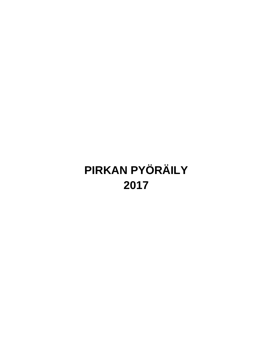# **PIRKAN PYÖRÄILY 2017**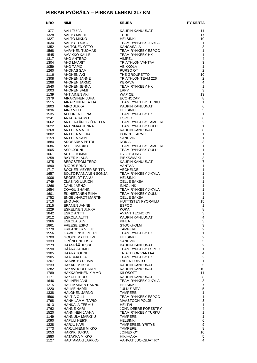# **PIRKAN PYÖRÄILY – PIRKAN LENKKI 217 KM**

| <b>NRO</b>   | <b>NIMI</b><br>AALI TUIJA<br>AALTO MATTI<br>TITA MATTI                                                                           | <b>SEURA PYKANUUMATER PYKANUS PYKANUS TEAM RYNKEBY J-KYLÄ<br/>KAUPIN KANUUNAT<br/>TEAM RYNKEBY J-KYLÄ<br/>KANGASALA<br/>TEAM RYNKEBY HKI<br/>TEAM RYNKEBY HKI<br/>TEAM RYNKEBY HKI<br/>TRIATHLON VANTAA<br/>PURSO OY<br/>TEAM RYNKEBY HKI<br/>NERAVA<br/>KERAVA PURSO OY<br/>TEA</b> | <b>PY-KERTA</b>                               |
|--------------|----------------------------------------------------------------------------------------------------------------------------------|--------------------------------------------------------------------------------------------------------------------------------------------------------------------------------------------------------------------------------------------------------------------------------------|-----------------------------------------------|
| 1377         |                                                                                                                                  |                                                                                                                                                                                                                                                                                      | 11                                            |
| 1328         |                                                                                                                                  |                                                                                                                                                                                                                                                                                      | 17                                            |
| 1327         | AALTO MIKKO<br>AALTO TOUKO                                                                                                       |                                                                                                                                                                                                                                                                                      | 10                                            |
| 1634         |                                                                                                                                  |                                                                                                                                                                                                                                                                                      | $\mathbf{1}$                                  |
| 1352         | AALTONEN OTTO                                                                                                                    |                                                                                                                                                                                                                                                                                      | 3                                             |
| 1568         | ÄÄRYNEN TUOMAS                                                                                                                   |                                                                                                                                                                                                                                                                                      | $\mathbf{1}$                                  |
| 1545<br>1317 | AAVIKKO KALLE<br>AHO ANTERO                                                                                                      |                                                                                                                                                                                                                                                                                      | 1<br>$\overline{4}$                           |
| 1304         |                                                                                                                                  |                                                                                                                                                                                                                                                                                      | 3                                             |
| 1059         |                                                                                                                                  |                                                                                                                                                                                                                                                                                      | $\mathbf{1}$                                  |
| 1260         |                                                                                                                                  |                                                                                                                                                                                                                                                                                      | $\overline{2}$                                |
| 1116         |                                                                                                                                  |                                                                                                                                                                                                                                                                                      | 10                                            |
| 1308         |                                                                                                                                  |                                                                                                                                                                                                                                                                                      | 2                                             |
| 1288         | AHO AIX<br>AHO MAARIT<br>AHO TAPIO<br>AHOKAS SAMI<br>AHONEN AKI<br>AHONEN JANNE<br>^ HONEN JARMO<br>AHONEN JARMO<br>AHONEN JENNA | KERAVA<br>TEAM RYNKEBY HKI                                                                                                                                                                                                                                                           | $\overline{4}$<br>$\mathbf{1}$                |
| 1540<br>1003 |                                                                                                                                  |                                                                                                                                                                                                                                                                                      | 3                                             |
| 1139         | AHONEN SAMI<br>AHTIAINEN AKI                                                                                                     | LRPY<br>WAPICE                                                                                                                                                                                                                                                                       | 13                                            |
| 1379         | AIRAKSINEN JUHA                                                                                                                  |                                                                                                                                                                                                                                                                                      | 8                                             |
| 1515         | AIRAKSINEN KATJA                                                                                                                 |                                                                                                                                                                                                                                                                                      | $\mathbf{1}$                                  |
| 1803         | AIRO JUKKA                                                                                                                       |                                                                                                                                                                                                                                                                                      | 6                                             |
| 1836<br>1535 | AIRO VILLE                                                                                                                       |                                                                                                                                                                                                                                                                                      | 5<br>$\mathbf{1}$                             |
| 1241         | <b>ALHONEN ELINA</b><br>ANJALA RAIMO                                                                                             |                                                                                                                                                                                                                                                                                      | $\,6$                                         |
| 1662         | ANTILA-LÅNGSJÖ RIITTA                                                                                                            |                                                                                                                                                                                                                                                                                      | $\overline{2}$                                |
| 1622         | ANTINMAA JENNA                                                                                                                   |                                                                                                                                                                                                                                                                                      | $\mathbf{1}$                                  |
| 1268         | <b>ANTTILA MATTI</b>                                                                                                             |                                                                                                                                                                                                                                                                                      | 8                                             |
| 1802         | ANTTILA MIIKKA                                                                                                                   |                                                                                                                                                                                                                                                                                      | $\mathbf{1}$                                  |
| 1159         | ANTTILA SAMI                                                                                                                     |                                                                                                                                                                                                                                                                                      | $\mathbf{1}$                                  |
| 1884<br>1686 | AROSARKA PETRI<br>ASELL MARKO                                                                                                    |                                                                                                                                                                                                                                                                                      | 3<br>1                                        |
| 1605         |                                                                                                                                  |                                                                                                                                                                                                                                                                                      | 1                                             |
| 1061         | ASPI JOUNI<br>AUTIO TOMMI                                                                                                        |                                                                                                                                                                                                                                                                                      | 1                                             |
| 1258         | BAYER KLAUS                                                                                                                      |                                                                                                                                                                                                                                                                                      | 3                                             |
| 1375         | BERGSTRÖM TERO<br>BJÖRS ERNO                                                                                                     | PIEKSÄMAKI<br>KAUPIN KANUUNAT                                                                                                                                                                                                                                                        | $\overline{7}$                                |
| 1890         |                                                                                                                                  | VANTAA<br>VECHELDE                                                                                                                                                                                                                                                                   | $\mathbf{1}$                                  |
| 1717<br>1657 | BÖCKER-MEYER BRITTA<br>BOLTZ-PAANANEN SONJA                                                                                      |                                                                                                                                                                                                                                                                                      | 1<br>1                                        |
| 1006         | <b>BROFELDT PANU</b>                                                                                                             |                                                                                                                                                                                                                                                                                      | 1                                             |
| 1749         | <b>CLASING ULRICH</b>                                                                                                            |                                                                                                                                                                                                                                                                                      | 1                                             |
| 1266         |                                                                                                                                  |                                                                                                                                                                                                                                                                                      | 1                                             |
| 1654         | DAHL JARNO<br>DOAGU SHAHIN<br>EK-HIETANEN RIINA<br>ENGELHARDT MARTIN                                                             |                                                                                                                                                                                                                                                                                      | 1                                             |
| 1601         |                                                                                                                                  |                                                                                                                                                                                                                                                                                      | $\mathbf{1}$                                  |
| 1752<br>1710 |                                                                                                                                  |                                                                                                                                                                                                                                                                                      | 1<br>15                                       |
| 1315         | <b>ENO JARI</b><br>ERÄNEN IA<br>ERÄNEN JANNE                                                                                     | <b>ESPOO</b>                                                                                                                                                                                                                                                                         | 1                                             |
| 1229         | ESKELINEN JUKKA                                                                                                                  | <b>KOKA</b>                                                                                                                                                                                                                                                                          | 8                                             |
| 1842         | <b>ESKO ANTTI</b>                                                                                                                | <b>AVANT TECNO OY</b>                                                                                                                                                                                                                                                                | 3                                             |
| 1012         | <b>ESKOLA ALTTI</b>                                                                                                              | KAUPIN KANUUNAT                                                                                                                                                                                                                                                                      | 4                                             |
| 1366         | ESKOLA SUVI                                                                                                                      | <b>PIHLA</b>                                                                                                                                                                                                                                                                         | 3                                             |
| 1861         | FREESE ESKO                                                                                                                      | <b>STOCKHOLM</b>                                                                                                                                                                                                                                                                     | 3<br>$\overline{\mathbf{2}}$                  |
| 1779<br>1556 | FRILANDER VILLE<br>GAWDZINSKI PETRI                                                                                              | <b>TAMPERE</b><br>TEAM RYNKEBY HKI                                                                                                                                                                                                                                                   | $\mathbf{1}$                                  |
| 1709         | <b>GOODE MATTHEW</b>                                                                                                             | <b>HELSINKI</b>                                                                                                                                                                                                                                                                      | $\mathbf 2$                                   |
| 1333         | <b>GRÖNLUND OSSI</b>                                                                                                             | <b>SANDVIK</b>                                                                                                                                                                                                                                                                       | $\mathbf 5$                                   |
| 1273         | HAANPÄÄ JUSSI                                                                                                                    | KAUPIN KANUUNAT                                                                                                                                                                                                                                                                      | $\overline{2}$                                |
| 1590         | HÄÄRÄ JARMO                                                                                                                      | TEAM RYNKEBY ESPOO                                                                                                                                                                                                                                                                   | 1                                             |
| 1305<br>1905 | HAARA JOUNI<br>HAATAJA PIIA                                                                                                      | TRIATHLON VANTAA<br>TEAM RYNKEBY HKI                                                                                                                                                                                                                                                 | $\overline{\mathbf{4}}$<br>$\boldsymbol{2}$   |
| 1207         | HAAVISTO REIMA                                                                                                                   | <b>LAHEN LUISTO</b>                                                                                                                                                                                                                                                                  | $\mathbf{1}$                                  |
| 1233         | <b>HAKARI MIIKKA</b>                                                                                                             | KAUPIN KANUUNAT                                                                                                                                                                                                                                                                      | 5                                             |
| 1282         | HAKAVUORI HARRI                                                                                                                  | KAUPIN KANUUNAT                                                                                                                                                                                                                                                                      | 10                                            |
| 1789         | HAKKARAINEN KIMMO                                                                                                                | KILOSOFT                                                                                                                                                                                                                                                                             | 11                                            |
| 1171         | HAKULI TERO                                                                                                                      | KAUPIN KANUUNAT                                                                                                                                                                                                                                                                      | 8                                             |
| 1646<br>1215 | <b>HALINEN JANI</b><br>HALLIKAINEN HANNU                                                                                         | TEAM RYNKEBY J-KYLA<br><b>HELSINKI</b>                                                                                                                                                                                                                                               | $\ensuremath{\mathsf{3}}$<br>$\boldsymbol{7}$ |
| 1220         | <b>HALME HARRI</b>                                                                                                               | <b>JULKUJÄRVI</b>                                                                                                                                                                                                                                                                    | 5                                             |
| 1338         | <b>HALONEN JARNO</b>                                                                                                             | TAMPERE                                                                                                                                                                                                                                                                              | $\mathbf{1}$                                  |
| 1596         | <b>HALTIA OLLI</b>                                                                                                               | TEAM RYNKEBY ESPOO                                                                                                                                                                                                                                                                   | $\mathbf{1}$                                  |
| 1798         | HANHILAMMI TAPIO                                                                                                                 | <b>MAASTOON POLJE</b>                                                                                                                                                                                                                                                                | 3                                             |
| 1913         | HANKALA TEEMU                                                                                                                    | HELTVI                                                                                                                                                                                                                                                                               | $\mathbf{1}$                                  |
| 1762<br>1520 | <b>HANNE KARI</b><br>HANNINEN JAANA                                                                                              | JOHN DEERE FORESTRY<br>TEAM RYNKEBY TURKU                                                                                                                                                                                                                                            | 4<br>$\mathbf{1}$                             |
| 1149         | HANNULA MARKKU                                                                                                                   | TAMPERE                                                                                                                                                                                                                                                                              | $\mathbf{1}$                                  |
| 1090         | <b>HAPULI HEIKKI</b>                                                                                                             | <b>HELSINKI</b>                                                                                                                                                                                                                                                                      | 6                                             |
| 1228         | <b>HARJU KARI</b>                                                                                                                | TAMPEREEN YRITYS                                                                                                                                                                                                                                                                     | 9                                             |
| 1773         | <b>HARJUNIEMI MIKKO</b>                                                                                                          | TAMPERE                                                                                                                                                                                                                                                                              | 8                                             |
| 1053         | <b>HARKKI JUKKA</b>                                                                                                              | JOINEX OY                                                                                                                                                                                                                                                                            | 10                                            |
| 1880<br>1127 | HATAKKA MIKKO<br>HAUTAMÄKI JARKKO                                                                                                | HIKI-HAKA<br>VAHVAT JUOKSIJAT RY                                                                                                                                                                                                                                                     | 5<br>4                                        |
|              |                                                                                                                                  |                                                                                                                                                                                                                                                                                      |                                               |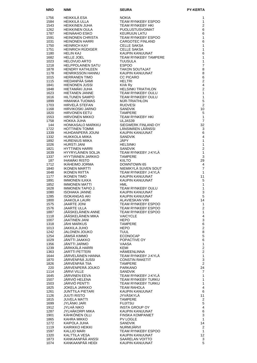| HEIKKILÄ ESA<br>1756<br><b>NOKIA</b><br>1<br>HEIKKILÄ ULLA<br>1584<br><b>TEAM RYNKEBY ESPOO</b><br>1<br>1543<br><b>HEIKKINEN JUHA</b><br><b>TEAM RYNKEBY HKI</b><br>$\overline{2}$<br>1262<br><b>HEIKKINEN OULA</b><br>6<br>PUOLUSTUSVOIMAT<br>1787<br>HEINÄAHO ESKO<br>6<br><b>KEURUUN LATU</b><br>1591<br><b>HEINONEN CHRISTA</b><br><b>TEAM RYNKEBY ESPOO</b><br>1<br>1031<br><b>CARGOTEC FINLAND</b><br>6<br><b>HEINONEN HARRI</b><br>1750<br><b>HEINRICH KAY</b><br><b>CELLE SAKSA</b><br>1<br>$\mathbf{1}$<br>1751<br><b>HEINRICH RÜDIGER</b><br><b>CELLE SAKSA</b><br>6<br>1180<br><b>HELIN KAJ</b><br>KAUPIN KANUUNAT<br>$\mathbf{1}$<br><b>HELLE JOEL</b><br><b>TEAM RYNKEBY TAMPERE</b><br>1682<br>1<br>1023<br><b>HELOVUO ARTO</b><br><b>TUUSULA</b><br>$\overline{7}$<br>1218<br><b>HELPPOLAINEN SATU</b><br><b>ESPOO</b><br>HENDRY KATHLEEN<br><b>TAKON SOUTAJAT</b><br>8<br>1878<br><b>HENRIKSSON HANNU</b><br>KAUPIN KANUUNAT<br>8<br>1178<br><b>HERRANEN TIMO</b><br><b>CC PICARO</b><br>1015<br>6<br>HIEDANPÄÄ SAMI<br>$\overline{2}$<br>1115<br><b>HELTRI</b><br><b>HIENONEN JUSSI</b><br>4<br>1841<br>KiVk Ry<br>$\overline{2}$<br>1848<br>HIETAMÄKI JUHA<br><b>HELSINKI TRIATHLON</b><br>1623<br>HIETANEN JANNE<br><b>TEAM RYNKEBY OULU</b><br>$\mathbf{1}$<br><b>HILTUNEN SAMPO</b><br>1616<br>TEAM RYNKEBY OULU<br>1<br>5<br>1899<br><b>HIMANKA TUOMAS</b><br>MJR-TRIATHLON<br>HIRVELÄ STEFAN<br>$\overline{2}$<br>1703<br><b>RUOVESI</b><br>10<br>1168<br>HIRVIKOSKI JARNO<br><b>SANDVIK</b><br>5<br>1820<br><b>HIRVONEN EETU</b><br><b>TAMPERE</b><br><b>HIRVONEN MIKKO</b><br><b>TEAM RYNKEBY HKI</b><br>$\mathbf{1}$<br>1553<br>$\overline{7}$<br>1758<br>HOKKA JUHA<br>ULJAS39<br>32<br>144<br><b>HONKASALO MARKKU</b><br>SIEGWERK FINLAND OY<br>1722<br><b>HOTTINEN TOMMI</b><br>LÄNSIMÄEN LÄÄNSSI<br>3<br>HUHDANPERÄ JOUNI<br>1339<br>KAUPIN KANUUNAT<br>6<br>1332<br><b>HUIKKOLA MIIKA</b><br>4<br><b>SANDVIK</b><br>JÄPY<br><b>HURENIUS MIIKA</b><br>1<br>1892<br><b>HURSTI JANI</b><br><b>HELSINKI</b><br>$\mathbf{1}$<br>1026<br><b>HYTTINEN HARRI</b><br>$\overline{2}$<br>1821<br><b>SANDVIK</b><br>1639<br>HYYRYLÄINEN SOLJA<br>TEAM RYNKEBY J-KYLÄ<br>$\mathbf{1}$<br>HYYTIÄINEN JARKKO<br>1337<br><b>TAMPERE</b><br>3<br><b>IHAMÄKI RISTO</b><br>187<br>29<br><b>KIILTO</b><br>1712<br>IKÄHEIMO JORMA<br><b>DOWNTOWN 65</b><br>4<br>$\overline{7}$<br>NIEMIKYLÄ SUVEN SOUT<br>1840<br><b>IKONEN MARTTI</b><br><b>IKONEN RIITTA</b><br>TEAM RYNKEBY J-KYLA<br>1<br>1648<br>11<br>1177<br><b>IKONEN TIMO</b><br>KAUPIN KANUUNAT<br>5<br>1891<br>IMMONEN ILKKA<br>KAUPIN KANUUNAT<br><b>IMMONEN MATTI</b><br>1852<br>HML<br>1<br>TEAM RYNKEBY OULU<br>1628<br><b>IMMONEN TAPIO J.</b><br>1<br>KAUPIN KANUUNAT<br>3<br>1080<br><b>ISOHAKA JANNE</b><br>5<br><b>ISOKANGAS AKI</b><br>KAUPIN KANUUNAT<br>1285<br>ALAVIESKAN VIRI<br>14<br>1800<br>JAAKOLA LAURI<br><b>JAARTE JONI</b><br><b>TEAM RYNKEBY ESPOO</b><br>$\mathbf{1}$<br>1575<br><b>JAARTE ULLA</b><br>$\overline{\mathbf{c}}$<br>1576<br>TEAM RYNKEBY ESPOO<br>JÄÄSKELÄINEN ANNE<br>1887<br>TEAM RYNKEBY ESPOO<br>$\mathbf{1}$<br>JÄÄSKELÄINEN MIKA<br>4<br>1118<br><b>VAICYCLE</b><br><b>JAATINEN JANI</b><br><b>HEPO</b><br>3<br>1007<br><b>TAMPERE</b><br>6<br>1318<br>JAHI MARKUS<br>$\overline{2}$<br>1013<br>JAKKILA JUHO<br><b>HEPO</b><br>8<br>1242<br>JALONEN JOUKO<br>TUUL<br>5<br>JÄMSÄ KIMMO<br>1254<br>ECONOCAP<br>6<br>1029<br>JANTTI JAAKKO<br>POPACTIVE OY<br>1356<br>OMЯAL ITTAÄL<br>1<br>VAASA<br>$\overline{2}$<br>1239<br>JÄRKKÄLÄ HARRI<br>KEMI<br>$\overline{2}$<br><b>JARTTI PETTERI</b><br>HÄMEENLINNA<br>1363<br>JÄRVELÄINEN HANNA<br>1644<br>TEAM RYNKEBY J-KYLÄ<br>$\mathbf{1}$<br>$\mathsf 3$<br>JÄRVENPÄÄ JUSSI<br>1870<br><b>CONSTIN RAKETIT</b><br>JÄRVENPÄÄ TIIA<br>2<br>1826<br><b>TAMPERE</b><br>JÄRVENPERÄ JOUKO<br>24<br>220<br>PARKANO<br>1114<br>JÄRVI VILLE<br><b>SANDVIK</b><br>7<br>JÄRVINEN EEVA<br>TEAM RYNKEBY J-KYLÄ<br>1645<br>1<br>1507<br>JÄRVIÖ HELENA<br>TEAM RYNKEBY TURKU<br>$\mathbf{1}$<br>JÄRVIÖ PENTTI<br>$\mathbf{1}$<br>1503<br>TEAM RYNKEBY TURKU<br>$\overline{4}$<br>1825<br>JOKELA JARKKO<br><b>TEAM RAHOLA</b><br>6<br>1261<br>JUNTTILA PIETARI<br>KAUPIN KANUUNAT<br>1126<br><b>JUUTI RISTO</b><br>JYVASKYLA<br>11<br><b>JUVELA MATTI</b><br>$\overline{2}$<br>1815<br>TAMPERE<br>JYLÄNKI JARI<br>5<br>1699<br><b>FUJITSU</b><br>JYLHÄ NIKO<br>INSTA GROUP OY<br>$\overline{4}$<br>1912<br>1287<br>JYLHÄKORPI MIKA<br>KAUPIN KANUUNAT<br>6<br>3<br>KÄHKÖNEN OLLI<br><b>FINSKA KOMPANIET</b><br>1901<br>1865<br>KAHRA MIKKO<br><b>PV LOGLE</b><br>$\mathbf{1}$<br>KAIPOLA JUHA<br>SANDVIK<br>1272<br>14<br>1119<br>KAIRIKKO HEIKKI<br>NURMIJARVI<br>2<br>1597<br><b>KALLIO MARI</b><br>TEAM RYNKEBY ESPOO<br>$\mathbf{1}$<br>12<br>1320<br>KALTTILA VESA<br>KAUPIN KANUUNAT<br>KANKAANPÄÄ ANSSI<br>SAARELAN VOITTO<br>1873<br>3<br>KANKAANPÄÄ HEIDI<br>5<br>1074<br>KAUPIN KANUUNAT | <b>NRO</b> | <b>NIMI</b> | <b>SEURA</b> | <b>PY-KERTA</b> |
|--------------------------------------------------------------------------------------------------------------------------------------------------------------------------------------------------------------------------------------------------------------------------------------------------------------------------------------------------------------------------------------------------------------------------------------------------------------------------------------------------------------------------------------------------------------------------------------------------------------------------------------------------------------------------------------------------------------------------------------------------------------------------------------------------------------------------------------------------------------------------------------------------------------------------------------------------------------------------------------------------------------------------------------------------------------------------------------------------------------------------------------------------------------------------------------------------------------------------------------------------------------------------------------------------------------------------------------------------------------------------------------------------------------------------------------------------------------------------------------------------------------------------------------------------------------------------------------------------------------------------------------------------------------------------------------------------------------------------------------------------------------------------------------------------------------------------------------------------------------------------------------------------------------------------------------------------------------------------------------------------------------------------------------------------------------------------------------------------------------------------------------------------------------------------------------------------------------------------------------------------------------------------------------------------------------------------------------------------------------------------------------------------------------------------------------------------------------------------------------------------------------------------------------------------------------------------------------------------------------------------------------------------------------------------------------------------------------------------------------------------------------------------------------------------------------------------------------------------------------------------------------------------------------------------------------------------------------------------------------------------------------------------------------------------------------------------------------------------------------------------------------------------------------------------------------------------------------------------------------------------------------------------------------------------------------------------------------------------------------------------------------------------------------------------------------------------------------------------------------------------------------------------------------------------------------------------------------------------------------------------------------------------------------------------------------------------------------------------------------------------------------------------------------------------------------------------------------------------------------------------------------------------------------------------------------------------------------------------------------------------------------------------------------------------------------------------------------------------------------------------------------------------------------------------------------------------------------------------------------------------------------------------------------------------------------------------------------------------------------------------------------------------------------------------------------------------------------------------------------------------------------------------------------------------------------------------------------------------------------------------------------------------------------------------------------------------------------------------------------------------------------------------------------------------------------------------------------------------------------------------------------------------------------------------------------------------|------------|-------------|--------------|-----------------|
|                                                                                                                                                                                                                                                                                                                                                                                                                                                                                                                                                                                                                                                                                                                                                                                                                                                                                                                                                                                                                                                                                                                                                                                                                                                                                                                                                                                                                                                                                                                                                                                                                                                                                                                                                                                                                                                                                                                                                                                                                                                                                                                                                                                                                                                                                                                                                                                                                                                                                                                                                                                                                                                                                                                                                                                                                                                                                                                                                                                                                                                                                                                                                                                                                                                                                                                                                                                                                                                                                                                                                                                                                                                                                                                                                                                                                                                                                                                                                                                                                                                                                                                                                                                                                                                                                                                                                                                                                                                                                                                                                                                                                                                                                                                                                                                                                                                                                                                                                  |            |             |              |                 |
|                                                                                                                                                                                                                                                                                                                                                                                                                                                                                                                                                                                                                                                                                                                                                                                                                                                                                                                                                                                                                                                                                                                                                                                                                                                                                                                                                                                                                                                                                                                                                                                                                                                                                                                                                                                                                                                                                                                                                                                                                                                                                                                                                                                                                                                                                                                                                                                                                                                                                                                                                                                                                                                                                                                                                                                                                                                                                                                                                                                                                                                                                                                                                                                                                                                                                                                                                                                                                                                                                                                                                                                                                                                                                                                                                                                                                                                                                                                                                                                                                                                                                                                                                                                                                                                                                                                                                                                                                                                                                                                                                                                                                                                                                                                                                                                                                                                                                                                                                  |            |             |              |                 |
|                                                                                                                                                                                                                                                                                                                                                                                                                                                                                                                                                                                                                                                                                                                                                                                                                                                                                                                                                                                                                                                                                                                                                                                                                                                                                                                                                                                                                                                                                                                                                                                                                                                                                                                                                                                                                                                                                                                                                                                                                                                                                                                                                                                                                                                                                                                                                                                                                                                                                                                                                                                                                                                                                                                                                                                                                                                                                                                                                                                                                                                                                                                                                                                                                                                                                                                                                                                                                                                                                                                                                                                                                                                                                                                                                                                                                                                                                                                                                                                                                                                                                                                                                                                                                                                                                                                                                                                                                                                                                                                                                                                                                                                                                                                                                                                                                                                                                                                                                  |            |             |              |                 |
|                                                                                                                                                                                                                                                                                                                                                                                                                                                                                                                                                                                                                                                                                                                                                                                                                                                                                                                                                                                                                                                                                                                                                                                                                                                                                                                                                                                                                                                                                                                                                                                                                                                                                                                                                                                                                                                                                                                                                                                                                                                                                                                                                                                                                                                                                                                                                                                                                                                                                                                                                                                                                                                                                                                                                                                                                                                                                                                                                                                                                                                                                                                                                                                                                                                                                                                                                                                                                                                                                                                                                                                                                                                                                                                                                                                                                                                                                                                                                                                                                                                                                                                                                                                                                                                                                                                                                                                                                                                                                                                                                                                                                                                                                                                                                                                                                                                                                                                                                  |            |             |              |                 |
|                                                                                                                                                                                                                                                                                                                                                                                                                                                                                                                                                                                                                                                                                                                                                                                                                                                                                                                                                                                                                                                                                                                                                                                                                                                                                                                                                                                                                                                                                                                                                                                                                                                                                                                                                                                                                                                                                                                                                                                                                                                                                                                                                                                                                                                                                                                                                                                                                                                                                                                                                                                                                                                                                                                                                                                                                                                                                                                                                                                                                                                                                                                                                                                                                                                                                                                                                                                                                                                                                                                                                                                                                                                                                                                                                                                                                                                                                                                                                                                                                                                                                                                                                                                                                                                                                                                                                                                                                                                                                                                                                                                                                                                                                                                                                                                                                                                                                                                                                  |            |             |              |                 |
|                                                                                                                                                                                                                                                                                                                                                                                                                                                                                                                                                                                                                                                                                                                                                                                                                                                                                                                                                                                                                                                                                                                                                                                                                                                                                                                                                                                                                                                                                                                                                                                                                                                                                                                                                                                                                                                                                                                                                                                                                                                                                                                                                                                                                                                                                                                                                                                                                                                                                                                                                                                                                                                                                                                                                                                                                                                                                                                                                                                                                                                                                                                                                                                                                                                                                                                                                                                                                                                                                                                                                                                                                                                                                                                                                                                                                                                                                                                                                                                                                                                                                                                                                                                                                                                                                                                                                                                                                                                                                                                                                                                                                                                                                                                                                                                                                                                                                                                                                  |            |             |              |                 |
|                                                                                                                                                                                                                                                                                                                                                                                                                                                                                                                                                                                                                                                                                                                                                                                                                                                                                                                                                                                                                                                                                                                                                                                                                                                                                                                                                                                                                                                                                                                                                                                                                                                                                                                                                                                                                                                                                                                                                                                                                                                                                                                                                                                                                                                                                                                                                                                                                                                                                                                                                                                                                                                                                                                                                                                                                                                                                                                                                                                                                                                                                                                                                                                                                                                                                                                                                                                                                                                                                                                                                                                                                                                                                                                                                                                                                                                                                                                                                                                                                                                                                                                                                                                                                                                                                                                                                                                                                                                                                                                                                                                                                                                                                                                                                                                                                                                                                                                                                  |            |             |              |                 |
|                                                                                                                                                                                                                                                                                                                                                                                                                                                                                                                                                                                                                                                                                                                                                                                                                                                                                                                                                                                                                                                                                                                                                                                                                                                                                                                                                                                                                                                                                                                                                                                                                                                                                                                                                                                                                                                                                                                                                                                                                                                                                                                                                                                                                                                                                                                                                                                                                                                                                                                                                                                                                                                                                                                                                                                                                                                                                                                                                                                                                                                                                                                                                                                                                                                                                                                                                                                                                                                                                                                                                                                                                                                                                                                                                                                                                                                                                                                                                                                                                                                                                                                                                                                                                                                                                                                                                                                                                                                                                                                                                                                                                                                                                                                                                                                                                                                                                                                                                  |            |             |              |                 |
|                                                                                                                                                                                                                                                                                                                                                                                                                                                                                                                                                                                                                                                                                                                                                                                                                                                                                                                                                                                                                                                                                                                                                                                                                                                                                                                                                                                                                                                                                                                                                                                                                                                                                                                                                                                                                                                                                                                                                                                                                                                                                                                                                                                                                                                                                                                                                                                                                                                                                                                                                                                                                                                                                                                                                                                                                                                                                                                                                                                                                                                                                                                                                                                                                                                                                                                                                                                                                                                                                                                                                                                                                                                                                                                                                                                                                                                                                                                                                                                                                                                                                                                                                                                                                                                                                                                                                                                                                                                                                                                                                                                                                                                                                                                                                                                                                                                                                                                                                  |            |             |              |                 |
|                                                                                                                                                                                                                                                                                                                                                                                                                                                                                                                                                                                                                                                                                                                                                                                                                                                                                                                                                                                                                                                                                                                                                                                                                                                                                                                                                                                                                                                                                                                                                                                                                                                                                                                                                                                                                                                                                                                                                                                                                                                                                                                                                                                                                                                                                                                                                                                                                                                                                                                                                                                                                                                                                                                                                                                                                                                                                                                                                                                                                                                                                                                                                                                                                                                                                                                                                                                                                                                                                                                                                                                                                                                                                                                                                                                                                                                                                                                                                                                                                                                                                                                                                                                                                                                                                                                                                                                                                                                                                                                                                                                                                                                                                                                                                                                                                                                                                                                                                  |            |             |              |                 |
|                                                                                                                                                                                                                                                                                                                                                                                                                                                                                                                                                                                                                                                                                                                                                                                                                                                                                                                                                                                                                                                                                                                                                                                                                                                                                                                                                                                                                                                                                                                                                                                                                                                                                                                                                                                                                                                                                                                                                                                                                                                                                                                                                                                                                                                                                                                                                                                                                                                                                                                                                                                                                                                                                                                                                                                                                                                                                                                                                                                                                                                                                                                                                                                                                                                                                                                                                                                                                                                                                                                                                                                                                                                                                                                                                                                                                                                                                                                                                                                                                                                                                                                                                                                                                                                                                                                                                                                                                                                                                                                                                                                                                                                                                                                                                                                                                                                                                                                                                  |            |             |              |                 |
|                                                                                                                                                                                                                                                                                                                                                                                                                                                                                                                                                                                                                                                                                                                                                                                                                                                                                                                                                                                                                                                                                                                                                                                                                                                                                                                                                                                                                                                                                                                                                                                                                                                                                                                                                                                                                                                                                                                                                                                                                                                                                                                                                                                                                                                                                                                                                                                                                                                                                                                                                                                                                                                                                                                                                                                                                                                                                                                                                                                                                                                                                                                                                                                                                                                                                                                                                                                                                                                                                                                                                                                                                                                                                                                                                                                                                                                                                                                                                                                                                                                                                                                                                                                                                                                                                                                                                                                                                                                                                                                                                                                                                                                                                                                                                                                                                                                                                                                                                  |            |             |              |                 |
|                                                                                                                                                                                                                                                                                                                                                                                                                                                                                                                                                                                                                                                                                                                                                                                                                                                                                                                                                                                                                                                                                                                                                                                                                                                                                                                                                                                                                                                                                                                                                                                                                                                                                                                                                                                                                                                                                                                                                                                                                                                                                                                                                                                                                                                                                                                                                                                                                                                                                                                                                                                                                                                                                                                                                                                                                                                                                                                                                                                                                                                                                                                                                                                                                                                                                                                                                                                                                                                                                                                                                                                                                                                                                                                                                                                                                                                                                                                                                                                                                                                                                                                                                                                                                                                                                                                                                                                                                                                                                                                                                                                                                                                                                                                                                                                                                                                                                                                                                  |            |             |              |                 |
|                                                                                                                                                                                                                                                                                                                                                                                                                                                                                                                                                                                                                                                                                                                                                                                                                                                                                                                                                                                                                                                                                                                                                                                                                                                                                                                                                                                                                                                                                                                                                                                                                                                                                                                                                                                                                                                                                                                                                                                                                                                                                                                                                                                                                                                                                                                                                                                                                                                                                                                                                                                                                                                                                                                                                                                                                                                                                                                                                                                                                                                                                                                                                                                                                                                                                                                                                                                                                                                                                                                                                                                                                                                                                                                                                                                                                                                                                                                                                                                                                                                                                                                                                                                                                                                                                                                                                                                                                                                                                                                                                                                                                                                                                                                                                                                                                                                                                                                                                  |            |             |              |                 |
|                                                                                                                                                                                                                                                                                                                                                                                                                                                                                                                                                                                                                                                                                                                                                                                                                                                                                                                                                                                                                                                                                                                                                                                                                                                                                                                                                                                                                                                                                                                                                                                                                                                                                                                                                                                                                                                                                                                                                                                                                                                                                                                                                                                                                                                                                                                                                                                                                                                                                                                                                                                                                                                                                                                                                                                                                                                                                                                                                                                                                                                                                                                                                                                                                                                                                                                                                                                                                                                                                                                                                                                                                                                                                                                                                                                                                                                                                                                                                                                                                                                                                                                                                                                                                                                                                                                                                                                                                                                                                                                                                                                                                                                                                                                                                                                                                                                                                                                                                  |            |             |              |                 |
|                                                                                                                                                                                                                                                                                                                                                                                                                                                                                                                                                                                                                                                                                                                                                                                                                                                                                                                                                                                                                                                                                                                                                                                                                                                                                                                                                                                                                                                                                                                                                                                                                                                                                                                                                                                                                                                                                                                                                                                                                                                                                                                                                                                                                                                                                                                                                                                                                                                                                                                                                                                                                                                                                                                                                                                                                                                                                                                                                                                                                                                                                                                                                                                                                                                                                                                                                                                                                                                                                                                                                                                                                                                                                                                                                                                                                                                                                                                                                                                                                                                                                                                                                                                                                                                                                                                                                                                                                                                                                                                                                                                                                                                                                                                                                                                                                                                                                                                                                  |            |             |              |                 |
|                                                                                                                                                                                                                                                                                                                                                                                                                                                                                                                                                                                                                                                                                                                                                                                                                                                                                                                                                                                                                                                                                                                                                                                                                                                                                                                                                                                                                                                                                                                                                                                                                                                                                                                                                                                                                                                                                                                                                                                                                                                                                                                                                                                                                                                                                                                                                                                                                                                                                                                                                                                                                                                                                                                                                                                                                                                                                                                                                                                                                                                                                                                                                                                                                                                                                                                                                                                                                                                                                                                                                                                                                                                                                                                                                                                                                                                                                                                                                                                                                                                                                                                                                                                                                                                                                                                                                                                                                                                                                                                                                                                                                                                                                                                                                                                                                                                                                                                                                  |            |             |              |                 |
|                                                                                                                                                                                                                                                                                                                                                                                                                                                                                                                                                                                                                                                                                                                                                                                                                                                                                                                                                                                                                                                                                                                                                                                                                                                                                                                                                                                                                                                                                                                                                                                                                                                                                                                                                                                                                                                                                                                                                                                                                                                                                                                                                                                                                                                                                                                                                                                                                                                                                                                                                                                                                                                                                                                                                                                                                                                                                                                                                                                                                                                                                                                                                                                                                                                                                                                                                                                                                                                                                                                                                                                                                                                                                                                                                                                                                                                                                                                                                                                                                                                                                                                                                                                                                                                                                                                                                                                                                                                                                                                                                                                                                                                                                                                                                                                                                                                                                                                                                  |            |             |              |                 |
|                                                                                                                                                                                                                                                                                                                                                                                                                                                                                                                                                                                                                                                                                                                                                                                                                                                                                                                                                                                                                                                                                                                                                                                                                                                                                                                                                                                                                                                                                                                                                                                                                                                                                                                                                                                                                                                                                                                                                                                                                                                                                                                                                                                                                                                                                                                                                                                                                                                                                                                                                                                                                                                                                                                                                                                                                                                                                                                                                                                                                                                                                                                                                                                                                                                                                                                                                                                                                                                                                                                                                                                                                                                                                                                                                                                                                                                                                                                                                                                                                                                                                                                                                                                                                                                                                                                                                                                                                                                                                                                                                                                                                                                                                                                                                                                                                                                                                                                                                  |            |             |              |                 |
|                                                                                                                                                                                                                                                                                                                                                                                                                                                                                                                                                                                                                                                                                                                                                                                                                                                                                                                                                                                                                                                                                                                                                                                                                                                                                                                                                                                                                                                                                                                                                                                                                                                                                                                                                                                                                                                                                                                                                                                                                                                                                                                                                                                                                                                                                                                                                                                                                                                                                                                                                                                                                                                                                                                                                                                                                                                                                                                                                                                                                                                                                                                                                                                                                                                                                                                                                                                                                                                                                                                                                                                                                                                                                                                                                                                                                                                                                                                                                                                                                                                                                                                                                                                                                                                                                                                                                                                                                                                                                                                                                                                                                                                                                                                                                                                                                                                                                                                                                  |            |             |              |                 |
|                                                                                                                                                                                                                                                                                                                                                                                                                                                                                                                                                                                                                                                                                                                                                                                                                                                                                                                                                                                                                                                                                                                                                                                                                                                                                                                                                                                                                                                                                                                                                                                                                                                                                                                                                                                                                                                                                                                                                                                                                                                                                                                                                                                                                                                                                                                                                                                                                                                                                                                                                                                                                                                                                                                                                                                                                                                                                                                                                                                                                                                                                                                                                                                                                                                                                                                                                                                                                                                                                                                                                                                                                                                                                                                                                                                                                                                                                                                                                                                                                                                                                                                                                                                                                                                                                                                                                                                                                                                                                                                                                                                                                                                                                                                                                                                                                                                                                                                                                  |            |             |              |                 |
|                                                                                                                                                                                                                                                                                                                                                                                                                                                                                                                                                                                                                                                                                                                                                                                                                                                                                                                                                                                                                                                                                                                                                                                                                                                                                                                                                                                                                                                                                                                                                                                                                                                                                                                                                                                                                                                                                                                                                                                                                                                                                                                                                                                                                                                                                                                                                                                                                                                                                                                                                                                                                                                                                                                                                                                                                                                                                                                                                                                                                                                                                                                                                                                                                                                                                                                                                                                                                                                                                                                                                                                                                                                                                                                                                                                                                                                                                                                                                                                                                                                                                                                                                                                                                                                                                                                                                                                                                                                                                                                                                                                                                                                                                                                                                                                                                                                                                                                                                  |            |             |              |                 |
|                                                                                                                                                                                                                                                                                                                                                                                                                                                                                                                                                                                                                                                                                                                                                                                                                                                                                                                                                                                                                                                                                                                                                                                                                                                                                                                                                                                                                                                                                                                                                                                                                                                                                                                                                                                                                                                                                                                                                                                                                                                                                                                                                                                                                                                                                                                                                                                                                                                                                                                                                                                                                                                                                                                                                                                                                                                                                                                                                                                                                                                                                                                                                                                                                                                                                                                                                                                                                                                                                                                                                                                                                                                                                                                                                                                                                                                                                                                                                                                                                                                                                                                                                                                                                                                                                                                                                                                                                                                                                                                                                                                                                                                                                                                                                                                                                                                                                                                                                  |            |             |              |                 |
|                                                                                                                                                                                                                                                                                                                                                                                                                                                                                                                                                                                                                                                                                                                                                                                                                                                                                                                                                                                                                                                                                                                                                                                                                                                                                                                                                                                                                                                                                                                                                                                                                                                                                                                                                                                                                                                                                                                                                                                                                                                                                                                                                                                                                                                                                                                                                                                                                                                                                                                                                                                                                                                                                                                                                                                                                                                                                                                                                                                                                                                                                                                                                                                                                                                                                                                                                                                                                                                                                                                                                                                                                                                                                                                                                                                                                                                                                                                                                                                                                                                                                                                                                                                                                                                                                                                                                                                                                                                                                                                                                                                                                                                                                                                                                                                                                                                                                                                                                  |            |             |              |                 |
|                                                                                                                                                                                                                                                                                                                                                                                                                                                                                                                                                                                                                                                                                                                                                                                                                                                                                                                                                                                                                                                                                                                                                                                                                                                                                                                                                                                                                                                                                                                                                                                                                                                                                                                                                                                                                                                                                                                                                                                                                                                                                                                                                                                                                                                                                                                                                                                                                                                                                                                                                                                                                                                                                                                                                                                                                                                                                                                                                                                                                                                                                                                                                                                                                                                                                                                                                                                                                                                                                                                                                                                                                                                                                                                                                                                                                                                                                                                                                                                                                                                                                                                                                                                                                                                                                                                                                                                                                                                                                                                                                                                                                                                                                                                                                                                                                                                                                                                                                  |            |             |              |                 |
|                                                                                                                                                                                                                                                                                                                                                                                                                                                                                                                                                                                                                                                                                                                                                                                                                                                                                                                                                                                                                                                                                                                                                                                                                                                                                                                                                                                                                                                                                                                                                                                                                                                                                                                                                                                                                                                                                                                                                                                                                                                                                                                                                                                                                                                                                                                                                                                                                                                                                                                                                                                                                                                                                                                                                                                                                                                                                                                                                                                                                                                                                                                                                                                                                                                                                                                                                                                                                                                                                                                                                                                                                                                                                                                                                                                                                                                                                                                                                                                                                                                                                                                                                                                                                                                                                                                                                                                                                                                                                                                                                                                                                                                                                                                                                                                                                                                                                                                                                  |            |             |              |                 |
|                                                                                                                                                                                                                                                                                                                                                                                                                                                                                                                                                                                                                                                                                                                                                                                                                                                                                                                                                                                                                                                                                                                                                                                                                                                                                                                                                                                                                                                                                                                                                                                                                                                                                                                                                                                                                                                                                                                                                                                                                                                                                                                                                                                                                                                                                                                                                                                                                                                                                                                                                                                                                                                                                                                                                                                                                                                                                                                                                                                                                                                                                                                                                                                                                                                                                                                                                                                                                                                                                                                                                                                                                                                                                                                                                                                                                                                                                                                                                                                                                                                                                                                                                                                                                                                                                                                                                                                                                                                                                                                                                                                                                                                                                                                                                                                                                                                                                                                                                  |            |             |              |                 |
|                                                                                                                                                                                                                                                                                                                                                                                                                                                                                                                                                                                                                                                                                                                                                                                                                                                                                                                                                                                                                                                                                                                                                                                                                                                                                                                                                                                                                                                                                                                                                                                                                                                                                                                                                                                                                                                                                                                                                                                                                                                                                                                                                                                                                                                                                                                                                                                                                                                                                                                                                                                                                                                                                                                                                                                                                                                                                                                                                                                                                                                                                                                                                                                                                                                                                                                                                                                                                                                                                                                                                                                                                                                                                                                                                                                                                                                                                                                                                                                                                                                                                                                                                                                                                                                                                                                                                                                                                                                                                                                                                                                                                                                                                                                                                                                                                                                                                                                                                  |            |             |              |                 |
|                                                                                                                                                                                                                                                                                                                                                                                                                                                                                                                                                                                                                                                                                                                                                                                                                                                                                                                                                                                                                                                                                                                                                                                                                                                                                                                                                                                                                                                                                                                                                                                                                                                                                                                                                                                                                                                                                                                                                                                                                                                                                                                                                                                                                                                                                                                                                                                                                                                                                                                                                                                                                                                                                                                                                                                                                                                                                                                                                                                                                                                                                                                                                                                                                                                                                                                                                                                                                                                                                                                                                                                                                                                                                                                                                                                                                                                                                                                                                                                                                                                                                                                                                                                                                                                                                                                                                                                                                                                                                                                                                                                                                                                                                                                                                                                                                                                                                                                                                  |            |             |              |                 |
|                                                                                                                                                                                                                                                                                                                                                                                                                                                                                                                                                                                                                                                                                                                                                                                                                                                                                                                                                                                                                                                                                                                                                                                                                                                                                                                                                                                                                                                                                                                                                                                                                                                                                                                                                                                                                                                                                                                                                                                                                                                                                                                                                                                                                                                                                                                                                                                                                                                                                                                                                                                                                                                                                                                                                                                                                                                                                                                                                                                                                                                                                                                                                                                                                                                                                                                                                                                                                                                                                                                                                                                                                                                                                                                                                                                                                                                                                                                                                                                                                                                                                                                                                                                                                                                                                                                                                                                                                                                                                                                                                                                                                                                                                                                                                                                                                                                                                                                                                  |            |             |              |                 |
|                                                                                                                                                                                                                                                                                                                                                                                                                                                                                                                                                                                                                                                                                                                                                                                                                                                                                                                                                                                                                                                                                                                                                                                                                                                                                                                                                                                                                                                                                                                                                                                                                                                                                                                                                                                                                                                                                                                                                                                                                                                                                                                                                                                                                                                                                                                                                                                                                                                                                                                                                                                                                                                                                                                                                                                                                                                                                                                                                                                                                                                                                                                                                                                                                                                                                                                                                                                                                                                                                                                                                                                                                                                                                                                                                                                                                                                                                                                                                                                                                                                                                                                                                                                                                                                                                                                                                                                                                                                                                                                                                                                                                                                                                                                                                                                                                                                                                                                                                  |            |             |              |                 |
|                                                                                                                                                                                                                                                                                                                                                                                                                                                                                                                                                                                                                                                                                                                                                                                                                                                                                                                                                                                                                                                                                                                                                                                                                                                                                                                                                                                                                                                                                                                                                                                                                                                                                                                                                                                                                                                                                                                                                                                                                                                                                                                                                                                                                                                                                                                                                                                                                                                                                                                                                                                                                                                                                                                                                                                                                                                                                                                                                                                                                                                                                                                                                                                                                                                                                                                                                                                                                                                                                                                                                                                                                                                                                                                                                                                                                                                                                                                                                                                                                                                                                                                                                                                                                                                                                                                                                                                                                                                                                                                                                                                                                                                                                                                                                                                                                                                                                                                                                  |            |             |              |                 |
|                                                                                                                                                                                                                                                                                                                                                                                                                                                                                                                                                                                                                                                                                                                                                                                                                                                                                                                                                                                                                                                                                                                                                                                                                                                                                                                                                                                                                                                                                                                                                                                                                                                                                                                                                                                                                                                                                                                                                                                                                                                                                                                                                                                                                                                                                                                                                                                                                                                                                                                                                                                                                                                                                                                                                                                                                                                                                                                                                                                                                                                                                                                                                                                                                                                                                                                                                                                                                                                                                                                                                                                                                                                                                                                                                                                                                                                                                                                                                                                                                                                                                                                                                                                                                                                                                                                                                                                                                                                                                                                                                                                                                                                                                                                                                                                                                                                                                                                                                  |            |             |              |                 |
|                                                                                                                                                                                                                                                                                                                                                                                                                                                                                                                                                                                                                                                                                                                                                                                                                                                                                                                                                                                                                                                                                                                                                                                                                                                                                                                                                                                                                                                                                                                                                                                                                                                                                                                                                                                                                                                                                                                                                                                                                                                                                                                                                                                                                                                                                                                                                                                                                                                                                                                                                                                                                                                                                                                                                                                                                                                                                                                                                                                                                                                                                                                                                                                                                                                                                                                                                                                                                                                                                                                                                                                                                                                                                                                                                                                                                                                                                                                                                                                                                                                                                                                                                                                                                                                                                                                                                                                                                                                                                                                                                                                                                                                                                                                                                                                                                                                                                                                                                  |            |             |              |                 |
|                                                                                                                                                                                                                                                                                                                                                                                                                                                                                                                                                                                                                                                                                                                                                                                                                                                                                                                                                                                                                                                                                                                                                                                                                                                                                                                                                                                                                                                                                                                                                                                                                                                                                                                                                                                                                                                                                                                                                                                                                                                                                                                                                                                                                                                                                                                                                                                                                                                                                                                                                                                                                                                                                                                                                                                                                                                                                                                                                                                                                                                                                                                                                                                                                                                                                                                                                                                                                                                                                                                                                                                                                                                                                                                                                                                                                                                                                                                                                                                                                                                                                                                                                                                                                                                                                                                                                                                                                                                                                                                                                                                                                                                                                                                                                                                                                                                                                                                                                  |            |             |              |                 |
|                                                                                                                                                                                                                                                                                                                                                                                                                                                                                                                                                                                                                                                                                                                                                                                                                                                                                                                                                                                                                                                                                                                                                                                                                                                                                                                                                                                                                                                                                                                                                                                                                                                                                                                                                                                                                                                                                                                                                                                                                                                                                                                                                                                                                                                                                                                                                                                                                                                                                                                                                                                                                                                                                                                                                                                                                                                                                                                                                                                                                                                                                                                                                                                                                                                                                                                                                                                                                                                                                                                                                                                                                                                                                                                                                                                                                                                                                                                                                                                                                                                                                                                                                                                                                                                                                                                                                                                                                                                                                                                                                                                                                                                                                                                                                                                                                                                                                                                                                  |            |             |              |                 |
|                                                                                                                                                                                                                                                                                                                                                                                                                                                                                                                                                                                                                                                                                                                                                                                                                                                                                                                                                                                                                                                                                                                                                                                                                                                                                                                                                                                                                                                                                                                                                                                                                                                                                                                                                                                                                                                                                                                                                                                                                                                                                                                                                                                                                                                                                                                                                                                                                                                                                                                                                                                                                                                                                                                                                                                                                                                                                                                                                                                                                                                                                                                                                                                                                                                                                                                                                                                                                                                                                                                                                                                                                                                                                                                                                                                                                                                                                                                                                                                                                                                                                                                                                                                                                                                                                                                                                                                                                                                                                                                                                                                                                                                                                                                                                                                                                                                                                                                                                  |            |             |              |                 |
|                                                                                                                                                                                                                                                                                                                                                                                                                                                                                                                                                                                                                                                                                                                                                                                                                                                                                                                                                                                                                                                                                                                                                                                                                                                                                                                                                                                                                                                                                                                                                                                                                                                                                                                                                                                                                                                                                                                                                                                                                                                                                                                                                                                                                                                                                                                                                                                                                                                                                                                                                                                                                                                                                                                                                                                                                                                                                                                                                                                                                                                                                                                                                                                                                                                                                                                                                                                                                                                                                                                                                                                                                                                                                                                                                                                                                                                                                                                                                                                                                                                                                                                                                                                                                                                                                                                                                                                                                                                                                                                                                                                                                                                                                                                                                                                                                                                                                                                                                  |            |             |              |                 |
|                                                                                                                                                                                                                                                                                                                                                                                                                                                                                                                                                                                                                                                                                                                                                                                                                                                                                                                                                                                                                                                                                                                                                                                                                                                                                                                                                                                                                                                                                                                                                                                                                                                                                                                                                                                                                                                                                                                                                                                                                                                                                                                                                                                                                                                                                                                                                                                                                                                                                                                                                                                                                                                                                                                                                                                                                                                                                                                                                                                                                                                                                                                                                                                                                                                                                                                                                                                                                                                                                                                                                                                                                                                                                                                                                                                                                                                                                                                                                                                                                                                                                                                                                                                                                                                                                                                                                                                                                                                                                                                                                                                                                                                                                                                                                                                                                                                                                                                                                  |            |             |              |                 |
|                                                                                                                                                                                                                                                                                                                                                                                                                                                                                                                                                                                                                                                                                                                                                                                                                                                                                                                                                                                                                                                                                                                                                                                                                                                                                                                                                                                                                                                                                                                                                                                                                                                                                                                                                                                                                                                                                                                                                                                                                                                                                                                                                                                                                                                                                                                                                                                                                                                                                                                                                                                                                                                                                                                                                                                                                                                                                                                                                                                                                                                                                                                                                                                                                                                                                                                                                                                                                                                                                                                                                                                                                                                                                                                                                                                                                                                                                                                                                                                                                                                                                                                                                                                                                                                                                                                                                                                                                                                                                                                                                                                                                                                                                                                                                                                                                                                                                                                                                  |            |             |              |                 |
|                                                                                                                                                                                                                                                                                                                                                                                                                                                                                                                                                                                                                                                                                                                                                                                                                                                                                                                                                                                                                                                                                                                                                                                                                                                                                                                                                                                                                                                                                                                                                                                                                                                                                                                                                                                                                                                                                                                                                                                                                                                                                                                                                                                                                                                                                                                                                                                                                                                                                                                                                                                                                                                                                                                                                                                                                                                                                                                                                                                                                                                                                                                                                                                                                                                                                                                                                                                                                                                                                                                                                                                                                                                                                                                                                                                                                                                                                                                                                                                                                                                                                                                                                                                                                                                                                                                                                                                                                                                                                                                                                                                                                                                                                                                                                                                                                                                                                                                                                  |            |             |              |                 |
|                                                                                                                                                                                                                                                                                                                                                                                                                                                                                                                                                                                                                                                                                                                                                                                                                                                                                                                                                                                                                                                                                                                                                                                                                                                                                                                                                                                                                                                                                                                                                                                                                                                                                                                                                                                                                                                                                                                                                                                                                                                                                                                                                                                                                                                                                                                                                                                                                                                                                                                                                                                                                                                                                                                                                                                                                                                                                                                                                                                                                                                                                                                                                                                                                                                                                                                                                                                                                                                                                                                                                                                                                                                                                                                                                                                                                                                                                                                                                                                                                                                                                                                                                                                                                                                                                                                                                                                                                                                                                                                                                                                                                                                                                                                                                                                                                                                                                                                                                  |            |             |              |                 |
|                                                                                                                                                                                                                                                                                                                                                                                                                                                                                                                                                                                                                                                                                                                                                                                                                                                                                                                                                                                                                                                                                                                                                                                                                                                                                                                                                                                                                                                                                                                                                                                                                                                                                                                                                                                                                                                                                                                                                                                                                                                                                                                                                                                                                                                                                                                                                                                                                                                                                                                                                                                                                                                                                                                                                                                                                                                                                                                                                                                                                                                                                                                                                                                                                                                                                                                                                                                                                                                                                                                                                                                                                                                                                                                                                                                                                                                                                                                                                                                                                                                                                                                                                                                                                                                                                                                                                                                                                                                                                                                                                                                                                                                                                                                                                                                                                                                                                                                                                  |            |             |              |                 |
|                                                                                                                                                                                                                                                                                                                                                                                                                                                                                                                                                                                                                                                                                                                                                                                                                                                                                                                                                                                                                                                                                                                                                                                                                                                                                                                                                                                                                                                                                                                                                                                                                                                                                                                                                                                                                                                                                                                                                                                                                                                                                                                                                                                                                                                                                                                                                                                                                                                                                                                                                                                                                                                                                                                                                                                                                                                                                                                                                                                                                                                                                                                                                                                                                                                                                                                                                                                                                                                                                                                                                                                                                                                                                                                                                                                                                                                                                                                                                                                                                                                                                                                                                                                                                                                                                                                                                                                                                                                                                                                                                                                                                                                                                                                                                                                                                                                                                                                                                  |            |             |              |                 |
|                                                                                                                                                                                                                                                                                                                                                                                                                                                                                                                                                                                                                                                                                                                                                                                                                                                                                                                                                                                                                                                                                                                                                                                                                                                                                                                                                                                                                                                                                                                                                                                                                                                                                                                                                                                                                                                                                                                                                                                                                                                                                                                                                                                                                                                                                                                                                                                                                                                                                                                                                                                                                                                                                                                                                                                                                                                                                                                                                                                                                                                                                                                                                                                                                                                                                                                                                                                                                                                                                                                                                                                                                                                                                                                                                                                                                                                                                                                                                                                                                                                                                                                                                                                                                                                                                                                                                                                                                                                                                                                                                                                                                                                                                                                                                                                                                                                                                                                                                  |            |             |              |                 |
|                                                                                                                                                                                                                                                                                                                                                                                                                                                                                                                                                                                                                                                                                                                                                                                                                                                                                                                                                                                                                                                                                                                                                                                                                                                                                                                                                                                                                                                                                                                                                                                                                                                                                                                                                                                                                                                                                                                                                                                                                                                                                                                                                                                                                                                                                                                                                                                                                                                                                                                                                                                                                                                                                                                                                                                                                                                                                                                                                                                                                                                                                                                                                                                                                                                                                                                                                                                                                                                                                                                                                                                                                                                                                                                                                                                                                                                                                                                                                                                                                                                                                                                                                                                                                                                                                                                                                                                                                                                                                                                                                                                                                                                                                                                                                                                                                                                                                                                                                  |            |             |              |                 |
|                                                                                                                                                                                                                                                                                                                                                                                                                                                                                                                                                                                                                                                                                                                                                                                                                                                                                                                                                                                                                                                                                                                                                                                                                                                                                                                                                                                                                                                                                                                                                                                                                                                                                                                                                                                                                                                                                                                                                                                                                                                                                                                                                                                                                                                                                                                                                                                                                                                                                                                                                                                                                                                                                                                                                                                                                                                                                                                                                                                                                                                                                                                                                                                                                                                                                                                                                                                                                                                                                                                                                                                                                                                                                                                                                                                                                                                                                                                                                                                                                                                                                                                                                                                                                                                                                                                                                                                                                                                                                                                                                                                                                                                                                                                                                                                                                                                                                                                                                  |            |             |              |                 |
|                                                                                                                                                                                                                                                                                                                                                                                                                                                                                                                                                                                                                                                                                                                                                                                                                                                                                                                                                                                                                                                                                                                                                                                                                                                                                                                                                                                                                                                                                                                                                                                                                                                                                                                                                                                                                                                                                                                                                                                                                                                                                                                                                                                                                                                                                                                                                                                                                                                                                                                                                                                                                                                                                                                                                                                                                                                                                                                                                                                                                                                                                                                                                                                                                                                                                                                                                                                                                                                                                                                                                                                                                                                                                                                                                                                                                                                                                                                                                                                                                                                                                                                                                                                                                                                                                                                                                                                                                                                                                                                                                                                                                                                                                                                                                                                                                                                                                                                                                  |            |             |              |                 |
|                                                                                                                                                                                                                                                                                                                                                                                                                                                                                                                                                                                                                                                                                                                                                                                                                                                                                                                                                                                                                                                                                                                                                                                                                                                                                                                                                                                                                                                                                                                                                                                                                                                                                                                                                                                                                                                                                                                                                                                                                                                                                                                                                                                                                                                                                                                                                                                                                                                                                                                                                                                                                                                                                                                                                                                                                                                                                                                                                                                                                                                                                                                                                                                                                                                                                                                                                                                                                                                                                                                                                                                                                                                                                                                                                                                                                                                                                                                                                                                                                                                                                                                                                                                                                                                                                                                                                                                                                                                                                                                                                                                                                                                                                                                                                                                                                                                                                                                                                  |            |             |              |                 |
|                                                                                                                                                                                                                                                                                                                                                                                                                                                                                                                                                                                                                                                                                                                                                                                                                                                                                                                                                                                                                                                                                                                                                                                                                                                                                                                                                                                                                                                                                                                                                                                                                                                                                                                                                                                                                                                                                                                                                                                                                                                                                                                                                                                                                                                                                                                                                                                                                                                                                                                                                                                                                                                                                                                                                                                                                                                                                                                                                                                                                                                                                                                                                                                                                                                                                                                                                                                                                                                                                                                                                                                                                                                                                                                                                                                                                                                                                                                                                                                                                                                                                                                                                                                                                                                                                                                                                                                                                                                                                                                                                                                                                                                                                                                                                                                                                                                                                                                                                  |            |             |              |                 |
|                                                                                                                                                                                                                                                                                                                                                                                                                                                                                                                                                                                                                                                                                                                                                                                                                                                                                                                                                                                                                                                                                                                                                                                                                                                                                                                                                                                                                                                                                                                                                                                                                                                                                                                                                                                                                                                                                                                                                                                                                                                                                                                                                                                                                                                                                                                                                                                                                                                                                                                                                                                                                                                                                                                                                                                                                                                                                                                                                                                                                                                                                                                                                                                                                                                                                                                                                                                                                                                                                                                                                                                                                                                                                                                                                                                                                                                                                                                                                                                                                                                                                                                                                                                                                                                                                                                                                                                                                                                                                                                                                                                                                                                                                                                                                                                                                                                                                                                                                  |            |             |              |                 |
|                                                                                                                                                                                                                                                                                                                                                                                                                                                                                                                                                                                                                                                                                                                                                                                                                                                                                                                                                                                                                                                                                                                                                                                                                                                                                                                                                                                                                                                                                                                                                                                                                                                                                                                                                                                                                                                                                                                                                                                                                                                                                                                                                                                                                                                                                                                                                                                                                                                                                                                                                                                                                                                                                                                                                                                                                                                                                                                                                                                                                                                                                                                                                                                                                                                                                                                                                                                                                                                                                                                                                                                                                                                                                                                                                                                                                                                                                                                                                                                                                                                                                                                                                                                                                                                                                                                                                                                                                                                                                                                                                                                                                                                                                                                                                                                                                                                                                                                                                  |            |             |              |                 |
|                                                                                                                                                                                                                                                                                                                                                                                                                                                                                                                                                                                                                                                                                                                                                                                                                                                                                                                                                                                                                                                                                                                                                                                                                                                                                                                                                                                                                                                                                                                                                                                                                                                                                                                                                                                                                                                                                                                                                                                                                                                                                                                                                                                                                                                                                                                                                                                                                                                                                                                                                                                                                                                                                                                                                                                                                                                                                                                                                                                                                                                                                                                                                                                                                                                                                                                                                                                                                                                                                                                                                                                                                                                                                                                                                                                                                                                                                                                                                                                                                                                                                                                                                                                                                                                                                                                                                                                                                                                                                                                                                                                                                                                                                                                                                                                                                                                                                                                                                  |            |             |              |                 |
|                                                                                                                                                                                                                                                                                                                                                                                                                                                                                                                                                                                                                                                                                                                                                                                                                                                                                                                                                                                                                                                                                                                                                                                                                                                                                                                                                                                                                                                                                                                                                                                                                                                                                                                                                                                                                                                                                                                                                                                                                                                                                                                                                                                                                                                                                                                                                                                                                                                                                                                                                                                                                                                                                                                                                                                                                                                                                                                                                                                                                                                                                                                                                                                                                                                                                                                                                                                                                                                                                                                                                                                                                                                                                                                                                                                                                                                                                                                                                                                                                                                                                                                                                                                                                                                                                                                                                                                                                                                                                                                                                                                                                                                                                                                                                                                                                                                                                                                                                  |            |             |              |                 |
|                                                                                                                                                                                                                                                                                                                                                                                                                                                                                                                                                                                                                                                                                                                                                                                                                                                                                                                                                                                                                                                                                                                                                                                                                                                                                                                                                                                                                                                                                                                                                                                                                                                                                                                                                                                                                                                                                                                                                                                                                                                                                                                                                                                                                                                                                                                                                                                                                                                                                                                                                                                                                                                                                                                                                                                                                                                                                                                                                                                                                                                                                                                                                                                                                                                                                                                                                                                                                                                                                                                                                                                                                                                                                                                                                                                                                                                                                                                                                                                                                                                                                                                                                                                                                                                                                                                                                                                                                                                                                                                                                                                                                                                                                                                                                                                                                                                                                                                                                  |            |             |              |                 |
|                                                                                                                                                                                                                                                                                                                                                                                                                                                                                                                                                                                                                                                                                                                                                                                                                                                                                                                                                                                                                                                                                                                                                                                                                                                                                                                                                                                                                                                                                                                                                                                                                                                                                                                                                                                                                                                                                                                                                                                                                                                                                                                                                                                                                                                                                                                                                                                                                                                                                                                                                                                                                                                                                                                                                                                                                                                                                                                                                                                                                                                                                                                                                                                                                                                                                                                                                                                                                                                                                                                                                                                                                                                                                                                                                                                                                                                                                                                                                                                                                                                                                                                                                                                                                                                                                                                                                                                                                                                                                                                                                                                                                                                                                                                                                                                                                                                                                                                                                  |            |             |              |                 |
|                                                                                                                                                                                                                                                                                                                                                                                                                                                                                                                                                                                                                                                                                                                                                                                                                                                                                                                                                                                                                                                                                                                                                                                                                                                                                                                                                                                                                                                                                                                                                                                                                                                                                                                                                                                                                                                                                                                                                                                                                                                                                                                                                                                                                                                                                                                                                                                                                                                                                                                                                                                                                                                                                                                                                                                                                                                                                                                                                                                                                                                                                                                                                                                                                                                                                                                                                                                                                                                                                                                                                                                                                                                                                                                                                                                                                                                                                                                                                                                                                                                                                                                                                                                                                                                                                                                                                                                                                                                                                                                                                                                                                                                                                                                                                                                                                                                                                                                                                  |            |             |              |                 |
|                                                                                                                                                                                                                                                                                                                                                                                                                                                                                                                                                                                                                                                                                                                                                                                                                                                                                                                                                                                                                                                                                                                                                                                                                                                                                                                                                                                                                                                                                                                                                                                                                                                                                                                                                                                                                                                                                                                                                                                                                                                                                                                                                                                                                                                                                                                                                                                                                                                                                                                                                                                                                                                                                                                                                                                                                                                                                                                                                                                                                                                                                                                                                                                                                                                                                                                                                                                                                                                                                                                                                                                                                                                                                                                                                                                                                                                                                                                                                                                                                                                                                                                                                                                                                                                                                                                                                                                                                                                                                                                                                                                                                                                                                                                                                                                                                                                                                                                                                  |            |             |              |                 |
|                                                                                                                                                                                                                                                                                                                                                                                                                                                                                                                                                                                                                                                                                                                                                                                                                                                                                                                                                                                                                                                                                                                                                                                                                                                                                                                                                                                                                                                                                                                                                                                                                                                                                                                                                                                                                                                                                                                                                                                                                                                                                                                                                                                                                                                                                                                                                                                                                                                                                                                                                                                                                                                                                                                                                                                                                                                                                                                                                                                                                                                                                                                                                                                                                                                                                                                                                                                                                                                                                                                                                                                                                                                                                                                                                                                                                                                                                                                                                                                                                                                                                                                                                                                                                                                                                                                                                                                                                                                                                                                                                                                                                                                                                                                                                                                                                                                                                                                                                  |            |             |              |                 |
|                                                                                                                                                                                                                                                                                                                                                                                                                                                                                                                                                                                                                                                                                                                                                                                                                                                                                                                                                                                                                                                                                                                                                                                                                                                                                                                                                                                                                                                                                                                                                                                                                                                                                                                                                                                                                                                                                                                                                                                                                                                                                                                                                                                                                                                                                                                                                                                                                                                                                                                                                                                                                                                                                                                                                                                                                                                                                                                                                                                                                                                                                                                                                                                                                                                                                                                                                                                                                                                                                                                                                                                                                                                                                                                                                                                                                                                                                                                                                                                                                                                                                                                                                                                                                                                                                                                                                                                                                                                                                                                                                                                                                                                                                                                                                                                                                                                                                                                                                  |            |             |              |                 |
|                                                                                                                                                                                                                                                                                                                                                                                                                                                                                                                                                                                                                                                                                                                                                                                                                                                                                                                                                                                                                                                                                                                                                                                                                                                                                                                                                                                                                                                                                                                                                                                                                                                                                                                                                                                                                                                                                                                                                                                                                                                                                                                                                                                                                                                                                                                                                                                                                                                                                                                                                                                                                                                                                                                                                                                                                                                                                                                                                                                                                                                                                                                                                                                                                                                                                                                                                                                                                                                                                                                                                                                                                                                                                                                                                                                                                                                                                                                                                                                                                                                                                                                                                                                                                                                                                                                                                                                                                                                                                                                                                                                                                                                                                                                                                                                                                                                                                                                                                  |            |             |              |                 |
|                                                                                                                                                                                                                                                                                                                                                                                                                                                                                                                                                                                                                                                                                                                                                                                                                                                                                                                                                                                                                                                                                                                                                                                                                                                                                                                                                                                                                                                                                                                                                                                                                                                                                                                                                                                                                                                                                                                                                                                                                                                                                                                                                                                                                                                                                                                                                                                                                                                                                                                                                                                                                                                                                                                                                                                                                                                                                                                                                                                                                                                                                                                                                                                                                                                                                                                                                                                                                                                                                                                                                                                                                                                                                                                                                                                                                                                                                                                                                                                                                                                                                                                                                                                                                                                                                                                                                                                                                                                                                                                                                                                                                                                                                                                                                                                                                                                                                                                                                  |            |             |              |                 |
|                                                                                                                                                                                                                                                                                                                                                                                                                                                                                                                                                                                                                                                                                                                                                                                                                                                                                                                                                                                                                                                                                                                                                                                                                                                                                                                                                                                                                                                                                                                                                                                                                                                                                                                                                                                                                                                                                                                                                                                                                                                                                                                                                                                                                                                                                                                                                                                                                                                                                                                                                                                                                                                                                                                                                                                                                                                                                                                                                                                                                                                                                                                                                                                                                                                                                                                                                                                                                                                                                                                                                                                                                                                                                                                                                                                                                                                                                                                                                                                                                                                                                                                                                                                                                                                                                                                                                                                                                                                                                                                                                                                                                                                                                                                                                                                                                                                                                                                                                  |            |             |              |                 |
|                                                                                                                                                                                                                                                                                                                                                                                                                                                                                                                                                                                                                                                                                                                                                                                                                                                                                                                                                                                                                                                                                                                                                                                                                                                                                                                                                                                                                                                                                                                                                                                                                                                                                                                                                                                                                                                                                                                                                                                                                                                                                                                                                                                                                                                                                                                                                                                                                                                                                                                                                                                                                                                                                                                                                                                                                                                                                                                                                                                                                                                                                                                                                                                                                                                                                                                                                                                                                                                                                                                                                                                                                                                                                                                                                                                                                                                                                                                                                                                                                                                                                                                                                                                                                                                                                                                                                                                                                                                                                                                                                                                                                                                                                                                                                                                                                                                                                                                                                  |            |             |              |                 |
|                                                                                                                                                                                                                                                                                                                                                                                                                                                                                                                                                                                                                                                                                                                                                                                                                                                                                                                                                                                                                                                                                                                                                                                                                                                                                                                                                                                                                                                                                                                                                                                                                                                                                                                                                                                                                                                                                                                                                                                                                                                                                                                                                                                                                                                                                                                                                                                                                                                                                                                                                                                                                                                                                                                                                                                                                                                                                                                                                                                                                                                                                                                                                                                                                                                                                                                                                                                                                                                                                                                                                                                                                                                                                                                                                                                                                                                                                                                                                                                                                                                                                                                                                                                                                                                                                                                                                                                                                                                                                                                                                                                                                                                                                                                                                                                                                                                                                                                                                  |            |             |              |                 |
|                                                                                                                                                                                                                                                                                                                                                                                                                                                                                                                                                                                                                                                                                                                                                                                                                                                                                                                                                                                                                                                                                                                                                                                                                                                                                                                                                                                                                                                                                                                                                                                                                                                                                                                                                                                                                                                                                                                                                                                                                                                                                                                                                                                                                                                                                                                                                                                                                                                                                                                                                                                                                                                                                                                                                                                                                                                                                                                                                                                                                                                                                                                                                                                                                                                                                                                                                                                                                                                                                                                                                                                                                                                                                                                                                                                                                                                                                                                                                                                                                                                                                                                                                                                                                                                                                                                                                                                                                                                                                                                                                                                                                                                                                                                                                                                                                                                                                                                                                  |            |             |              |                 |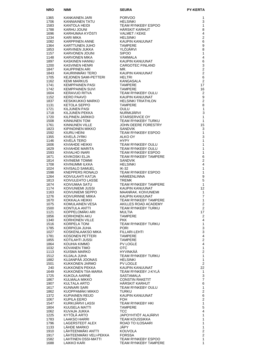| <b>NRO</b>   | NIMI                                  | <b>SEURA</b>                                         | <b>PY-KERTA</b>                  |
|--------------|---------------------------------------|------------------------------------------------------|----------------------------------|
| 1365         | KANKAINEN JARI                        | <b>PORVOO</b>                                        | 1                                |
| 1706         | KANNIAINEN TATU                       | <b>HELSINKI</b>                                      | 3                                |
| 1583         | KANTOLA HEIDI                         | TEAM RYNKEBY ESPOO                                   | 1                                |
| 1788         | KARHU JOUNI                           | HÄRSKIT KARHUT                                       | 8                                |
| 1696<br>1234 | KARHUMAA KYÖSTI<br>KARI MIKA          | VALMET / KEKE<br><b>HELSINKI</b>                     | 4<br>$\overline{2}$              |
| 1082         | KARPPINEN ANNE                        | KAUPIN KANUUNAT                                      | 6                                |
| 1364         | KARTTUNEN JUHO                        | <b>TAMPERE</b>                                       | 9                                |
| 1853         | KARVINEN JUKKA                        | YLÖJÄRVI                                             | 8                                |
| 1157         | KARVONEN JOUNI                        | <b>SIPOO</b>                                         | 1                                |
| 1148<br>1897 | KARVONEN MIKA<br>KASKINEN HANNU       | <b>VAMMALA</b><br>KAUPIN KANUUNAT                    | $\overline{4}$<br>6              |
| 1200         | KASVINEN HENRI                        | CARGOTEC FINLAND                                     | $\mathsf 3$                      |
| 1847         | <b>KAUPPINEN ARI</b>                  | MR.                                                  | $\overline{2}$                   |
| 1843         | KAURIINMÄKI TERO                      | KAUPIN KANUUNAT                                      | $\overline{2}$                   |
| 1705         | <b>KEJONEN SAMI-PETTERI</b>           | <b>HELTRI</b>                                        | 6                                |
| 1162<br>1741 | <b>KEMI MARKUS</b><br>KEMPPAINEN PASI | KANGASALA<br><b>TAMPERE</b>                          | 2<br>17                          |
| 1742         | <b>KEMPPAINEN SUVI</b>                | <b>TAMPERE</b>                                       | 16                               |
| 1604         | KERAVUO RITVA                         | TEAM RYNKEBY OULU                                    | 2                                |
| 1152         | <b>KERO PAAVO</b>                     | KAUPIN KANUUNAT                                      | 9                                |
| 1837<br>1131 | KESKIKUKKO MARKO<br>KETOLA SEPPO      | <b>HELSINKI TRIATHLON</b><br><b>TAMPERE</b>          | $\overline{2}$<br>8              |
| 1721         | KILJUNEN PASI                         | OULU                                                 | 1                                |
| 1718         | KILJUNEN PEKKA                        | NURMIJÄRVI                                           | 3                                |
| 1720         | KILPINEN JARKKO                       | STARSERVICE OY                                       | 1                                |
| 1508         | KINNUNEN TOM                          | TEAM RYNKEBY TURKU                                   | 1                                |
| 1761<br>1823 | KINNUNEN VILLE<br>KIPINOINEN MIKKO    | JOHN DEERE FORESTRY<br><b>SANDVIK</b>                | 15<br>3                          |
| 1592         | KIURU HEINI                           | TEAM RYNKEBY ESPOO                                   | $\mathbf{1}$                     |
| 1355         | KIVELÄ JYRKI                          | ALKO OY                                              | 3                                |
| 1146         | KIVELÄ TERO                           | <b>HYPY</b>                                          | 1                                |
| 1606         | KIVIAHDE HEIKKI                       | TEAM RYNKEBY OULU                                    | 1                                |
| 1629<br>1593 | KIVIAHDE MARITA<br>KIVIALHO INARI     | <b>TEAM RYNKEBY OULU</b><br>TEAM RYNKEBY ESPOO       | 1<br>1                           |
| 1671         | KIVIKOSKI ELJA                        | <b>TEAM RYNKEBY TAMPERE</b>                          | $\,6$                            |
| 1814         | KIVINIEMI TOMMI                       | <b>SANDVIK</b>                                       | $\overline{2}$                   |
| 1708         | KIVINUMMI ILKKA                       | <b>HELSINKI</b>                                      | 4                                |
| 1024         | KIVISALO SAMUEL                       | $IK-32$                                              | $\mathbf{1}$                     |
| 1598<br>1264 | KNEPPERS RONALD<br>KOIVULAHTI KATJA   | TEAM RYNKEBY ESPOO<br><b>HÄMEENLINNA</b>             | 1<br>$\boldsymbol{9}$            |
| 1813         | KOIVULEHTO LASSE                      | <b>TREMK</b>                                         | 5                                |
| 1674         | KOIVUMAA SATU                         | TEAM RYNKEBY TAMPERE                                 | $\mathbf{1}$                     |
| 1174         | KOIVUNIEMI JUSSI                      | KAUPIN KANUUNAT                                      | 12                               |
| 1163<br>1276 | KOIVUNIEMI SEPPO<br>KOIVURINNE MIIKA  | <b>MAANRAK, KOIVUNIEMI</b><br><b>KAUPIN KANUUNAT</b> | 1<br>$\overline{7}$              |
| 1670         | KOKKALA HEIKKI                        | <b>TEAM RYNKEBY TAMPERE</b>                          | 1                                |
| 1075         | KOMULAINEN VESA                       | AKILLES ROAD ACADEMY                                 | 2                                |
| 1500         | KONTULA ANTTI                         | TEAM RYNKEBY TURKU                                   | $\overline{2}$                   |
| 1121         | KOPPELOMÄKI ARI                       | <b>MULTIA</b><br><b>TAMPERE</b>                      | 17                               |
| 1856<br>1340 | KORHONEN AKU<br>KORHONEN VILLE        | <b>PKK</b>                                           | $\overline{2}$<br>4              |
| 1516         | KORPELA TONI                          | TEAM RYNKEBY TURKU                                   | 1                                |
| 1785         | KORPIOJA JUHA                         | <b>PORI</b>                                          | 3                                |
| 1027         | KOSKENLAAKSO MIKA                     | FILLARI-LEHTI                                        | 3                                |
| 1781<br>1855 | KOSONEN PETTERI<br>KOTILAHTI JUSSI    | <b>TAMPERE</b><br><b>TAMPERE</b>                     | $\overline{4}$<br>$\overline{2}$ |
| 1864         | KOUHIA KIMMO                          | PV LOGLE                                             | 4                                |
| 1032         | KOVANEN TIMO                          | <b>OTC</b>                                           | 1                                |
| 1113         | <b>KUISMA MARKO</b>                   | HYVINKÄÄ                                             | $\overline{2}$                   |
| 1512         | KUJALA JUHA<br>KUJANPÄÄ JOONAS        | TEAM RYNKEBY TURKU                                   | 1                                |
| 1882<br>1501 | KUKKONEN JARMO                        | <b>HELSINKI</b><br><b>PV LOGLE</b>                   | 1<br>2                           |
| 240          | KUKKONEN PEKKA                        | KAUPIN KANUUNAT                                      | 22                               |
| 1649         | KUKKONEN TIIA-MARIA                   | TEAM RYNKEBY J-KYLÄ                                  | $\mathbf{1}$                     |
| 1725         | KUKOLA AARNE                          | SASTAMALA                                            | 3                                |
| 1867<br>1907 | KULMALA MIKKO<br>KULTALA ARTO         | <b>CONSTIN RAKETIT</b><br><b>HARSKIT KARHUT</b>      | $\overline{7}$<br>6              |
| 1617         | KUNNARI SARI                          | TEAM RYNKEBY OULU                                    | 1                                |
| 1862         | KUOPPAMÄKI MIKKO                      | <b>TURKU</b>                                         | $\mathbf{2}$                     |
| 1372         | KUPIAINEN REIJO                       | KAUPIN KANUUNAT                                      | 6                                |
| 1067         | <b>KUPILA EERO</b>                    | FOH.                                                 | $\overline{2}$                   |
| 1547<br>1804 | KURKIJÄRVI LASSI<br>KUUSELA MATTI     | TEAM RYNKEBY HKI<br><b>TAMPERE</b>                   | 1<br>5                           |
| 1062         | KUVAJA JUKKA                          | TCC                                                  | 4                                |
| 1225         | KYTOLA ARTO                           | JAPOYHTIÖT ALAJÄRVI                                  | 1                                |
| 1783         | <b>LAAKSO HARRI</b>                   | TEAM KOUSSIKKA                                       | 1                                |
| 1796<br>1133 | LAGERSTEDT ALEX<br>LÄHDE MARKO        | ROAD TO ILOSAARI<br>JÄPY                             | 1<br>1                           |
| 1910         | LÄHTEENMÄKI ANTTI                     | <b>KOUVOLA</b>                                       | $\mathbf{2}$                     |
| 1917         | LÄHTEENMÄKI VELI-PEKKA                | <b>FORSSA</b>                                        | $\overline{2}$                   |
| 1582         | LAHTINEN OSSI-MATTI                   | TEAM RYNKEBY ESPOO                                   | 1                                |
| 1688         | LAIKKO KARI                           | TEAM RYNKEBY TAMPERE                                 | 1                                |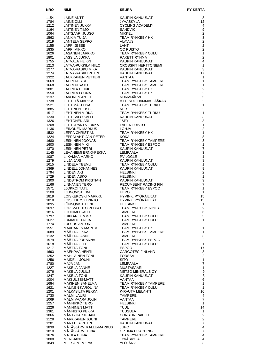| <b>NRO</b>   |                                          |                                                                                                                                                                                                                                  | <b>PY-KERTA</b>                |
|--------------|------------------------------------------|----------------------------------------------------------------------------------------------------------------------------------------------------------------------------------------------------------------------------------|--------------------------------|
| 1154         |                                          |                                                                                                                                                                                                                                  | 3                              |
| 1784         |                                          |                                                                                                                                                                                                                                  | 12                             |
| 1212         |                                          |                                                                                                                                                                                                                                  | 4                              |
| 1164         |                                          |                                                                                                                                                                                                                                  | 9                              |
| 1064<br>1562 |                                          |                                                                                                                                                                                                                                  | $\overline{2}$<br>$\mathbf{3}$ |
| 1019         |                                          |                                                                                                                                                                                                                                  | $\overline{2}$                 |
| 1155         |                                          |                                                                                                                                                                                                                                  | $\overline{2}$                 |
| 1835         |                                          |                                                                                                                                                                                                                                  | 2                              |
| 1626         |                                          |                                                                                                                                                                                                                                  | $\mathbf{1}$<br>2              |
| 1801<br>1755 |                                          |                                                                                                                                                                                                                                  | $\overline{4}$                 |
| 1213         |                                          |                                                                                                                                                                                                                                  | $\mathbf{1}$                   |
| ⊥∠⊤3<br>1277 |                                          |                                                                                                                                                                                                                                  | 3                              |
| 1274<br>1322 |                                          |                                                                                                                                                                                                                                  | 17<br>$\mathbf{1}$             |
| 1669         |                                          |                                                                                                                                                                                                                                  | $\mathbf{1}$                   |
| 1668         |                                          |                                                                                                                                                                                                                                  | $\mathbf{1}$                   |
| 1881         |                                          |                                                                                                                                                                                                                                  | $\overline{2}$                 |
| 1550         |                                          |                                                                                                                                                                                                                                  | $\overline{2}$<br>5            |
| 1137<br>1738 |                                          |                                                                                                                                                                                                                                  | $\overline{2}$                 |
| 1521         |                                          |                                                                                                                                                                                                                                  | $\mathbf{1}$                   |
| 1885         |                                          |                                                                                                                                                                                                                                  | $\overline{2}$                 |
| 1517         |                                          |                                                                                                                                                                                                                                  | $\mathbf{1}$<br>$\mathbf{3}$   |
| 1230<br>1326 |                                          |                                                                                                                                                                                                                                  | $\sqrt{3}$                     |
| 1208         |                                          |                                                                                                                                                                                                                                  | $\mathbf{1}$                   |
| ⊥∠∪o<br>1136 |                                          |                                                                                                                                                                                                                                  | $\overline{2}$                 |
| 1532<br>1224 |                                          |                                                                                                                                                                                                                                  | $\mathbf{1}$                   |
| 1680         |                                          |                                                                                                                                                                                                                                  | 8<br>$\mathbf{3}$              |
| 1600         |                                          |                                                                                                                                                                                                                                  | $\mathbf{1}$                   |
| 1370         |                                          |                                                                                                                                                                                                                                  | $\overline{7}$                 |
| 1145<br>1087 |                                          |                                                                                                                                                                                                                                  | 3<br>$\mathbf{1}$              |
| 1279         |                                          |                                                                                                                                                                                                                                  | 8                              |
| 1615         |                                          |                                                                                                                                                                                                                                  | $\mathbf{1}$                   |
| 1369         |                                          |                                                                                                                                                                                                                                  | $\boldsymbol{9}$               |
| 1794<br>1729 |                                          |                                                                                                                                                                                                                                  | $\overline{2}$<br>$\mathbf{1}$ |
| 1300         |                                          | NIMI<br>LAINE ANTITUSE AND MANUSCRIP COMPANY AND CONNECTIVE AND MANUSCRIP CONDINING CONDUCT AND CONDUCT CONDUCT AND CONDUCT AND THE MANUSCRIPT CONDUCT CONDUCT CONDUCT CONDUCT CONDUCT CONDUCT CONDUCT CONDUCT CONDUCT CONDUCT C | 9                              |
| 1166         |                                          |                                                                                                                                                                                                                                  | $\overline{7}$                 |
| 1571<br>1108 |                                          |                                                                                                                                                                                                                                  | $\mathbf{1}$<br>$\mathbf{1}$   |
| 1819         |                                          |                                                                                                                                                                                                                                  | 15                             |
| 1818         |                                          |                                                                                                                                                                                                                                  | 15                             |
| 1895         | LÖNNQVIST TONI                           | <b>HELSINKI</b>                                                                                                                                                                                                                  | 1<br>$\overline{2}$            |
| 1637<br>1816 | LOPEZ-LEHTO PEDRO<br>LOUHIMO KALLE       | TEAM RYNKEBY J-KYLA<br><b>TAMPERE</b>                                                                                                                                                                                            | 6                              |
| 1797         | LUKKARI KIMMO                            | <b>TEAM RYNKEBY OULU</b>                                                                                                                                                                                                         | 3                              |
| 1627         | LUMIAHO TATJA                            | TEAM RYNKEBY OULU                                                                                                                                                                                                                | 1                              |
| 1774<br>1551 | LUOJUS ANTON<br><b>MAARANEN MARITA</b>   | TAMPERE<br>TEAM RYNKEBY HKI                                                                                                                                                                                                      | $\overline{2}$<br>1            |
| 1689         | MÄÄTTÄ ILKKA                             | TEAM RYNKEBY TAMPERE                                                                                                                                                                                                             | 1                              |
| 1132         | MÄÄTTÄ JANNE                             | <b>TAMPERE</b>                                                                                                                                                                                                                   | $\mathbf{3}$                   |
| 1579         | MÄÄTTÄ JOHANNA<br>MÄÄTTÄ OLLI            | TEAM RYNKEBY ESPOO<br><b>TEAM RYNKEBY OULU</b>                                                                                                                                                                                   | 2<br>$\mathbf{1}$              |
| 1618<br>1217 | MÄÄTTÄ TONI                              | <b>ESPOO</b>                                                                                                                                                                                                                     | 17                             |
| 1693         | MÄENPÄÄ HENRI                            | <b>CARGOTEC FINLAND</b>                                                                                                                                                                                                          | 3                              |
| 1252         | <b>MAHILAINEN TONI</b>                   | <b>FORSSA</b>                                                                                                                                                                                                                    | 2                              |
| 1256<br>1780 | <b>MAIDELL JOUNI</b><br><b>MAJA JANI</b> | <b>SITO</b><br>LEMPÄÄLÄ                                                                                                                                                                                                          | $\mathbf{1}$<br>$\overline{7}$ |
| 1227         | MÄKELÄ JANNE                             | MUSTASAARI                                                                                                                                                                                                                       | 1                              |
| 1076         | MÄKELÄ JULIUS                            | METSO MINERALS OY                                                                                                                                                                                                                | $\boldsymbol{9}$               |
| 1247<br>1004 | MAKELA TONI<br>MÄKI JUSSI-MATTI          | KAUPIN KANUUNAT<br>VANTAA                                                                                                                                                                                                        | 3<br>6                         |
| 1684         | MÄKINEN SANELMA                          | TEAM RYNKEBY TAMPERE                                                                                                                                                                                                             | 1                              |
| 1621         | <b>MALINEN KAROLIINA</b>                 | TEAM RYNKEBY OULU                                                                                                                                                                                                                | $\mathbf{1}$                   |
| 1201         | MALKASILTA PEKKA                         | K-RAUTA LIELAHTI                                                                                                                                                                                                                 | 10                             |
| 1730<br>1069 | <b>MALMI LAURI</b><br>MALMIVAARA JOUNI   | <b>TAMPERE</b><br>VANTAA                                                                                                                                                                                                         | 4<br>$\overline{7}$            |
| 1257         | MÄNNIKKÖ TERO                            | <b>HELSINKI</b>                                                                                                                                                                                                                  | $\mathbf{1}$                   |
| 1226         | <b>MANNINEN MATTI</b>                    | <b>TUUL</b>                                                                                                                                                                                                                      | 14                             |
| 1361         | MÄNNISTÖ PEKKA<br>MÄNTYHARJU JAN         | <b>TUUSULA</b>                                                                                                                                                                                                                   | 1<br>2                         |
| 1866<br>1128 | MANTITIONS                               | <b>CONSTIN RAKETIT</b><br><b>TAMPERE</b>                                                                                                                                                                                         | $\mathbf{2}$                   |
| 1281         | <b>MARTTILA PETRI</b>                    |                                                                                                                                                                                                                                  | $\overline{7}$                 |
| 1839         | MÄTÄSJÄRVI KALLE-MARKUS                  |                                                                                                                                                                                                                                  | $\overline{4}$                 |
| 1810<br>1676 | MÄTÄSJÄRVI TIINA<br><b>MATILA ELINA</b>  | TAMPERE<br>KAUPIN KANUUNAT<br>JUPO<br>OPTIMA COACHING<br>TEAM RYNKEBY TAMPERE                                                                                                                                                    | $\overline{7}$<br>4            |
| 1808         | <b>MERI JANI</b>                         | JYVÄSKYLÄ                                                                                                                                                                                                                        | 4                              |
| 1849         | METSÄPURO PASI                           | YLÖJÄRVI                                                                                                                                                                                                                         | 3                              |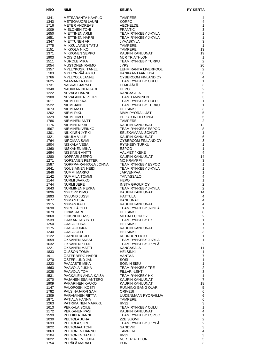| <b>NRO</b>   | <b>NIMI</b>                             | <b>SEURA</b>                            | <b>PY-KERTA</b>                |
|--------------|-----------------------------------------|-----------------------------------------|--------------------------------|
| 1341         | METSÄRANTA KAARLO                       | <b>TAMPERE</b>                          | 4                              |
| 1343         | <b>METSOVUORI LAURI</b>                 | <b>KORPO</b>                            | 4                              |
| 1716         | MEYER ANDREAS                           | <b>VECHELDE</b>                         | 1                              |
| 1009         | <b>MIELONEN TONI</b>                    | <b>FRANTIC</b>                          | 3                              |
| 1650         | <b>MIETTINEN ARMI</b>                   | TEAM RYNKEBY J-KYLÄ                     | 1                              |
| 1651<br>1347 | <b>MIETTINEN HARRI</b><br>MIETTUNEN ARI | TEAM RYNKEBY J-KYLÄ<br>JYVÄSKYLÄ        | $\mathbf{1}$<br>3              |
| 1775         | MIIKKULAINEN TATU                       | <b>TAMPERE</b>                          | $\mathbf{1}$                   |
| 1151         | <b>MIKKOLA NIKO</b>                     | <b>TAMPERE</b>                          | 13                             |
| 1371         | <b>MIKKONEN SEPPO</b>                   | KAUPIN KANUUNAT                         | 19                             |
| 1903         | <b>MOISIO MATTI</b>                     | <b>MJR TRIATHLON</b>                    | $\mathbf{1}$                   |
| 1511<br>1054 | <b>MUROLE MIKA</b><br>MUSTONEN RAIMO    | TEAM RYNKEBY TURKU<br><b>JYPS</b>       | 2<br>20                        |
| 1357         | <b>MYLLYKOSKI TANELI</b>                | LEHMIRANTA LIVERPOOL                    | $\overline{2}$                 |
| 103          | MYLLYNPÄÄ ARTO                          | KANKAANTAAN KISA                        | 36                             |
| 1766         | MYLLYOJA JANNE                          | CYBERCOM FINLAND OY                     | 4                              |
| 1625         | NAAMANKA OUTI                           | <b>TEAM RYNKEBY OULU</b>                | $\mathbf{1}$                   |
| 1731<br>1348 | NASKALI JARNO<br>NAUKKARINEN JARI       | LEMPÄÄLÄ<br><b>HEPO</b>                 | 3<br>$\overline{2}$            |
| 1222         | <b>NEVALA HANNU</b>                     | <b>KANGASALA</b>                        | $\sqrt{5}$                     |
| 1908         | NEVALAINEN PETRI                        | TEAM TAMMINEN                           | 3                              |
| 1611         | NIEMI HILKKA                            | TEAM RYNKEBY OULU                       | $\mathbf{1}$                   |
| 1522         | NIEMI JANI                              | TEAM RYNKEBY TURKU                      | 1<br>3                         |
| 1073<br>1202 | NIEMI MATTI<br>NIEMI RIKU               | <b>HELSINKI</b><br>MMM PYÖRÄILIJÄT      | 5                              |
| 1329         | NIEMI TIMO                              | PELOTON HELSINKI                        | 5                              |
| 1786         | NIEMINEN ANTTI                          | <b>TAMPERE</b>                          | $\overline{2}$                 |
| 1176         | <b>NIEMINEN KAI</b>                     | KAUPIN KANUUNAT                         | 12                             |
| 1567         | NIEMINEN VEIKKO                         | TEAM RYNKEBY ESPOO<br>SELEKÄMAAN SONNIT | 8                              |
| 1301<br>1321 | NIKKINEN JYRKI<br>NIKULA VILLE          | KAUPIN KANUUNAT                         | $\mathbf{1}$<br>6              |
| 1764         | NIROMAA SAMI                            | CYBERCOM FINLAND OY                     | 3                              |
| 1904         | NISKALA VESA                            | RYNKEBY TURKU                           | 1                              |
| 1360         | NISKANEN MIKA                           | <b>ESPOO</b>                            | 1                              |
| 1694<br>1280 | NISSINEN ANTTI<br>NOPPARI SEPPO         | VALMET / KEKE<br>KAUPIN KANUUNAT        | 4<br>14                        |
| 1271         | NOPSANEN PETTERI                        | <b>MC KRAMPPI</b>                       | 3                              |
| 1587         | NORPPA-RAHKOLA JONNA                    | TEAM RYNKEBY ESPOO                      | 1                              |
| 1641         | NOUSIAINEN HEIDI                        | TEAM RYNKEBY J-KYLÄ                     | 1                              |
| 1846         | NUMMI MARKO                             | JÄRVENPÄÄ                               | 1                              |
| 1142<br>1144 | NUMMILA TOMMI<br><b>NURMI JAAKKO</b>    | <b>TAIVASSALO</b><br><b>HEPO</b>        | 4<br>$\mathbf{1}$              |
| 1744         | NURMI JERE                              | <b>INSTA GROUP OY</b>                   | $\overline{2}$                 |
| 1643         | NURMINEN PEKKA                          | TEAM RYNKEBY J-KYLA                     | $\overline{2}$                 |
| 1896         | NYKOPP ISMO                             | KAUPIN KANUUNAT                         | 14                             |
| 1893         | <b>NYLUND JUSSI</b>                     | <b>HATTULA</b>                          | $\overline{4}$                 |
| 1877<br>1915 | NYMAN ESA<br><b>NYMAN KATI</b>          | KANUUNAT<br>KAUPIN KANUUNAT             | $\overline{4}$<br>4            |
| 1638         | NYRHILÄ OLLI                            | TEAM RYNKEBY J-KYLA                     | 1                              |
| 1079         | <b>OINAS JARI</b>                       | <b>HELSINKI</b>                         | 8                              |
| 1860         | OINONEN LASSE                           | <b>MEDAFFCON OY</b>                     | $\boldsymbol{2}$               |
| 1539         | OJAKANGAS ISTO                          | TEAM RYNKEBY HKI                        | $\mathbf{1}$                   |
| 1250<br>1175 | <b>OJALA ELINA</b><br>OJALA JUKKA       | <b>HELSINKI</b><br>KAUPIN KANUUNAT      | $\mathbf{1}$<br>$\overline{7}$ |
| 1240         | <b>OJALA OLLI</b>                       | <b>HELSINKI</b>                         | 3                              |
| 1122         | <b>OJANEN REIJO</b>                     | <b>KEURUUN LATU</b>                     | $\mathbf{1}$                   |
| 1659         | OKSANEN ANSSI                           | TEAM RYNKEBY J-KYLÄ                     | $\mathbf{1}$                   |
| 1632         | OKSANEN KEIJO                           | TEAM RYNKEBY J.KYLÄ<br>KANGASALA        | $\overline{c}$<br>11           |
| 1221<br>1833 | OKSANEN MATTI<br><b>OLSSON TOMMI</b>    | <b>HELSINKI</b>                         | 1                              |
| 1911         | ÖSTERBERG HARRI                         | VANTAA                                  | $\overline{7}$                 |
| 1270         | OSTERLUND JAN                           | SOSI                                    | $\mathbf{1}$                   |
| 1223         | PAAJASTE MIKA                           | SOININ SISU                             | $\mathbf{1}$                   |
| 1663         | PAAVOLA JUKKA<br>PAAVOLA TOMI           | TEAM RYNKEBY TRE<br>FILLARI-LEHTI       | $\mathbf 2$<br>3               |
| 1028<br>1531 | PACKALEN ANNA-KAISA                     | TEAM RYNKEBY HKI                        | $\mathbf{1}$                   |
| 1070         | PAJANEN ESA-ANTERO                      | KAUPIN KANUUNAT                         | $\overline{7}$                 |
| 1909         | PAKARINEN KAUKO                         | KAUPIN KANUUNAT                         | 18                             |
| 1147         | PALOPOSKI KOSTI                         | RUNNING GANG OLARI                      | $\,$ 5 $\,$                    |
| 1782         | PALSINAJÄRVI SAMI                       | <b>ORIVESI</b><br>UUDENMAAN PYÖRÄILIJÄ  | 6                              |
| 1309<br>1871 | PARVIAINEN RIITTA<br>PÄTIÄLÄ HANNA      | <b>TAMPERE</b>                          | 6<br>6                         |
| 1263         | PATRIKAINEN MARKKU                      | IK-32                                   | 3                              |
| 1613         | PEKKALA SOILE                           | TEAM RYNKEBY OULU                       | $\mathbf{1}$                   |
| 1172         | PEKKANEN PASI                           | KAUPIN KANUUNAT                         | $\overline{\mathbf{4}}$        |
| 1599<br>1030 | PELLIKKA JANNE<br>PELTOLA JUHA          | TEAM RYNKEBY ESPOO<br><b>ZZE SUOMI</b>  | $\mathbf{1}$<br>$\mathbf 2$    |
| 1633         | PELTOLA SIIRI                           | TEAM RYNKEBY J.KYLÄ                     | $\boldsymbol{2}$               |
| 1822         | PELTOMAA TONI                           | SANDVIK                                 | $\mathsf 3$                    |
| 1863         | PELTONEN HANNU                          | <b>TAMPERE</b>                          | $\overline{\mathbf{4}}$        |
| 1104         | PELTONEN TANELI                         | IK-32                                   | 3<br>$\overline{5}$            |
| 1022<br>1754 | PELTONIEMI JUHA<br>PERÄLÄ MARKO         | <b>MJR TRIATHLON</b><br><b>PORI</b>     | 3                              |
|              |                                         |                                         |                                |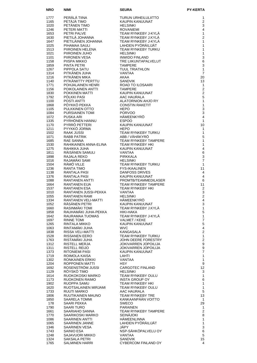| <b>NRO</b>   | NIMI                                                                       | SEURA                                                                                                                                                                                                                                                                          | <b>PY-KERTA</b>              |
|--------------|----------------------------------------------------------------------------|--------------------------------------------------------------------------------------------------------------------------------------------------------------------------------------------------------------------------------------------------------------------------------|------------------------------|
| 1777         | PERÄLÄ TIINA<br>PETÄJÄ TIMO<br>PETÄNEN TIMO<br>PETERI MATTI<br>PFTRI PALVE | TURUN URHEILULIITTO                                                                                                                                                                                                                                                            | 1                            |
| 1165         |                                                                            | KAUPIN KANUUNAT                                                                                                                                                                                                                                                                | $\overline{2}$               |
| 1020         |                                                                            | <b>HELSINKI</b>                                                                                                                                                                                                                                                                | 3                            |
| 1246<br>1653 |                                                                            | <b>ROVANIEMI</b><br>TEAM RYNKEBY J-KYLÄ                                                                                                                                                                                                                                        | 4<br>$\mathbf{1}$            |
| 1630         |                                                                            | TEAM RYNKEBY J.KYLÄ                                                                                                                                                                                                                                                            | $\overline{2}$               |
| 1647         | PIETILÄ JOHANNA<br>PIETILÄINEN JOHANNA                                     | TEAM RYNKEBY J-KYLÄ                                                                                                                                                                                                                                                            | 1                            |
| 1025         | PIHAMAA SAULI                                                              | LAHDEN PYÖRÄILIJÄT                                                                                                                                                                                                                                                             | 1                            |
| 1513<br>1021 | PIIROINEN HELENA<br>PIIROINEN JUHO                                         | TEAM RYNKEBY TURKU<br><b>HELSINKI</b>                                                                                                                                                                                                                                          | 1<br>$\mathbf{1}$            |
| 1101         | PIIRONEN VESA                                                              | <b>INWIDO FINLAND</b>                                                                                                                                                                                                                                                          | 3                            |
| 1158         | PIISPA MIKKO                                                               | TRE LIIKUNTAPALVELUT                                                                                                                                                                                                                                                           | 6                            |
| 1859         | PINTA PETRI<br>PIPPOLA SATU                                                | <b>TAMPERE</b>                                                                                                                                                                                                                                                                 | 3<br>$\mathbf{1}$            |
| 1267<br>1314 |                                                                            | TUUL TRIATHLON<br>VANTAA                                                                                                                                                                                                                                                       | $\overline{7}$               |
| 1216         | PITKÄNEN JUHA<br>PITKÄNEN MIKA                                             | AKAA                                                                                                                                                                                                                                                                           | 20                           |
| 1140         | PITKÄNIITTY PERTTU                                                         | <b>SANDVIK</b>                                                                                                                                                                                                                                                                 | 13                           |
| 1771<br>1156 | POHJALAINEN HENRI<br>POIKOLAINEN ANTTI                                     | ROAD TO ILOSAARI<br><b>TAMPERE</b>                                                                                                                                                                                                                                             | $\mathbf{1}$<br>2            |
| 1830         | POKKINEN MATTI                                                             | KAUPIN KANUUNAT                                                                                                                                                                                                                                                                | $\overline{2}$               |
| 1792         | PÖLKKI PASI                                                                | AAC HAURALA                                                                                                                                                                                                                                                                    | 5                            |
| 1100         | POSTI ANTTI                                                                | ALATORNION AHJO RY                                                                                                                                                                                                                                                             | $\mathbf{1}$                 |
| 1868<br>1105 | PÖYKKÖ PEKKA<br>PULKKINEN OTTO                                             | <b>CONSTIN RAKETIT</b><br><b>HEPO</b>                                                                                                                                                                                                                                          | $\mathbf{1}$<br>3            |
| 1084         | <b>PURSIAINEN TOMI</b>                                                     | <b>PORVOO</b>                                                                                                                                                                                                                                                                  | 3                            |
| 1072         | PUSKA ARI                                                                  | HÄMEENKYRÖ                                                                                                                                                                                                                                                                     | $\overline{4}$               |
| 1335         | PYRHÖNEN HANNU<br>PYRRÖ PETTERI                                            |                                                                                                                                                                                                                                                                                | 1                            |
| 1170<br>1211 | PYYKKÖ JORMA                                                               |                                                                                                                                                                                                                                                                                | 10<br>1                      |
| 1502         |                                                                            |                                                                                                                                                                                                                                                                                | $\mathbf{1}$                 |
| 1071         | . JUSSI<br>RABB PATRIK<br>RAF SANNIT                                       |                                                                                                                                                                                                                                                                                | 5                            |
| 1685         | RAE SANNA                                                                  |                                                                                                                                                                                                                                                                                | $\mathbf{1}$<br>1            |
| 1530<br>1275 | RAHIKAINEN ANNA-ELINA<br>RAHIKKA JUHA                                      |                                                                                                                                                                                                                                                                                | $\overline{\mathbf{4}}$      |
| 1811         | RÄISÄNEN SAMULI                                                            |                                                                                                                                                                                                                                                                                | 6                            |
| 1898         | RAJALA REKO                                                                |                                                                                                                                                                                                                                                                                | 3                            |
| 1016         |                                                                            |                                                                                                                                                                                                                                                                                | $\overline{7}$               |
| 1504<br>1236 |                                                                            |                                                                                                                                                                                                                                                                                | 1<br>11                      |
| 1138         |                                                                            |                                                                                                                                                                                                                                                                                | $\overline{4}$               |
| 1376         |                                                                            | HÄMEENKYRÖ<br>HÄMEENKYRÖ<br>ESPOO<br>KAUPIN KANUUNAT<br>HEPO<br>TEAM RYNKEBY TURKU<br>ABB / VÄHÄKYRÖ<br>TEAM RYNKEBY TAMPERE<br>TEAM RYNKEBY HKI<br>KAUPIN KANUUNAT<br>VANTAA<br>PIRKKALA<br>HELSINKI<br>TEAM RYNKEBY TURKU<br>FYS-IKAALINEN<br>DANFOSS DRIVES<br>KAUPIN KANUU | 4                            |
| 1088         | RANTANEN ANTTI<br><b>RANTANEN EIJA</b>                                     |                                                                                                                                                                                                                                                                                | 6                            |
| 1664<br>1537 | RANTANEN ESA                                                               | TEAM RYNKEBY HKI                                                                                                                                                                                                                                                               | 11<br>$\overline{2}$         |
| 1010         | RANTANEN JUSSI-PEKKA                                                       | VANTAA                                                                                                                                                                                                                                                                         | 3                            |
| 1055         | <b>RANTANEN RAMI</b>                                                       | <b>HELSINKI</b>                                                                                                                                                                                                                                                                | $\overline{c}$               |
| 1334<br>1052 | RANTANEN VELI-MATTI<br>RÄSÄNEN PETRI                                       | HÄMEENKYRÖ<br>KAUPIN KANUUNAT                                                                                                                                                                                                                                                  | 4<br>3                       |
| 1660         | RASINMÄKI TOMI                                                             | TEAM RYNKEBY J.KYLA                                                                                                                                                                                                                                                            | $\mathbf{1}$                 |
| 1858         | RAUHAMÄKI JUHA-PEKKA                                                       | HIKI-HAKA                                                                                                                                                                                                                                                                      | 5                            |
| 1642         | RAURAMAA TUOMAS                                                            | TEAM RYNKEBY J-KYLÄ                                                                                                                                                                                                                                                            | $\mathbf{1}$                 |
| 1697<br>1265 | RINNE TOMI<br>RINTALA MIKKO                                                | VALMET / KEKE<br>KAUPIN KANUUNAT                                                                                                                                                                                                                                               | $\overline{\mathbf{7}}$<br>5 |
| 1063         | RINTAMAKI JUHA                                                             | <b>WVC</b>                                                                                                                                                                                                                                                                     | $\overline{\mathbf{4}}$      |
| 1838         | RISSA VELI-MATTI                                                           | KANGASALA                                                                                                                                                                                                                                                                      | $\overline{c}$               |
| 1528         | RISSANEN EERO                                                              | TEAM RYNKEBY TURKU                                                                                                                                                                                                                                                             | $\mathbf{1}$                 |
| 1763<br>1312 | RISTAMÄKI JUHA<br>RISTELL MERJA                                            | JOHN DEERE FORESTRY<br><b>JOKIVARREN JOPOILIJA</b>                                                                                                                                                                                                                             | $\overline{c}$<br>9          |
| 1311         | RISTELL REIJO                                                              | <b>JOKIVARREN JOPOILIJA</b>                                                                                                                                                                                                                                                    | $\boldsymbol{9}$             |
| 1373         | <b>RITONIEMI PASI</b>                                                      | KAUPIN KANUUNAT                                                                                                                                                                                                                                                                | $\overline{7}$               |
| 1719         | ROIMOLA KAISA                                                              | LAHTI                                                                                                                                                                                                                                                                          | 1                            |
| 1302<br>1204 | RONKAINEN ERKKI<br>ROPPONEN MATTI                                          | VANTAA<br>HSY.                                                                                                                                                                                                                                                                 | $\mathbf{1}$<br>9            |
| 1692         | ROSENSTROM JUSSI                                                           | CARGOTEC FINLAND                                                                                                                                                                                                                                                               | 12                           |
| 1129         | RÖYSKÖ TIMO                                                                | <b>HELSINKI</b>                                                                                                                                                                                                                                                                | 3                            |
| 1614         | RUOKOKOSKI MARKO                                                           | <b>TEAM RYNKEBY OULU</b>                                                                                                                                                                                                                                                       | $\mathbf{1}$<br>$\,6$        |
| 1173<br>1902 | RUOKONEN RAIMO<br>RUOPPA SAMU                                              | <b>INSTA GROUP OY</b><br>TEAM RYNKEBY HKI                                                                                                                                                                                                                                      | $\mathbf{1}$                 |
| 1620         | RUOTSALAINEN MIRJAMI                                                       | TEAM RYNKEBY OULU                                                                                                                                                                                                                                                              | $\mathbf{1}$                 |
| 1733         | RUUTI MARKO                                                                | AAC HAURALA                                                                                                                                                                                                                                                                    | 5                            |
| 1806<br>1850 | RUUTIKAINEN MAUNO<br><b>SAARELA TOMMI</b>                                  | TEAM RYNKEBY TRE<br>KANKAANPÄÄN VOITTO                                                                                                                                                                                                                                         | 13<br>$\mathbf{1}$           |
| 178          | SAARI PEKKA                                                                | SWECO                                                                                                                                                                                                                                                                          | 29                           |
| 1790         | SAARI TURO                                                                 | <b>PARAINEN</b>                                                                                                                                                                                                                                                                | 1                            |
| 1661         | SAARIAHO SANNA                                                             | TEAM RYNKEBY TAMPERE                                                                                                                                                                                                                                                           | $\overline{2}$               |
| 1770<br>1086 | SAARIKOSKI MARKO<br>SAARINEN ANTTI                                         | <b>SEINÄJOKI</b><br><b>HÄMEENLINNA</b>                                                                                                                                                                                                                                         | 8<br>$\mathbf{1}$            |
| 1065         | SAARINEN JANNE                                                             | LAHDEN PYÖRÄILIJÄT                                                                                                                                                                                                                                                             | $\mathbf{1}$                 |
| 1346         | SAARINEN VESA                                                              | JAPY                                                                                                                                                                                                                                                                           | 3                            |
| 1743         | SAINIO ESA                                                                 | NSP-SÄHKÖPALVELU OY                                                                                                                                                                                                                                                            | $\,6$                        |
| 1248<br>1324 | SAJAVUORI MIKKO<br>SAKSALA PETRI                                           | VANTAA<br><b>SANDVIK</b>                                                                                                                                                                                                                                                       | $\mathbf 5$<br>15            |
| 1765         | <b>SALMINEN HARRI</b>                                                      | <b>CYBERCOM FINLAND OY</b>                                                                                                                                                                                                                                                     | 4                            |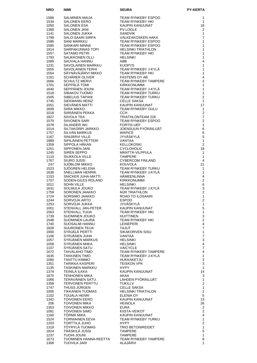| <b>NRO</b>   | <b>NIMI</b>                                    | <b>SEURA</b>                                        | <b>PY-KERTA</b>                |
|--------------|------------------------------------------------|-----------------------------------------------------|--------------------------------|
| 1588         | SALMINEN MAIJA                                 | <b>TEAM RYNKEBY ESPOO</b>                           | 1                              |
| 1534         | <b>SALONEN EERO</b>                            | <b>TEAM RYNKEBY HKI</b>                             | 1                              |
| 1050         | <b>SALONEN ESA</b>                             | KAUPIN KANUUNAT                                     | 18                             |
| 1368         | <b>SALONEN JANI</b>                            | <b>PV LOGLE</b>                                     | 2                              |
| 1141<br>1799 | SALONEN JUKKA<br>SALO-SAARI SIRPA              | <b>SANDVIK</b><br><b>VALKEAKOSKEN HAKA</b>          | 1<br>7                         |
| 1586         | SANI MARKKU                                    | <b>TEAM RYNKEBY ESPOO</b>                           | 1                              |
| 1585         | <b>SANKARI MINNA</b>                           | <b>TEAM RYNKEBY ESPOO</b>                           | 1                              |
| 1914         | SARPAKUNNAS TOPI                               | <b>HELSINKI TRIATHLON</b>                           | 1                              |
| 1557         | <b>SATAMO PETRI</b>                            | TEAM RYNKEBY HKI                                    | 1                              |
| 1793<br>1089 | SAUKKONEN OLLI<br>SAUVALA HANNU                | <b>HELSINKI</b><br>ABB                              | 1<br>4                         |
| 1231         | <b>SAVOLAINEN MARKKU</b>                       | <b>KUOPYS</b>                                       | 1                              |
| 1655         | <b>SAVOLAINEN TERHI</b>                        | TEAM RYNKEBY J-KYLÄ                                 | 1                              |
| 1554         | SÄYNÄVÄJÄRVI MIKKO                             | <b>TEAM RYNKEBY HKI</b>                             | 1                              |
| 1161<br>1666 | SCHÄRER OLIVER<br><b>SCHULTZ MERVI</b>         | <b>FASTEMS OY AB</b><br><b>TEAM RYNKEBY TAMPERE</b> | 4<br>$\overline{\mathbf{c}}$   |
| 1701         | SEPPÄLÄ TOMI                                   | <b>KIRKKONUMMI</b>                                  | 1                              |
| 1640         | SEPPÄNEN JOUNI                                 | TEAM RYNKEBY J-KYLÄ                                 | 1                              |
| 1518         | SIBAKOV TUOMO                                  | <b>TEAM RYNKEBY TURKU</b>                           | 1                              |
| 1505         | SIBELIUS TAPANI                                | TEAM RYNKEBY TURKU                                  | 2                              |
| 1745<br>1051 | SIEKMANN HEINZ<br>SIEVÄNEN MATTI               | <b>CELLE SAKSA</b><br>KAUPIN KANUUNAT               | 1<br>17                        |
| 1609         | <b>SIIRA MIKKO</b>                             | <b>TEAM RYNKEBY OULU</b>                            | 1                              |
| 1018         | SIIRIÄINEN PEKKA                               | <b>CCH</b>                                          | 2                              |
| 1827         | SIIVOLA TEA                                    | TRIATHLONTEAM 226                                   | $\overline{7}$                 |
| 1570<br>1078 | <b>SIIVONEN SARI</b><br>SILANDER AKI           | <b>TEAM RYNKEBY ESPOO</b><br><b>FORTIS-UEF</b>      | $\overline{2}$<br>1            |
| 1014         | SILTAKORPI JARKKO                              | JOENSUUN PYÖRÄILIJÄT                                | 6                              |
| 1757         | <b>SILVAN MARKUS</b>                           | <b>WAPICE</b>                                       | 6                              |
| 1167         | SINIJÄRVI VILLE                                | <b>JYVÄSKYLÄ</b>                                    | $\mathbf 5$                    |
| 1889         | SIPILÄINEN PETTERI                             | <b>VANTAA</b>                                       | $\mathbf{1}$                   |
| 1359<br>1251 | SIPPOLA HÄKAN<br><b>SIPPONEN JANI</b>          | <b>KELLOKOSKI</b><br><b>CYCLOHOLIC</b>              | $\overline{2}$<br>18           |
| 1245         | SIREN SEPPO                                    | MÄNTTÄ-VILPPULA                                     | 1                              |
| 1110         | <b>SIUKKOLA VILLE</b>                          | <b>TAMPERE</b>                                      | 1                              |
| 1767         | SIURO JUSSI                                    | <b>CYBERCOM FINLAND</b>                             | 4                              |
| 247          | SJÖBLOM MIKKO                                  | <b>KOUVOLA</b>                                      | 21                             |
| 1523<br>1636 | SJÖGREN HELENA<br>SNELLMAN HENRIK              | TEAM RYNKEBY TURKU<br>TEAM RYNKEBY J-KYLÄ           | 1<br>1                         |
| 1153         | SNICKER JUHA-MATTI                             | <b>HÄMEENLINNA</b>                                  | 4                              |
| 1707         | SODEN-GILES ROLAND                             | <b>KIRKKONUMMI</b>                                  | 2                              |
| 1011         | <b>SOHN VILLE</b>                              | <b>HELSINKI</b>                                     | 6                              |
| 1631<br>1759 | SOLMULA JOUKO<br>SORONEN JAAKKO                | TEAM RYNKEBY J.KYLA<br><b>MJR TRIATHLON</b>         | 3<br>$\overline{2}$            |
| 1724         | SORSIMO JAAKKO                                 | <b>ROAD TO ILOSAARI</b>                             | $\mathbf{1}$                   |
| 1244         | SORVOJA ARTO                                   | <b>ESPOO</b>                                        | $\overline{2}$                 |
| 1253         | SORVOJA JUKKA                                  | JYVÄSKYLÄ                                           | 1                              |
| 1001         | STENVALL JAN-PETER                             | KAUPIN KANUUNAT                                     | 5                              |
| 1563<br>1739 | STENVALL TUIJA<br>SUOMINEN JOUKO               | TEAM RYNKEBY HKI<br><b>HUITTINEN</b>                | $\mathbf{1}$<br>3              |
| 1548         | SUOMINEN LAURA                                 | TEAM RYNKEBY HKI                                    | $\overline{\mathbf{c}}$        |
| 1740         | SUOSALMI HANNU                                 | <b>LEINEPERI</b>                                    | 4                              |
| 1828         | <b>SUURONEN TEIJA</b>                          | <b>TAJUT</b>                                        | 7                              |
| 1900<br>1106 | SYRJÄLÄ PERTTI<br>SYRJÄNEN JUHA                | SIKAKORVEN SISU<br><b>VANTAA</b>                    | 1<br>$\boldsymbol{7}$          |
| 1057         | SYRJANEN MARKUS                                | <b>HELSINKI</b>                                     | 3                              |
| 1058         | SYRJÄNEN MIIKA                                 | <b>HELSINKI</b>                                     | 4                              |
| 1107         | SYRJANEN SATU                                  | <b>VAICYCLE</b>                                     | 7                              |
| 1672<br>1635 | <b>TAIVALAHO TIMO</b><br><b>TAKKINEN TIMO</b>  | TEAM RYNKEBY TAMPERE<br>TEAM RYNKEBY J-KYLÄ         | 4                              |
| 1060         | TANTTU KIMMO                                   | HUKKAKETJU                                          | $\mathbf{1}$<br>3              |
| 1351         | TARIKKA KASPERI                                | <b>TEISKON VPK</b>                                  | 3                              |
| 1135         | TASKINEN MARKKU                                | <b>HYPY</b>                                         | 1                              |
| 1374         | TEINILÄ ILKKA                                  | KAUPIN KANUUNAT                                     | 14                             |
| 1875<br>1066 | <b>TENHONEN MIKA</b><br>TERÄVÄINEN SATU        | AKAA<br>LAHDEN PYÖRÄILIJÄT                          | 3<br>1                         |
| 1358         | <b>TERVONEN PERTTU</b>                         | <b>TUKILLV</b>                                      | $\mathbf{2}$                   |
| 1747         | THUSS JÜRGEN                                   | <b>CELLE SAKSA</b>                                  | 1                              |
| 1005         | <b>TIKKANEN TUOMAS</b>                         | <b>HELSINKI TRIATHLON</b>                           | $\overline{c}$                 |
| 1102<br>1342 | TOIJALA HENRI<br><b>TOIVONEN EERO</b>          | ELENIA OY<br>KAUPIN KANUUNAT                        | 5<br>13                        |
| 206          | <b>TOIVONEN MIKA</b>                           | <b>HEINOLA</b>                                      | 26                             |
| 1353         | <b>TOIVONEN MIKKO</b>                          | <b>EURA</b>                                         | $\overline{2}$                 |
| 1081         | <b>TOIVONEN SIMO</b>                           | KIISTA-VEIKOT                                       | 2                              |
| 1160         | TÖRMÄ MIKA                                     | KAUPIN KANUUNAT                                     | 4                              |
| 1524<br>1203 | <b>TORNIAINEN EEVA</b><br><b>TORTTILA JUHO</b> | TEAM RYNKEBY TURKU<br><b>HYPY</b>                   | $\mathbf{1}$<br>$\overline{2}$ |
| 1319         | TÖYRYLÄ TUOMAS                                 | <b>TRIO BETONIREIDET</b>                            | 1                              |
| 1824         | TRÄSKILÄ JUSSI                                 | <b>TAMPERE</b>                                      | 5                              |
| 1237         | <b>INUOL IHOUT</b>                             | <b>TAMPERE</b>                                      | 1                              |
| 1673<br>1306 | TUOMINEN HANNA-REETTA<br>TUOVILA JARI          | TEAM RYNKEBY TAMPERE<br>ALAJÄRVI                    | 8<br>1                         |
|              |                                                |                                                     |                                |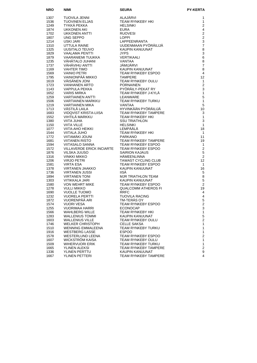| <b>NRO</b>   | <b>NIMI</b>                                | <b>SEURA</b>                                                                                                                                                                                                                                                                | <b>PY-KERTA</b>         |
|--------------|--------------------------------------------|-----------------------------------------------------------------------------------------------------------------------------------------------------------------------------------------------------------------------------------------------------------------------------|-------------------------|
| 1307         | TUOVILA JENNI                              | ALAJÄRVI                                                                                                                                                                                                                                                                    | 1                       |
| 1536         | TUOVINEN ELJAS                             | TEAM RYNKEBY HKI                                                                                                                                                                                                                                                            | $\mathbf{1}$            |
| 1249         | TYKKA PEKKA                                | HELSINKI                                                                                                                                                                                                                                                                    | $\overline{2}$          |
| 1874         | UKKONEN AKI                                | <b>EURA</b>                                                                                                                                                                                                                                                                 | $\overline{4}$          |
| 1702         | UKKONEN ANTTI                              | <b>RUOVESI</b>                                                                                                                                                                                                                                                              | $\boldsymbol{2}$        |
| 1807         | UNG SEPPO                                  | <b>LOPPI</b>                                                                                                                                                                                                                                                                | $\overline{c}$          |
| 1214         | USKI JARI                                  | LAPPEENRANTA                                                                                                                                                                                                                                                                | $\mathsf 3$             |
| 1310         | UTTULA RAINE                               | UUDENMAAN PYÖRÄILIJÄ                                                                                                                                                                                                                                                        | $\overline{7}$          |
| 1325         | UUSITALO TEUVO                             |                                                                                                                                                                                                                                                                             | 8                       |
| 1829         | VAALAMA PENTTI                             |                                                                                                                                                                                                                                                                             | 3                       |
| 1879         |                                            |                                                                                                                                                                                                                                                                             | $6\phantom{a}$          |
| 1235         | VÄHÄTALO JUHANI                            |                                                                                                                                                                                                                                                                             | 8                       |
| 1737         | VÄHÄVIHU ANTTI                             |                                                                                                                                                                                                                                                                             | $\overline{7}$          |
| 1169         | VAHTER TIMO                                |                                                                                                                                                                                                                                                                             | 8                       |
| 1569         | <b>VAINIO PETRI</b>                        |                                                                                                                                                                                                                                                                             | $\overline{4}$          |
| 1795         | VAINIONPÄÄ MIKKO                           |                                                                                                                                                                                                                                                                             | 12                      |
| 1619         | VÄISÄNEN JONI                              |                                                                                                                                                                                                                                                                             | 1                       |
| 1723         | VANHANEN ARTO                              |                                                                                                                                                                                                                                                                             | $\overline{2}$          |
| 1143         | VAPPULA PEKKA                              | PYÖRÄILY-F<br>TEAM RYNK<br>LEANWARE                                                                                                                                                                                                                                         | 3                       |
| 1652         | <b>VARIS MIRKA</b>                         |                                                                                                                                                                                                                                                                             | $\mathbf{1}$            |
| 1259         | VARTIAINEN ANTTI                           |                                                                                                                                                                                                                                                                             | 5                       |
| 1506         | VARTIAINEN MARKKU                          |                                                                                                                                                                                                                                                                             | $\mathbf{1}$            |
| 1219         | <b>VARTIAINEN MIKA</b>                     |                                                                                                                                                                                                                                                                             | 5                       |
| 1713         | VÄSTILÄ LAILA                              | TEAM שׁרוֹא.<br>VANTAA<br>HYVINKÄÄN PYÖRÄILIJÄ<br>— ^^^ RYNKEBY TAMPER                                                                                                                                                                                                      | 10                      |
| 1683         | VIDQVIST KRISTA-LIISA                      |                                                                                                                                                                                                                                                                             | 3                       |
| 1552         | VIHTILÄ MARKKU                             |                                                                                                                                                                                                                                                                             | $\mathbf{1}$            |
| 1380         | VIITA JUHA                                 | UUDENMAAN PYÖRÄILIJÄ<br>KAUPIN KANUUNAT<br>JYPS<br>VERTIKAALI<br>VANTJÄA<br>JÄMIJÄRVI<br>KAUPIN KANUUNAT<br>TEAM RYNKEBY ESPOO<br>TAMPERE<br>TEAM RYNKEBY OULU<br>PORNAINEN<br>PYÖRÄILY-PEKAT RY<br>TEAM RYNKEBY TURKU<br>LEAMTAA<br>TEAM RYNKEBY TURKU<br>TEAM RYNKEBY TAM | 3                       |
| 1150         | <b>VIITA VILLE</b>                         | HELSIIM<br>LEMPÄÄLÄ                                                                                                                                                                                                                                                         | $\mathbf{1}$            |
| 1077         | VIITA-AHO HEIKKI                           |                                                                                                                                                                                                                                                                             | 18                      |
| 1544         | VIITALA JUHO                               | I EAIN INTERNATIONAL                                                                                                                                                                                                                                                        | $\overline{1}$          |
| 1772         | <b>VIITAMÄKI JOUNI</b>                     |                                                                                                                                                                                                                                                                             | 11                      |
| 1681         | <b>VIITANEN RISTO</b>                      |                                                                                                                                                                                                                                                                             | 19                      |
| 1594         | <b>VIITASALO SANNA</b>                     | TEAM RYNKEBY ESPOO                                                                                                                                                                                                                                                          | $\mathbf{1}$            |
| 1572         | VILLAVERDE ERICK INCIARTE                  | TEAM RYNKEBY ESPOO                                                                                                                                                                                                                                                          | $\boldsymbol{2}$        |
| 1876         | VILSKA JUUSO                               | <b>SAIRION KAJAUS</b>                                                                                                                                                                                                                                                       | $\sqrt{5}$              |
| 1316         | VINKKI MIKKO                               | HÄMEENLINNA                                                                                                                                                                                                                                                                 | 2                       |
| 1206         | <b>VIRJO PETRI</b>                         | TAWAST CYCLING CLUB                                                                                                                                                                                                                                                         | 12                      |
| 1581         | <b>VIRTA ESA</b><br><b>VIRTANEN JAAKKO</b> | TEAM RYNKEBY ESPOO                                                                                                                                                                                                                                                          | $\mathbf{1}$            |
| 1378         |                                            | KAUPIN KANUUNAT<br><b>IISÄ</b>                                                                                                                                                                                                                                              | 16                      |
| 1736<br>1894 | VIRTANEN JUSSI<br><b>VIRTANEN TONI</b>     | MJR TRIATHLON TEAM                                                                                                                                                                                                                                                          | 5<br>8                  |
| 1303         | VITIKKALA JARI                             | KAUPIN KANUUNAT                                                                                                                                                                                                                                                             | 5                       |
| 1580         | VON WEHRT MIKE                             | TEAM RYNKEBY ESPOO                                                                                                                                                                                                                                                          | 2                       |
| 1278         | <b>VULLI MIKKO</b>                         | <b>QUALCOMM ATHEROS FI</b>                                                                                                                                                                                                                                                  | 19                      |
| 1690         | <b>VUOLLE TUOMO</b>                        | <b>RRFC</b>                                                                                                                                                                                                                                                                 | 4                       |
| 1232         | <b>VUORELA PERTTI</b>                      | <b>TUOVILA RACING</b>                                                                                                                                                                                                                                                       | $\overline{\mathbf{4}}$ |
| 1872         | VUORENPÄÄ ARI                              | TM-TERÄS OY                                                                                                                                                                                                                                                                 | 5                       |
| 1574         | <b>VUORI VESA</b>                          | TEAM RYNKEBY ESPOO                                                                                                                                                                                                                                                          | 2                       |
| 1255         | VUORIMAA HARRI                             | <b>ECONOCAP</b>                                                                                                                                                                                                                                                             | 3                       |
| 1566         | WAHLBERG WILLE                             | TEAM RYNKEBY HKI                                                                                                                                                                                                                                                            | $\mathbf{1}$            |
| 1283         | WALLENIUS TOMMI                            | KAUPIN KANUUNAT                                                                                                                                                                                                                                                             | 5                       |
| 1603         | <b>WALLENIUS VILLE</b>                     | <b>TEAM RYNKEBY OULU</b>                                                                                                                                                                                                                                                    | $\overline{c}$          |
| 1746         | WELKER CHRISTOPH                           | <b>CELLE SAKSA</b>                                                                                                                                                                                                                                                          | $\mathbf{1}$            |
| 1510         | WENNING EMMALEENA                          | TEAM RYNKEBY TURKU                                                                                                                                                                                                                                                          | $\mathbf{1}$            |
| 1916         | <b>WESTBERG LASSE</b>                      | <b>ESPOO</b>                                                                                                                                                                                                                                                                | $\mathbf{1}$            |
| 1578         | WESTERLUND LEENA                           | TEAM RYNKEBY ESPOO                                                                                                                                                                                                                                                          | $\boldsymbol{2}$        |
| 1607         | <b>WICKSTROM KAISA</b>                     | TEAM RYNKEBY OULU                                                                                                                                                                                                                                                           | 1                       |
| 1509         | WIHERVUORI ERIK                            | TEAM RYNKEBY TURKU                                                                                                                                                                                                                                                          | $\mathbf{1}$            |
| 1665         | YLINEN ALEKSI                              | <b>TEAM RYNKEBY TAMPERE</b>                                                                                                                                                                                                                                                 | $\boldsymbol{2}$        |
| 1336         | YLINEN PERTTU                              | KAUPIN KANUUNAT                                                                                                                                                                                                                                                             | 9                       |
| 1667         | YLINEN PETTERI                             | TEAM RYNKEBY TAMPERE                                                                                                                                                                                                                                                        | 4                       |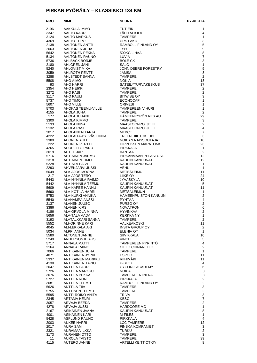#### **PIRKAN PYÖRÄILY – KLASSIKKO 134 KM**

| <b>NRO</b>   | NIMI                                       | <b>SEURA</b>                              | <b>PY-KERTA</b>                  |
|--------------|--------------------------------------------|-------------------------------------------|----------------------------------|
| 2196         | AAKKULA IMMO                               | TUT-EIK                                   | 1                                |
| 3347         | AALTO KARRI                                | <b>LÄHITAPIOLA</b>                        | 4                                |
| 3124         | AALTO MARKUS                               | <b>TAMPERE</b>                            | 1                                |
| 4369<br>2138 | AALTO TERO<br>AALTONEN ANTTI               | URS LAKU<br>RAMBOLL FINLAND OY            | 3<br>5                           |
| 2063         | AALTONEN JUHA                              | <b>JYPS</b>                               | 9                                |
| 5642         | AALTONEN PEKKA                             | 500KG LIHAA                               | 8                                |
| 5134         | AALTONEN RAUNO                             | LUVIA                                     | $\overline{7}$                   |
| 5736         | AHLBÄCK BÖRJE                              | <b>BÖLE CK</b>                            | 3                                |
| 2180<br>5240 | AHLGREN JANI<br>AHLQVIST MIKA              | SALO<br>JOHN DEERE FORESTRY               | $\mathbf{1}$<br>9                |
| 3059         | AHLROTH PENTTI                             | JÄMSÄ                                     | 8                                |
| 3288         | AHLSTEDT SANNA                             | <b>TAMPERE</b>                            | 2                                |
| 5508         | AHO AIMO                                   | <b>NOKIA</b>                              | 18                               |
| 93<br>2354   | AHO HARRI<br>AHO HEIKKI                    | SÄTEILYTURVAKESKUS<br><b>TAMPERE</b>      | 37<br>2                          |
| 3272         | AHO PASI                                   | <b>TAMPERE</b>                            | $\overline{2}$                   |
| 3117         | AHO PAULI                                  | <b>BITWISE OY</b>                         | 3                                |
| 5737         | AHO TIMO                                   | <b>ECONOCAP</b>                           | 1                                |
| 5607         | AHO VILLE                                  | <b>ORIVESI</b>                            | 1<br>$\mathbf{1}$                |
| 5703<br>4155 | AHOKAS TEEMU-VILLE<br>AHOLA JUHA           | <b>TAMPEREEN VIHURI</b><br><b>TAMPERE</b> | $\overline{2}$                   |
| 177          | AHOLA JUHANI                               | HÄMEENKYRÖN RES.AU                        | 29                               |
| 3300         | AHOLA KIMMO                                | <b>TAMPERE</b>                            | 3                                |
| 5133         | AHOLA NIINA                                | MAASTOONPOLJE.FI                          | $\overline{2}$                   |
| 5132<br>3017 | AHOLA PASI<br>AHOLAINEN TARJA              | MAASTOONPOLJE.FI<br><b>MTBCF</b>          | $\overline{4}$<br>$\overline{7}$ |
| 4222         | AHOLAITA-PYLVÄS LINDA                      | <b>TREEN HIIHTOKLUBI</b>                  | $\mathbf{3}$                     |
| 3389         | <b>AHONEN AULI</b>                         | NOKIAN NAISSOUTAJAT                       | 10                               |
| 222          | <b>AHONEN PERTTI</b>                       | HIPPOKSEN MARATONK.                       | 23                               |
| 4265<br>3019 | AHOPELTO PANU<br>AHTEE JARI                | PIRKKALA<br>VANTAA                        | $\mathbf{1}$<br>2                |
| 5716         | AHTIAINEN JARMO                            | PIRKANMAAN PELASTUSL                      | $12 \overline{ }$                |
| 2318         | <b>AHTIAINEN TIMO</b>                      | KAUPIN KANUUNAT                           | 12                               |
| 5228         | AHTIALA PÄIVI                              | KAUPIN KANUUNAT                           | $\mathbf{1}$                     |
| 2293<br>5049 | AHVENJÄRVI JUSSI<br>ALA-AJOS MOONA         | <b>VEHU</b><br>METSÄLEIMU                 | $\mathbf{1}$<br>11               |
| 217          | ALA-AJOS TERO                              | <b>LIIKE OY</b>                           | 24                               |
| 5443         | ALA-HYNNILA RAIMO                          | JYVÄSKYLÄ                                 | 10                               |
| 5442         | ALA-HYNNILÄ TEEMU                          | KAUPIN KANUUNAT                           | 5                                |
| 5609         | ALA-KAPEE HANNU                            | KAUPIN KANUUNAT<br>METSÄLEIMUN            | 11<br>1                          |
| 5690<br>5753 | ALA-KOTILA HARRI<br>ALA-KURKI ANNIKA       | HÄMEENPUISTON KANUUN                      | $\overline{2}$                   |
| 5540         | ALANAMPA ANSSI                             | <b>PYHTÄÄ</b>                             | 4                                |
| 2137         | ALANEN JUUSO                               | PURSO OY                                  | $\overline{2}$                   |
| 3386         | <b>ALANEN KIRSI</b>                        | <b>NOVATRON</b><br><b>HYVINKÄÄ</b>        | 6<br>$\overline{2}$              |
| 4186<br>5656 | ALA-ORVOLA MINNA<br>ALA-TALA AADA          | KERKKÄ NY                                 | $\mathbf{1}$                     |
| 3193         | ALATALKKARI SANNA                          | <b>TAMPERE</b>                            | $\overline{2}$                   |
| 5552         | ALHORINNE KARI                             | VALKEAKOSKI                               | 11                               |
| 4045         | ALI-LEKKALA AKI                            | INSTA GROUP OY                            | 2                                |
| 5034<br>5580 | ALPPI ANNE<br><b>ALTONEN JANNE</b>         | ELENIA OY<br><b>SIIVIKKALA</b>            | $\mathbf{1}$<br>10               |
| 5249         | <b>ANDERSON KLAUS</b>                      | <b>VINCIT</b>                             | 3                                |
| 5717         | ANNALA MATTI                               | TAMPEREEN PYRINTÖ                         | 4                                |
| 2164         | ANNALA RAINO                               | CIELO CHINARELLO                          | $\overline{2}$                   |
| 7066<br>4071 | ANTIKAINEN JUHA<br><b>ANTIKAINEN JYRKI</b> | <b>TAMPERE</b><br><b>ESPOO</b>            | 1<br>11                          |
| 5337         | ANTIKAINEN MARKKU                          | RIIHIMAKI                                 | 11                               |
| 4130         | <b>ANTIKAINEN TAPIO</b>                    | U-BLOX                                    | 4                                |
| 2047         | <b>ANTTILA HARRI</b>                       | <b>CYCLING ACADEMY</b>                    | 6                                |
| 5726<br>3076 | ANTTILA MARKKU<br>ANTTILA PEKKA            | <b>NOKIA</b><br><b>TAMPEREEN INFRA</b>    | 3<br>8                           |
| 5727         | <b>ANTTILA RONI</b>                        | <b>PIRKKALA</b>                           | $\overline{c}$                   |
| 3081         | ANTTILA TEEMU                              | RAMBOLL FINLAND OY                        | $\overline{c}$                   |
| 5626         | ANTTILA TIIA                               | TAMPERE                                   | 3                                |
| 5755<br>5595 | ANTTINEN TEEMU<br>ANTTI-ROIKO ANITA        | <b>TAMPERE</b><br>TRIVA                   | $\overline{c}$<br>3              |
| 2345         | ARTAMA HENRI                               | <b>KBSC</b>                               | $\overline{7}$                   |
| 3057         | ARVAJA BEEDA                               | <b>TAMPERE</b>                            | $\overline{2}$                   |
| 4278         | ARVAJA JUSSI                               | HARDCORE MC                               | 1                                |
| 2167<br>4001 | ASIKAINEN JAANA<br>ASIKAINEN KARI          | KAUPIN KANUUNAT<br>M-FILES                | 8<br>1                           |
| 5428         | ASPLUND RAUNO                              | PIRKKALA                                  | 4                                |
| 2003         | AUKEE HARRI                                | <b>LCC TAMPERE</b>                        | 12 <sup>°</sup>                  |
| 2017         | <b>AURA SAMI</b>                           | <b>FINSKA KOMPANIET</b>                   | 3                                |
| 2321         | AURAMAA ILKKA                              | <b>TURKU</b>                              | $\overline{2}$                   |
| 3173<br>11   | AURANEN OTTO<br>AUROLA TAISTO              | TAMPERE<br>TAMPERE                        | 3<br>39                          |
| 4115         | AUTERO JANNE                               | ARTELLI KEITTIÖT OY                       | 8                                |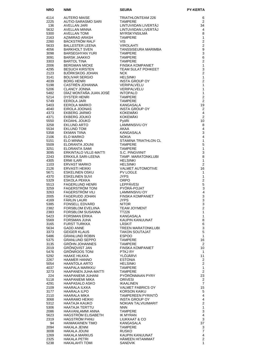| <b>NRO</b>   | <b>NIMI</b>                                    | <b>SEURA</b>                                    | <b>PY-KERTA</b>                  |
|--------------|------------------------------------------------|-------------------------------------------------|----------------------------------|
| 4114         | <b>AUTERO MAISE</b>                            | TRIATHLONTEAM 226                               | 6                                |
| 2225         | AUTIO-SARASMO SARI                             | <b>TAMPERE</b>                                  | $\overline{2}$                   |
| 136          | AVELLAN JARI                                   | LINTUVIIDAN LIVERTAJ                            | 34                               |
| 5632<br>5300 | AVELLAN MINNA<br><b>AVELLAN TOMI</b>           | LINTUVIIDAN LIVERTAJ<br><b>MYRSKYNSILMÄ</b>     | 4<br>8                           |
| 2163         | AZIMIRAD ARASH                                 | <b>TAMPERE</b>                                  | $\mathbf{1}$                     |
| 2260         | BÄCKSTRÖM RALF                                 | <b>VIS</b>                                      | $\overline{2}$                   |
| 5633         | <b>BALLESTER LEENA</b>                         | <b>VIROLAHTI</b>                                | $\overline{2}$                   |
| 4056<br>3098 | <b>BARKHOLT SVEN</b><br><b>BARSEGHYAN YURI</b> | TANSSISEURA MARIMBA<br><b>TAMPERE</b>           | $\boldsymbol{9}$<br>3            |
| 3091         | <b>BARSK JAAKKO</b>                            | <b>TAMPERE</b>                                  | 6                                |
| 3303         | <b>BARTOL TINA</b>                             | <b>TAMPERE</b>                                  | $\overline{2}$                   |
| 2006         | BERGMAN MICKE                                  | FINSKA KOMPANIET                                | $\mathbf{1}$                     |
| 4295<br>2123 | <b>BESUCH KIRSTEN</b><br>BJÖRKSKOG JOHAN       | <b>TEAM SULAT POHKEET</b><br><b>NCK</b>         | 3<br>$\overline{2}$              |
| 3141         | <b>BOLIVAR SERGIO</b>                          | <b>HELSINKI</b>                                 | $\mathbf{1}$                     |
| 4039         | <b>BORG HENRI</b>                              | <b>INSTA GROUP OY</b>                           | $\overline{2}$                   |
| 5198         | CASTREN JOHANNA                                | VERIPALVELU                                     | 1                                |
| 5206<br>5482 | <b>CLANCY JONNA</b><br>DIAZ MONTAÑA JUAN JOSÉ  | <b>VERIPALVELU</b><br><b>INTOPALO</b>           | 1<br>1                           |
| 5214         | <b>DYSTER HENRI</b>                            | <b>TAMPERE</b>                                  | $\overline{2}$                   |
| 5749         | <b>EEROLA JARI</b>                             | <b>TAMPERE</b>                                  | $\mathbf{2}$                     |
| 5403         | EEROLA MARKO                                   | <b>KANGASALA</b>                                | 19                               |
| 4040<br>4373 | EIROLA JOONAS<br><b>EKBERG JARMO</b>           | <b>INSTA GROUP OY</b><br><b>KOKEMÄKI</b>        | $\overline{2}$<br>$\overline{4}$ |
| 4371         | <b>EKBERG JOUKO</b>                            | <b>KOKEMÄKI</b>                                 | 2                                |
| 5550         | EKDAHL JOUKO                                   | PyöRi                                           | 10                               |
| 3258         | EKLUND ARTO                                    | LAMMINSIVU OY                                   | 8                                |
| 5534<br>5358 | <b>EKLUND TOM</b><br>EKMAN TIINA               | AKAA<br><b>KANGASALA</b>                        | 4<br>3                           |
| 2106         | ELO MARKO                                      | <b>NOKIA</b>                                    | $\overline{4}$                   |
| 5151         | <b>ELO MINNA</b>                               | STAMINA TRIATHLON CL                            | $\mathbf{1}$                     |
| 5509         | ELORANTA JOUNI                                 | <b>TAMPERE</b>                                  | 5                                |
| 3251<br>3095 | ELORANTA SAMI<br><b>ERKINTALO VILLE-MATTI</b>  | <b>TAMPERE</b><br>S.C. PINGVIINIT               | $\mathbf{1}$<br>3                |
| 2243         | ERKKILÄ SARI-LEENA                             | TAMP. MARATONKLUBI                              | 8                                |
| 4305         | <b>ERMI ILARI</b>                              | <b>HELSINKI</b>                                 | 1                                |
| 1103         | <b>ERVAST MARKO</b>                            | <b>HELSINKI</b>                                 | $\overline{2}$                   |
| 2126<br>5671 | <b>ERVASTI HEIKKI</b><br><b>ESKELINEN OSKU</b> | <b>VALMET AUTOMOTIVE</b><br><b>PV LOGLE</b>     | 16<br>1                          |
| 4370         | <b>ESKELINEN SUVI</b>                          | <b>JYPS</b>                                     | 1                                |
| 5329         | ESKOLA PEKKA                                   | <b>ORPO</b>                                     | $\overline{2}$                   |
| 5513         | <b>FAGERLUND HENRI</b>                         | <b>LEPPÄVESI</b>                                | $\mathbf 5$                      |
| 3259<br>3263 | FAGERSTRÖM TONI<br>FAGERSTRÖM VILI             | PYÖRÄ-POJAT<br>LAMMINSIVU OY                    | 3<br>$\overline{4}$              |
| 2005         | <b>FAGERUDD JOHAN</b>                          | FINSKA KOMPANIET                                | 3                                |
| 4169         | <b>FARLIN LAURI</b>                            | <b>JYPS</b>                                     | 3                                |
| 5385         | <b>FONSELL EDVARD</b>                          | <b>NITOR</b>                                    | 3                                |
| 2382<br>2383 | <b>FORSBLOM EVELIINA</b><br>FORSBLOM SUSANNA   | <b>TEAM JOYMENT</b><br><b>TT226</b>             | $\overline{c}$<br>1              |
| 5423         | <b>FORSMAN ERIKA</b>                           | KANGASALA                                       | 1                                |
| 5569         | FORSMAN JUHA                                   | KAUPIN KANUUNAT                                 | 8                                |
| 3165         | FURST TURKKA                                   | LÄSKIT                                          | 6                                |
| 5634<br>3373 | <b>GADD ANNE</b><br><b>GEIGER KLAUS</b>        | TREEN MARATONKLUBI<br><b>TAKON SOUTAJAT</b>     | $\mathsf 3$<br>5                 |
| 5486         | <b>GRANLUND ROBIN</b>                          | <b>ESPOO</b>                                    | 1                                |
| 5375         | <b>GRANLUND SEPPO</b>                          | <b>TAMPERE</b>                                  | 16                               |
| 3135         | GRÖHN JOHANNES                                 | <b>TAMPERE</b>                                  | 2                                |
| 2019<br>5476 | <b>GRONQVIST JAN</b><br><b>GRÖNROOS TONI</b>   | <b>FINSKA KOMPANIET</b><br>PTKJ RY              | 10<br>1                          |
| 5292         | HAAKE HILKKA                                   | YLÖJÄRVI                                        | 11                               |
| 2267         | <b>HAAMER HANNO</b>                            | <b>ESTONIA</b>                                  | 2                                |
| 5054         | HAANTOLA ARTO                                  | <b>HELSINKI</b>                                 | 2                                |
| 4037<br>3273 | HAAPALA MARKKU<br>HAAPANEN JUHA-MATTI          | <b>TAMPERE</b><br><b>TAMPERE</b>                | 1<br>2                           |
| 224          | HAAPANIEMI JUHANI                              | PYORONMAAN PYRY                                 | 23                               |
| 5118         | HAAPANIEMI MIKA                                | <b>ORIVESI</b>                                  | $\overline{2}$                   |
| 4291         | HAAPASALO ASKO                                 | <b>IKAALINEN</b>                                | $\overline{7}$                   |
| 2109<br>3177 | HAARALA ILKKA<br>HAARALA ILPO                  | <b>VALMET FABRICS OY</b><br><b>KORSON KAIKU</b> | 15<br>5                          |
| 2110         | HAARALA MIKA                                   | TAMPEREEN PYRINTO                               | 4                                |
| 3068         | HAARAMO HEIKKI                                 | <b>INSTA GROUP OY</b>                           | $\overline{4}$                   |
| 5312         | HAATAJA KAUKO                                  | NOKIAN TALVIUIMARIT                             | $\overline{2}$                   |
| 5306<br>2086 | HAATAJA TERTTU<br>HAAVANLAMMI ANNA             | <b>NNN</b><br><b>TAMPERE</b>                    | $\mathbf{1}$<br>3                |
| 5623         | <b>HAGSTROM ELISABETH</b>                      | IK MYRAN                                        | $\overline{4}$                   |
| 2319         | <b>HAGSTROM PANU</b>                           | LIUKKAAT & CO                                   | 3                                |
| 94           | <b>HAIMAKAINEN TIMO</b>                        | KANGASALA                                       | 37                               |
| 2094<br>3008 | HAKALA JENNI<br><b>HAKALA JOUNI</b>            | <b>TAMPERE</b><br><b>RUSKO</b>                  | 3<br>$\overline{7}$              |
| 1269         | <b>HAKALA MARKUS</b>                           | KAUPIN KANUUNAT                                 | $\overline{4}$                   |
| 2325         | <b>HAKALA PETRI</b>                            | HÄMEEN HITAIMMAT                                | $\overline{2}$                   |
| 5238         | HAKALAHTI TOMI                                 | <b>SANDVIK</b>                                  | 1                                |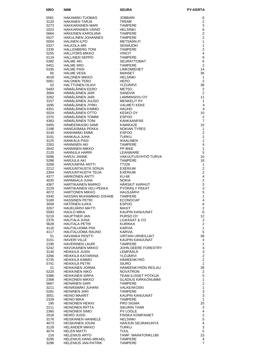| <b>NRO</b>   | NIMI                                            | <b>SEURA</b>                               | <b>PY-KERTA</b>                        |
|--------------|-------------------------------------------------|--------------------------------------------|----------------------------------------|
| 5581         | <b>HAKAMÄKI TUOMAS</b>                          | <b>JOBBARI</b>                             | 6                                      |
| 3120         | <b>HAKANEN TARJA</b>                            | <b>TREMK</b>                               | $\overline{2}$                         |
| 5273         | <b>HAKKARAINEN MARI</b>                         | <b>TAMPERE</b>                             | 3                                      |
| 2023         | HAKKARAINEN VÄINÖ                               | <b>HELSINKI</b>                            | 6                                      |
| 5664<br>5527 | HÄKKINEN KAROLIINA<br><b>HAKULINEN JOHANNES</b> | <b>TAMPERE</b><br><b>TAMPERE</b>           | 3<br>$\overline{2}$                    |
| 5004         | <b>HALINEN ILPO</b>                             | METSÄÄN.FI                                 | 1                                      |
| 5327         | <b>HALKOLA ARI</b>                              | <b>SEINÄJOKI</b>                           | 1                                      |
| 2330         | <b>HALLENBERG TONI</b>                          | <b>TAMPERE</b>                             | $\overline{2}$                         |
| 5255<br>5119 | <b>HALLFORS MIKKO</b><br><b>HALLINEN SEPPO</b>  | <b>VINCIT</b><br><b>TAMPERE</b>            | $\overline{4}$<br>9                    |
| 5382         | <b>HALME AKI</b>                                | <b>SEURATTOMAT</b>                         | 6                                      |
| 5451         | <b>HALME IIRO</b>                               | <b>TAMPERE</b>                             | $\overline{2}$                         |
| 5335         | <b>HALME PASI</b>                               | <b>LINKOMIEHET</b>                         | 14                                     |
| 65           | <b>HALME VESA</b>                               | <b>MANSET</b>                              | 36                                     |
| 4018<br>5061 | <b>HALONEN MIKKO</b><br><b>HALONEN TERO</b>     | <b>HELSINKI</b><br><b>HEPO</b>             | 1<br>$\overline{2}$                    |
| 52           | <b>HALTTUNEN OLAVI</b>                          | YLÖJÄRVI                                   | 38                                     |
| 5483         | HÄMÄLÄINEN EERO                                 | <b>METSO</b>                               | 2                                      |
| 3084         | HÄMÄLÄINEN JARI                                 | <b>SANDVIK</b>                             | 2                                      |
| 3262<br>3157 | HÄMÄLÄINEN JARI<br>HÄMÄLÄINEN JUUSO             | LAMMINSIVU OY<br><b>MENKELIT RY</b>        | 11<br>1                                |
| 1695         | HÄMÄLÄINEN JYRKI                                | <b>VALMET/KEKE</b>                         | 4                                      |
| 4351         | HÄMÄLÄINEN KIMMO                                | <b>HAUHO</b>                               | 4                                      |
| 5024         | HÄMÄLÄINEN OTTO                                 | <b>KESKO OY</b>                            | 10                                     |
| 2370<br>4363 | HÄMÄLÄINEN TOMMI<br>HÄMÄLÄINEN TONI             | <b>ESPOO</b><br>KANKAANPÄÄ                 | 2<br>$\overline{7}$                    |
| 5455         | HÄMEENKASKI SAMI                                | <b>KAMIKA7F</b>                            | 10                                     |
| 2198         | <b>HANGASMAA PEKKA</b>                          | <b>NOKIAN TYRES</b>                        | $\mathbf{1}$                           |
| 3140         | HANHIMÄKI EMMI                                  | <b>ESPOO</b>                               | $\overline{2}$                         |
| 3101<br>3125 | HANKALA JUHA<br><b>HANKALA PASI</b>             | <b>TURKU</b><br><b>IKAALINEN</b>           | $\overline{2}$<br>1                    |
| 2263         | HÄNNINEN AKI                                    | <b>TAMPERE</b>                             | 4                                      |
| 3042         | <b>HANNINEN MIKKO</b>                           | PP BIKE                                    | 1                                      |
| 2120         | HANNULA HARRI                                   | LEANWARE                                   | 5                                      |
| 5096         | <b>HARJU JANNE</b>                              | VAKUUTUSYHTIÖ TURVA                        | 10                                     |
| 5288<br>3268 | HARJULA AKI<br>HARJUNPÄÄ ANTTI                  | <b>TAMPERE</b><br><b>TT226</b>             | 18<br>$\mathbf{1}$                     |
| 2212         | HARJUNTAUSTA SONJA                              | <b>EXERIUM</b>                             | $\overline{2}$                         |
| 2304         | HARJUNTAUSTA TEIJA                              | <b>EXERIUM</b>                             | $\overline{2}$                         |
| 4377         | HÄRKÖNEN ANTTI                                  | <b>KU-68</b>                               | 4                                      |
| 4035<br>4367 | HARMAALA JUHA<br><b>HARTIKAINEN MARKO</b>       | <b>NOKIA</b><br><b>HÄRSKIT KARHUT</b>      | $\overline{c}$<br>3                    |
| 2229         | HARTIKAINEN VELI-PEKKA                          | PYÖRÄILY PEKAT                             | 3                                      |
| 4072         | <b>HARTONEN MIKKO</b>                           | <b>HAUSJÄRVI</b>                           | 5                                      |
| 5345<br>5180 | HASSAN MUHAMMAD ZOHAIB<br><b>HASSINEN PETRI</b> | <b>TAMPERE</b><br><b>ECONOCAP</b>          | 1<br>4                                 |
| 3009         | HÄTÖNEN ILKKA                                   | <b>ESPOO</b>                               | 6                                      |
| 3267         | HAUKIJÄRVI MATTI                                | MAXIT                                      | $\mathbf{2}$                           |
| 5593         | <b>HAULO MIKA</b>                               | KAUPIN KANUUNAT                            | 6                                      |
| 5219<br>2376 | <b>HAUPTNER JAN</b><br>HAUTALA JUHA             | PURSO OY<br>LIUKKAAT & CO                  | 12<br>3                                |
| 5628         | HAUTALA PETRI                                   | KURIKKA                                    | $\overline{2}$                         |
| 4116         | HAUTALUOMA PIIA                                 | KARVIA                                     | $\mathbf{1}$                           |
| 4117         | HAUTALUOMA RAUNO<br><b>HAVANKA PENTTI</b>       | KARVIA<br>VIRTAIN URHEILIJAT               | 5                                      |
| 51<br>3151   | <b>HAVERI VILLE</b>                             | KAUPIN KANUUNAT                            | 38<br>4                                |
| 2190         | <b>HAVERINEN LAURI</b>                          | <b>TAMPERE</b>                             | $\overline{\mathbf{c}}$                |
| 5242         | <b>HAVUKAINEN MIKKO</b>                         | JOHN DEERE FORESTRY                        | $\overline{\mathbf{4}}$                |
| 3130<br>3266 | HEIKKILÄ JUSSI<br>HEIKKILÄ KATARIINA            | LEMPÄÄLÄ<br>YLÖJÄRVI                       | 3<br>$\overline{c}$                    |
| 5735         | HEIKKILÄ KIMMO                                  | HÄMEENKYRÖ                                 | $\overline{2}$                         |
| 5741         | HEIKKILÄ PETRI                                  | <b>SIURO</b>                               | $\mathbf{1}$                           |
| 21           | <b>HEIKKINEN JORMA</b>                          | HÄMEENKYRÖN RES.AU                         | 39                                     |
| 5220<br>5386 | <b>HEIKKINEN NIKO</b><br><b>HEIKKINEN SIRPA</b> | <b>NOVATRON</b><br>TEAM ILOISET POTKIJA    | $\overline{a}$<br>5                    |
| 2368         | <b>HEIKONEN MIKKO</b>                           | GLADIUS KIRKKONUMMI                        | 1                                      |
| 5667         | <b>HEINANEN SARI</b>                            | <b>TAMPERE</b>                             | $\overline{c}$                         |
| 3211         | HEINÄSMÄKI JUHANI                               | VALKEAKOSKI                                | $\mathbf{1}$                           |
| 5281<br>3051 | <b>HEININEN JARI</b><br><b>HEINO MAARIT</b>     | <b>TAMPERE</b><br>KAUPIN KANUUNAT          | $\mathsf 3$<br>3                       |
| 2329         | <b>HEINO MIKA</b>                               | <b>TAMPERE</b>                             | 1                                      |
| 195          | <b>HEINONEN HEIKKI</b>                          | PRO SIGMA                                  | 25                                     |
| 2211         | HEINONEN RIITTA                                 | <b>SIKURIN TAIMI</b>                       | 3                                      |
| 2360<br>2018 | <b>HEINONEN SIMO</b><br><b>HEIRO JUSSI</b>      | <b>PV LOGLE</b><br><b>FINSKA KOMPANIET</b> | $\overline{\mathbf{4}}$<br>$\mathbf 2$ |
| 3176         | <b>HEISKANEN HANNELE</b>                        | <b>HELSINKI</b>                            | 5                                      |
| 4073         | <b>HEISKANEN JOUNI</b>                          | HARJUN SEURAKUNTA                          | 4                                      |
| 3128         | <b>HELANDER MIKKO</b>                           | TURKU                                      | 3                                      |
| 4074<br>216  | <b>HELEN MATTI</b><br><b>HELENIUS ARTO</b>      | TUUL<br>TAMP. MARATONKLUBI                 | 5<br>23                                |
| 3295         | <b>HELENIUS HANS-MIKAEL</b>                     | <b>TAMPERE</b>                             | 4                                      |
| 3296         | <b>HELENIUS JAN-PATRIK</b>                      | <b>TAMPERE</b>                             | $\overline{7}$                         |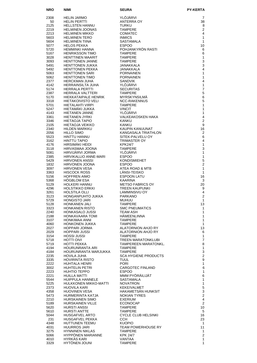| NRO          | NIMI                                              | <b>SEURA</b>                             | <b>PY-KERTA</b>                  |
|--------------|---------------------------------------------------|------------------------------------------|----------------------------------|
| 2308         | <b>HELIN JARMO</b>                                | YLÖJÄRVI                                 | 7                                |
| 50           | <b>HELIN PERTTI</b>                               | <b>ANTERRA OY</b>                        | 38                               |
| 2125         | HELLSTEN HANNU                                    | <b>TURKU</b>                             | 8                                |
| 2219         | <b>HELMINEN JOONAS</b>                            | <b>TAMPERE</b>                           | $\overline{2}$<br>4              |
| 2213<br>5603 | HELMINEN MIKKO<br><b>HELMINEN TERO</b>            | <b>COMATEC</b><br><b>INMICS</b>          | 1                                |
| 5604         | HELMINEN TIINA                                    | SASTAMALA                                | 1                                |
| 5077         | <b>HELOS PEKKA</b>                                | <b>ESPOO</b>                             | 10                               |
| 5720         | HEMMINKI HANNA                                    | POHJANKYRÖN RASTI                        | 6                                |
| 5167<br>3028 | <b>HENRIKSSON TIMO</b><br><b>HENTTINEN MAARIT</b> | <b>TAMPERE</b><br><b>TAMPERE</b>         | 6<br>$\mathbf{1}$                |
| 3093         | <b>HENTTONEN JANNE</b>                            | <b>TAMPERE</b>                           | 3                                |
| 5491         | <b>HENTTONEN JUKKA</b>                            | JANAKKALA                                | 3                                |
| 5492         | <b>HENTTONEN PEKKA</b>                            | JANAKKALA                                | 4                                |
| 5063<br>5062 | HENTTONEN SARI<br><b>HENTTONEN TIMO</b>           | <b>PORNAINEN</b><br><b>PORNAINEN</b>     | $\mathbf{1}$<br>$\mathbf{1}$     |
| 2377         | HERCKMAN JUHA                                     | <b>SANDVIK</b>                           | $\overline{4}$                   |
| 4142         | HERRAINSILTA JUHA                                 | YLÖJÄRVI                                 | $\mathbf{1}$                     |
| 5174         | <b>HERRALA PERTTI</b>                             | <b>SECURITAS</b>                         | $\overline{7}$                   |
| 2387<br>5170 | HERRALA VALTTERI<br>HIEKKATAIPALE HENRIK          | <b>TAMPERE</b><br>MYRSKYNSILMÄ           | 5<br>6                           |
| 3318         | HIETAKOIVISTO VELI                                | <b>NCC-RAKENNUS</b>                      | 5                                |
| 5701         | HIETALAHTI VIRPI                                  | <b>TAMPERE</b>                           | 1                                |
| 5247         | HIETAMÄKI JUKKA                                   | <b>VINCIT</b>                            | 1                                |
| 4143         | HIETANEN JANNE<br>HIETANEN JYRKI                  | YLÖJÄRVI<br>VALKEAKOSKEN HAKA            | 1<br>$\overline{4}$              |
| 3361<br>3346 | HIETAOJA TAPIO                                    | <b>KANKU</b>                             | $\overline{2}$                   |
| 2105         | HIETAOJA VEIKKO                                   | <b>KANKU</b>                             | 9                                |
| 2340         | HILDEN MARKKU                                     | KAUPIN KANUUNAT                          | 16                               |
| 2056<br>5523 | <b>HILLO SIMO</b><br>HINTTU HANNU                 | KANGASALA TRIATHLON                      | $\overline{2}$<br>6              |
| 3162         | HINTTU TAPIO                                      | SITEK-PALVELU OY<br>TRIMASTER OY         | 4                                |
| 4176         | HIRSIMÄKI HEIDI                                   | <b>KPK24/7</b>                           | $\mathbf{1}$                     |
| 3118         | HIRVASMAA JOONA                                   | <b>TAMPERE</b>                           | 3                                |
| 5081         | HIRVIJARVI JORMA                                  | YLOJARVI                                 | 1<br>$\mathbf{1}$                |
| 2385<br>5429 | HIRVIKALLIO ANNE-MARI<br>HIRVONEN ANSSI           | <b>ESPOO</b><br><b>KONDISMIEHET</b>      | 5                                |
| 1832         | HIRVONEN JOONA                                    | <b>ESPOO</b>                             | $\overline{2}$                   |
| 3097         | <b>HIRVONEN VESA</b>                              | ATEA ROAD & MTB                          | $\mathbf{1}$                     |
| 3363<br>5156 | <b>HISCOCK ROSS</b><br><b>HOFFREN AIMO</b>        | LÄNSI-TEISKO<br><b>ESPOON LATU</b>       | 1<br>16                          |
| 5368         | <b>HOGBLOM ESA</b>                                | KAARINA                                  | 3                                |
| 5129         | HOLKERI HANNU                                     | <b>METSO FABRICS OY</b>                  | 20                               |
| 4296<br>3261 | <b>HOLSTIKKO ERKKI</b><br><b>HOLSTILA OLLI</b>    | <b>TREEN KAUPUNKI</b><br>LAMMINSIVU OY   | 9<br>4                           |
| 3123         | HONGANPUHTO JUKKA                                 | <b>PARKANO</b>                           | $\overline{c}$                   |
| 5729         | <b>HONGISTO JARI</b>                              | MUHUU                                    | 1                                |
| 5128         | HONKANEN JALI                                     | <b>TAMPERE</b>                           | 13                               |
| 3323<br>2240 | HONKANEN RISTO<br>HONKASALO JUSSI                 | <b>SMC PNEUMATICS</b><br><b>TEAM ASH</b> | 1<br>1                           |
| 2188         | HONKAVAARA TOMI                                   | <b>HÄMEENLINNA</b>                       | 1                                |
| 3107         | HONKIMAA ANNI                                     | <b>TAMPERE</b>                           | $\mathbf{1}$                     |
| 4060<br>2027 | HONKONEN JUKKA<br>HOPPARI JORMA                   | <b>TAMPERE</b><br>ALATORNION AHJO RY     | 1<br>13                          |
| 2029         | HOPPARI JUSSI                                     | ALATORNION AHJO RY                       | 6                                |
| 3154         | <b>HOSSI JUSSI</b>                                | <b>TAMPERE</b>                           | $\mathbf{1}$                     |
| 5718         | HOTTI OIVI                                        | <b>TREEN MARATONKLUBI</b>                | $\overline{7}$                   |
| 5719<br>4194 | HOTTI PEKKA<br>HOURUNRANTA ARI                    | TAMPEREEN MARATONKL.<br><b>TAMPERE</b>   | 8<br>$\mathbf{1}$                |
| 4184         | HOURUNRANTA MARJUKKA                              | TAMPERE                                  | 3                                |
| 2235         | HOVILA JUHA                                       | <b>SCA HYGIENE PRODUCTS</b>              | $\overline{c}$                   |
| 3335<br>2222 | HOVIRINTA RISTO<br>HUHTALA HENRI                  | TUUL<br><b>PORI</b>                      | 9<br>$\mathbf{1}$                |
| 3002         | HUHTELIN PETRI                                    | CARGOTEC FINLAND                         | 6                                |
| 2223         | HUHTIO TEPPO                                      | <b>ESPOO</b>                             | $\mathbf{1}$                     |
| 2221<br>5544 | HUILLA MATTI<br>HUIPPULA HANNELE                  | MMM PYÖRÄILIJÄT<br>SASTAMALA             | 6<br>$\mathbf{1}$                |
| 5225         | HULKKONEN MIKKO-MATTI                             | <b>NOVATRON</b>                          | $\mathbf{1}$                     |
| 2373         | HUOVILA KARI                                      | <b>KEKE/VALMET</b>                       | 5                                |
| 4358         | <b>HUOVINEN VESA</b>                              | HAKAMETSÄN HUNKSIT                       | 3                                |
| 5473<br>2210 | HURMERINTA KATJA<br>HURSKAINEN SIMO               | <b>NOKIAN TYRES</b><br><b>EXERIUM</b>    | $\overline{2}$<br>$\overline{4}$ |
| 5189         | HURSKAINEN VILLE                                  | <b>ECONOCAP</b>                          | 2                                |
| 5620         | <b>HURSTI ANSSI</b>                               | <b>TAMPERE</b>                           | 10                               |
| 5610         | HURSTI ANTTE                                      | TAMPERE                                  | 5                                |
| 5044<br>231  | HUSGAFVEL ARTO<br>HUSGAFVEL PEKKA                 | CYCLE CLUB HELSINKI<br>CCH.              | 16<br>23                         |
| 4348         | HUTTUNEN TEEMU                                    | <b>KUOPIO</b>                            | 1                                |
| 4031         | <b>HUURROS JARI</b>                               | TEAM POWERHOUSE RY                       | 11                               |
| 3275<br>5066 | <b>HYNNINEN NIKLAS</b><br>HYPPONEN MARIANNE       | <b>TAMPERE</b><br><b>KPK 24/7</b>        | 1<br>$\overline{\mathbf{c}}$     |
| 4010         | HYRKÄS KARI                                       | VANTAA                                   | $\mathbf{1}$                     |
| 3329         | <b>HYTONEN JOUNI</b>                              | <b>TAMPERE</b>                           | 1                                |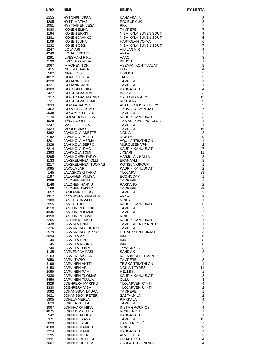| <b>NRO</b>   | <b>NIMI</b>                                       | <b>SEURA</b>                                | <b>PY-KERTA</b>                |
|--------------|---------------------------------------------------|---------------------------------------------|--------------------------------|
| 3330         | HYTÖNEN VESA                                      | KANGASALA                                   | 3                              |
| 4205         | <b>HYTTI MATIAS</b>                               | ROXBURY JK                                  | 3                              |
| 2051<br>5080 | HYYTIÄINEN VESA<br><b>IKONEN ELINA</b>            | <b>PKK</b><br><b>TAMPERE</b>                | $\overline{7}$<br>7            |
| 3194         | <b>IKONEN ERKKI</b>                               | NIEMIKYLÄ SUVEN SOUT                        | 4                              |
| 2281         | <b>IKONEN JAAKKO</b>                              | NIEMIKYLÄ SUVEN SOUT                        | 5                              |
| 4109         | <b>IKONEN JUHA</b>                                | <b>HARTOLAN VOIMA</b>                       | 6                              |
| 2232<br>2247 | <b>IKONEN OSSI</b><br><b>ILOLA ARI</b>            | NIEMIKYLÄ SUVEN SOUT<br><b>VIIALAN VIRI</b> | 7<br>4                         |
| 4240         | <b>ILOMÄKI PETRI</b>                              | AKAA                                        | 1                              |
| 3291         | <b>ILVESMÄKI RIKU</b>                             | VAAO                                        | 3                              |
| 3139<br>2067 | <b>ILVESSUO VESA</b><br><b>IMMONEN TONI</b>       | <b>KENSU</b><br>ASEMAN KONTTAAJAT           | 1<br>8                         |
| 5415         | <b>INBERG JAANA</b>                               | <b>PORI</b>                                 | 4                              |
| 5582         | <b>INNA JUSSI</b>                                 | <b>HIMOSKI</b>                              | $\overline{2}$                 |
| 4012<br>4220 | <b>ISOAHO JUKKA</b>                               | JÄPY                                        | 3<br>1                         |
| 4221         | <b>ISOHANNI ESSI</b><br><b>ISOHANNI JANI</b>      | <b>TAMPERE</b><br><b>TAMPERE</b>            | 1                              |
| 4309         | <b>ISOKOSKI POIKA</b>                             | KANGASALA                                   | $\overline{4}$                 |
| 5427         | <b>ISO-KUNGAS IRA</b>                             | <b>VAASA</b>                                | 3                              |
| 5317<br>5721 | <b>ISO-KUNGAS MARKO</b><br><b>ISO-KUNGAS TOMI</b> | <b>CYKLOMANIA RY</b><br><b>KP TRI RY</b>    | 13<br>5                        |
| 2033         | <b>ISOMAA JARMO</b>                               | ALATORNION AHJO RY                          | 3                              |
| 5462         | <b>ISOPOUSSU ISMO</b>                             | TYÖVÄEN AMPUJAT                             | $\overline{7}$                 |
| 5638<br>2170 | <b>ISOSOMPPI RISTO</b><br><b>ISOTAHDON ELISA</b>  | <b>TAMPERE</b><br>KAUPIN KANUUNAT           | $\overline{c}$<br>3            |
| 4028         | <b>ITASALO OLLI</b>                               | <b>TAWAST CYCLING CLUB</b>                  | 1                              |
| 3247         | <b>IVANOFF ILONA</b>                              | <b>TAMPERE</b>                              | $\mathbf{1}$                   |
| 3324         | <b>IVORI KIMMO</b>                                | <b>TAMPERE</b>                              | 16                             |
| 5362<br>2162 | <b>JAAKKOLA ANETTE</b><br><b>JAAKKOLA MATTI</b>   | <b>NOKIA</b><br><b>NOSTE</b>                | 2<br>9                         |
| 4201         | JAAKKOLA MERJA                                    | <b>AQUILA TRIATHLON</b>                     | $\mathbf{1}$                   |
| 2328         | JAAKKOLA SEPPO                                    | <b>MUROLEEN VPK</b>                         | $\overline{2}$                 |
| 2214<br>2393 | <b>JAAKKOLA TIMO</b><br><b>JAAKKOLA TOMI</b>      | KAUPIN KANUUNAT<br><b>JYSÄRI</b>            | $\overline{7}$<br>11           |
| 5295         | <b>JAAKKONEN TAPIO</b>                            | <b>HARJULAN HALLA</b>                       | 8                              |
| 3133         | JÄÄSKELÄINEN OLLI                                 | ERÄNAALI                                    | 8                              |
| 3217         | JÄÄSKELÄINEN TUOMAS                               | <b>KOTISUN GROUP</b>                        | 1                              |
| 5095<br>145  | <b>JAKOLA JARI</b><br>JALASKOSKI TAPIO            | KAUPIN KANUUNAT<br>YLÖJÄRVI                 | $\overline{2}$<br>33           |
| 5197         | JALKANEN YULIYA                                   | <b>ECONOCAP</b>                             | 1                              |
| 4288         | <b>JALONEN EETU</b>                               | <b>TAMPERE</b>                              | 1                              |
| 4146<br>169  | <b>JALONEN HANNU</b><br><b>JALONEN TAISTO</b>     | <b>PARKANO</b><br><b>TAMPERE</b>            | $\overline{2}$<br>29           |
| 5657         | JANKAMA JUUSO                                     | <b>TAMPERE</b>                              | $\overline{2}$                 |
| 2317         | JANSSON-SIREN EIJA                                | AKAA                                        | $\overline{2}$                 |
| 2380         | JANTTI ARI-MATTI                                  | <b>NOKIA</b>                                | 1                              |
| 2255<br>4110 | <b>JÄNTTI TONI</b><br>JANTUNEN HEIKKI             | KAUPIN KANUUNAT<br><b>TAMPERE</b>           | 6<br>$\overline{7}$            |
| 4346         | JANTUNEN KIMMO                                    | <b>TAMPERE</b>                              | $\overline{7}$                 |
| 4350         | <b>JANTUNEN TOMI</b>                              | <b>ROKL</b>                                 | $\mathbf 5$                    |
| 3205<br>5438 | JÄPPINEN ERKKI<br><b>JARVALA ENNI</b>             | KAUPIN KANUUNAT<br><b>TAMPEREEN PYRINTO</b> | 1<br>1                         |
| 5276         | <b>JARVANSALO HEIKKI</b>                          | <b>TAMPERE</b>                              | $\mathbf{1}$                   |
| 5579         | JARVANSALO MIKKO                                  | HULAUKSEN HURJAT                            | 3                              |
| 3094<br>40   | JÄRVELÄ AKI<br>JÄRVELÄ EINO                       | <b>IMU</b><br>IMU                           | 6                              |
| 45           | JÄRVELÄ KAUKO                                     | <b>IMU</b>                                  | 38<br>38                       |
| 5740         | JÄRVELÄ TOMMI                                     | JYVÄSKYLÄ                                   | 3                              |
| 4135         | JÄRVENPÄÄ PASI                                    | <b>SANDVIK</b>                              | $\overline{2}$                 |
| 3163<br>2050 | JÄRVENPÄÄ SARI<br><b>JÄRVI TAPIO</b>              | KAFA-KERHO TAMPERE<br><b>TAMPERE</b>        | 2<br>3                         |
| 3199         | JARVINEN ANTTI                                    | <b>TEISKO TRIATHLON</b>                     | $\mathbf{1}$                   |
| 3153         | JARVINEN ARI                                      | <b>NOKIAN TYRES</b>                         | 11                             |
| 2059<br>2338 | JARVINEN RAMI<br>JÄRVINEN TUOMAS                  | <b>HELSINKI</b><br>KAUPIN KANUUNAT          | 1<br>$\mathsf 3$               |
| 5456         | JÄRVINEN TUULIA                                   | OULU                                        | 3                              |
| 4329         | JOENPERÄ MARKKU                                   | YLÖJÄRVEN RYHTI                             | $\overline{4}$                 |
| 4330         | JOENPERÄ VISA                                     | YLÖJÄRVEN RYHTI                             | $\overline{2}$                 |
| 5092<br>5621 | <b>JOHANSSON LAURA</b><br><b>JOHANSSON PETER</b>  | <b>TAMPERE</b><br>SASTAMALA                 | $\mathbf{1}$<br>$\overline{2}$ |
| 5305         | <b>JOKELA MERJA</b>                               | <b>PIRKKALA</b>                             | 4                              |
| 5629         | <b>JOKELA PEKKA</b>                               | <b>TAMPERE</b>                              | $\overline{2}$                 |
| 3067<br>4075 | JOKIHAARA MIKA<br>JOKILUOMA JUHA                  | <b>INSTA GROUP OY</b><br>ROXBURY JK         | 4<br>$\mathbf{1}$              |
| 5542         | <b>JOKINEN ALEKSI</b>                             | KANGASALA                                   | $\mathbf{1}$                   |
| 5371         | JOKINEN JAANA                                     | <b>TAMPERE</b>                              | 13                             |
| 2099         | JOKINEN JYRKI                                     | HÄMEENKYRÖ                                  | 7<br>9                         |
| 4188<br>3224 | JOKINEN MARKKU<br>JOKINEN MARKO                   | <b>NOKIA</b><br>KANGASALA                   | $\mathbf{1}$                   |
| 2195         | JOKINEN MIKA                                      | ALVETTULA                                   | $\mathbf 2$                    |
| 3331         | <b>JOKINEN PETTERI</b>                            | PP-AUTO SALO                                | $\overline{4}$<br>4            |
| 3007         | <b>JOKINEN REETTA</b>                             | CARGOTEC FINLAND                            |                                |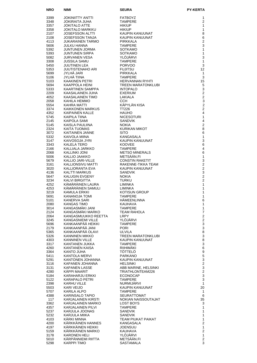| NRO          | <b>NIMI</b>                                    | <b>SEURA</b>                             | <b>PY-KERTA</b>                             |
|--------------|------------------------------------------------|------------------------------------------|---------------------------------------------|
| 3399         | <b>JOKINIITTY ANTTI</b>                        | <b>FATBOYZ</b>                           | 1                                           |
| 3348         | JOKIRAITA JUHA                                 | <b>TAMPERE</b>                           | 2                                           |
| 3357         | <b>JOKITALO ATTE</b>                           | <b>HIKIUP</b>                            | 1                                           |
| 3358<br>2107 | JOKITALO MARKKU<br><b>JOSEFSSON ALTTI</b>      | <b>HIKIUP</b><br><b>KAUPIN KANUUNAT</b>  | 1<br>8                                      |
| 2108         | JOSEFSSON TANJA                                | KAUPIN KANUUNAT                          | 6                                           |
| 4113         | JUKARAINEN TARMO                               | PIRKKALA                                 | 2                                           |
| 5606         | JULKU HANNA                                    | <b>TAMPERE</b>                           | 3                                           |
| 5392         | JUNTUNEN JORMA                                 | <b>SOTKAMO</b>                           | 1                                           |
| 5393<br>5082 | <b>JUNTUNEN SIRPA</b><br><b>JURVANEN VESA</b>  | <b>SOTKAMO</b><br>YLÖJÄRVI               | 1<br>3                                      |
| 3308         | <b>JUSSILA SAMU</b>                            | <b>TAMPERE</b>                           | 1                                           |
| 5450         | <b>JUUTINEN LEA</b>                            | <b>PORVOO</b>                            | 3                                           |
| 5353         | <b>JUUTISTENAHO ARI</b>                        | <b>FUJITSU</b>                           | 12                                          |
| 5699         | JYLHÄ JARI                                     | <b>PIRKKALA</b>                          | 1                                           |
| 5106<br>5103 | JYLHÄ TIINA<br><b>KAAKINEN PETRI</b>           | <b>TAMPERE</b><br><b>HERVANNAN RYHTI</b> | 3<br>15                                     |
| 5694         | KAAPPOLA HEINI                                 | <b>TREEN MARATONKLUBI</b>                | 5                                           |
| 5333         | KAARTINEN SAMPPA                               | <b>INTOPALO</b>                          | 3                                           |
| 2209         | KAASALAINEN JUHA                               | <b>EXERIUM</b>                           | 2                                           |
| 4052         | KAASALAINEN TIMO                               | LAKIALA                                  | 2                                           |
| 2058<br>5554 | KAHILA HEMMO<br>KAHRA MATTI                    | CCH.<br>KÄPYLÄN KISA                     | 3<br>$\overline{c}$                         |
| 3374         | <b>KAIKKONEN MARKUS</b>                        | <b>TT226</b>                             | $\overline{c}$                              |
| 4352         | KAIPAINEN KALLE                                | <b>HAUHO</b>                             | 4                                           |
| 5745         | <b>KAIPILA TIINA</b>                           | <b>NICESOTURI</b>                        | 1                                           |
| 2145         | <b>KAIPOLA SAMI</b><br>KAISLA PAULIINA         | <b>SANDVIK</b>                           | 4<br>$\overline{2}$                         |
| 5145<br>2324 | <b>KAITA TUOMAS</b>                            | <b>NOKIA</b><br><b>KURIKAN MIKOT</b>     | 8                                           |
| 3072         | KAITAINEN JANNE                                | <b>SITO</b>                              | 6                                           |
| 5332         | KAIVOLA MIINA                                  | KANGASALA                                | 1                                           |
| 3147         | KAIVOSOJA JYRI                                 | KAUPIN KANUUNAT                          | 3                                           |
| 3343<br>2166 | KALELA TERO<br>KALLIALA JARKKO                 | <b>KOOVEE</b><br><b>TAMPERE</b>          | 6<br>4                                      |
| 2068         | KALLINKI JONI                                  | <b>METSO MINERALS</b>                    | 6                                           |
| 5006         | KALLIO JAAKKO                                  | METSÄÄN.FI                               | $\mathbf{1}$                                |
| 5679         | KALLIO JARI-VILLE                              | <b>CONSTIN RAKETIT</b>                   | 3                                           |
| 3161         | KALLIONSIVU MATTI                              | RAKENNE-TIKKA TEAM                       | $\overline{2}$                              |
| 3020<br>4136 | KALLIORANTA EVA<br>KALTTI MARKUS               | KAUPIN KANUUNAT<br><b>SANDVIK</b>        | $\overline{\mathbf{c}}$<br>3                |
| 5647         | <b>KALUGIN EVGENY</b>                          | <b>NOKIA</b>                             | $\overline{2}$                              |
| 3234         | <b>KALVI BIRGITTA</b>                          | <b>TURKU</b>                             | 2                                           |
| 4252         | KÄMÄRÄINEN LAURA                               | <b>LIMINKA</b>                           | 1                                           |
| 4253         | KÄMÄRÄINEN SAMULI                              | LIMINKA                                  | 1                                           |
| 3219<br>5691 | KAMULA ERKKI<br>KANANOJA TOMI                  | <b>KOTISUN GROUP</b><br><b>TAMPERE</b>   | 1<br>1                                      |
| 5101         | KANERVA SARI                                   | HÄMEENLINNA                              | 6                                           |
| 2080         | <b>KANGAS TIMO</b>                             | KAUHAVA                                  | 1                                           |
| 3014         | KANGASMÄKI JANI                                | <b>TAMPERE</b>                           | $\mathbf{1}$                                |
| 2124<br>2064 | KANGASMÄKI MARKO<br>KANGASMUUKKO REETTA        | <b>TEAM RAHOLA</b><br>LRPY               | $\boldsymbol{7}$<br>$\overline{\mathbf{c}}$ |
| 3245         | KANGASNIEMI VILLE                              | YLÖJÄRVI                                 | $\overline{\mathbf{c}}$                     |
| 5696         | KANKAANPÄÄ HEIKKI                              | <b>TAMPERE</b>                           | 3                                           |
| 2179         | KANKAANPÄÄ JANI                                | <b>PORI</b>                              | 3                                           |
| 5365         | KANKAANPÄÄ OLAVI                               | ULVILA                                   | 8                                           |
| 5326<br>4303 | <b>KANNINEN MIKKO</b><br><b>KANNINEN VILLE</b> | TREEN MARATONKLUBI<br>KAUPIN KANUUNAT    | 3<br>8                                      |
| 3317         | KANTANEN JUKKA                                 | <b>TAMPERE</b>                           | 3                                           |
| 4260         | KANTANEN KAISA                                 | RIIHIMÄKI                                | 6                                           |
| 3364         | KANTO JUHA                                     | TÖTTELÖ                                  | 9                                           |
| 5411         | KANTOLA MERVI                                  | <b>PARKANO</b>                           | $\mathbf 5$<br>3                            |
| 5291<br>3116 | KANTONEN JOHANNA<br>KAPANEN JOHANNA            | KAUPIN KANUUNAT<br><b>HELSINKI</b>       | $\overline{c}$                              |
| 3131         | <b>KAPANEN LASSE</b>                           | ABB MARINE, HELSINKI                     | 3                                           |
| 4280         | KÄPPI MAARIT                                   | TRIATHLONTEAM226                         | $\overline{c}$                              |
| 5184         | KARAHARJU ERKKI                                | <b>ECONOCAP</b>                          | $\mathsf 3$                                 |
| 5122<br>2398 | KARAPALO PETRI<br>KARHU VILLE                  | <b>TAMPERE</b><br>NURMIJARVI             | $\mathsf 3$<br>1                            |
| 5503         | KARI VEIJO                                     | KAUPIN KANUUNAT                          | 20                                          |
| 5707         | KARILA ALPO                                    | <b>TAMPERE</b>                           | 1                                           |
| 4388         | KARINSALO TAPIO                                | <b>SEURATTOMAT</b>                       | 6                                           |
| 117          | KARJALAINEN KIRSTI                             | NOKIAN NAISSOUTAJAT                      | 35                                          |
| 3362<br>4357 | KARJALAINEN MARKO<br>KARJALAINEN PILVI         | LOST BOYS<br><b>TAMPERE</b>              | 3<br>1                                      |
| 5237         | KARJULA JOONAS                                 | <b>SANDVIK</b>                           | 1                                           |
| 5232         | KARJULA MIIKA                                  | <b>SANDVIK</b>                           | 1                                           |
| 4103         | KÄRKI MINNA                                    | TEAM PIUKAT PAIKAT                       | $\mathbf{1}$                                |
| 4200<br>4197 | KÄRKKÄINEN HANNES<br>KÄRKKÄINEN HEIKKI         | KANGASALA<br><b>JOENSUU</b>              | $\overline{\mathbf{c}}$<br>$\mathbf{1}$     |
| 5159         | KÄRKKÄINEN MARKO                               | KAUHAVA                                  | $\mathbf 2$                                 |
| 3178         | <b>KARONEN HELI</b>                            | YLÖJÄRVI                                 | $\mathbf{1}$                                |
| 5010         | KÄRPÄNNIEMI RIITTA                             | METSÄÄN.FI                               | $\overline{\mathbf{c}}$                     |
| 5298         | KARPPI TIMO                                    | SASTAMALA                                | 3                                           |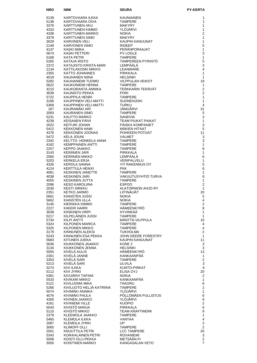| <b>NRO</b>   | NIMI                                                               | <b>SEURA</b>                                                                                       | <b>PY-KERTA</b>                |
|--------------|--------------------------------------------------------------------|----------------------------------------------------------------------------------------------------|--------------------------------|
| 5139         | KARTOVAARA ILKKA                                                   | KAUNIAINEN                                                                                         | 1                              |
| 5138         | KARTOVAARA OIVA                                                    | <b>TAMPERE</b>                                                                                     | 1                              |
| 3376         | KARTTUNEN AKU                                                      | <b>MAKYRY</b>                                                                                      | 1                              |
| 4333         | KARTTUNEN KIMMO                                                    | YLÖJÄRVI                                                                                           | 1                              |
| 4338<br>3379 | KARTTUNEN MARKO<br><b>KARTTUNEN SIMO</b>                           | <b>NOKIA</b><br><b>MAKYRY</b>                                                                      | 2<br>$\mathbf{1}$              |
| 3029         | <b>KARVINEN VELI</b>                                               | KAUPIN KANUUNAT                                                                                    | $\mathbf{1}$                   |
| 2149         | <b>KARVONEN ISMO</b>                                               | <b>RIDEEP</b>                                                                                      | 5                              |
| 4137         | KASKI MIIKA                                                        | PERANPORAAJAT                                                                                      | $\mathbf{1}$                   |
| 5674<br>5168 | KASKI PETTERI<br><b>KATA PETRI</b>                                 | PV LOGLE<br><b>TAMPERE</b>                                                                         | 3<br>$\mathbf{1}$              |
| 5265         | KATAJA RISTO                                                       | TAMPEREEN PYRINTÖ                                                                                  | 5                              |
| 2372         | KATAJISTO KRISTA-MARI                                              | LEMPÄÄLÄ                                                                                           | 3                              |
| 2134         | KATTILAKOSKI MIKKO                                                 | LEANWARE                                                                                           | 4                              |
| 2355<br>4019 | KATTO JOHANNES<br>KAUHANEN NIINA                                   | PIRKKALA<br><b>HELSINKI</b>                                                                        | 1<br>1                         |
| 5282         | KAUHANIEMI TUOMO                                                   | VILPPULAN VEIKOT                                                                                   | 19                             |
| 5622         | KAUKONIEMI HENNA                                                   | <b>TAMPERE</b>                                                                                     | $\mathbf{1}$                   |
| 4215         | KAUKORANTA ANNIKA                                                  | TERKKARIN TERÄVÄT                                                                                  | $\overline{2}$                 |
| 3039         | KAUNISTO PEKKA                                                     | <b>PORI</b><br><b>TAMPERE</b>                                                                      | $\overline{2}$<br>$\mathbf{1}$ |
| 5722<br>3166 | KAUPPILA HENRI<br>KAUPPINEN VELI-MATTI                             | <b>SUONENJOKI</b>                                                                                  | $\mathbf{1}$                   |
| 5369         | KAUPPINEN VELI-MATTI                                               | <b>TURKU</b>                                                                                       | 4                              |
| 167          | KAURAMÄKI ARI                                                      | JÄMIJÄRVI                                                                                          | 31                             |
| 2093         | KAURANEN ISMO                                                      | <b>TAMPERE</b>                                                                                     | 5                              |
| 5231<br>4239 | KAUTTO MARKO<br>KEISANEN PÄIVI                                     | SANDVIK<br>TEAM PIUKAT PAIKAT                                                                      | 3<br>$\mathbf{1}$              |
| 2022         | KEITURI JOHAN                                                      | TEAM r .<br>FINSKA KOMPA<br>MÄKIEN HITAAT<br>POHKEEN POTI.<br>VALMET<br>VALMET<br>FINSKA KOMPANIET | 3                              |
| 5412         | <b>KEKKONEN HAMI</b>                                               |                                                                                                    | 5                              |
| 4376         | <b>KEKKONEN JOONAS</b>                                             | POHKEEN POTIJAT                                                                                    | 11                             |
| 5472<br>2342 | <b>KELA JOUNI</b>                                                  |                                                                                                    | 3<br>3                         |
| 4162         | KEER VOOR HONKELA ANNA<br>KELTTO- HONKELA ANNA<br>KEMPPAINEN ANTTI | <b>TAMPERE</b>                                                                                     | 1                              |
| 2257         | KEPPO JAAKKO                                                       | <b>TAMPERE</b>                                                                                     | $\boldsymbol{9}$               |
| 3143         | KERÄNEN JARI<br>KERÄNEN MIKKO                                      | PIRKKALA                                                                                           | 1                              |
| 2060<br>5203 | KERKELÄ ERJA                                                       | LEMPÄÄLÄ<br>VERIPALVELU                                                                            | 6<br>$\mathbf{1}$              |
| 4326         | KEROLA SANNA                                                       | YIT RAKENNUS OY                                                                                    | 5                              |
| 4124         | KERTTULA HEIKKI                                                    | <b>PKK</b>                                                                                         | 6                              |
| 4061<br>4038 | <b>KESKINEN JANETTE</b><br><b>KESKINEN JARI</b>                    | <b>TAMPERE</b><br>VAKUUTUSYHTIÖ TURVA                                                              | $\mathbf{1}$<br>9              |
| 4055         | KESKINEN JUTTA                                                     | <b>TAMPERE</b>                                                                                     | $\mathbf{1}$                   |
| 2096         | KESO KAROLIINA                                                     | <b>ESPOO</b>                                                                                       | $\overline{2}$                 |
| 2030<br>2351 | <b>KESTI SIRKKU</b><br><b>KETKO JARMO</b>                          | ALATORNION AHJO RY<br>LIITINÄIJÄT                                                                  | $\mathbf{1}$<br>20             |
| 5661         | KIANSTEN JUSSI                                                     | <b>NOKIA</b>                                                                                       | 5                              |
| 5662         | KIANSTEN ULLA                                                      | <b>NOKIA</b>                                                                                       | 4                              |
| 3145         | KIERIKKA KIMMO                                                     | <b>TAMPERE</b><br>HÄMEENKYRÖ                                                                       | 2<br>8                         |
| 2227<br>3038 | KIIKERI HARRI<br>KIISKINEN VIRPI                                   | <b>HYVINKÄÄ</b>                                                                                    | 1                              |
| 5217         | KILPELÄINEN JUSSI                                                  | TAMPERE                                                                                            | $\mathbf{1}$                   |
| 5734         | KILPI ANTTI                                                        | MÄNTTÄ-VILPPULA                                                                                    | 10                             |
| 5324<br>5325 | KILPONEN MARICA<br>KILPONEN MIKKO                                  | <b>TAMPERE</b><br><b>TAMPERE</b>                                                                   | 4<br>4                         |
| 3179         | KINNUNEN ALEKSI                                                    | TUKHOLMA                                                                                           | $\mathbf{2}$                   |
| 5243         | KINNUNEN ESA PEKKA                                                 | JOHN DEERE FORESTRY                                                                                | $\mathbf{1}$                   |
| 5683<br>5636 | KITUNEN JUKKA<br>KIUKKONEN JAAKKO                                  | KAUPIN KANUUNAT<br>KONE 2                                                                          | 11<br>3                        |
| 3134         | KIUKKONEN JENNA                                                    | <b>HELSINKI</b>                                                                                    | 3                              |
| 5555         | KIVELÄ AULIS                                                       | HÄMEENKYRÖ                                                                                         | 13                             |
| 2301         | KIVELÄ JANNE                                                       | KANKAANPÄÄ                                                                                         | 1                              |
| 3353<br>5213 | KIVELA SARI<br>KIVELÄ SARI                                         | <b>TAMPERE</b><br>ULVILA                                                                           | $\overline{2}$<br>3            |
| 3274         | KIVI ILKKA                                                         | KUNTO-PIRKAT                                                                                       | 6                              |
| 5112         | KIVI JYRKI                                                         | ELISA OYJ                                                                                          | 20                             |
| 5361<br>5533 | KIVIJÄRVI TAPANI<br>KIVIKARI MIKKO                                 | NOKIA<br>KANKAANPÄÄ                                                                                | 2<br>$\mathbf{1}$              |
| 5121         | KIVILUOMA MIKA                                                     | TAKORU                                                                                             | 6                              |
| 5266         | KIVILUOTO HELJÄ KATRIINA                                           | <b>TAMPERE</b>                                                                                     | $\mathbf{2}$                   |
| 5074         | KIVIMÄKI ANNIKA                                                    | YLÖJÄRVI                                                                                           | 1                              |
| 4076<br>4300 | KIVIMÄKI PAULA<br>KIVINEN JAAKKO                                   | PÖLLÖMÄEN PULLISTUS<br>YLÖJÄRVI                                                                    | 6<br>9                         |
| 4161         | KIVINIEMI VILLE                                                    | <b>KUOPIO</b>                                                                                      | $\overline{c}$                 |
| 5043         | KIVISTÖ MARJA                                                      | <b>PIRKKALA</b>                                                                                    | 6                              |
| 5110<br>2379 | KIVISTÖ MIKKO<br>KLEEMOLA JAAKKO                                   | TEAM KRAFTWERK<br><b>TAMPERE</b>                                                                   | 9<br>$\mathbf{1}$              |
| 5465         | KLEMOLA ILKKA                                                      | VANTAA                                                                                             | 4                              |
| 2087         | <b>KLEMOLA JYRKI</b>                                               | UP.                                                                                                | $\mathbf{2}$                   |
| 3065         | KLIMOFF OLLI                                                       | <b>TAMPERE</b>                                                                                     | $\overline{2}$                 |
| 2001<br>5343 | KNUUTTILA PETRI<br>KOIKKALAINEN PETRI                              | <b>LCC TAMPERE</b><br><b>ROVANIEMI</b>                                                             | 20<br>3                        |
| 5008         | KOISTI OLLI-PEKKA                                                  | METSÄÄN.FI                                                                                         | $\overline{2}$                 |
| 3050         | KOISTINEN MARKO                                                    | KANGASALAN VETO                                                                                    | $\overline{7}$                 |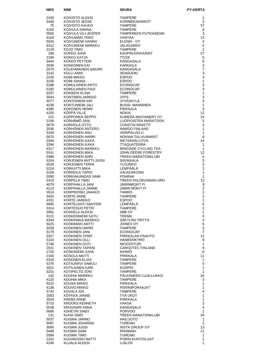| <b>NRO</b>   | <b>NIMI</b>                              | <b>SEURA</b>                                                                                                                                        | <b>PY-KERTA</b>      |
|--------------|------------------------------------------|-----------------------------------------------------------------------------------------------------------------------------------------------------|----------------------|
| 2159         | KOIVISTO ALEKSI                          | <b>TAMPERE</b>                                                                                                                                      | 1                    |
| 5448         | KOIVISTO JESSE                           | <b>KORIMEKAANIKOT</b>                                                                                                                               | 3                    |
| 75           | KOIVISTO KAUKO                           | <b>TAMPERE</b>                                                                                                                                      | 37                   |
| 4192         | KOIVULA SANNA<br>KOIVULA VILI-JESPER     | <b>TAMPERE</b>                                                                                                                                      | 8                    |
| 5556<br>4104 | KOIVUMÄKI TERO                           | TAMPEREEN PUTKIASENN<br>VANTAA                                                                                                                      | 3<br>13              |
| 5029         | KOIVUNIEMI HANNU                         | ELENIA OY                                                                                                                                           | 4                    |
| 4312         | KOIVUNIEMI MARKKU                        | <b>JALASJÄRVI</b>                                                                                                                                   | 5                    |
| 2119         | KOJO TIMO                                | <b>TAMPERE</b>                                                                                                                                      | 2                    |
| 196<br>2199  | KOKKO JUHA<br>KOKKO KATJA                | KAUPIN KANUUNAT<br><b>TT226</b>                                                                                                                     | 27<br>5              |
| 5444         | KOKKO PETTERI                            | KANGASALA                                                                                                                                           | 6                    |
| 3036         | KOKKONEN KAI                             | <b>KARKKILA</b>                                                                                                                                     | 3                    |
| 2074         | KOLEHMAINEN SAKARI                       | KANGASALA                                                                                                                                           | $\overline{7}$       |
| 3142         | KOLLI ANNI                               | <b>SEINÄJOKI</b>                                                                                                                                    | 3<br>4               |
| 2226<br>3156 | KOMI MIKKO<br>KOMI SANNA                 | <b>ESPOO</b><br><b>ESPOO</b>                                                                                                                        | $\mathbf{1}$         |
| 5188         | KOMULAINEN ARTO                          | <b>ECONOCAP</b>                                                                                                                                     | 3                    |
| 5185         | KOMULAINEN PASI                          |                                                                                                                                                     | 3                    |
| 3297         | KONSEIN ELINA                            |                                                                                                                                                     | $\mathbf{1}$         |
| 3044<br>4077 | KONTINEN JARKKO<br>KONTONIEMI ARI        | ECONOCAP<br>TAMPERE<br>JYPS<br>JYVÄSKYLÄ<br>BUSSI-MANNINEN<br>PIRKKALA<br>PIRKKALA<br>KUMERA MACHINERY OY<br>LOOPIOISTEN PAKETIT<br>CONSTIN PAKETIT | 3<br>$\overline{4}$  |
| 4238         | KONTUNIEMI JALI                          |                                                                                                                                                     | $\mathbf{1}$         |
| 4385         | KOPONEN HENRI                            |                                                                                                                                                     | 3                    |
| 4105         | KÖPPÄ VILLE                              |                                                                                                                                                     | $12 \overline{ }$    |
| 221<br>2156  | KOPPONEN SEPPO<br>KÖRHÄMÖ JANI           |                                                                                                                                                     | 24<br>5              |
| 5678         | KORHOLA OTTO                             | <b>CONSTIN RAKETIT</b>                                                                                                                              | $\mathbf{3}$         |
| 2036         | KORHONEN ANTERO                          | <b>INWIDO FINLAND</b>                                                                                                                               | $\mathbf{1}$         |
| 5200         | KORHONEN ANU                             | VERIPALVELU                                                                                                                                         | $\mathbf{1}$         |
| 5670         | KORHONEN HARRI<br>KORHONEN ILKKA         | NOKIAN TALVIUIMARIT<br><b>METSÄHALLITUS</b>                                                                                                         | 6<br>14              |
| 3344<br>3394 | KORHONEN ILKKA                           | TTAQUATERRA                                                                                                                                         | $\mathbf{1}$         |
| 4317         | KORHONEN MARKKU                          | RINGSIDE CYCLING TEA                                                                                                                                | 1                    |
| 5241         | KORHONEN MIKA                            | JOHN DEERE FORESTRY                                                                                                                                 | 12 <sup>2</sup>      |
| 5388         | KORHONEN SARI                            | TREEN MARATONKLUBI                                                                                                                                  | 5                    |
| 4204<br>5526 | KORJONEN ANTTI-JUSSI<br>KORJONEN TERHI   | <b>SIIVIKKALA</b><br>YLÖJÄRVI                                                                                                                       | 5<br>$\mathbf{3}$    |
| 5224         | KORKATTI MIKA                            | LEMPÄÄLÄ                                                                                                                                            | $\overline{2}$       |
| 5108         | KORKEILA TAPIO                           | VALKEAKOSKI                                                                                                                                         | $\mathbf{1}$         |
| 5090         | KORKIAKANGAS SAMI                        | <b>POHRAK</b>                                                                                                                                       | $\mathbf{1}$         |
| 5319<br>4079 | KORPELA TIMO<br>KORPIHALLA JANI          | TREEN PALOKUNNAN URH<br><b>JAMINMOKIT.FI</b>                                                                                                        | 12<br>8              |
| 4112         | KORPIHALLA JANNE                         | <b>JAMIN MOKIT.FI</b>                                                                                                                               | $\overline{2}$       |
| 5514         | KORPIKOSKI JAAKKO                        | <b>TAMRO</b>                                                                                                                                        | 2                    |
| 5420         | <b>KORTE ANNE</b>                        | <b>TAMPERE</b>                                                                                                                                      | 2                    |
| 4331<br>5695 | KORTE JARKKO<br>KORTELAHTI SANTERI       | <b>ESPOO</b><br>LEMPÄÄLÄ                                                                                                                            | $\mathbf{1}$<br>6    |
| 3314         | KORTESUO PETRI                           | <b>TAMPERE</b>                                                                                                                                      | $\overline{2}$       |
| 2081         | KOSKELA ALEKSI                           | ABB OY                                                                                                                                              | $\mathbf{1}$         |
| 3121         | KOSKENNIEMI SATU                         | <b>TREMK</b>                                                                                                                                        | 3                    |
| 4344<br>5025 | KOSKIHAKA MARKKU<br>KOSKIMAKI ANTTI      | SÄKYLÄN YRITYS<br>JOINEX OY                                                                                                                         | 3<br>6               |
| 3209         | KOSKINEN HARRI                           | <b>TAMPERE</b>                                                                                                                                      | $\mathbf{3}$         |
| 5179         | KOSKINEN JANI                            | <b>ECONOCAP</b>                                                                                                                                     | $\overline{7}$       |
| 2327         | KOSKINEN JYRKI                           | PIRKKALAN PAAHTO                                                                                                                                    | 12                   |
| 5104         | KOSKINEN OLLI<br><b>KOSKINEN OUTI</b>    | HÄMEENKYRÖ<br><b>NICESOTURI</b>                                                                                                                     | 9<br>$\mathbf{1}$    |
| 5746<br>2021 | KOSKINEN TAPANI                          | <b>CARGOTEC FINLAND</b>                                                                                                                             | 9                    |
| 1726         | KOSKINIEMI JUHA                          | KIHNIÖ                                                                                                                                              | 6                    |
| 2100         | KOSOLA MATTI                             | PIRKKALA                                                                                                                                            | 11                   |
| 4318         | <b>KOSONEN ELIAS</b><br>KOTAJÄRVI SAMULI | <b>TAMPERE</b><br><b>TAMPERE</b>                                                                                                                    | 1<br>$\sqrt{5}$      |
| 5376<br>3021 | KOTILAINEN KARI                          | <b>KUOPIO</b>                                                                                                                                       | $\mathbf{1}$         |
| 3231         | KOTIPELTO JONI                           | <b>TAMPERE</b>                                                                                                                                      | $\mathbf{1}$         |
| 142          | KOUHIA MARKKU                            | PÄLKÄNEEN LUJA-LUKKO                                                                                                                                | 34                   |
| 4125         | KOUHIA MIKA                              | <b>TAMPERE</b><br><b>PIRKKALA</b>                                                                                                                   | 3<br>1               |
| 5215<br>4138 | KOUSA MIKKO<br>KOUVO MIKKO               | PERÄNPORAAJAT                                                                                                                                       | 1                    |
| 5742         | KOVALA IDA                               | <b>TAMPERE</b>                                                                                                                                      | $\overline{4}$       |
| 2083         | KÖYKKÄ JANNE                             | TYÄ UKOT                                                                                                                                            | 1                    |
| 3053         | <b>KREBS ANNE</b>                        | PIRKKALA                                                                                                                                            | $\mathbf{1}$         |
| 5715<br>5538 | KROOKS KENNETH<br>KRUUNARI ANNA          | VAASA<br>KANGASALA                                                                                                                                  | 3<br>4               |
| 5686         | <b>KSHETRI SABIT</b>                     | <b>PORVOO</b>                                                                                                                                       | 1                    |
| 131          | KUHA ISMO                                | TREEN MARATONKLUBI                                                                                                                                  | 30                   |
| 3037         | KUISMA JARMO                             | <b>HAILUOTO</b>                                                                                                                                     | 1                    |
| 5097<br>3066 | KUISMA JOHANNA<br>KUISMA JUSSI           | <b>TURENKI</b><br><b>INSTA GROUP OY</b>                                                                                                             | $\overline{2}$<br>13 |
| 5489         | KUISMA SAMI                              | RIIHIMÄKI                                                                                                                                           | 11                   |
| 5084         | KUISMA TIMO                              | <b>TURENKI</b>                                                                                                                                      | 1                    |
| 2152         | KUIVAKOSKI MATTI                         | PORIN KUNTOILIJAT                                                                                                                                   | 1                    |
| 4246         | KUJALA ALEKSI                            | U-BLOX                                                                                                                                              | 1                    |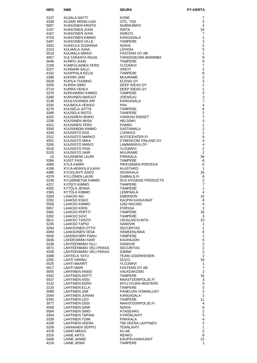| <b>NRO</b>   | NIMI                                       | <b>SEURA</b>                                | <b>PY-KERTA</b>                         |
|--------------|--------------------------------------------|---------------------------------------------|-----------------------------------------|
| 3137         | KUJALA MATTI                               | <b>KONE</b>                                 | 7                                       |
| 4208         | KUJARI MONA-LISA                           | OTC, TDA                                    | $\overline{2}$                          |
| 5067         | KUKKANEN KRISTA                            | <b>NURMIJÄRVI</b>                           | 4                                       |
| 2197         | KUKKONEN JUHA                              | <b>INSTA</b>                                | 10                                      |
| 4167<br>5704 | KUKKONEN JUHA<br>KUKKONEN KIMMO            | <b>SWECO</b><br>KANGASALA                   | 7<br>$\mathbf{1}$                       |
| 5497         | <b>KUKKONEN VILLE</b>                      | <b>TAMPERE</b>                              | 3                                       |
| 3352         | KUKKULA SUSANNA                            | <b>NOKIA</b>                                | $\overline{c}$                          |
| 2153         | KULMALA JUHA                               | LOVIISA                                     | 5                                       |
| 5519<br>4057 | <b>KULMALA MIKKO</b><br>KULTARANTA RAIJA   | <b>FASTEMS OY AB</b><br>TANSSISEURA MARIMBA | $\mathbf{1}$<br>9                       |
| 5046         | KUMPU JUHA                                 | <b>TAMPERE</b>                              | 8                                       |
| 2189         | KUMPULAINEN TERO                           | YLÖJÄRVI                                    | $\overline{7}$                          |
| 5257         | KUNNARI SALLI                              | <b>VINCIT</b>                               | $\overline{2}$                          |
| 4332<br>2388 | KUOPPALA EELIS<br>KUPARI JARI              | <b>TAMPERE</b>                              | 6<br>$\overline{2}$                     |
| 5028         | KUPILA TUOMAS                              | MUURAME<br><b>ELENIA OY</b>                 | 3                                       |
| 3356         | KURRA SIMO                                 | DEEP IDEAS OY                               | 1                                       |
| 5710         | KURRA VENLA                                | DEEP IDEAS OY                               | $\mathbf{1}$                            |
| 5378         | KURUNMÄKI KIMMO                            | <b>TAMPERE</b>                              | 3<br>$\mathbf 2$                        |
| 5280<br>3136 | KURVINEN MARJUT<br>KUULUVAINEN ARI         | <b>JOENSUU</b><br>KANGASALA                 | $\overline{7}$                          |
| 2335         | KUUMOLA VEIKKO                             | <b>PKK</b>                                  | $\overline{4}$                          |
| 4276         | KUUSELA JUTTA                              | <b>TAMPERE</b>                              | 6                                       |
| 3366         | KUUSELA RISTO                              | <b>TAMPERE</b>                              | $\overline{\mathbf{c}}$                 |
| 4325<br>2336 | KUUSINEN HEIKKI<br>KUUSINEN MIISA          | <b>VIINIKAN SINISET</b><br><b>HELSINKI</b>  | $\overline{7}$<br>3                     |
| 4321         | <b>KUUSINEN TERO</b>                       | <b>PAIMIO</b>                               | $\mathbf{1}$                            |
| 3350         | KUUSINIEMI KIMMO                           | SASTAMALA                                   | $\overline{c}$                          |
| 4340         | KUUSISTO ESA                               | <b>LOHIKKO</b>                              | $\mathbf{1}$                            |
| 2312<br>4051 | KUUSISTO MARKO<br>KUUSISTO MIKA            | AUTOCENTER.FI<br>CYBERCOM FINLAND OY        | 8<br>3                                  |
| 3260         | KUUSISTO MIKKO                             | LAMMINSIVU OY                               | 4                                       |
| 5516         | KUUSISTO PASI                              | YLÖJÄRVI                                    | $\overline{2}$                          |
| 5155         | KUUSISTO SARI<br><b>KUUSNIEMI LAURI</b>    | MUURAME                                     | $\overline{2}$<br>39                    |
| 15<br>5366   | <b>KVIST PASI</b>                          | PIRKKALA<br>TAMPERE                         | 6                                       |
| 4080         | KYLÄ KARRI                                 | PIKKUMAEN PONTEVA                           | 6                                       |
| 4196         | KYLÄ-HEIKKILÄ ILKKA                        | ALASTARO                                    | 1                                       |
| 4386<br>4379 | KYLKILAHTI ASKO<br>KYLLÖNEN LAURI          | <b>SIIVIKKALA</b><br>GIMBALS.FI             | 16<br>6                                 |
| 2236         | KYLMÄMETSÄ KIMMO                           | <b>SCA HYGIENE PRODUCTS</b>                 | $\overline{2}$                          |
| 4227         | KYÖSTI KIMMO                               | <b>TAMPERE</b>                              | $\overline{7}$                          |
| 4355<br>2365 | KYTÖLÄ JENNA<br>KYTÖLÄ KIMMO               | <b>TAMPERE</b><br>LEMPÄÄLÄ                  | 1<br>4                                  |
| 3283         | <b>LAAKSO AKI</b>                          | <b>EMERSON</b>                              | 10                                      |
| 2291         | LAAKSO ESKO                                | KAUPIN KANUUNAT                             | 8                                       |
| 5056<br>5057 | <b>LAAKSO KIMMO</b><br><b>LAAKSO KIRSI</b> | 1262 RACING<br><b>FORSSA</b>                | 4<br>2                                  |
| 5481         | LAAKSO PERTTI                              | <b>TAMPERE</b>                              | 18                                      |
| 3282         | <b>LAAKSO SUVI</b>                         | <b>TAMPERE</b>                              | 3                                       |
| 5611         | LAAKSO TAISTO                              | URJALAN KUNTA                               | 10                                      |
| 5230<br>3294 | LAAKSO TAPIO<br>LAAKSONEN OTTO             | <b>SANDVIK</b><br><b>SECURITAS</b>          | 1<br>1                                  |
| 4069         | LAAKSONEN VESA                             | <b>HAMEENLINNA</b>                          | 8                                       |
| 5500         | LÄHDEKORPI PANU<br>LÄHDESMÄKI KARI         | <b>TAMPERE</b>                              | $\mathbf{1}$                            |
| 5646<br>5236 | LÄHTEENMÄKI OLLI                           | <b>KAUHAJOKI</b><br><b>SANDVIK</b>          | 6<br>$\overline{c}$                     |
| 3071         | LÄHTEENMÄKI VELI-PEKKA                     | <b>SECURITAS</b>                            | $\overline{c}$                          |
| 4336         | LÄHTEENMÄKI VELI-PEKKA                     | SAMMI                                       | $\mathsf 3$                             |
| 3398<br>2265 | LAHTELA TATU<br>LAHTI HANNU                | <b>TEAM LEDERHOSEN</b><br><b>DUCO</b>       | $\overline{2}$<br>18                    |
| 5525         | LAHTI MAARIT                               | YLÖJÄRVI                                    | $\mathbf{1}$                            |
| 5517         | LAHTI MARI                                 | <b>FASTEMS OY AB</b>                        | $\overline{7}$                          |
| 3055<br>5302 | LAHTINEN ANSSI<br><b>LAHTINEN ANTTI</b>    | <b>VALKEAKOSKI</b><br><b>TAMPERE</b>        | $\overline{2}$<br>16                    |
| 5037         | LAHTINEN ASSI                              | MAASTOONPOLJE.FI                            | 3                                       |
| 3132         | LAHTINEN EERO                              | MYLLYOJAN MASTERS                           | 5                                       |
| 2220         | LAHTINEN ELLA                              | <b>TAMPERE</b>                              | 3                                       |
| 2089<br>2044 | LAHTINEN JIMI<br>LAHTINEN JUHANI           | PANELIAN VOIMAILIJAT<br>KANGASALA           | $\overline{c}$<br>3                     |
| 5355         | <b>LAHTINEN LEO</b>                        | <b>TAMPERE</b>                              | 11                                      |
| 3077         | <b>LAHTINEN OSSI</b>                       | MAASTOONPOLJE.FI                            | 4                                       |
| 4058<br>5584 | LAHTINEN SAMI<br><b>LAHTINEN SIMO</b>      | <b>NOKIA</b><br><b>ATAGEARS</b>             | 6<br>$\overline{2}$                     |
| 3354         | LAHTINEN TAPANI                            | KYRONLAHTI                                  | 3                                       |
| 3339         | <b>LAHTINEN TOMI</b>                       | <b>PIRKKALA</b>                             | $\overline{\mathbf{4}}$                 |
| 4106         | LAHTINEN VEERA                             | TMI VEERA LAHTINEN                          | $\overline{\mathbf{c}}$<br>$\mathbf{1}$ |
| 5209<br>4378 | LAIHIAINEN SEPPO<br>LAIHO MIKKO            | TERALAHTI<br>KU-68                          | 2                                       |
| 3316         | LAINE ARTO                                 | <b>RENKO</b>                                | 8                                       |
| 5408         | LAINE JANNE                                | KAUPIN KANUUNAT                             | 12                                      |
| 4218         | LAINE JENNI                                | TAMPERE                                     | 1                                       |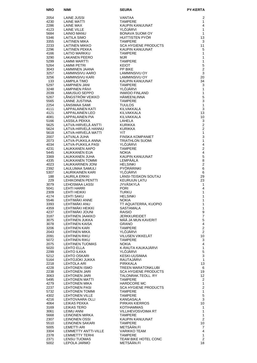| <b>NRO</b>   | <b>NIMI</b>                                   | <b>SEURA</b>                           | PY-KERTA                       |
|--------------|-----------------------------------------------|----------------------------------------|--------------------------------|
| 2054         | <b>LAINE JUSSI</b>                            | VANTAA                                 | 2                              |
| 4230         | <b>LAINE MATTI</b>                            | <b>TAMPERE</b>                         | $\mathbf{1}$                   |
| 2286         | LAINE MAX                                     | KAUPIN KANUUNAT                        | 4                              |
| 4123<br>5684 | <b>LAINE VILLE</b><br><b>LAINIO MANU</b>      | YLÖJÄRVI<br><b>BONAVA SUOMI OY</b>     | $\mathbf{1}$<br>$\mathbf{1}$   |
| 5346         | LAITILA SIMO                                  | HUITTISTEN PYÖR                        | 13                             |
| 3355         | LAITINEN MIKA                                 | <b>TAMPERE</b>                         | 3                              |
| 2233         | LAITINEN MIKKO                                | <b>SCA HYGIENE PRODUCTS</b>            | 11                             |
| 2296         | LAITINEN PEKKA                                | KAUPIN KANUUNAT                        | 5                              |
| 4166<br>3290 | LAITIO MARKKU<br><b>LAKANEN PEERO</b>         | <b>TAMPERE</b><br><b>MJR</b>           | 1<br>1                         |
| 5299         | LAMMI MARTTI                                  | <b>TAMPERE</b>                         | $\mathbf{1}$                   |
| 5264         | <b>LAMMI PETRI</b>                            | <b>KEIOT</b>                           | 5                              |
| 3043         | LAMMINEN JAANA                                | PP BIKE                                | $\overline{2}$                 |
| 3257<br>3256 | LAMMINSIVU AARO<br>LAMMINSIVU KARI            | LAMMINSIVU OY<br>LAMMINSIVU OY         | 3<br>20                        |
| 133          | LAMPILA TIMO                                  | KAUPIN KANUUNAT                        | 34                             |
| 5297         | <b>LAMPINEN JANI</b>                          | <b>TAMPERE</b>                         | 3                              |
| 3248         | LAMPINEN PÄIVI                                | YLÖJÄRVI                               | $\mathbf{1}$                   |
| 2039<br>5267 | LAMUSUO SEPPO<br>LÅNGSTRÖM VEIKKO             | <b>INWIDO FINLAND</b><br>HÄMEENLINNA   | $\mathbf{1}$<br>5              |
| 5565         | <b>LANNE JUSTIINA</b>                         | <b>TAMPERE</b>                         | 3                              |
| 2254         | LÄNSIMAA SAMI                                 | <b>TUULOS</b>                          | $\mathbf{1}$                   |
| 4111         | LAPPALAINEN KATI                              | KILVAKKALA                             | 3                              |
| 4121<br>4081 | LAPPALAINEN LEO<br><b>LAPPALAINEN PIA</b>     | KILVAKKALA<br>KILVAKKALA               | 13<br>10                       |
| 5166         | <b>LASSILA PEKKA</b>                          | LAHELA                                 | 3                              |
| 5625         | LATVA-HIRVELÄ ANTTI                           | <b>KURIKKA</b>                         | $\overline{2}$                 |
| 5624         | LATVA-HIRVELÄ HANNU                           | <b>KURIKKA</b>                         | $\overline{2}$                 |
| 5618<br>2007 | LATVA-HIRVELÄ MATTI<br>LATVALA JUHA           | YIT.<br><b>FINSKA KOMPANIET</b>        | $\mathbf{1}$<br>3              |
| 2073         | LATVA-PUKKILA ANNA                            | <b>TRIATHLON SUOMI</b>                 | $\mathbf{1}$                   |
| 4034         | LATVA-PUKKILA PASI                            | YLÖJÄRVI                               | $\overline{4}$                 |
| 4231         | LAUKKANEN AAPO                                | <b>TAMPERE</b>                         | $\overline{2}$                 |
| 5445<br>3369 | LAUKKANEN EIJA<br>LAUKKANEN JUHA              | <b>NOKIA</b><br><b>KAUPIN KANUUNAT</b> | 4<br>5                         |
| 4335         | <b>LAUKKANEN TOMMI</b>                        | LEMPÄÄLÄ                               | 8                              |
| 4023         | LAUKKARINEN JONI                              | <b>HELSINKI</b>                        | $\overline{2}$                 |
| 2392         | LAULUMAA SAMULI                               | PYÖRÄRINKI<br>YLÖJÄRVI                 | 6                              |
| 5307<br>188  | LAURIKAINEN KARI<br><b>LAURILA ERKKI</b>      | LÄNSI-TEISKON SOUTAJ                   | 6<br>29                        |
| 229          | <b>LEHIKOINEN PENTTI</b>                      | <b>KEURUUN LATU</b>                    | 23                             |
| 3079         | LEHOSMAA LASSI                                | JYVÄSKYLÄ                              | $\mathbf{1}$                   |
| 5041<br>2309 | LEHTI HARRI<br><b>LEHTI HEIKKI</b>            | <b>PORI</b><br><b>TURKU</b>            | 4<br>1                         |
| 4174         | <b>LEHTI SAKU</b>                             | <b>HELSINKI</b>                        | 1                              |
| 5546         | LEHTIMÄKI ANNE                                | <b>NOKIA</b>                           | 1                              |
| 3393<br>4359 | LEHTIMÄKI ANU<br>LEHTIMÄKI HEIKKI             | TT AQUATERRA, KUOPIO<br>SASTAMALA      | 1<br>$\mathbf{1}$              |
| 4237         | LEHTIMÄKI JOUNI                               | <b>RAISIO</b>                          | 9                              |
| 3187         | LEHTINEN JAAKKO                               | <b>JERKKUREIDET</b>                    | $\overline{7}$                 |
| 3075         | LEHTINEN JUKKA                                | MÄÄ JA MUN KAVERIT                     | 5                              |
| 3078<br>3206 | LEHTINEN KAISA<br><b>LEHTINEN KARI</b>        | <b>GRANO</b><br><b>TAMPERE</b>         | 4<br>$\overline{c}$            |
| 2043         | LEHTINEN MIKA                                 | YLÖJÄRVI                               | $\overline{2}$                 |
| 2091         | <b>LEHTINEN RIKU</b>                          | VILUSEN VIKKELÄT                       | 10 <sup>1</sup>                |
| 5072<br>2075 | LEHTINEN RIKU<br><b>LEHTINEN TUOMAS</b>       | <b>TAMPERE</b><br><b>NOKIA</b>         | 3<br>$\overline{4}$            |
| 5020         | <b>LEHTO ELLA</b>                             | K-RAUTA KAUKAJARVI                     | 1                              |
| 2299         | <b>LEHTO ILKKA</b>                            | YLÖJÄRVI                               | 5                              |
| 5212         | LEHTO OSKARI                                  | KESKI-UUSIMAA                          | 3                              |
| 5164<br>2218 | LEHTOJOKI JUKKA<br>LEHTOLA ARI                | RAUTAJARVI<br>PIRKKALA                 | $\mathbf{1}$<br>13             |
| 4228         | LEHTONEN ISMO                                 | TREEN MARATONKLUBI                     | 6                              |
| 2238         | LEHTONEN JARI                                 | <b>SCA HYGIENE PRODUCTS</b>            | 19                             |
| 3063         | <b>LEHTONEN JARI</b>                          | TALONRAK.TEOLL. RY                     | 12                             |
| 5495<br>4279 | LEHTONEN MATTI<br>LEHTONEN MIKA               | <b>TAMPERE</b><br><b>HARDCORE MC</b>   | 2<br>$\mathbf{1}$              |
| 2237         | <b>LEHTONEN PASI</b>                          | <b>SCA HYGIENE PRODUCTS</b>            | $\overline{c}$                 |
| 5732         | LEHTONEN TOMMI                                | <b>TAMPERE</b>                         | $\mathbf{1}$                   |
| 4302<br>4216 | <b>LEHTONEN VILLE</b><br>LEHTOVAARA OLLI      | <b>TAMPERE</b><br>KANGASALA            | 5<br>3                         |
| 4064         | LEIKAS PEKKA                                  | PIRKAN KIERROS                         | 10                             |
| 3169         | LEIKAS TERO                                   | <b>KOTIHAMMAS</b>                      | 1                              |
| 3061         | <b>LEIMU ANNI</b>                             | VILLIHEVOSVOIMA RT                     | $\mathbf{1}$                   |
| 5668<br>2307 | LEINONEN MIRKA<br><b>LEINONEN OSSI</b>        | <b>TAMPERE</b><br>KAUPIN KANUUNAT      | $\mathbf{1}$<br>$\overline{2}$ |
| 5510         | LEINONEN SAKARI                               | <b>TAMPERE</b>                         | 10                             |
| 5005         | LEMETTI ARI                                   | METSAAN.FI                             | 7                              |
| 3304<br>2378 | LEMMETTY ANTTI-VILLE<br><b>LEMMETTY TERHI</b> | <b>VARIKKO TEAM</b><br><b>TAMPERE</b>  | 4<br>$\mathbf{1}$              |
| 2371         | LENSU TUOMAS                                  | TEAM BIKE HOTEL CONC                   | $\overline{2}$                 |
| 5002         | LEPOLA JARMO                                  | METSÄÄN.FI                             | 18                             |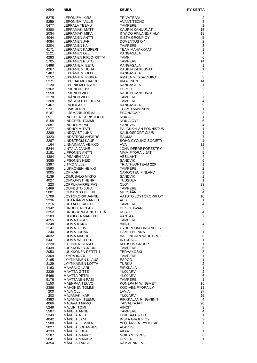| <b>NRO</b>   | <b>NIMI</b>                             | <b>SEURA</b>                                                                                  | <b>PY-KERTA</b>                |
|--------------|-----------------------------------------|-----------------------------------------------------------------------------------------------|--------------------------------|
| 5275         | LEPONIEMI KIRSI                         | TRIVATEAM                                                                                     | 2                              |
| 5259         | <b>LEPONIEMI VILLE</b>                  | TRIVATEAM<br>AVANT TECNO<br>TAMPERE<br>KAUPIN KANUUNAT<br>INWIDO FINLAND/PIHLA                | 3                              |
| 5477         | LEPPÄLÄ TEEMU                           |                                                                                               | $\mathbf{1}$                   |
| 5380         | LEPPÄMÄKI MATTI                         |                                                                                               | 15                             |
| 2034         | LEPPÄMÄKI MIKA<br>LEPPÄNEN ANTTI        | <b>INSTA GROUP OY</b>                                                                         | 18                             |
| 4044<br>4084 | LEPPÄNEN JARI                           | DOVENTUS OY                                                                                   | 5<br>$\mathbf{2}$              |
| 3204         | LEPPÄNEN KAI                            |                                                                                               | 8                              |
| 4171         | LEPPÄNEN KASPERI                        | IN<br>TAMPERL<br>TEAM MAHA<br>KANGASALA<br>TAMK<br>TAMK<br>TAMPERE<br>CASA'<br>TEAM MAHAKKAAT | $\mathbf{1}$                   |
| 2121         | LEPPÄNEN OLLI                           |                                                                                               | $\mathbf{1}$                   |
| 4283<br>5705 | LEPPÄNEN PIRJO-RIITTA<br>LEPPÄNEN RISTO |                                                                                               | 6<br>14                        |
| 5488         | LEPPÄNIEMI EETU                         |                                                                                               | $\mathbf{1}$                   |
| 4267         | LEPPÄNIEMI JUHA                         | KAUPIN KANUUNAT                                                                               | $\mathbf{1}$                   |
| 5487         | LEPPÄNIEMI OLLI                         | KANGASALA                                                                                     | 3                              |
| 3152         | LEPPÄNIEMI PEKKA                        | RMAEN KIISTA-VEIKOT                                                                           | 3                              |
| 5271<br>2130 | LEPPIHALME HARRI<br>LEPPINIEMI HARRI    | <b>IKAALINEN</b><br>KANGASALA                                                                 | 14<br>$\mathbf{1}$             |
| 2362         | <b>LESKINEN JUSSI</b>                   | <b>ESPOO</b>                                                                                  | $\overline{2}$                 |
| 5558         | <b>LESKINEN VILLE</b>                   | KAUPIN KANUUNAT                                                                               | $\mathbf{2}$                   |
| 2178         | LEVÄNEN VILLE                           | <b>TAMPERE</b>                                                                                | $\overline{7}$                 |
| 2268<br>5467 | LEVÄSLUOTO JUHANI<br>LEVOLA AKU         | <b>TAMPERE</b><br>KANGASALA                                                                   | $\overline{4}$<br>9            |
| 5731         | <b>LEWIS JOHN</b>                       | <b>TEAM TAMMINEN</b>                                                                          | $\mathbf{1}$                   |
| 5187         | LILJEMARK JORMA                         | <b>ECONOCAP</b>                                                                               | 3                              |
| 5511         | LINDGREN CHRISTOPHE                     | <b>NOKIA</b>                                                                                  | 1                              |
| 5158         | LINDGREN TOMMI                          | NOKIA OYJ                                                                                     | 6                              |
| 3087<br>3277 | LINDHOLM PAULI<br>LINDHOLM TATU         | <b>SANDVIK</b><br>PALONKYLÄN PONNISTUS                                                        | $\overline{4}$<br>$\mathbf{1}$ |
| 3289         | LINDQVIST JUHA                          | <b>KAUKOSPORT CLUB</b>                                                                        | $\mathbf{1}$                   |
| 4323         | LINDSTROM ANDERS                        | RAUMA                                                                                         | $\overline{7}$                 |
| 2287         | LINDSTRÖM KAURI                         | SOHO CYCLING SOCIETY                                                                          | $\mathbf{1}$                   |
| 164<br>5244  | LINNAINMAA VEIKKO<br>LINTALA JANNE      | <b>VVA</b><br>JOHN DEERE FORESTRY                                                             | 32<br>4                        |
| 2181         | LIPPONEN ANTTI                          | MMM PYÖRÄILIJÄT                                                                               | 5                              |
| 4384         | LIPSANEN JANI                           | <b>VESILAHTI</b>                                                                              | 4                              |
| 3085         | LIPSONEN HEIDI                          | <b>SANDVIK</b>                                                                                | 6                              |
| 2397         | LITMO VILLE                             | TRIATHLONTEAM 226                                                                             | $\mathbf{1}$<br>$\overline{2}$ |
| 5590<br>3005 | LIUKKONEN HEIKKI<br>LOF KARI            | <b>TAMPERE</b><br><b>CARGOTEC FINLAND</b>                                                     | $\overline{2}$                 |
| 4139         | LOIMUSALO MIKKO                         | <b>SANDVIK</b>                                                                                | $\mathbf{1}$                   |
| 4027         | LONNQVIST HENRI                         | <b>TUUSULA</b>                                                                                | $\mathbf{1}$                   |
| 223          | LOPPUKAARRE PASI                        | <b>CLOY</b>                                                                                   | 23                             |
| 5469<br>5001 | LOUHESTO JUHA<br>LOUNENTO HEIKKI        | <b>TAMPERE</b><br>METSÄÄN.FI                                                                  | 6<br>4                         |
| 5709         | LÖYTÖKORPI JANNE                        | AATSTO LÖYTÖKORPI OY                                                                          | 10                             |
| 3236         | LUHTAJÄRVI MARKKU                       | ABB                                                                                           | 1                              |
| 5216         | LUHTALO KAUKO                           | <b>TAMPERE</b>                                                                                | 4                              |
| 3342<br>3252 | LUNDELL NICLAS<br>LUNDGREN-LAINE HELJÄ  | <b>DL SOFTWARE</b><br><b>KSSHP</b>                                                            | $\mathbf 5$<br>$\overline{4}$  |
| 2183         | LUOKKALA MARKKU                         | VANTAA                                                                                        | $\overline{7}$                 |
| 4255         | LUOMA HARRI                             | <b>TAMPERE</b>                                                                                | $\overline{2}$                 |
| 5248         | LUOMA ILKKA                             | <b>VINCIT</b>                                                                                 | 4                              |
| 2147<br>244  | LUOMA JOUNI<br>LUOMA JUHANI             | CYBERCOM FINLAND OY<br><b>HAMEENLINNA</b>                                                     | $\overline{2}$<br>21           |
| 4032         | LUOMA MAURI                             | VALLINOJAN VAUHTIPOJ                                                                          | 6                              |
| 5441         | LUOMA VALTTERI                          | <b>INTOPALO</b>                                                                               | 1                              |
| 3220         | LUTTINEN JAAKO                          | KOTISUN GROUP                                                                                 | $\mathbf{1}$                   |
| 5439         | LUUKKONEN JOUNI                         | <b>TAMPERE</b>                                                                                | 5                              |
| 2053<br>3309 | LUUKKONEN PERTTU<br>LYYRA INARI         | <b>TERVAKOSKI</b><br><b>TAMPERE</b>                                                           | 8<br>$\mathbf{1}$              |
| 2165         | LYYTIKÄINEN KLAUS                       | <b>ESPOO</b>                                                                                  | $\mathbf{1}$                   |
| 3129         | LYYTIKÄINEN LOTTA                       | <b>TURKU</b>                                                                                  | $\overline{2}$                 |
| 4163         | <b>MAASALO LARI</b><br>MÄÄTTÄ GITTE     | <b>PIRKKALA</b>                                                                               | 1                              |
| 2239<br>5466 | MÄÄTTÄ PETRI                            | YLÖJÄRVI<br>YLÖJÄRVI                                                                          | $\mathbf{2}$<br>6              |
| 5176         | MÄÄTTÄNEN PASI                          | <b>TAMPERE</b>                                                                                | $\mathbf{1}$                   |
| 5150         | MÄENPÄÄ TEUVO                           | KONEPAJA WINGMET                                                                              | 16                             |
| 2386         | MÄHÖNEN TOMMI                           | KOO-VEE PYÖRÄILY                                                                              | 11                             |
| 200<br>203   | <b>MAJA OLLI</b><br>MAJAMÄKI KARI       | LAVIA<br>YLÖJÄRVI                                                                             | 27<br>25                       |
| 4383         | MAJANIEMI TEEMU                         | PIRKKALAN PINGVIINIT                                                                          | $\overline{4}$                 |
| 4066         | MAJAVA TARMO                            | <b>TAIVALTAJAT</b>                                                                            | 20                             |
| 5246         | <b>MAJURI TOMI</b>                      | <b>VINCIT</b>                                                                                 | 3                              |
| 5587<br>2343 | MAKELA ANNE<br>MÄKELÄ ATTE              | <b>TAMPERE</b><br>LIUKKAAT & CO                                                               | 4<br>$\mathbf{1}$              |
| 4042         | MÄKELÄ JANI                             | <b>INSTA GROUP OY</b>                                                                         | $\overline{2}$                 |
| 5588         | MÄKELÄ JESSIKA                          | YLÖJÄRVEN RYHTI SKI                                                                           | $\mathbf{1}$                   |
| 3027         | MÄKELÄ JOHANNES                         | <b>ALAVUS</b>                                                                                 | 5                              |
| 4233         | MÄKELÄ JUHA<br>MÄKELÄ MARKO             | AKAA                                                                                          | 1                              |
| 2187<br>3041 | MÄKELÄ MARKUS                           | <b>NOKIAN TYRES</b><br><b>ULVILA</b>                                                          | 6<br>1                         |
| 4354         | MÄKELÄ TANJA                            | KÄMMENNIEMI                                                                                   | 3                              |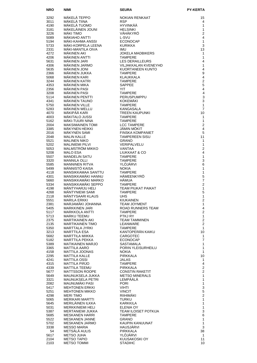| <b>NRO</b>   | NIMI                                          | SEURA                                           | <b>PY-KERTA</b>               |
|--------------|-----------------------------------------------|-------------------------------------------------|-------------------------------|
| 3292         | MÄKELÄ TEPPO                                  | <b>NOKIAN RENKAAT</b>                           | 15                            |
| 3011         | MÄKELÄ TIINA                                  | <b>RSP</b>                                      | 4                             |
| 4190         | MÄKELÄ TUOMO                                  | HYVINKÄÄ                                        | 1                             |
| 3181         | MÄKELÄINEN JOUNI                              | <b>HELSINKI</b>                                 | 1<br>$\overline{2}$           |
| 3226<br>5089 | <b>MÄKI TIMO</b><br>MÄKIAHO ANTTI             | VÄHÄKYRÖ<br>L-SVU                               | 4                             |
| 5194         | MÄKI-KAHMA ANSSI                              | <b>ECONOCAP</b>                                 | 1                             |
| 5733         | MAKI-KORPELA LEENA                            | <b>KURIKKA</b>                                  | 3                             |
| 2331         | MAKI-MANTILA OIVA                             | <b>IMU</b>                                      | 13                            |
| 4272<br>4206 | MÄKINEN AKI<br>MÄKINEN ANTTI                  | <b>JOKELA MADBIKERS</b><br><b>TAMPERE</b>       | 1<br>1                        |
| 5631         | MÄKINEN JARI                                  | <b>LES DERAILLEURS</b>                          | 4                             |
| 4306         | MÄKINEN JARMO                                 | VILJAKKALAN KVENEYHD                            | $\mathbf{1}$                  |
| 5635         | <b>MÄKINEN JONI</b>                           | KUORTANEEN KUNTO                                | 4                             |
| 2366<br>5068 | MÄKINEN JUKKA<br>MÄKINEN KARI                 | <b>TAMPERE</b><br>KLAUKKALA                     | 9<br>$\overline{\mathbf{4}}$  |
| 3244         | MÄKINEN KATRI                                 | <b>TAMPERE</b>                                  | $\overline{c}$                |
| 4353         | MÄKINEN MIKA                                  | <b>SAPPEE</b>                                   | 5                             |
| 2356         | <b>MÄKINEN PASI</b>                           | <b>YIT</b>                                      | $\overline{4}$                |
| 3208         | <b>MÄKINEN PASI</b>                           | <b>TAMPERE</b>                                  | $\overline{4}$                |
| 5114<br>4341 | MÄKINEN PENTTI<br>MÄKINEN TAUNO               | PERUSPUMPPU<br><b>KOKEMÄKI</b>                  | 3<br>3                        |
| 5750         | MÄKINEN VILLE                                 | <b>TAMPERE</b>                                  | $\mathbf{1}$                  |
| 5283         | MÄKINEN WELLU                                 | KANGASALA                                       | $\overline{7}$                |
| 4070         | MÄKIPÄÄ KARI                                  | <b>TREEN KAUPUNKI</b>                           | 10                            |
| 4003<br>5162 | MÄKITALO JUSSI<br>MÄKI-TUURI NINA             | <b>TAMPERE</b><br><b>TAMPERE</b>                | 1<br>1                        |
| 2004         | <b>MAKSIMAINEN TOMI</b>                       | <b>LCC TAMPERE</b>                              | $\overline{2}$                |
| 3385         | MÄKYNEN HEIKKI                                | JÄMIN MÖKIT                                     | 4                             |
| 2016         | MÄKYNEN SAMI                                  | <b>FINSKA KOMPANIET</b>                         | 5                             |
| 2048<br>5521 | <b>MALIN KALLE</b><br><b>MALINEN NIKO</b>     | <b>TAMPEREEN SISU</b><br><b>GRANO</b>           | 11<br>1                       |
| 5202         | <b>MALINIEMI PILVI</b>                        | <b>VERIPALVELU</b>                              | 1                             |
| 5053         | MALMSTRÖM MIKKO                               | VANTAA                                          | $\overline{2}$                |
| 5208         | <b>MALO ESA</b>                               | LIUKKAAT & CO                                   | 4                             |
| 5507<br>3320 | <b>MANDELIN SATU</b><br><b>MANNILA OLLI</b>   | <b>TAMPERE</b><br><b>TAMPERE</b>                | 1<br>3                        |
| 5585         | <b>MANNINEN RITVA</b>                         | <b>YLOJARVI</b>                                 | 6                             |
| 5499         | MÄNNISTÖ KAISA                                | <b>NOKIA</b>                                    | 1                             |
| 4118         | MANSIKKAMAA SANTTU                            | <b>TAMPERE</b>                                  | 1                             |
| 4301<br>5660 | MANSIKKAMÄKI HANNU<br>MANSIKKAMÄKI MARKO      | HÄMEENKYRÖ<br>HÄMUA                             | 5<br>$\overline{7}$           |
| 5334         | MANSIKKAMÄKI SEPPO                            | <b>TAMPERE</b>                                  | $\overline{2}$                |
| 4198         | MÄNTYHARJU HELI                               | <b>TEAM PIUKAT PAIKAT</b>                       | 1                             |
| 4268         | MÄNTYNIEMI SAMI                               | <b>TAMPERE</b>                                  | 5                             |
| 2118<br>5551 | MÄNTYSAARI KLAUS<br><b>MARILA ERKKI</b>       | <b>UHS</b><br><b>KIUKAINEN</b>                  | 1<br>$\overline{2}$           |
| 2381         | MARJAMÄKI JOHANNA                             | <b>TEAM JOYMENT</b>                             | 1                             |
| 5405         | <b>MARKKINEN JARI</b>                         | ROAD RUNNERS TEAM                               | $\overline{4}$                |
| 5117<br>5713 | <b>MARKKOLA ANTTI</b><br>MARKU TEEMU          | <b>TAMPERE</b><br>PTKJ RY                       | $\mathbf{2}$<br>1             |
| 2375         | <b>MARTIKAINEN AKI</b>                        | <b>TEAM TAMMINEN</b>                            | $\overline{\mathbf{c}}$       |
| 2135         | <b>MARTIKAINEN TIMO</b>                       | LEANWARE                                        | $\overline{2}$                |
| 5350         | <b>MARTTALA JYRKI</b>                         | <b>TAMPERE</b>                                  | 1                             |
| 3213<br>5682 | <b>MARTTILA ESA</b><br>MARTTILA MIIKKA        | KANTOPERÄN KAIKU<br>CARGOTEC                    | 10<br>1                       |
| 5182         | MARTTILA PEKKA                                | <b>ECONOCAP</b>                                 | $\overline{7}$                |
| 5389         | MATIKAINEN MARJO                              | <b>SASTAMALA</b>                                | 1                             |
| 3365         | <b>MATTILA AARO</b>                           | PORIN YLEISURHEILU                              | 1                             |
| 4158<br>2295 | <b>MATTILA JOONAS</b><br><b>MATTILA KALLE</b> | <b>NOKIA</b><br>PIRKKALA                        | $\mathbf{1}$<br>10            |
| 4241         | <b>MATTILA OSSI</b>                           | <b>JALAS</b>                                    | 1                             |
| 4315         | <b>MATTILA PIRJO</b>                          | <b>TAMPERE</b>                                  | $\overline{4}$                |
| 4339         | MATTILA TEEMU                                 | <b>PIRKKALA</b>                                 | $\mathbf{2}$                  |
| 5677<br>5649 | <b>MATTSSON ROOPE</b><br>MAUNUKSELA JUKKA     | <b>CONSTIN RAKETIT</b><br><b>METSO MINERALS</b> | $\mathbf{2}$<br>1             |
| 3321         | <b>MAUNUKSELA PETRI</b>                       | LEMPÄÄLÄ                                        | 1                             |
| 2082         | <b>MAUNUMAKI PASI</b>                         | <b>PORI</b>                                     | 1                             |
| 5417         | <b>MEHTONEN ERKKI</b>                         | VIHTI                                           | 3                             |
| 5251<br>4298 | <b>MEHTONEN MIKKO</b><br><b>MERI TIMO</b>     | <b>VINCIT</b><br>RIIHIMÄKI                      | $\mathbf 5$<br>$\overline{c}$ |
| 5065         | <b>MERIKARI MARTTI</b>                        | <b>TURKU</b>                                    | 1                             |
| 5645         | MERILÄINEN ILKKA                              | KARKKILA                                        | 1                             |
| 5031         | <b>MERKKINIEMI HELI</b>                       | ELENIA OY                                       | 1                             |
| 5387<br>5685 | MERTANIEMI JUKKA<br><b>MESKANEN HARRI</b>     | TEAM ILOISET POTKIJA<br><b>TAMPERE</b>          | $\mathsf 3$<br>6              |
| 5522         | <b>MESKANEN JANNE</b>                         | <b>GRANO</b>                                    | $\mathbf{1}$                  |
| 5702         | <b>MESKANEN JARMO</b>                         | KAUPIN KANUUNAT                                 | $\mathbf{1}$                  |
| 3338         | <b>MESSO MARIA</b>                            | HAUSJARVI                                       | 3                             |
| 54<br>5617   | METSÄLÄ AULIS<br><b>METSO JUHA</b>            | PIRKKALA<br>YLÖJÄRVI                            | 38<br>$\mathbf{1}$            |
| 2104         | <b>METSO TAPIO</b>                            | KUUSAKOSKI OY                                   | 11                            |
| 2103         | <b>METSO TOMMI</b>                            | <b>STADIHC</b>                                  | 10                            |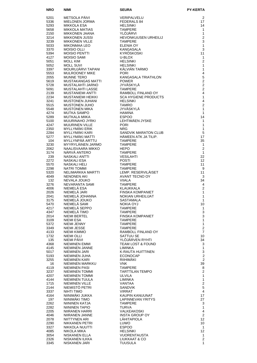| <b>NRO</b>   | <b>NIMI</b>                             | <b>SEURA</b>                                                      | <b>PY-KERTA</b>                  |
|--------------|-----------------------------------------|-------------------------------------------------------------------|----------------------------------|
| 5201         | METSOLA PÄIVI                           | <b>VERIPALVELU</b>                                                | 2                                |
| 5336         | MIELONEN JORMA                          | FEDERALS 84                                                       | 17                               |
| 5293         | <b>MIKKOLA ESA</b>                      | <b>HELSINKI</b>                                                   | 14                               |
| 5658         | MIKKOLA MATIAS                          | <b>TAMPERE</b>                                                    | $\mathbf{1}$                     |
| 2150<br>3214 | MIKKONEN JAANA<br>MIKKONEN JUSSI        | YLOJARVI<br><b>HEVONKUUSEN URHEILIJ</b>                           | $\mathbf{1}$<br>$\overline{c}$   |
| 3239         | <b>MIKKONEN VILLE</b>                   | <b>TAMPERE</b>                                                    | 3                                |
| 5033         | MIKONMAA LEO                            | ELENIA OY                                                         | $\mathbf{1}$                     |
| 3370         | <b>MOISIO OLLI</b>                      | KANGASALA                                                         | 3                                |
| 5394         | <b>MOISIO PENTTI</b>                    | KYRÖSKOSKI                                                        | 11                               |
| 4127<br>5051 | <b>MOISIO SAMI</b><br><b>MOLL KIM</b>   | U-BLOX<br><b>HELSINKI</b>                                         | $\mathbf{1}$<br>2                |
| 5052         | <b>MOLL SUVI</b>                        | <b>HELSINKI</b>                                                   | $\mathbf{1}$                     |
| 3397         | MOURUJÄRVI TAPANI                       | KÄLVIÄN TARMO                                                     | $\mathbf{1}$                     |
| 5553         | <b>MULROONEY MIKE</b>                   | <b>PORI</b>                                                       | $\overline{4}$                   |
| 2055         | <b>MUNNE TERO</b>                       | KANGASALA TRIATHLON                                               | $\mathbf 5$                      |
| 5619<br>5728 | MUSTAKANGAS MATTI<br>MUSTALAHTI JARNO   | <b>POWER</b><br>JYVÄSKYLÄ                                         | $\overline{2}$<br>$\overline{2}$ |
| 5091         | MUSTALAHTI LASSE                        | <b>TAMPERE</b>                                                    | $\overline{2}$                   |
| 2139         | MUSTANIEMI ANTTI                        | RAMBOLL FINLAND OY                                                | $\overline{4}$                   |
| 2234         | <b>MUSTANIEMI HEIKKI</b>                | <b>SCA HYGIENE PRODUCTS</b>                                       | $\mathbf{1}$                     |
| 3241         | MUSTONEN JUHANI                         | <b>HELSINKI</b>                                                   | $\overline{4}$<br>$\overline{2}$ |
| 5515<br>5548 | MUSTONEN JUHO<br>MUSTONEN MIKA          | <b>TAMRO</b><br><b>JYVÄSKYLÄ</b>                                  | $\mathbf{1}$                     |
| 4274         | MUTKA SAMPO                             | <b>HAMINA</b>                                                     | $\mathbf{1}$                     |
| 5289         | MUTKALA MIIKA                           | <b>ESPOO</b>                                                      | 14                               |
| 5100         | MUURINAHO JYRKI                         | LEHTIMÄEN JYSKE                                                   | 1                                |
| 4247         | <b>MUURINEN VILLE</b>                   | <b>PORI</b>                                                       | $\mathbf{1}$                     |
| 2350<br>2284 | MYLLYMÄKI ERIK<br>MYLLYMÄKI KARI        | <b>NRG</b><br>NRG<br>SANDVIK MARATON CLUB<br>HÄMEEN ATK JA TILIP. | $\mathbf{1}$<br>5                |
| 5277         | MYLLYMÄKI MATTI                         |                                                                   | 17                               |
| 104          | MYLLYNPÄÄ ARTTU                         | <b>TAMPERE</b>                                                    | 35                               |
| 3230         | MYYRYLÄINEN JARMO                       | <b>TAMPERE</b>                                                    | $\mathbf{1}$                     |
| 2062         | NAALISVAARA MIKKO                       | <b>HEPO</b>                                                       | 2                                |
| 3174<br>239  | NARVA ANTERO<br>NASKALI ANTTI           | <b>TAMPERE</b><br><b>VESILAHTI</b>                                | $\mathbf{1}$<br>22               |
| 2272         | NASKALI ESA                             | <b>POSTI</b>                                                      | $12 \overline{ }$                |
| 5570         | NASKALI HELI                            | <b>TAMPERE</b>                                                    | 11                               |
| 2298         | NATRI TOMMI                             | <b>TAMPERE</b>                                                    | 9                                |
| 5320         | NELIMARKKA MARTTI<br><b>NENONEN AKI</b> | LEMP. RESERVILÄISET<br>AVANT TECNO OY                             | 11<br>3                          |
| 4049<br>132  | NEVALA JOUKO                            | <b>VIIALA</b>                                                     | 34                               |
| 3276         | NEVARANTA SAMI                          | <b>TAMPERE</b>                                                    | 4                                |
| 4006         | NIEMELÄ ESA                             | KLAUKKALA                                                         | $\overline{2}$                   |
| 2026         | NIEMELÄ JARI                            | <b>FINSKA KOMPANIET</b>                                           | $\mathbf{1}$                     |
| 2041<br>3175 | NIEMELÄ JOHANNA<br>NIEMELÄ JOUKO        | <b>NOKIAN URHEILIJAT</b><br><b>SASTAMALA</b>                      | 1<br>1                           |
| 5470         | NIEMELÄ SAMI                            | NOKIA OYJ                                                         | 10                               |
| 4217         | NIEMELÄ SEPPO                           | TAMPERE                                                           | 1                                |
| 4347         | NIEMELÄ TIMO                            | <b>TAMPERE</b>                                                    | 3                                |
| 2014         | NIEMI BERTEL                            | <b>FINSKA KOMPANIET</b>                                           | 3                                |
| 3109<br>5372 | <b>NIEMI ESA</b><br>NIEMI JENNY         | <b>TAMPERE</b><br><b>TAMPERE</b>                                  | 1<br>1                           |
| 3349         | NIEMI JESSE                             | TAMPERE                                                           | $\overline{2}$                   |
| 4133         | NIEMI KIMMO                             | RAMBOLL FINLAND OY                                                | $\overline{7}$                   |
| 1732         | <b>NIEMI OLLI</b>                       | <b>SATTUU SE</b>                                                  | 10                               |
| 135          | NIEMI PÄIVI                             | YLOJARVEN RYHTI                                                   | 34                               |
| 4368<br>4145 | NIEMINEN EMMI<br>NIEMINEN JANNE         | <b>TEAM LOST &amp; FOUND</b><br>LIMINKA                           | 3<br>$\mathbf{1}$                |
| 5017         | NIEMINEN JARI                           | K-RAUTA HUITTINEN                                                 | 3                                |
| 5193         | NIEMINEN JUHA                           | <b>ECONOCAP</b>                                                   | $\overline{\mathbf{c}}$          |
| 3255         | NIEMINEN KARI                           | RIIHIMAKI                                                         | $\overline{2}$                   |
| 16<br>4119   | NIEMINEN MARKKU<br><b>NIEMINEN PASI</b> | <b>VNK</b><br><b>TAMPERE</b>                                      | 39                               |
| 3237         | NIEMINEN TOMMI                          | <b>TARTTILAN TEMPO</b>                                            | 8<br>$\overline{2}$              |
| 4207         | NIEMINEN TOMMI                          | <b>ULVILA</b>                                                     | 1                                |
| 4144         | NIEMINEN TUULA                          | LIMINKA                                                           | $\mathbf{1}$                     |
| 1715         | NIEMINEN VILLE                          | VANTAA                                                            | $\overline{2}$                   |
| 2144         | NIEMISTÖ PETRI<br>NIHTI TIMO            | SANDVIK<br><b>VIRRAT</b>                                          | 5                                |
| 3337<br>4164 | NIINIMÄKI JUKKA                         | KAUPIN KANUUNAT                                                   | 4<br>17                          |
| 197          | NIINIMÄKI TIMO                          | LAPINNEVAN YRITYS                                                 | 27                               |
| 2262         | NIININEN KATJA                          | <b>TAMPERE</b>                                                    | 3                                |
| 2282         | NIININEN TAPIO                          | <b>TURVA</b>                                                      | $\mathbf{1}$                     |
| 2205         | NIIRANEN HARRI                          | VALKEAKOSKI                                                       | $\overline{4}$                   |
| 4046<br>2078 | NIIRANEN JANNE<br>NIITTYNEN ARI         | <b>INSTA GROUP OY</b><br>LÄHITAPIOLA                              | $\overline{2}$<br>12             |
| 2290         | NIKKANEN PETRI                          | LUWO                                                              | 10                               |
| 3327         | NIKKOLA NUUTTI                          | <b>ESPOO</b>                                                      | 1                                |
| 4085         | NIKOLA MIKA                             | <b>HELSINKI</b>                                                   | $12 \overline{ }$                |
| 3054         | NISKANEN ELLA                           | VUORENTAUSTA                                                      | $\mathbf{1}$                     |
| 2326<br>3345 | NISKANEN ILKKA<br>NISKANEN JARI         | LIUKKAAT & CO<br><b>TUUSULA</b>                                   | $\mathbf{2}$<br>1                |
|              |                                         |                                                                   |                                  |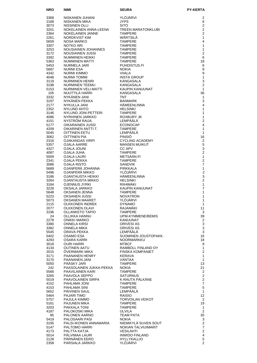| <b>NRO</b>   | <b>NIMI</b>                              | <b>SEURA</b>                                | <b>PY-KERTA</b>                  |
|--------------|------------------------------------------|---------------------------------------------|----------------------------------|
| 3368         | NISKANEN JUHANI                          | YLÖJÄRVI                                    | 2                                |
| 2168         | NISKANEN MIKA                            | JYPS                                        | 6                                |
| 3073         | NISSINEN OLLI                            | <b>SITO</b>                                 | 2                                |
| 3201         | NOKELAINEN ANNA-LEENA                    | <b>TREEN MARATONKLUBI</b>                   | $\overline{2}$                   |
| 2364<br>2261 | NOKELAINEN JANNE<br>NORDKVIST KIM        | <b>TAMPERE</b><br>WÄRTSILÄ                  | $\overline{2}$<br>1              |
| 5659         | NOSA MARKO                               | <b>TAMPERE</b>                              | 4                                |
| 3307         | NOTKO ARI                                | <b>TAMPERE</b>                              | 1                                |
| 3253         | NOUSIAINEN JOHANNES                      | <b>TAMPERE</b>                              | $\mathbf{1}$                     |
| 3172         | NOUSIAINEN JUSSI                         | <b>TAMPERE</b>                              | $\overline{2}$                   |
| 3392<br>5363 | NUMMINEN HEIKKI<br>NUMMINEN MATTI        | <b>TAMPERE</b><br><b>TAMPERE</b>            | 6<br>18                          |
| 5453         | NURMELA JARI                             | PUHDISTUS.FI                                | 6                                |
| 5687         | <b>NURMI ESA</b>                         | <b>NOKIA</b>                                | 9                                |
| 4342         | NURMI KIMMO<br>NURMI TOMMI               | <b>VIIALA</b>                               | 9                                |
| 4048<br>3119 | NURMINEN HENRI                           | <b>INSTA GROUP</b><br>KANGASALA             | $\mathbf{1}$<br>3                |
| 3198         | NURMINEN TEEMU                           | KANGASALA                                   | $\overline{2}$                   |
| 5153         | NURMINEN VELI-MATTI                      | KAUPIN KANUUNAT                             | $\mathbf{1}$                     |
| 105          | NUUTTILA HARRI                           | KANGASALA                                   | 36                               |
| 3332<br>3197 | NYKÄNEN JANI<br>NYKÄNEN PEKKA            | <b>TNT</b><br><b>BANMARK</b>                | 1<br>3                           |
| 2177         | NYKULLA JANI                             | HÄMEENLINNA                                 | 4                                |
| 2352         | NYLUND AHTO                              | <b>HELSINKI</b>                             | $\mathbf{1}$                     |
| 3146         | NYLUND JONI-PETTERI                      | <b>TAMPERE</b>                              | 1                                |
| 4086<br>4151 | NYRHINEN JARKKO<br>NYSTRÖM RAIJA         | ROXBURY JK<br>LEMPÄÄLÄ                      | $\mathbf{1}$<br>2                |
| 5177         | OIKARAINEN JUSSI                         | <b>ECONOCAP</b>                             | 4                                |
| 4209         | OIKARINEN ANTTI T.                       | <b>TAMPERE</b>                              | $\mathbf{1}$                     |
| 5045         | OITTINEN EETU                            | LEMPÄÄLÄ                                    | $\mathbf{1}$                     |
| 3062<br>2316 | OITTINEN PIA<br>OJAKANGAS VIRPI          | <b>PINSIO</b><br><b>CYCLING ACADEMY</b>     | 16<br>2                          |
| 5357         | OJALA AARRE                              | <b>MANSEN MUIKUT</b>                        | 5                                |
| 4327         | OJALA JOUNI                              | CC APV                                      | 3                                |
| 4087         | OJALA JUHA                               | <b>TAMPERE</b>                              | $\overline{2}$                   |
| 5009<br>2341 | <b>OJALA LAURI</b><br>OJALA PEKKA        | METSÄÄN.FI<br><b>TAMPERE</b>                | $\mathbf{1}$<br>$\overline{c}$   |
| 3086         | <b>OJALA RISTO</b>                       | <b>SANDVIK</b>                              | $\overline{7}$                   |
| 5689         | OJANPERÄ JOHANNA                         | <b>PIRKKALA</b>                             | $\mathbf{1}$                     |
| 5496         | OJANPERÄ MIKKO                           | YLÖJÄRVI                                    | $\overline{c}$<br>5              |
| 3186<br>3264 | OJANTAUSTA HEIKKI<br>OJANTAUSTA MIKKO    | <b>HÄMEENLINNA</b><br><b>HELSINKI</b>       | $\overline{2}$                   |
| 3184         | <b>OJENNUS JYRKI</b>                     | RIIHIMÄKI                                   | 1                                |
| 3228         | OKSALA JARKKO                            | KAUPIN KANUUNAT                             | $\overline{7}$                   |
| 5648<br>5223 | OKSANEN JENNA<br><b>OKSANEN JUSSI</b>    | <b>TAMPERE</b><br><b>NOVATRON</b>           | 1<br>1                           |
| 5073         | OKSANEN MAARET                           | YLÖJÄRVI                                    | 1                                |
| 2115         | <b>OLKKONEN INDREK</b>                   | <b>DYNAMO</b>                               | $\mathbf{1}$                     |
| 2077<br>3196 | OLKKONEN OLAVI<br>OLLANKETO TAPIO        | RAJAMÄKI<br><b>TAMPERE</b>                  | 11<br>3                          |
| 24           | OLLIKKA HANNU                            | UPM-KYMMENE/BEMIS                           | 39                               |
| 2278         | ONIKKI MARKO                             | KANUUNAT                                    | 2                                |
| 3380         | ONNELA KIRSI                             | ORIVESI AS                                  | 3                                |
| 3382<br>5545 | ONNELA MIKA<br>ORAVA PEKKA               | ORIVESI AS<br>LEMPÄÄLÄ                      | $\mathbf{3}$<br>3                |
| 5402         | <b>OSAMO ESA</b>                         | SUOMINEN JOUSTOPAKK.                        | 16                               |
| 4293         | OSARA KARRI                              | <b>NOORMARKKU</b>                           | 18                               |
| 3018<br>4134 | <b>OURI HARRI</b><br>OUTINEN AATU        | <b>MTBCF</b><br>RAMBOLL FINLAND OY          | 9<br>1                           |
| 2015         | OVERMARK MIKA                            | <b>FINSKA KOMPANIET</b>                     | $\overline{2}$                   |
| 3171         | PAANANEN HENRY                           | KERAVA                                      | 1                                |
| 3170         | PAANANEN JANI                            | VANTAA                                      | $\mathbf{1}$                     |
| 5050<br>242  | PÄÄSKY JARI<br>PAASOLAINEN JUKKA-PEKKA   | <b>TAMPERE</b><br><b>NOKIA</b>              | 13<br>21                         |
| 5566         | PAAVILAINEN KARI                         | <b>TAMPERE</b>                              | $\overline{a}$                   |
| 3265         | PAAVOLA SEPPO                            | <b>SATURNUS</b>                             | $\overline{c}$                   |
| 5019<br>4152 | PAAVOLAINEN SIRPA<br>PAHLAMA JONI        | K-RAUTA PÄLKÄNE<br><b>TAMPERE</b>           | $\overline{2}$<br>$\overline{7}$ |
| 4153         | PAHLAMA SINI                             | <b>TAMPERE</b>                              | $\sqrt{5}$                       |
| 5652         | PÄIVINEN SAUL                            | LEMPÄÄLÄ                                    | 1                                |
| 5464         | PAJARI TIMO                              | <b>RAISIO</b>                               | 12                               |
| 5757<br>5161 | PAJULA KIMMO<br>PAJUNEN MIKA             | <b>TORVOILAN VEIKOT</b><br><b>TAMPERE</b>   | 2<br>19                          |
| 3203         | PAKKALA TONI                             | <b>TAMPERE</b>                              | 1                                |
| 4187         | PALOKOSKI MIKA                           | ULVILA                                      | $\overline{2}$                   |
| 85           | PALONEN AARNO                            | <b>TEAM PATA</b>                            | 35                               |
| 5419<br>3195 | PALOSAARI PASI<br>PALSI-IKONEN ANNAMARIA | <b>NOKIA</b><br>NIEMIKYLÄ SUVEN SOUT        | 3<br>2                           |
| 5147         | PALTOMO HARRI                            | NOKIAN TALVIUIMARIT                         | $\overline{7}$                   |
| 4173         | PALTTA KATJA                             | <b>VESILAHTI</b>                            | $\overline{2}$                   |
| 5014<br>2128 | PÄLVIMAA LAURI<br>PÄRNÄNEN EERO          | <b>INWIDO FINLAND</b><br><b>HYLLYKALLIO</b> | $\overline{4}$<br>5              |
| 2358         | PARSIALA JARKKO                          | YLÖJÄRVI                                    | $\overline{2}$                   |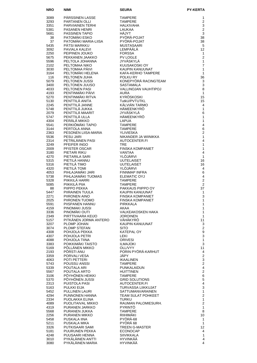| <b>NRO</b>   | <b>NIMI</b>                                | <b>SEURA</b>                                | <b>PY-KERTA</b>         |
|--------------|--------------------------------------------|---------------------------------------------|-------------------------|
| 3089         | PÄRSSINEN LASSE                            | <b>TAMPERE</b>                              | 1                       |
| 3293         | PARTANEN OLLI                              | <b>TAMPERE</b>                              | $\overline{2}$          |
| 3351         | <b>PARVIAINEN TERHI</b>                    | <b>HALKIVAHA</b>                            | 3                       |
| 5381         | <b>PASANEN HENRI</b>                       | LAUKAA                                      | $\overline{2}$          |
| 5681<br>38   | <b>PASSINEN TAPIO</b><br>PATOMÄKI ESKO     | HÄJYT<br>PYÖRÄ-POJAT                        | 3<br>38                 |
| 37           | PATOMÄKI MARIA-LIISA                       | PYÖRÄ-POJAT                                 | 38                      |
| 5435         | PÄTSI MARKKU                               | <b>MUSTASAARI</b>                           | 5                       |
| 3092         | PAVIALA KALEVI                             | LEMPÄÄLÄ                                    | 12                      |
| 2250         | PEIPINEN JOUKO                             | <b>FORSSA</b>                               | $\mathbf{1}$            |
| 5675<br>5596 | PEKKANEN JAAKKO<br>PELTOLA JOHANNA         | PV LOGLE<br>JYVÄSKYLÄ                       | $\overline{2}$<br>1     |
| 2102         | PELTOMAA NIKO                              | KUUSAKOSKI OY                               | $\overline{7}$          |
| 3030         | PELTOMAA PÄIVI                             | KAUPIN KANUUNAT                             | 1                       |
| 3164         | PELTOMÄKI HELENA                           | KAFA-KERHO TAMPERE                          | 1                       |
| 116          | PELTONEN JUHA                              | POLKU RY                                    | 36                      |
| 5079<br>3400 | PELTONEN JUSSI<br>PELTONEN JUUSO           | KONEPYÖRÄ RACINGTEAM<br><b>SASTAMALA</b>    | 3<br>3                  |
| 4033         | <b>PELTONEN PASI</b>                       | VALLINOJAN VAUHTIPOJ                        | 8                       |
| 4193         | PENTINMÄKI PÄIVI                           | <b>AURA</b>                                 | 1                       |
| 5270         | PENTINMÄKI RITVA                           | KYRÖSKOSKI                                  | 15                      |
| 5130<br>2245 | PENTTILÄ ANITA<br>PENTTILÄ JANNE           | TutkU/PVTUTKL<br>KÄLVIÄN TARMO              | 15<br>4                 |
| 5748         | PENTTILÄ JUKKA                             | HÄMEENKYRÖ                                  | 1                       |
| 2079         | PENTTILÄ MAARIT                            | JYVÄSKYLÄ                                   | 6                       |
| 5747         | PENTTILÄ ULLA                              | HÄMEENKYRÖ                                  | 1                       |
| 4304         | PERÄLÄ MIKKO                               | <b>LAPUA</b>                                | 1                       |
| 5541<br>3144 | PERKIÖMÄKI TAPIO<br>PERTOLA ANNA           | <b>TAMPERE</b><br><b>TAMPERE</b>            | 4<br>6                  |
| 2363         | PESONEN LIISA-MARIA                        | <b>YLIVIESKA</b>                            | $\overline{2}$          |
| 5536         | <b>PESU JARI</b>                           | NIKANDER JA WIINIKKA                        | 1                       |
| 2314         | PETRILÄINEN PASI                           | AUTOCENTER.FI                               | 4                       |
| 3249         | PFEIFER INGO                               | <b>TRE</b>                                  | 1                       |
| 2009<br>3180 | PFISTER OSCAR<br>PIETARI RIKU              | <b>FINSKA KOMPANIET</b><br><b>VANTAA</b>    | $\mathbf{1}$<br>4       |
| 4270         | PIETARILA SARI                             | YLÖJÄRVI                                    | 1                       |
| 5315         | PIETILÄ HANNU                              | <b>UUTELAISET</b>                           | 16                      |
| 5316         | PIETILÄ TIMO                               | <b>UUTELAISET</b>                           | 16                      |
| 4320         | PIETILÄ TOMI                               | YLÖJÄRVI                                    | 4                       |
| 4053<br>5738 | PIHLAJAMÄKI JARI<br>PIHLAJAMÄKI TUOMAS     | <b>FINNMAP INFRA</b><br><b>ELEMATIC OYJ</b> | 6<br>$\overline{4}$     |
| 5328         | PIIKKILÄ HARRI                             | <b>TAMPERE</b>                              | $\overline{2}$          |
| 5085         | PIIKKILÄ PIIA                              | <b>TAMPERE</b>                              | $\overline{2}$          |
| 88           | PIIPPO PEKKA                               | PAKKAUS PIIPPO OY                           | 37                      |
| 5447         | PIIRAINEN TUULA<br>PIIRONEN AINO           | KAUPIN KANUUNAT<br><b>FINSKA KOMPANIET</b>  | 1<br>3                  |
| 2271<br>2025 | PIIRONEN TUOMO                             | <b>FINSKA KOMPANIET</b>                     | 1                       |
| 5591         | PIISPANEN HANNU                            | <b>PIRKKALA</b>                             | 1                       |
| 4159         | PINOMAKI JUSSI                             | AKAA                                        | 1                       |
| 3336         | PINOMÄKI OUTI                              | VALKEAKOSKEN HAKA                           | 1                       |
| 2349<br>5157 | PIRTTIVAARA KEIJO<br>PITKÄNEN JORMA ANTERO | <b>JOROINEN</b><br>VÄHÄKYRÖ                 | 1<br>11                 |
| 3207         | PLOMP JOHAN                                | KAUPIN KANUUNAT                             | 3                       |
| 3074         | PLOMP STEFAN                               | <b>SITO</b>                                 | $\mathbf 2$             |
| 4308         | POHJOLA PEKKA                              | <b>KATEPAL OY</b>                           | 9                       |
| 4307         | POHJOLA PETRI                              | LEKI                                        | 3                       |
| 4088<br>3383 | POHJOLA TIINA<br>POIKKIMÄKI TAISTO         | <b>ORIVESI</b><br><b>ILMAJOKI</b>           | $\mathbf{1}$<br>3       |
| 5169         | PÖLLÄNEN MIKKO                             | OLL/VYY                                     | 11                      |
| 2193         | PÖRSTI ANU                                 | PORIN PYÖRÄ-KARHUT                          | $\overline{4}$          |
| 3359         | PORVALI VESA                               | JÄPY                                        | $\overline{c}$          |
| 4063         | POTI PETTERI                               | <b>IKAALINEN</b><br><b>TAMPERE</b>          | 3<br>$\overline{c}$     |
| 5743<br>5339 | POUSSU ANSSI<br>POUTALA ARI                | PUNKALAIDUN                                 | $\overline{4}$          |
| 5567         | POUTALA ARTO                               | <b>HUITTINEN</b>                            | $\overline{c}$          |
| 3106         | POYHONEN HEIKKI                            | TAMPERE                                     | 6                       |
| 5370         | PÖYHÖNEN JUSSI                             | <b>GRID SOLUTIONS</b>                       | 5                       |
| 2313<br>5163 | PUISTOLA PASI<br>PULKKI EIJA               | AUTOCENTER.FI<br>TURVASSA LIIKKUJAT         | $\overline{4}$<br>3     |
| 5452         | PULLINEN LAURI                             | SATTUMANVARAINEN                            | 1                       |
| 4294         | PUNNONEN HANNA                             | TEAM SULAT POHKEET                          | $\overline{c}$          |
| 2334         | PUOLAKKA ELINA                             | TURKU                                       | $\mathbf{1}$            |
| 4089         | PUOLITAIVAL MIKKO                          | RAUMAN PALOMIESURH.                         | $\overline{c}$          |
| 4319<br>5568 | PURANEN JARKKO<br>PURANEN JUKKA            | <b>PYRINTÖ</b><br><b>TAMPERE</b>            | 1<br>8                  |
| 2256         | PURANEN MIKKO                              | RIIHIMÄKI                                   | 10                      |
| 5458         | PUSKALA IINA                               | PYÖRÄ-68                                    | $\mathbf{1}$            |
| 5211         | PUSKALA MIKA                               | PYÖRÄ 68                                    | $\mathbf{1}$            |
| 3326<br>5181 | PUTKISAARI SAMI<br>PUURUNEN PEKKA          | TREEN G-MASTER<br><b>ECONOCAP</b>           | 12<br>4                 |
| 4248         | PUUSAARI HENNA                             | SIIVIKKALA                                  | 1                       |
| 3010         | PYKÄLÄINEN ANTTI                           | HYVINKÄÄ                                    | $\overline{\mathbf{4}}$ |
| 3080         | PYKÄLÄINEN MARIA                           | HYVINKÄÄ                                    | 4                       |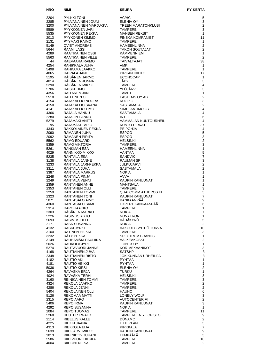| <b>NRO</b>   | <b>NIMI</b>                          | <b>SEURA</b>                                 | <b>PY-KERTA</b>                |
|--------------|--------------------------------------|----------------------------------------------|--------------------------------|
| 2204         | <b>PYLKKI TONI</b>                   | AC/HC                                        | 5                              |
| 2285         | PYLVÄNÄINEN JOUNI                    | <b>ELENIA OY</b>                             | 3                              |
| 3200         | PYLVÄNÄINEN MARJUKKA                 | <b>TREEN MARATONKLUBI</b>                    | $\overline{2}$                 |
| 5589         | PYYKKÖNEN JARI                       | <b>TAMPERE</b>                               | 3                              |
| 5535         | PYYKKÖNEN PEKKA                      | <b>MANSEN REKSIT</b>                         | $\mathbf{1}$                   |
| 2013<br>2131 | PYYKÖNEN KIMMO<br>PYYMÄKI RAIMO      | <b>FINSKA KOMPANIET</b><br><b>TAMPERE</b>    | 11<br>$\mathbf{1}$             |
| 5149         | <b>QVIST ANDREAS</b>                 | <b>HÄMEENLINNA</b>                           | 2                              |
| 5644         | RAAMI LASSI                          | <b>TAKON SOUTAJAT</b>                        | 2                              |
| 4289         | RAATIKAINEN OSSI                     | KÄMMENNIEMI                                  | $\mathbf{1}$                   |
| 5563<br>44   | RAATIKAINEN VILLE<br>RAEVAARA RAIMO  | <b>TAMPERE</b><br>TAIVALTAJAT                | 2<br>38                        |
| 4254         | RAHIKKALA JUHA                       | AMK                                          | $\mathbf{1}$                   |
| 5498         | RAHKAMA JAAKKO                       | <b>TAMPERE</b>                               | $\mathbf{1}$                   |
| 4065         | RAIPALA JANI                         | PIRKAN HIIHTO                                | 17                             |
| 5195         | RÄISÄNEN JARMO                       | <b>ECONOCAP</b>                              | $\mathbf{1}$                   |
| 4014<br>5290 | RÄISÄNEN JONNA<br>RÄISÄNEN MIKKO     | JÄPY<br><b>TAMPERE</b>                       | 3<br>$\overline{4}$            |
| 5706         | <b>RAISKI TIMO</b>                   | YLÖJÄRVI                                     | 3                              |
| 4356         | RAITANEN JANI                        | <b>TAMPT</b>                                 | $\mathbf{1}$                   |
| 5518         | RAITTINEN OLLI                       | <b>FASTEMS OY AB</b>                         | $\overline{c}$                 |
| 4154<br>4150 | RAJAKALLIO NOORA<br>RAJAKALLIO SAANA | <b>KUOPIO</b><br>SASTAMALA                   | 3<br>$\overline{2}$            |
| 4141         | RAJAKALLIO TIMO                      | SIMULAATIMO OY                               | $\overline{4}$                 |
| 4366         | RAJALA HANNU                         | <b>SASTAMALA</b>                             | 4                              |
| 2280         | RAJALIN HANNU                        | <b>INTEL</b>                                 | 6                              |
| 5279         | RAJAMÄKI ANTTI                       | <b>VAMMALAN KUNTOURHEIL</b>                  | 4                              |
| 95<br>4343   | RAJAMÄKI TAPIO<br>RAKKOLAINEN PEKKA  | KUNTO-PIRKAT<br><b>PEIPOHJA</b>              | 37<br>4                        |
| 2090         | RÂMÂNEN JUHA                         | <b>ESPOO</b>                                 | 5                              |
| 2092         | RÄMÄNEN PIRITA                       | <b>ESPOO</b>                                 | 3                              |
| 5562         | RÂMÔ EDUARD                          | <b>HELSINKI</b>                              | $\overline{2}$                 |
| 5359<br>5261 | RÂMÖ VIKTORIA<br>RÄNKMAN ESA         | <b>TAMPERE</b><br>HÄMEENLINNA                | 3<br>$\mathbf{1}$              |
| 4029         | RANNIKKO MIKKO                       | VANTAA                                       | $\mathbf 5$                    |
| 5235         | RANTALA ESA                          | <b>SANDVIK</b>                               | $\overline{7}$                 |
| 3138         | RANTALA JANNE                        | <b>RAUMAN SP</b>                             | 3                              |
| 3233         | RANTALA JARI-PEKKA                   | <b>JULKUJARVI</b>                            | $\overline{2}$                 |
| 3311<br>3387 | RANTALA JUHA<br>RANTALA MARKUS       | <b>SASTAMALA</b><br><b>NOKIA</b>             | $\overline{2}$<br>$\mathbf{1}$ |
| 2248         | RANTALA PINJA                        | <b>VVVV</b>                                  | $\mathbf{1}$                   |
| 2249         | RANTALA VENNI                        | <b>KAUPIN KANUUNAT</b>                       | 1                              |
| 2359         | <b>RANTANEN ANNE</b>                 | MÄNTSÄLÄ                                     | $\mathbf{1}$                   |
| 2353<br>2259 | RANTANEN OLLI<br>RANTANEN TOMMI      | <b>TAMPERE</b><br><b>QUALCOMM ATHEROS FI</b> | 3<br>5                         |
| 2323         | <b>RANTANEN TONI</b>                 | KAUPIN KANUUNAT                              | $\overline{7}$                 |
| 5071         | RANTASALO AIMO                       | KANKAANPÄÄ                                   | 9                              |
| 4360         | RANTASALO SAMI                       | EXPERT KANKAANPÄÄ                            | 6                              |
| 5314         | RAPO JAAKKO                          | <b>TAMPERE</b>                               | 1                              |
| 2303<br>5226 | RÄSÄNEN MARKO<br><b>RASIMUS ARTO</b> | <b>NOKIA</b><br><b>NOVATRON</b>              | $\overline{7}$<br>1            |
| 5693         | <b>RASIMUS HELI</b>                  | VÄHÄKYRÖ                                     | 5                              |
| 2171         | RASK SUSANNA                         | <b>NOKIA</b>                                 | $\overline{2}$                 |
| 4132         | <b>RASKI JYRKI</b>                   | VAKUUTUSYHTIÖ TURVA                          | 10                             |
| 3100<br>3232 | RATINEN HEIKKI<br>RÄTY PEKKA         | <b>TAMPERE</b><br><b>SPECTRUM BRANDS</b>     | 3<br>$\mathbf{1}$              |
| 3149         | RAUHAMÄKI PAULIINA                   | VALKEAKOSKI                                  | $\overline{\mathbf{c}}$        |
| 5026         | RAUKOLA JYRI                         | JOINEX OY                                    | $\mathbf{1}$                   |
| 5274         | RAUTAVUORI JANNE                     | KORIMEKAANIKOT                               | 3                              |
| 4168         | RAUTIAINEN JUHA<br>RAUTIAINEN RISTO  | <b>SATSHP</b>                                | $\mathbf{3}$<br>$\mathbf{3}$   |
| 2348<br>4182 | RAUTIO AKI                           | JOKIKUNNAN URHEILIJA<br>PYHTÄÄ               | 1                              |
| 4181         | RAUTIO HEIKKI                        | PYHTÄÄ                                       | $\mathbf{1}$                   |
| 5036         | RAUTIO KIRSI                         | <b>ELENIA OY</b>                             | $\overline{2}$                 |
| 4264         | RAVASKA ERJA                         | <b>TURKU</b>                                 | $\mathbf{1}$<br>$\mathsf 3$    |
| 4024<br>3160 | RAVASKA TERHI<br>REINIKAINEN TOMMI   | HELSINKI<br><b>TAMPERE</b>                   | $\mathsf 3$                    |
| 4324         | REKOLA JAAKKO                        | <b>TAMPERE</b>                               | $\overline{2}$                 |
| 4286         | REKOLA JENNI                         | <b>TAMPERE</b>                               | $\sqrt{2}$                     |
| 5404         | REKOLAINEN OLLI                      | <b>HAUHO</b>                                 | $\,6$                          |
| 5126<br>2315 | REKOMAA MATTI<br>REPO AAPO           | LONELY WOLF<br>AUTOCENTER.FI                 | 3<br>$\mathbf 2$               |
| 5406         | <b>REPO IRMA</b>                     | KAUPIN KANUUNAT                              | 3                              |
| 4292         | REPO SUSANNA                         | <b>NOKIA</b>                                 | $\mathbf{1}$                   |
| 2084         | REPO TUOMAS                          | TAMPERE                                      | 11                             |
| 5268         | REUTER EWALD                         | <b>TAMPEREEN YLIOPISTO</b>                   | 9<br>$\mathbf 2$               |
| 2114<br>4225 | RIBELUS KALLE<br>RIEKKI JAANA        | <b>DUNAMO</b><br><b>ETTEPLAN</b>             | $\mathbf 5$                    |
| 4313         | RIEKKOLA EIJA                        | PIRKKALA                                     | $\boldsymbol{7}$               |
| 5639         | RIIHIJÄRVI MIKKO                     | KAUPIN KANUUNAT                              | $\boldsymbol{9}$               |
| 3013         | RIIHINIITTY JUHANI                   | LEMPÄÄLÄ                                     | 5                              |
| 5586<br>4004 | RIIHIVUORI HILKKA<br>RIIHONEN ESA    | <b>TAMPERE</b><br><b>TAMPERE</b>             | 10<br>$\overline{2}$           |
|              |                                      |                                              |                                |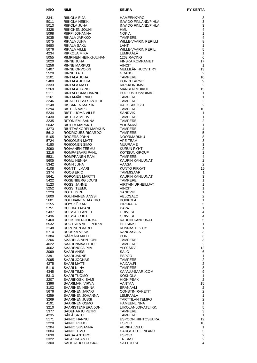| <b>NRO</b>   | <b>NIMI</b>                                      | <b>SEURA</b>                               | <b>PY-KERTA</b>                  |
|--------------|--------------------------------------------------|--------------------------------------------|----------------------------------|
| 3341         | RIIKOLA EIJA                                     | HÄMEENKYRÖ                                 | 3                                |
| 5011         | RIIKOLA HEIKKI<br>RIIKOLA JUHA<br>RIIKONEN JOUNI | <b>INWIDO FINLAND/PIHLA</b>                | 3                                |
| 5013         |                                                  | INWIDO FINLAND/PIHLA                       | 3                                |
| 3328<br>5098 | RIIPPI JOHANNA                                   | HML<br><b>NOKIA</b>                        | 4<br>1                           |
| 3035         | RIKALA JARKKO                                    | <b>TAMPERE</b>                             | 4                                |
| 5075         | RIKALA JUHA                                      | WILLE-VAARIN PERILLI                       | 8                                |
| 5680         | RIKALA SAKU                                      | LAHTI                                      | $\mathbf{1}$                     |
| 5076         | RIKALA VILLE                                     | WILLE-VAARIN PERIL.                        | 5<br>1                           |
| 4234<br>5055 | RIKKOLA MIKA<br>RIMPINEN HEIKKI-JUHANI           | LEMPÄÄLÄ<br>1262 RACING                    | 6                                |
| 2020         | RINNE JUHA                                       | <b>FINSKA KOMPANIET</b>                    | 17                               |
| 5256         | <b>RINNE MARKUS</b>                              | <b>VINCIT</b>                              | $\mathbf{1}$                     |
| 5407         | RINNE ORVOKKI<br>RINNE TATLI                     | MELLILÄN HUOVIT RY                         | 13                               |
| 5520<br>2101 | RINNE TATU<br>RINTALA JUHA                       | <b>GRANO</b><br><b>TAMPERE</b>             | 2<br>10                          |
| 5480         | RINTALA JUKKA                                    | PORIN TARMO                                | 9                                |
| 3333         | RINTALA MATTI                                    | <b>KIRKKONUMMI</b>                         | 2                                |
| 5269         | RINTALA TAPIO                                    | MANSEN MUIKUT<br>PUOLUSTUSVOIMAT           | 15                               |
| 5111<br>2161 | RINTALUOMA HANNU<br>RINTAMAKI RIKU               | <b>TAMPERE</b>                             | $\mathbf{1}$<br>1                |
| 3246         | RIPATTI OSSI SANTERI                             | <b>TAMPERE</b>                             | $\overline{2}$                   |
| 3148         | RISSANEN MARJA                                   | VALKEAKOSKI                                | 2                                |
| 5294         | RISTILA AAPO                                     | <b>TAMPERE</b>                             | 10                               |
| 5234<br>5430 | RISTILUOMA VILLE<br><b>RISTOLA MERVI</b>         | SANDVIK<br><b>TAMPERE</b>                  | 1<br>$\mathbf{1}$                |
| 3235         | RITONIEMI SANNA                                  | TAMPERE                                    | $\overline{2}$                   |
| 5042         | RIUTTA MARKKU                                    | YLIHÄRMÄ                                   | $\mathbf{1}$                     |
| 4273         | RIUTTASKORPI MARKUS                              | TAMPERE                                    | 4                                |
| 5612<br>5105 | RODRIGUES RICARDO<br><b>ROGERS JOHN</b>          | TAMPERE<br>NOORMARKKU                      | $\sqrt{5}$<br>8                  |
| 5724         | ROIKONEN MATTI                                   | APE TEAM                                   | 3                                |
| 4180         | ROIKONEN SIMO                                    | <b>MUURAME</b>                             | 3                                |
| 3090         | ROIVANEN TEEMU                                   | KURUN RYHTI                                | $\overline{2}$                   |
| 3216<br>5531 | ROMPASAARI PANU<br>ROMPPANEN RAMI                | <b>KOTISUN GROUP</b><br><b>TAMPERE</b>     | $\mathbf{1}$<br>4                |
| 5605         | ROMU HENNA                                       | KAUPIN KANUUNAT                            | $\overline{2}$                   |
| 5342         | RONN JUHA                                        | VAASA                                      | 2                                |
| 4108<br>2374 | RONTTI ILMARI<br>ROQS ERIC<br>ROOS ERIC          | KUNTO PIRKAT<br>TAMMISAARI                 | 15<br>$\mathbf{1}$               |
| 5641         | ROPONEN MARTTI                                   | KAUPIN KANUUNAT                            | 3                                |
| 5422         | ROSENBERG JOUNI                                  | TAMPERE                                    | 1                                |
| 5123<br>5252 | ROSSI JANNE<br>ROSSI TEEMU                       | <b>VIRTAIN URHEILIJAT</b><br><b>VINCIT</b> | $\mathbf{1}$<br>1                |
| 5229         | ROTH JYRI                                        | <b>SANDVIK</b>                             | 1                                |
| 5600         | <b>ROUHIAINEN ANSSI</b>                          | <b>VELOSALO</b>                            | $\overline{2}$                   |
| 5601         | ROUHIAINEN JAAKKO                                | <b>KOKKOLA</b>                             | 1                                |
| 2155<br>5751 | RÖYSKÖ KARI<br>RUIKKA TAPANI                     | PIRKKALA<br><b>PAPA</b>                    | 5<br>$\mathbf{1}$                |
| 5437         | RUISSALO ANTTI                                   | <b>ORIVESI</b>                             | $\overline{4}$                   |
| 5436         | <b>RUISSALO KITI</b>                             | <b>ORIVESI</b>                             | 4                                |
| 5460<br>5532 | RUOKONEN JORMA<br>RUOTSILA VELI-PEKKA            | KAUPIN KANUUNAT<br><b>HELSINKI</b>         | 5<br>$\mathbf{1}$                |
| 2148         | <b>RUPONEN AARO</b>                              | KUNNASTEK OY                               | $\mathbf{1}$                     |
| 5714         | RUUSKA VESA                                      | KANGASALA                                  | $\frac{3}{3}$                    |
| 5384         | SÄÄMÄKI MATTI                                    | <b>PORI</b>                                | $\mathsf 3$                      |
| 2206<br>4022 | SAARELAINEN JONI<br>SAARENMAA HEIDI              | <b>TAMPERE</b><br><b>TAMPERE</b>           | $\overline{2}$                   |
| 4062         | SAARENOJA PIIA                                   | YLÖJÄRVI                                   | 12                               |
| 3099         | <b>SAARI ANSSI</b>                               | SALO                                       | 6                                |
| 2391<br>2095 | SAARI JANNE<br>SAARI JOONAS                      | <b>ESPOO</b><br><b>TAMPERE</b>             | $\mathbf{1}$<br>$\boldsymbol{2}$ |
| 4275         | SAARI MATTI                                      | HAIJAA.FI                                  | $\overline{2}$                   |
| 5116         | SAARI NIINA                                      | TAMPERE                                    | 8                                |
| 4345         | SAARI TIMO                                       | KAIVUU-SAARI.COM                           | $\boldsymbol{9}$<br>$\mathbf{1}$ |
| 5313<br>2207 | SAARI TUOMO<br>SAARIKOSKI SAMI                   | KOKKOLA<br>HIGH PEAK                       | $\overline{2}$                   |
| 3396         | SAARIMAKI VIRVA                                  | VANTAA                                     | 15                               |
| 3102         | SAARINEN HENNA                                   | ERÄNAALI                                   | $\overline{c}$                   |
| 5676         | SAARINEN JARNO                                   | <b>CONSTIN RAKETIT</b>                     | $\overline{c}$                   |
| 4259<br>3269 | SAARINEN JOHANNA<br>SAARINEN JUSSI               | LEMPÄÄLÄ<br><b>TARTTILAN TEMPO</b>         | $\mathbf{1}$<br>$\boldsymbol{2}$ |
| 4191         | SAARINEN OSMO                                    | HÄMEENLINNA                                | $\mathbf{1}$                     |
| 3210         | SAARISTENPERÄ JONI                               | LIIKOLANLOIVATLIIKK.                       | $\sqrt{5}$                       |
| 5377<br>4235 | SADEHARJU PETRI<br>SÄILÄ SATU                    | <b>TAMPERE</b><br><b>TAMPERE</b>           | 3<br>$\mathbf{1}$                |
| 5171         | SAINIO HANNU                                     | ESPOON HIIHTOSEURA                         | 12                               |
| 2228         | SAINIO PIRJO                                     | <b>ESPOO</b>                               | 10                               |
| 5204         | SAINIO SUSANNA                                   | VERIPALVELU                                | 1                                |
| 3004<br>5630 | SAINIO TIMO<br>SAKSA ANTERO                      | <b>CARGOTEC FINLAND</b><br><b>ESPOO</b>    | $\mathsf 3$<br>$\boldsymbol{2}$  |
| 3322         | SALAKKA ANTTI                                    | <b>TRIBASE</b>                             | $\overline{2}$                   |
| 2300         | SALKOAHO TUUKKA                                  | SATTUU SE                                  | 4                                |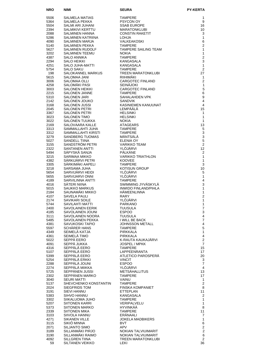| <b>NRO</b>   | NIMI                                         | <b>SEURA</b>                                                                   | <b>PY-KERTA</b>              |
|--------------|----------------------------------------------|--------------------------------------------------------------------------------|------------------------------|
| 5506         | SALMELA MATIAS                               | <b>TAMPERE</b>                                                                 | 1                            |
| 5364         | SALMELA PEKKA                                | PSYCON OY                                                                      | 9                            |
| 5504         | SALMI ARI JUHANI                             | <b>SSAB EUROPE</b>                                                             | 16                           |
| 2394         | SALMIKIVI KERTTU                             | <b>MARATONKLUBI</b>                                                            | 10                           |
| 2088<br>5286 | SALMINEN HANNA<br>SALMINEN KATRIINA          | <b>CONSTIN RAKETIT</b><br><b>LOHJA</b>                                         | 3<br>1                       |
| 4090         | SALMINEN MARJA                               | VALKEAKOSKI                                                                    | 6                            |
| 5140         | SALMINEN PEKKA                               | <b>TAMPERE</b>                                                                 | $\overline{c}$               |
| 5627         | SALMINEN RUDOLF                              | TAMPERE SAILING TEAM                                                           | $\mathbf{1}$                 |
| 3202         | <b>SALMINEN TEEMU</b>                        | <b>NOKIA</b><br><b>TAMPERE</b>                                                 | 1<br>$\overline{c}$          |
| 4387<br>2294 | SALO ANNIKA<br>SALO HEIKKI                   | KANGASALA                                                                      | 3                            |
| 4251         | <b>SALO JUHA-MATTI</b>                       | KANGASALA                                                                      | $\mathbf{1}$                 |
| 5754         | <b>SALO SAKU</b>                             |                                                                                | $\overline{2}$               |
| 198          | SALOKANNEL MARKUS                            | TREEN MARATONKLUBI                                                             | 27                           |
| 5615<br>3006 | SALOMAA JANI<br>SALOMAA OLLI                 | igAS.<br>TAMPERL<br>TREEN M/<br>RIIHIMÄKI<br>CARGOT<br><b>CARGOTEC FINLAND</b> | 1<br>$\overline{2}$          |
| 4258         | SALOMÄKI PASI                                | <b>SEINÄJOKI</b>                                                               | $\mathbf{1}$                 |
| 3003         | SALONEN HEIKKI                               | <b>CARGOTEC FINLAND</b>                                                        | 5                            |
| 2215         | SALONEN JANNE                                | <b>TAMPERE</b>                                                                 | $\,6$                        |
| 5310<br>2142 | <b>SALONEN JARI</b><br>SALONEN JOUKO         | SAHALAHDEN VPK<br>SANDVIK                                                      | 9<br>4                       |
| 3168         | SALONEN JUSSI                                | KASINIEMEN KANUUNAT                                                            | $\overline{4}$               |
| 2045         | SALONEN PETRI                                | Kasınleme.<br>LEMPÄÄLÄ                                                         | 15                           |
| 3367         | SALONEN PETRI                                | <b>HELSINKI</b>                                                                | 1                            |
| 3023<br>3022 | SALONEN TIMO<br>SALONEN TUUKKA               | <b>HELSINKI</b><br><b>NOKIA</b>                                                | 1<br>1                       |
| 2169         | SALOVAARA KALLE                              | <b>ATAGEARS</b>                                                                | 13                           |
| 3313         | SAMMALLAHTI JUHA                             | <b>TAMPERE</b>                                                                 | $\mathbf 5$                  |
| 3312         | SAMMALLAHTI KIRSTI                           | <b>TAMPERE</b>                                                                 | 3                            |
| 3279<br>5027 | SANDBERG TUOMAS<br><b>SANDELL TIINA</b>      | MÄNTSÄLÄ<br><b>ELENIA OY</b>                                                   | 3<br>5                       |
| 3155         | SANDSTRÖM PETRI                              | VARIKKO TEAM                                                                   | $\overline{2}$               |
| 2322         | SANTANEN ANTTI                               | YLÖJÄRVI                                                                       | 12                           |
| 5494         | SÄPYSKÄ SANJA                                | PÄLKÄNE                                                                        | 2                            |
| 3215<br>4382 | SARIMAA MIKKO<br>SÄRKIJÄRVI PETRI            | <b>VARIKKO TRIATHLON</b><br><b>KOOVEE</b>                                      | $\mathbf{1}$<br>1            |
| 3305         | SARKIMAKI AAPELI                             | <b>TAMPERE</b>                                                                 | 3                            |
| 3218         | SARSAMA JUHA                                 | <b>KOTISUN GROUP</b>                                                           | 10                           |
| 5654         | SARVIJARVI HEIDI                             | <b>YLOJARVI</b>                                                                | 5                            |
| 5655<br>4189 | SARVIJARVI ONNI<br>SARVILINNA ANTTI          | YLÖJÄRVI<br><b>TAMPERE</b>                                                     | $\mathbf{1}$<br>4            |
| 4016         | SÄTERI NIINA                                 | SWIMMING JYVÄSKYLÄ                                                             | 3                            |
| 5015         | <b>SAUKKO MARKUS</b>                         | <b>INWIDO FINLAND/PIHLA</b>                                                    | 1                            |
| 2184         | SAUNAMÄKI MIKKO                              | <b>HÄMEENLINNA</b>                                                             | 1                            |
| 4107<br>2174 | <b>SAVELA PAULI</b><br><b>SAVIKARI SOILE</b> | <b>RARY</b><br>YLÖJÄRVI                                                        | 2<br>1                       |
| 5744         | <b>SAVILAHTI MATTI</b>                       | <b>PARKANO</b>                                                                 | 1                            |
| 2400         | <b>SAVOLAINEN EERIK</b>                      | TUUSULA                                                                        | $\overline{7}$               |
| 4185<br>3111 | SAVOLAINEN JOUNI<br>SAVOLAINEN NOORA         | <b>ESPOO</b><br><b>TUUSULA</b>                                                 | 3<br>4                       |
| 5485         | SAVOLAINEN PEKKA                             | I WILL BE BACK                                                                 | $\overline{7}$               |
| 4381         | SAVUKOSKI TAPIO                              | JOHNSSON METALL                                                                | $\overline{4}$               |
| 5597         | SCHÄRER HANS                                 | <b>TAMPERE</b>                                                                 | 5                            |
| 4349<br>4361 | SEIMELÄ KATJA<br>SEIMELÄ TIMO                | PIRKKALA<br><b>PIRKKALA</b>                                                    | 1<br>$\overline{\mathbf{4}}$ |
| 5022         | SEPPÀ EERO                                   | K-RAUTA KAUKAJÄRVI                                                             | $\overline{2}$               |
| 4091         | SEPPÄ JUKKA                                  | JOSPEL / MPKK                                                                  | $\overline{7}$               |
| 4316         | SEPPÄLÄ EERO                                 | <b>TAMPERE</b>                                                                 | 15                           |
| 5107<br>5399 | SEPPÄLÄ EERO<br>SEPPÄLÄ EERO                 | LAPPEENRANTA<br>ATLETICO PAROSPERA                                             | 17<br>20                     |
| 5254         | SEPPÄLÄ ERKKI                                | <b>VINCIT</b>                                                                  | 3                            |
| 2288         | SEPPÄLÄ JOUNI                                | <b>ESPOO</b>                                                                   | $\overline{7}$               |
| 2274         | SEPPÄLÄ MIIKKA                               | YLÖJÄRVI                                                                       | 4                            |
| 5725<br>2302 | SEPPÄNEN JUSSI<br>SEPPÄNEN MARKO             | <b>METSÄHALLITUS</b><br><b>TAMPERE</b>                                         | 13<br>17                     |
| 3040         | <b>SEURI MATTI</b>                           | <b>VAINU</b>                                                                   | 1                            |
| 5137         | SHEVCHENKO KONSTANTIN                        | <b>TAMPERE</b>                                                                 | $\mathbf{2}$                 |
| 2024         | SIEGFRIDS TOM                                | <b>FINSKA KOMPANIET</b>                                                        | 8                            |
| 3191<br>5383 | <b>SIEVI HANNU</b><br>SIHVO HANNU            | <b>ETTEPLAN</b><br>KANGASALA                                                   | 11<br>$\overline{2}$         |
| 3302         | SIIKALUOMA JUHO                              | <b>TAMPERE</b>                                                                 | $\mathbf{1}$                 |
| 5207         | <b>SIITONEN KARRI</b>                        | VERIPALVELU                                                                    | $\mathbf{1}$                 |
| 5373         | SIITONEN MARKO                               | <b>HYVINKÄÄ</b>                                                                | 8                            |
| 2339<br>3103 | SIITONEN MIKA<br>SIIVOLA HANNU               | <b>TAMPERE</b><br>ERÄNAALI                                                     | 11<br>$\overline{7}$         |
| 4271         | <b>SIKANEN VILLE</b>                         | <b>JOKELA MADBIKERS</b>                                                        | 1                            |
| 3115         | SIKIÖ MINNA                                  | <b>BVT</b>                                                                     | 6                            |
| 2071         | SILJANTO SIMO                                | APV                                                                            | $\overline{2}$               |
| 3189<br>3190 | SILLANMÄKI PIRJO<br>SILLANMÄKI RAIMO         | NOKIAN TALVIUIMARIT<br>NOKIAN TALVIUIMARIT                                     | $\mathbf{2}$<br>6            |
| 4092         | <b>SILLGREN TIINA</b>                        | <b>TREEN MARATONKLUBI</b>                                                      | $\overline{2}$               |
| 59           | <b>SILTANEN VEIKKO</b>                       | LEKI                                                                           | 36                           |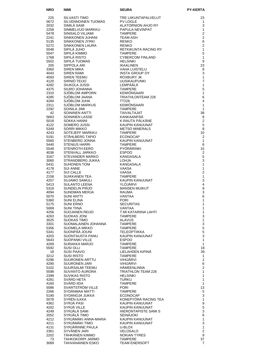| <b>NRO</b>   | <b>NIMI</b>                                   | <b>SEURA</b>                               | <b>PY-KERTA</b>                  |
|--------------|-----------------------------------------------|--------------------------------------------|----------------------------------|
| 225          | SILVASTI TIMO                                 | TRE LIIKUNTAPALVELUT                       | 23                               |
| 5672         | SILVENNOINEN TUOMAS                           | <b>PV LOGLE</b>                            | 1                                |
| 2032         | SIMILA SAMI                                   | ALATORNION AHJO RY                         | 3                                |
| 2258         | SIMMELVUO MARKKU                              | PAPULA-NEVINPAT                            | 1                                |
| 5478<br>2241 | SINISALO VILJAMI<br>SINKKONEN JUHANI          | <b>TAMPERE</b><br><b>TEAM ASH</b>          | $\overline{2}$<br>$\overline{2}$ |
| 5135         | SINKKONEN JYRKI                               | <b>RENKO</b>                               | 6                                |
| 5272         | SINKKONEN LAURA                               | <b>RENKO</b>                               | $\overline{2}$                   |
| 5048         | SIPILÄ JUHO                                   | RETKIKUNTA RACING RY                       | $\mathbf{1}$                     |
| 5047         | SIPILÄ KIMMO                                  | <b>TAMPERE</b>                             | 5                                |
| 1768<br>5502 | SIPILÄ RISTO<br>SIPILÄ TUOMAS                 | <b>CYBERCOM FINLAND</b><br><b>HELSINKI</b> | $\mathbf{1}$<br>9                |
| 205          | SIPPOLA ARI                                   | <b>IKAALINEN</b>                           | 23                               |
| 3360         | <b>SIREN MIKA</b>                             | <b>VAHA LUISTELU</b>                       | 8                                |
| 4043         | <b>SIREN RAMI</b>                             | INSTA GROUP OY                             | 3                                |
| 4093         | SIREN TEEMU                                   | ROXBURY JK                                 | 1                                |
| 4120<br>4282 | SIRNIÖ TEIJO<br>SIUKOLA JUSSI                 | <b>UUSIKAUPUNKI</b><br>LEMPÄÄLÄ            | $\overline{7}$<br>1              |
| 4375         | SIURO JOHANNA                                 | <b>TAMPERE</b>                             | 5                                |
| 2310         | SJÖBLOM AMPORN                                | KEMIÖNSAARI                                | 1                                |
| 4285         | SJOBLOM JAANA                                 | <b>TRIATHLONTEAM 226</b>                   | 6                                |
| 4284         | SJÖBLOM JUHA                                  | TT226                                      | 4                                |
| 2311<br>2292 | SJÖBLOM MARKUS<br>SOINILA JIMI                | <b>KEMIÖNSAARI</b><br><b>TAMPERE</b>       | 1<br>$\mathbf{1}$                |
| 42           | SOININEN ANTTI                                | <b>TAIVALTAJAT</b>                         | 38                               |
| 5663         | SOININEN LASSE                                | KANKAANPÄÄ                                 | 8                                |
| 5018         | SOKKA HANNI                                   | K-RAUTA PÄLKÄNE                            | 2                                |
| 4122         | SOMERO JUSSI                                  | KAUPIN KANUUNAT                            | $\,$ 5 $\,$                      |
| 5349         | SORRI MIKKO<br>SOTEJEFF MARKKU                | <b>METSO MINERALS</b>                      | 8                                |
| 4243<br>5191 | STAHLBERG TAPIO                               | <b>TAMPERE</b><br><b>ECONOCAP</b>          | 10<br>2                          |
| 5560         | STENBERG JONNA                                | KAUPIN KANUUNAT                            | $\mathbf{1}$                     |
| 5440         | <b>STENIUS HARRI</b>                          | <b>TAMPERE</b>                             | 6                                |
| 5549         | STENROTH EERO                                 | PYÖRÄRINKI                                 | 15                               |
| 4036         | STENVALL JARKKO                               | <b>ESPOO</b>                               | 2                                |
| 3167<br>3060 | <b>STEVANDER MARKO</b><br>STRANDBERG JUKKA    | KANGASALA<br><b>LOHJA</b>                  | $\mathbf 5$<br>3                 |
| 5431         | <b>SUHONEN TONI</b>                           | KANGASALA                                  | $\mathbf{1}$                     |
| 4178         | <b>SUI ANNE</b>                               | VAASA                                      | $\mathbf{1}$                     |
| 4177         | <b>SUI CALLE</b>                              | VAASA                                      | $\overline{2}$                   |
| 2158         | SUIKKANEN TEA                                 | <b>TAMPERE</b>                             | $\mathbf{1}$                     |
| 4257<br>5413 | SUJAMO SAMULI<br>SULANTO LEENA                | KAUPIN KANUUNAT<br>YLÖJÄRVI                | 3<br>4                           |
| 5318         | SUNDELIN PIRJO                                | <b>MANSEN MUIKUT</b>                       | 9                                |
| 4094         | <b>SUNDMAN MERJA</b>                          | RAUMA                                      | 3                                |
| 5070         | <b>SUNI ANTTI</b>                             | VANTAA                                     | 6                                |
| 5360         | <b>SUNI ELINA</b><br><b>SUNI ERNO</b>         | <b>PORI</b><br><b>SECURITAS</b>            | 1                                |
| 5175<br>5069 | SUNI TIINA                                    | <b>VANTAA</b>                              | 1<br>1                           |
| 4256         | SUNI TIIIVA<br>SUOJANEN REIJO<br>OLIOKAS JONI | T: MI KATARIINA LAHTI                      | $\mathbf{1}$                     |
| 4263         |                                               | <b>TAMPERE</b>                             | 3                                |
| 3025         | <b>SUOKAS TIMO</b>                            | <b>ALAVUS</b>                              | $\mathbf{1}$                     |
| 3301<br>5356 | SUOMALAINEN JOHANNA<br><b>SUOMELA MIKKO</b>   | <b>TAMPERE</b><br><b>TAMPERE</b>           | 3<br>$\mathbf 5$                 |
| 5341         | SUONPÄÄ JOUNI                                 | <b>TELEOPTIIKKA</b>                        | $\mathbf 5$                      |
| 4203         | SUONTAUSTA PANU                               | KAUPIN KANUUNAT                            | 3                                |
| 5643         | <b>SUOPANKI VILLE</b>                         | <b>ESPOO</b>                               | $\mathbf{1}$                     |
| 4269         | SURAKKA MARJO                                 | <b>TAMPERE</b>                             | $\mathbf{1}$                     |
| 5592<br>18   | SUSI OLLI<br><b>SUSI PAAVO</b>                | <b>TAMPERE</b><br>LIELAHDEN KIPINA         | 18<br>39                         |
| 3212         | <b>SUSI RISTO</b>                             | <b>TAMPERE</b>                             | $\mathbf{1}$                     |
| 5296         | SUURONEN ARTTU                                | VIHIJÄRVI                                  | 1                                |
| 4290         | SUURONEN JARI                                 | <b>VIHIJÄRVI</b>                           | 6                                |
| 5102         | SUURSALMI TEEMU                               | HÄMEENLINNA                                | $\overline{2}$                   |
| 5598<br>2399 | SUVANTO AURORA<br><b>SUVIKAS RISTO</b>        | TRIATHLON TEAM 226<br><b>HELSINKI</b>      | 1<br>1                           |
| 4281         | SVÄRD HETA                                    | <b>TURKU</b>                               | 1                                |
| 4160         | SVÄRD IIDA                                    | <b>TAMPERE</b>                             | 1                                |
| 5086         | SVARTSTRÖM VILLE                              | <b>PORI</b>                                | 13                               |
| 2266         | SYDÄNMAA MATTI                                | <b>TAMPERE</b>                             | 5                                |
| 5190<br>5078 | SYDÄNOJA JUKKA<br>SYRÉN ILKKA                 | ECONOCAP<br>KONEPYÖRÄ RACING TEA           | $\mathbf{3}$<br>$\mathbf{1}$     |
| 4362         | SYRJÄ PASI                                    | KAUPIN KANUUNAT                            | $\boldsymbol{9}$                 |
| 4202         | SYRJÄ VILLE                                   | KAUPIN KANUUNAT                            | $\mathbf 5$                      |
| 4249         | SYRJALA SAMI                                  | HIERONTAPISTE SAMI S                       | 3                                |
| 2052         | SYRJÄLÄ TIMO                                  | SEINÄJOKI                                  | 6                                |
| 4212<br>4211 | SYRJÄMÄKI ANNA-MARIA<br>SYRJÄMÄKI TIMO        | KAUPIN KANUUNAT<br>KAUPIN KANUUNAT         | 1<br>$\mathsf 3$                 |
| 4131         | SYRJÄRINNE PAULA                              | U-BLOX                                     | 1                                |
| 2361         | SYVÄNEN JARI                                  | VELOSALO                                   | $\overline{2}$                   |
| 2202         | TÄHKÄNEN KIMMO                                | <b>NOKIAN TYRES</b>                        | 9                                |
| 73           | TAHKOKORPI JARMO                              | <b>TAMPERE</b>                             | 37                               |
| 3069         | <b>TAHVANAINEN ESKO</b>                       | <b>TEAM ENERSOFT</b>                       | $\overline{7}$                   |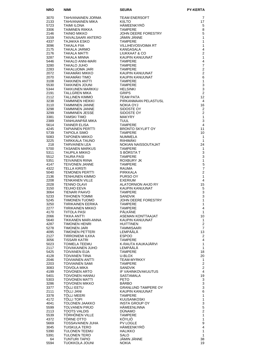| <b>NRO</b>   | <b>NIMI</b>                                 | <b>SEURA PY-HEAD PY-PY-PY-READ PY-PY-PY-REAM ENERGY CHANGES AND TAMPERE JOHN DEERE FORESTRY</b><br>JÄMIN JÄNNE<br>JÄMIN JÄNNE<br>TAMPERE<br>TAMPERE JOHN DEERE FORESTRY<br>KANGASALA<br>LIUKKAAT & CO<br>KAUPIN KANUUNAT<br>TAMPERE TAMPERE<br>TAMPERE TAMPERE | <b>PY-KERTA</b>                |
|--------------|---------------------------------------------|----------------------------------------------------------------------------------------------------------------------------------------------------------------------------------------------------------------------------------------------------------------|--------------------------------|
| 3070         | TAHVANAINEN JORMA                           |                                                                                                                                                                                                                                                                | 7                              |
| 2133         | TAHVANAINEN MIKA                            |                                                                                                                                                                                                                                                                | 17                             |
| 5723         | <b>TAIMI ILONA</b>                          |                                                                                                                                                                                                                                                                | 5                              |
| 3306         | TAIMINEN RIIKKA                             |                                                                                                                                                                                                                                                                | 8                              |
| 2146<br>3159 | TAINIO MIKKO<br>TAIVALSAARI ANTERO          |                                                                                                                                                                                                                                                                | 5<br>1                         |
| 4337         | TAJAKKA ESKO                                |                                                                                                                                                                                                                                                                | $\mathbf{1}$                   |
| 3096         | <b>TAKALA FIIA</b>                          | TAMPERE<br>VILLIHEVOSVOII<br>KANGASALA<br>LIUKKAAT & CO                                                                                                                                                                                                        | 1                              |
| 2175         | TAKALA JARMO                                |                                                                                                                                                                                                                                                                | 4                              |
| 2176<br>3287 | TAKALA MATTI<br>TAKALA MINNA                |                                                                                                                                                                                                                                                                | $\overline{2}$<br>$\mathbf{1}$ |
| 5446         | TAKALO ANNI-MARI                            |                                                                                                                                                                                                                                                                | 4                              |
| 3280         | <b>TAKALO JUHO</b>                          |                                                                                                                                                                                                                                                                | $\overline{7}$                 |
| 2283         | TAKALUOMA JARI                              |                                                                                                                                                                                                                                                                | $\overline{2}$                 |
| 2072<br>2070 | TAKAMÄKI MIKKO<br>TAKAMÄKI TIMO             |                                                                                                                                                                                                                                                                | $\overline{2}$<br>6            |
| 3108         | <b>TAKKINEN ANTTI</b>                       |                                                                                                                                                                                                                                                                | 1                              |
| 5530         | TAKKINEN JOUNI                              |                                                                                                                                                                                                                                                                | 3                              |
| 5344         | TAKKUNEN MARKKU                             |                                                                                                                                                                                                                                                                | $\mathbf{3}$                   |
| 2191<br>2112 | TALLGREN MIKA<br>TALLINEN KIMMO             |                                                                                                                                                                                                                                                                | 2<br>12                        |
| 3238         | TAMMINEN HEIKKI                             |                                                                                                                                                                                                                                                                | 4                              |
| 3110         | TAMMINEN JANNE                              |                                                                                                                                                                                                                                                                | 16                             |
| 3298         | TAMMINEN JANNE                              |                                                                                                                                                                                                                                                                | 2                              |
| 3299<br>3381 | TAMMINEN JESSE<br>TAMSKI TIMO               |                                                                                                                                                                                                                                                                | $\mathbf{2}$<br>$\mathbf{1}$   |
| 2389         | TANHUANPÄÄ MIKA                             |                                                                                                                                                                                                                                                                | 3                              |
| 5614         | <b>TANNER ELISA</b>                         |                                                                                                                                                                                                                                                                | $\overline{4}$                 |
| 4245         | <b>TAPIAINEN PERTTI</b>                     |                                                                                                                                                                                                                                                                | 11                             |
| 5739<br>5083 | <b>TAPIOLA SIMO</b><br>TAPONEN MIKKO        |                                                                                                                                                                                                                                                                | 10<br>$\mathbf{1}$             |
| 3225         | TARKKALA TAUNO                              | NOKIA OYJ<br>NOKIA OYJ<br>SIDOSTE OY<br>SIDOSTE OY<br>MAKYRY<br>TUULL<br>TAMPERE<br>BRONTO SKYLIFT OY<br>TAMPERE<br>MUMMELA<br>RIIHIMÄKI<br>NOKIAN NAISSOUTAJAT<br>TAMPERE                                                                                     | $\mathbf{1}$                   |
| 218          | <b>TARVAINEN LEA</b>                        |                                                                                                                                                                                                                                                                | 24                             |
| 5700         | TASANEN MARKUS                              | <b>TAMPERE</b>                                                                                                                                                                                                                                                 | $\mathbf{1}$                   |
| 5311<br>5512 | TAUPILA MIKKO<br><b>TAURA PASI</b>          | S BORSTA T<br><b>TAMPERE</b>                                                                                                                                                                                                                                   | 3<br>3                         |
| 5351         | TEIVAINEN RIINA                             |                                                                                                                                                                                                                                                                | $\mathbf{1}$                   |
| 4147         | TEIVONEN JANNE                              |                                                                                                                                                                                                                                                                | 5                              |
| 4322         | <b>TELLA KIRSTI</b>                         |                                                                                                                                                                                                                                                                | $\overline{7}$                 |
| 5040<br>2136 | TEMONEN PERTTI<br>TENHUNEN KIMMO            |                                                                                                                                                                                                                                                                | $\overline{2}$<br>1            |
| 2208         | TENKANEN VILLE                              | TAMPERE<br>ROXBURY JK<br>TAMPERE<br>RAUMA<br>PIRKKALA<br>PURSO OY<br>EXERIUM<br>EXERIUM<br>ALATORNION AHJO RY<br>VALIDIN IZANI II INIAT                                                                                                                        | $\overline{4}$                 |
| 2028         | <b>TENNO OLAVI</b>                          |                                                                                                                                                                                                                                                                | 15                             |
| 3150<br>3064 | TEUHO EEVA<br>TIENARI PAAVO                 | KAUPIN KANUUNAT<br><b>TAMPERE</b>                                                                                                                                                                                                                              | 5<br>3                         |
| 5233         | TIIHONEN TOMMI                              | <b>SANDVIK</b>                                                                                                                                                                                                                                                 | 3                              |
| 5245         | TIIMONEN TUOMO                              | JOHN DEERE FORESTRY                                                                                                                                                                                                                                            | $\mathbf{1}$                   |
| 3250<br>2277 | TIIRIKAINEN EERIKA<br>TIIRIKAINEN MIKKO     | <b>TAMPERE</b><br><b>TAMPERE</b>                                                                                                                                                                                                                               | 1<br>4                         |
| 4170         | TIITOLA PASI                                | PÄLKÄNE                                                                                                                                                                                                                                                        | $\mathbf{1}$                   |
| 2066         | TIKKA ANTTI                                 | ASEMAN KONTTAAJAT                                                                                                                                                                                                                                              | 10                             |
| 5640         | TIKKANEN MARI-ANNA                          | KAUPIN KANUUNAT                                                                                                                                                                                                                                                | 1                              |
| 4287<br>5278 | <b>TIMONEN HENRI</b><br><b>TIMONEN JARI</b> | <b>HUITTINEN</b><br>TAMMISAARI                                                                                                                                                                                                                                 | $\mathbf{2}$<br>$\overline{7}$ |
| 4095         | TIMONEN PETTERI                             | LEMPÄÄLÄ                                                                                                                                                                                                                                                       | 13                             |
| 2127         | TIRRONIEMI ILKKA                            | <b>ESPOO</b>                                                                                                                                                                                                                                                   | $\overline{2}$                 |
| 3056<br>5023 | TISSARI KATRI<br><b>TOIMELA TEEMU</b>       | TAMPERE<br>K-RAUTA KAUKAJÄRVI                                                                                                                                                                                                                                  | 4<br>1                         |
| 2117         | <b>TOIVAKAINEN JUHO</b>                     | LEMPÄÄLÄ                                                                                                                                                                                                                                                       | 1                              |
| 5425         | <b>TOIVANEN EIJA</b>                        | <b>TAMPERE</b>                                                                                                                                                                                                                                                 | 18                             |
| 4128         | <b>TOIVANEN TIINA</b>                       | U-BLOX                                                                                                                                                                                                                                                         | 20                             |
| 2046<br>2203 | <b>TOIVIAINEN ANTTI</b><br>TOIVIAINEN SAMI  | TEAM-MYRKKY<br><b>TAMPERE</b>                                                                                                                                                                                                                                  | 1<br>$\overline{2}$            |
| 3083         | <b>TOIVOLA MIKA</b>                         | <b>SANDVIK</b>                                                                                                                                                                                                                                                 | $\overline{2}$                 |
| 4199         | TOIVONEN ARTO                               | IF VAHINKOVAKUUTUS                                                                                                                                                                                                                                             | 4                              |
| 5401<br>5303 | TOIVONEN HANNU<br><b>TOIVONEN MATTI</b>     | SASTAMALA<br>PETO                                                                                                                                                                                                                                              | 19<br>3                        |
| 3286         | <b>TOIVONEN MIKKO</b>                       | <b>BÄRBO</b>                                                                                                                                                                                                                                                   | 3                              |
| 3377         | <b>TÖLLI EETU</b>                           | <b>GRANLUND TAMPERE OY</b>                                                                                                                                                                                                                                     | 3                              |
| 2111         | TÖLLI JANI                                  | KAUPIN KANUUNAT                                                                                                                                                                                                                                                | 6<br>1                         |
| 3378<br>4172 | <b>TOLLI MEERI</b><br><b>TOLLI TOPI</b>     | TAMPERE<br><b>KUUSANKOSKI</b>                                                                                                                                                                                                                                  | $\mathbf{1}$                   |
| 4041         | TOLONEN JAAKKO                              | <b>INSTA GROUP OY</b>                                                                                                                                                                                                                                          | 3                              |
| 5599         | TOLVANEN PIRJO                              | <b>HÄMEENLINNA</b>                                                                                                                                                                                                                                             | 5                              |
| 2113<br>5539 | <b>TOOTS VALDIS</b><br>TÖRHÖNEN VILLE       | <b>DUNAMO</b><br><b>TAMPERE</b>                                                                                                                                                                                                                                | $\overline{2}$<br>1            |
| 4372         | TÖRNE OTTO                                  | KÖYLIÖ                                                                                                                                                                                                                                                         | 1                              |
| 5669         | <b>TOSSAVAINEN JUHA</b>                     | PV LOGLE                                                                                                                                                                                                                                                       | 9                              |
| 3045         | TUISKULA TERO<br>TULONEN TEEMU              | HAMEENKYRO<br><b>HALIKKO</b>                                                                                                                                                                                                                                   | 4                              |
| 5390<br>5391 | TULONEN TERO                                | SALO                                                                                                                                                                                                                                                           | 1<br>$\mathbf{1}$              |
| 64           | <b>TUNTURI TAPIO</b>                        | JÄMIN JÄNNE                                                                                                                                                                                                                                                    | 38                             |
| 5594         | TUOKKOLA JOUNI                              | <b>NOKIA</b>                                                                                                                                                                                                                                                   | 19                             |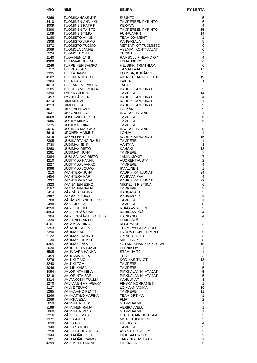| <b>NRO</b>   | NIMI                                         | <b>SEURA</b>                               | <b>PY-KERTA</b>                  |
|--------------|----------------------------------------------|--------------------------------------------|----------------------------------|
| 2369         | TUOMIKANGAS JYRI                             | <b>SUUNTO</b>                              | 5                                |
| 5410         | TUOMINEN ANNIKKI                             | TAMPEREEN PYRINTÖ                          | 6                                |
| 4009         | TUOMINEN PATRIK                              | KERAVA                                     | 4                                |
| 5398         | <b>TUOMINEN TAISTO</b>                       | TAMPEREEN PYRINTÖ                          | 15                               |
| 5109<br>3188 | <b>TUOMINEN TIMO</b><br><b>TUOMISTO ANNE</b> | <b>FUN-WAARIT</b><br><b>TEAM JOYMENT</b>   | 14<br>1                          |
| 5308         | TUOMISTO JARMO                               | <b>KANGASALA</b>                           | 5                                |
| 3372         | TUOMISTO TUOMO                               | METSÄTYÖT TUOMISTO                         | $\,6$                            |
| 2069         | TUOMOLA JANNE                                | ASEMAN KONTTAAJAT                          | 6                                |
| 5524<br>2140 | <b>TUOMOLA OLLI</b>                          | <b>TURKU</b>                               | $\overline{2}$<br>$\overline{4}$ |
| 4380         | <b>TUOVINEN JANI</b><br>TUPAMÄKI JUKKA       | RAMBOLL FINLAND OY<br><b>LEMANSE OY</b>    | 6                                |
| 2246         | TURPEINEN SAMPO                              | <b>HELSINKI TRIATHLON</b>                  | 6                                |
| 5712         | <b>TURPPA KARI</b>                           | TAIVALTAJAT                                | 17                               |
| 3395         | <b>TURTA JANNE</b>                           | FORSSA, KOIJÄRVI                           | 5                                |
| 4102<br>2384 | TURUNEN MIKKO<br>TUSA PASI                   | VIHATTULAN PUDOTUS<br>LAIHIA               | 19<br>1                          |
| 4013         | TUULANIEMI PAULA                             | JÄPY                                       | $\overline{2}$                   |
| 3105         | TUURE SIMO-PEKKA                             | KAUPIN KANUUNAT                            | 5                                |
| 3390         | <b>TYNKKY JOUNI</b>                          | <b>TAMPERE</b>                             | 14                               |
| 5457         | TYYNELÄ PETRI                                | KAUPIN KANUUNAT                            | 4                                |
| 4214<br>4213 | UIMI MERVI<br>UIMI PEKKA                     | KAUPIN KANUUNAT<br>KAUPIN KANUUNAT         | $\mathbf{1}$<br>3                |
| 4011         | UKKONEN KARI                                 | PÄI KÄNF                                   | 9                                |
| 2037         | UKKONEN LEO                                  | <b>INWIDO FINLAND</b>                      | $\mathbf{1}$                     |
| 4068         | <b>UOSUKAINEN PETRI</b>                      | <b>TAMPERE</b>                             | 6                                |
| 2085         | UOTILA MIKKO<br><b>UOTILA ULRIKA</b>         | <b>TAMPERE</b><br><b>TAMPERE</b>           | 6<br>$\overline{c}$              |
| 2275<br>5016 | <b>UOTINEN MARKKU</b>                        | <b>INWIDO FINLAND</b>                      | 5                                |
| 5616         | <b>URONEN MARJUT</b>                         | <b>LOHJA</b>                               | $\mathbf{1}$                     |
| 3375         | <b>USKALI PERTTI</b>                         | KAUPIN KANUUNAT                            | 15                               |
| 2305         | UUSIKARTANO RAULI                            | <b>TAMPERE</b>                             | $\mathbf{1}$                     |
| 5730<br>5260 | UUSIMAA JENNI<br>UUSIMAA RISTO               | VANTAA<br><b>KANGKI</b>                    | 3<br>13                          |
| 3281         | UUSIMÄKI JUHA                                | <b>TAMPERE</b>                             | 7                                |
| 3384         | UUSI-SALAVA RISTO                            | JÄMIN MÖKIT                                | $\overline{7}$                   |
| 4210         | UUSITALO HANNA                               | <b>VUORENTAUSTA</b>                        | $\overline{2}$                   |
| 3227         | UUSITALO JAAKKO                              | <b>TAMPERE</b>                             | 4                                |
| 4096<br>213  | UUSITALO JOUKO<br>VAAHTERA JUHA              | <b>IKAALINEN</b><br><b>KAUPIN KANUUNAT</b> | $\mathbf{1}$<br>24               |
| 5454         | VAAHTERA KARI                                | KANKAANPÄÄ                                 | 4                                |
| 237          | VAAHTERA PÄIVI                               | <b>KAUPIN KANUUNAT</b>                     | 22                               |
| 5323         | VÄÄNÄNEN ESKO                                | MIKKELIN RISTIINA                          | 6                                |
| 2157<br>5414 | VÄÄNÄNEN SAIJA<br>VÄÄRÄLÄ HANNA              | <b>TAMPERE</b><br><b>KANGASALA</b>         | 5<br>$\mathsf 3$                 |
| 5397         | VÄÄRÄLÄ JUHO                                 | <b>KANGASALA</b>                           | 8                                |
| 5708         | VÄHÄSANTANEN JESSE                           | <b>TAMPERE</b>                             | 1                                |
| 5490         | <b>VAINIKKA KARI</b>                         | <b>TAMPERE</b>                             | 8                                |
| 4250         | <b>VAINIO JUKKA</b>                          | <b>RUAG AVIATION</b>                       | 3                                |
| 4364<br>5304 | VAINIONPÄÄ TIMO<br>VAINIONPÄÄ-SEILO TUIJA    | KANKAANPÄÄ<br><b>PARKANO</b>               | 4<br>4                           |
| 5330         | <b>VAITTINEN ANTTI</b>                       | LEMPÄÄLÄ                                   | $\overline{c}$                   |
| 4101         | VALAMAA TIINA                                | KOKEMÄKI                                   | 3                                |
| 2253         | VALIAHO SEPPO                                | <b>TEAM RYNKEBY OULU</b>                   | $\overline{c}$                   |
| 2390<br>2122 | VÄLIMAA ARI<br>VÄLIMÄKI HANNU                | PYORA-POJAT TAMPERE<br>OY APOTTI AB        | 5<br>$\mathsf 3$                 |
| 30           | VÄLIMÄKI HEIKKI                              | MILLOG OY                                  | 38                               |
| 4365         | VÄLIMÄKI PÄIVI                               | SATAKUNNAN KESKUSSAI                       | 16                               |
| 5030         | VÄLIPIRTTI VILJAMI                           | <b>ELENIA OY</b>                           | 1                                |
| 5505         | VÄLIVAARA HANNA                              | <b>STAMINA TC</b>                          | $\mathbf{1}$                     |
| 5459<br>2276 | VALKAMA JUHA<br>VÄLKKI TIMO                  | TCC<br>KODIKAS-TALOT                       | 3<br>13                          |
| 3240         | VÄLKKI TOMI                                  | <b>TAMPERE</b>                             | 1                                |
| 3046         | <b>VALLIN KAISA</b>                          | <b>TAMPERE</b>                             | 5                                |
| 4054         | VALORINTA MIKA                               | PIRKKALAN HIIHTÄJÄT                        | $\mathbf 5$                      |
| 4219<br>4314 | <b>VALORINTA SARI</b><br>VALTAKOSKI TUULIA   | PIRKKALAN HIIHTAJAT<br>KANUUNAT            | $\sqrt{5}$<br>8                  |
| 2270         | VALTANEN ARI-PEKKA                           | <b>FINSKA KOMPANIET</b>                    | $\mathbf{1}$                     |
| 5127         | <b>VALVE TEUVO</b>                           | LOIMAAN VOIMA                              | 16                               |
| 5285         | <b>VANHA-AHO PENTTI</b>                      | <b>TAMPERE</b>                             | 11                               |
| 4266         | VANHATALO MARIKA                             | TEAM OPTIMA                                | 1<br>$\overline{c}$              |
| 2269<br>5059 | VANKKA ESA<br><b>VANNINEN JUSSI</b>          | <b>FMR</b><br>NURMIJÄRVI                   | 1                                |
| 5199         | VANNINEN RAIJA                               | VERIPALVELU                                | 1                                |
| 5060         | <b>VANNINEN VESA</b>                         | NURMIJÄRVI                                 | $\mathbf{1}$                     |
| 2216         | VÄRE TUOMAS                                  | <b>HUJU TRAINING TEAM</b>                  | 3                                |
| 3371<br>5039 | <b>VARIS ANTTI</b><br><b>VARIS RIKU</b>      | MC PÖKHÖLMI RIP<br><b>PIRKKALA</b>         | 3<br>4                           |
| 5340         | <b>VARIS SAMULI</b>                          | <b>TAMPERE</b>                             | 5                                |
| 5258         | VASKELAINEN MILLA                            | AVANT TECNO OY                             | $\overline{2}$                   |
| 2344         | VASTAMÄKI PETRI                              | LIUKKAAT & CO                              | $\overline{2}$                   |
| 5301         | VASTAMÄKI RAIMO                              | JANAKKALAN LATU                            | 1<br>5                           |
| 4299         | <b>VAUHKONEN JANI</b>                        | PIRKKALA                                   |                                  |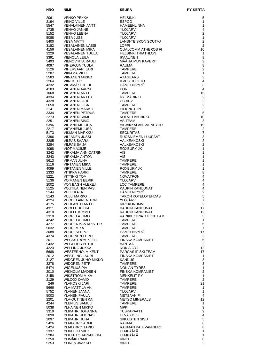| <b>NRO</b>   | <b>NIMI</b>                                     | <b>SEURA</b>                                  | <b>PY-KERTA</b>                |
|--------------|-------------------------------------------------|-----------------------------------------------|--------------------------------|
| 2061         | <b>VEHKO PEKKA</b>                              | <b>HELSINKI</b>                               | 5                              |
| 2194         | <b>VEINO VILLE</b>                              | <b>ESPOO</b>                                  | 1                              |
| 5547         | <b>VENALAINEN ANTTI</b>                         | <b>HAMEENLINNA</b>                            | 1                              |
| 1735         | <b>VENHO JANNE</b>                              | <b>YLOJARVI</b>                               | 4<br>$\overline{2}$            |
| 5152<br>5088 | <b>VENHO LEENA</b><br><b>VESA JUSSI</b>         | YLOJARVI<br>YLÖJÄRVI                          | $\mathbf{1}$                   |
| 5400         | <b>VESA MATTI</b>                               | LÄNSI-TEISKON SOUTAJ                          | $\overline{2}$                 |
| 3182         | <b>VESALAINEN LASSI</b>                         | <b>LOPPI</b>                                  | $\overline{2}$                 |
| 4156         | VESALAINEN MIKA                                 | <b>QUALCOMM ATHEROS FI</b>                    | 10                             |
| 3229<br>3391 | <b>VESALAINEN TUULA</b><br><b>VIENOLA LEILA</b> | <b>HELSINKI TRIATHLON</b><br><b>IKAALINEN</b> | $\mathbf{1}$<br>9              |
| 5493         | <b>VIENOVIRTA RAULI</b>                         | MÄÄ JA MUN KAVERIT                            | $\mathsf 3$                    |
| 4097         | <b>VIHEROJA TUULA</b>                           | RAUMA                                         | 8                              |
| 3126         | VIHERSAARI JARI                                 | TAMPERE                                       | $\mathbf 2$                    |
| 5287         | VIIKAMA VILLE                                   | TAMPERE                                       | $\mathbf{1}$<br>$\mathsf 3$    |
| 5583<br>2264 | <b>VIINANEN MIKKO</b><br><b>VIIRI KEIJO</b>     | ATAGEARS<br><b>ILVES HUOLTO</b>               | $\overline{\mathbf{4}}$        |
| 4232         | <b>VIITAMAKI HEIDI</b>                          | <b>HAMEENKYRO</b>                             | $\mathsf 3$                    |
| 4183         | <b>VIITANEN AARNE</b>                           | <b>PORI</b>                                   | $\overline{4}$                 |
| 1068         | <b>VIITANEN ANTTI</b>                           | <b>TAMPERE</b>                                | 15                             |
| 4334<br>4328 | <b>VIITANEN ARTTU</b><br><b>VIITANEN JARI</b>   | KYLMÄRINKI<br><b>CC APV</b>                   | $\sqrt{2}$<br>$\overline{2}$   |
| 5650         | <b>VIITANEN LIISA</b>                           | <b>TAMPERE</b>                                | $\overline{2}$                 |
| 2141         | <b>VIITANEN MARKO</b>                           | <b>PILKINGTON</b>                             | $\overline{2}$                 |
| 3334         | <b>VIITANEN PETRUS</b>                          | <b>TAMPERE</b>                                | 5                              |
| 2273<br>2251 | <b>VIITANEN SAMI</b><br><b>VIITANEN SIMO</b>    | KOLMELAN HINKU<br>AS-TEAM                     | 10<br>3                        |
| 5396         | <b>VIITANIEMI JUHA</b>                          | VILJAKKALAN KVENEYHD                          | 19                             |
| 2217         | VIITANIEMI JUSSI                                | <b>TAMPERE</b>                                | $\overline{2}$                 |
| 5173         | VIKMAN MARKKU                                   | <b>SECURITAS</b>                              | $\overline{7}$                 |
| 2396<br>3285 | VILJANEN JUSSI<br><b>VILPAS SAARA</b>           | RUOSNIEMEN LUUPÄÄT<br>VALKEAKOSKI             | $\mathsf 3$<br>$\mathbf 2$     |
| 3284         | <b>VILPAS SAIJA</b>                             | VALKEAKOSKI                                   | $\mathbf 2$                    |
| 4098         | <b>VIOT MAXIME</b>                              | ROXBURY JK                                    | $\mathbf{1}$                   |
| 3242         | VIRKAMA ANN-CATRIN                              | <b>VIS</b>                                    | $\mathbf{1}$                   |
| 3243         | <b>VIRKAMA ANTON</b>                            | <b>VIS</b>                                    | $\mathbf{1}$                   |
| 5613<br>2116 | <b>VIRMAN JUHA</b><br><b>VIRTANEN MIKA</b>      | <b>TAMPERE</b><br><b>TAMPERE</b>              | $\mathbf{1}$<br>$\mathbf{1}$   |
| 4099         | <b>VIRTANEN VILLE</b>                           | ROXBURY JK                                    | $\mathbf{1}$                   |
| 2333         | <b>VITIKKA HARRI</b>                            | <b>TAMPERE</b>                                | 8                              |
| 5221<br>5136 | <b>VITTINKI TOMI</b><br><b>VOIMANEN EERIK</b>   | <b>NOVATRON</b><br>YLÖJÄRVI                   | $\overline{\mathbf{4}}$<br>4   |
| 2002         | VON BAGH ALEXEJ                                 | <b>LCC TAMPERE</b>                            | 4                              |
| 5125         | <b>VOUTILAINEN PASI</b>                         | KAUPIN KANUUNAT                               | $\overline{\mathbf{4}}$        |
| 5144         | <b>VULLI KATRI</b>                              | HÄMEENKYRÖ                                    | $\overline{2}$                 |
| 5143         | <b>VULLI MARKO</b><br><b>VUOHELAINEN TONI</b>   | <b>TAKON KOTELOTEHDAS</b>                     | $\mathbf 5$<br>$\overline{7}$  |
| 4224<br>4175 | <b>VUOLANTO ANTTI</b>                           | YLÖJÄRVI<br><b>KIRKKONUMMI</b>                | $\overline{2}$                 |
| 4311         | <b>VUOLLE JUKKA</b>                             | KAUPIN KANUUNAT                               | 17                             |
| 4310         | <b>VUOLLE KIMMO</b>                             | KAUPIN KANUUNAT                               | 12 <sup>°</sup>                |
| 3310         | <b>VUORELA TIMO</b>                             | VARIKKOTRIATHLONTEAM                          | 3                              |
| 4242<br>4277 | <b>VUORELA TIMO</b><br><b>VUORENMAA KRISTER</b> | <b>TAMPERE</b><br><b>TAMPERE</b>              | $\mathbf{1}$<br>6              |
| 5032         | <b>VUORI MIKA</b>                               | <b>TAMPERE</b>                                | $\overline{7}$                 |
| 3088         | <b>VUORI SEPPO</b>                              | HÄMEENKYRÖ                                    | 17                             |
| 4374         | <b>VUORINEN EERO</b>                            | <b>TAMPERE</b>                                | $\overline{2}$                 |
| 2011<br>5432 | <b>WECKSTROM KJELL</b><br><b>WEGELIUS PETRI</b> | <b>FINSKA KOMPANIET</b><br>VANTAA             | 6<br>$\overline{c}$            |
| 4223         | WELLING JUKKA                                   | NOKIA OYJ                                     | 12                             |
| 5688         | <b>WESTERHOLM KENT</b>                          | PARGAS IF SKI TEAM                            | 17                             |
| 2012         | <b>WESTLING LAURI</b>                           | <b>FINSKA KOMPANIET</b>                       | 1                              |
| 3127<br>3278 | WIDGREN JUHO-MIKKO<br><b>WIDGREN PETRI</b>      | <b>KANNUS</b><br><b>TAMPERE</b>               | $\ensuremath{\mathsf{3}}$<br>3 |
| 5474         | WIGELIUS PIA                                    | <b>NOKIAN TYRES</b>                           | $\mathbf 1$                    |
| 2010         | <b>WIKHOLM MADSEN</b>                           | <b>FINSKA KOMPANIET</b>                       | $\mathbf 2$                    |
| 3158         | <b>WIKSTROM MIKA</b>                            | <b>MENKELIT RY</b>                            | $\mathbf{1}$                   |
| 2129<br>246  | <b>WILCOX DAVID</b><br>YLÄKOSKI JARI            | <b>TAMPERE</b><br><b>TAMPERE</b>              | $\overline{2}$<br>21           |
| 5666         | YLÄ-MATTILA AKI                                 | <b>TAMPERE</b>                                | 1                              |
| 5752         | YLÄNEN JAANA                                    | YLÖJÄRVI                                      | 1                              |
| 5003         | YLÄNEN PAULA                                    | METSÄÄN.FI                                    | 4                              |
| 2201<br>4244 | YLÄ-OUTINEN KAI<br>YLENIUS SAMULI               | <b>METSO MINERALS</b><br><b>TAMPERE</b>       | 12<br>$\mathbf{1}$             |
| 5038         | YLHAINEN MIKKO                                  | MPK.                                          | $\ensuremath{\mathsf{3}}$      |
| 3319         | YLIKAHRI JOHANNA                                | <b>TUSKAPAATTI</b>                            | $\boldsymbol{9}$               |
| 2098         | YLIKAHRI JOONAS                                 | LEVASJOKI                                     | $\overline{\mathbf{4}}$        |
| 2097<br>5426 | YLIKAHRI JUHA<br>YLI-KARRO ARMI                 | SIIKAISTEN SISU<br><b>RAUMA</b>               | $\sqrt{5}$<br>6                |
| 5424         | YLI-KARRO TAPIO                                 | RAUMAN KALEVANKIERT                           | $\bf8$                         |
| 2337         | YLIKULJU NIKO                                   | LEMPÄÄLÄ                                      | $\mathbf{1}$                   |
| 5284         | YLILEHTO JARI-PEKKA                             | LEMPÄÄLÄ                                      | $\mathbf{1}$                   |
| 5250<br>5253 | YLIMÄKI RAMI<br>YLINEN JAAKKO                   | <b>VINCIT</b><br><b>VINCIT</b>                | 8<br>$\overline{a}$            |
|              |                                                 |                                               |                                |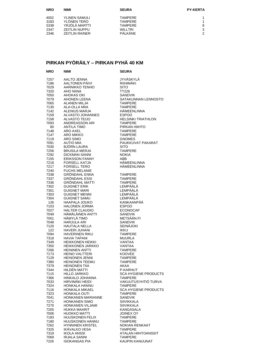| <b>NRO</b> | <b>NIMI</b>           | <b>SEURA</b>   | <b>PY-KERTA</b> |
|------------|-----------------------|----------------|-----------------|
| 4002       | YLINEN SAMULI         | <b>TAMPERE</b> |                 |
| 3183       | YLÖNEN TERO           | <b>TAMPERE</b> |                 |
| 5338       | YRJÖLÄ MARTTI         | <b>TAMPERE</b> | 8               |
| 2347       | <b>ZEITLIN NUPPU</b>  | <b>WILLTRI</b> | 3               |
| 2346       | <b>ZEITLIN RAINER</b> | PÄLKÄNE        | 2               |

#### **PIRKAN PYÖRÄILY – PIRKAN PYHÄ 40 KM**

| <b>NRO</b> | <b>NIMI</b>                            | <b>SEURA</b>                |
|------------|----------------------------------------|-----------------------------|
| 7257       | AALTO JENNA                            | <b>JYVÄSKYLÄ</b>            |
| 7186       | <b>AALTONEN PAIVI</b>                  | RIIHIMÄKI                   |
| 7029       | AARNIKKO TENHO                         | <b>SITO</b>                 |
| 7320       | AHO NIINA                              | TT226                       |
| 7050       | AHOKAS OKI                             | <b>SANDVIK</b>              |
| 7079       | AHONEN LEENA                           | SATAKUNNAN LENNOSTO         |
| 7065       | <b>ALANEN MILJA</b>                    | <b>TAMPERE</b>              |
| 7130       | ALA-OLLA MIIA                          | <b>TAMPERE</b>              |
| 7142       | ALENIUS MARJA                          | HÄMEENLINNA                 |
| 7159       | ALVASTO JOHANNES                       | <b>ESPOO</b>                |
| 7158       | ALVASTO TEIJO                          | <b>HELSINKI TRIATHLON</b>   |
| 7093       | ANDREASSON ARI                         | <b>TAMPERE</b>              |
| 80         | <b>ANTILA TIMO</b>                     | PIRKAN HIIHTO               |
| 7148       | ARO AXEL                               | <b>TAMPERE</b>              |
| 7147       | ARO MIKKO                              | <b>TAMPERE</b>              |
| 7119       | ARO SIMO                               | <b>GNOMES</b>               |
| 7091       | AUTIO MIA                              | PAUKKUVAT PAKARAT           |
| 7030       | <b>BJÖRN LAURA</b>                     | <b>SITO</b>                 |
| 7256       | <b>BRUSILA MERJA</b>                   | <b>TAMPERE</b>              |
| 7292       |                                        | <b>NOKIA</b>                |
| 7155       | DICKMAN SANNI                          | ABB                         |
|            | ERIKSSON FANNY<br><b>FORSELL KATJA</b> | <b>HÄMEENLINNA</b>          |
| 7218       |                                        |                             |
| 7217       | <b>FORSELL TERO</b>                    | <b>HÄMEENLINNA</b>          |
| 7240       | <b>FUCHS MELANIE</b>                   |                             |
| 7338       | GRÖNDAHL ENNA                          | <b>TAMPERE</b>              |
| 7337       | <b>GRÖNDAHL ESSI</b>                   | <b>TAMPERE</b>              |
| 7336       | GRÖNDAHL MATTI                         | <b>TAMPERE</b>              |
| 7302       | <b>GUIGNET ERIK</b>                    | LEMPÄÄLÄ                    |
| 7301       | <b>GUIGNET MARI</b>                    | I FMPÄÄI Ä                  |
| 7303       | <b>GUIGNET MENNI</b>                   | LEMPÄÄLÄ                    |
| 7304       | <b>GUIGNET SAMU</b>                    | LEMPÄÄLÄ                    |
| 126        | HAAPALA JOUKO                          | KANKAANPÄÄ                  |
| 7103       | <b>HALONEN JORMA</b>                   | <b>ESPOO</b>                |
| 7027       | HALTER CLAUDIO                         | <b>ECONOCAP</b>             |
| 7049       | HÄMÄLÄINEN ANTTI                       | <b>SANDVIK</b>              |
| 7001       | HÄMYLÄ TIMO                            | METSÄÄN.FI                  |
| 7048       | <b>HARJULA ARI</b>                     | <b>SANDVIK</b>              |
| 7120       | <b>HAUTALA NELLA</b>                   | <b>SEINÄJOKI</b>            |
| 122        | HAVERI JUHANI                          | <b>IKKU</b>                 |
| 7094       | HAVERINEN RIKU                         | <b>TAMPERE</b>              |
| 7318       | <b>HAVIA TAPANI</b>                    | <b>MUURLA</b>               |
| 7349       | <b>HEIKKONEN HEIKKI</b>                | VANTAA                      |
| 7350       | HEIKKONEN JARKKO                       | <b>VANTAA</b>               |
| 7266       | <b>HEININEN ANTTI</b>                  | <b>TAMPERE</b>              |
| 7173       | <b>HEINO VALTTERI</b>                  | <b>KOOVEE</b>               |
| 7129       | <b>HEINONEN JENNI</b>                  | <b>TAMPERE</b>              |
| 7380       | HEINONEN TEEMU                         | <b>TAMPERE</b>              |
| 7379       | <b>HEINONEN TIIA</b>                   | AKAA                        |
| 7344       | HILDÉN MATTI                           | P-KARHUT                    |
| 7115       | HILLO JARKKO                           | SCA HYGIENE PRODUCTS        |
| 7366       | HINKALO JOHANNA                        | <b>TAMPERE</b>              |
| 7033       | HIRVIMÄKI HEIDI                        | VAKUUTUSYHTIÖ TURVA         |
| 7324       | HONKALA HANNU                          | <b>TAMPERE</b>              |
| 7116       | HONKALA MIKAEL                         | <b>SCA HYGIENE PRODUCTS</b> |
| 7323       | HONKALA OUTI                           | <b>TAMPERE</b>              |
| 7041       | HONKANEN MARIANNE                      | SANDVIK                     |
| 7271       | <b>HONKANEN SIMO</b>                   | SIIVIKKALA                  |
| 7270       | HONKANEN VILJAMI                       | <b>SIIVIKKALA</b>           |
| 7205       | HUKKA MAARIT                           | KANGASALA                   |
| 7006       | <b>HUOKKO MATTI</b>                    | <b>JOINEX OY</b>            |
| 7183       | <b>HUUSKONEN FELIX</b>                 | TAMPERE                     |
| 7180       | HUUSKONEN HANNU                        | TAMPERE                     |
| 7262       | <b>HYNNINEN KRISTEL</b>                | NOKIAN RENKAAT              |
| 7325       | <b>IKAVALKO VESA</b>                   | <b>TAMPERE</b>              |
| 7319       | <b>IKOLA ANSSI</b>                     | ATALAN HIIHTOANSSIT         |
| 7069       | <b>IRJALA SANNI</b>                    | <b>TAMPERE</b>              |
| 7226       | ISOKANGAS PIA                          | KAUPIN KANUUNAT             |
|            |                                        |                             |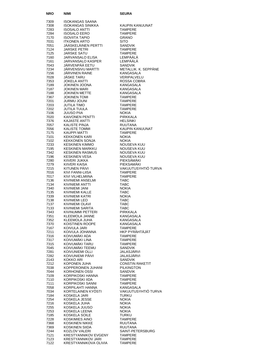| NRO          | NIMI                                               | SEURA                               |
|--------------|----------------------------------------------------|-------------------------------------|
| 7309         | ISOKANGAS SAANA                                    |                                     |
| 7308         | ISOKANGAS SINIKKA                                  | KAUPIN KANUUNAT                     |
| 7283         | <b>ISOSALO ANTTI</b>                               | <b>TAMPERE</b>                      |
| 7284<br>7170 | <b>ISOSALO EERO</b>                                | <b>TAMPERE</b><br><b>GRANO</b>      |
| 7031         | <b>ISOVIITA TAPIO</b><br><b>ITKONEN ARTO</b>       | <b>SITO</b>                         |
| 7051         | JÄÄSKELÄINEN PERTTI                                | <b>SANDVIK</b>                      |
| 7124         | JARSKE PETRI                                       | <b>TAMPERE</b>                      |
| 7125         | JARSKE SATU                                        | <b>TAMPERE</b>                      |
| 7160         | JARVANSALO ELISA                                   | LEMPÄÄLÄ                            |
| 7161<br>7043 | JARVANSALO KASPER<br>JÄRVENPÄÄ EETU                | LEMPÄÄLÄ<br><b>SANDVIK</b>          |
| 7234         | JÄRVENSIVU MARTTI                                  | METALLIK. K. SEPPÄNE                |
| 7156         | <b>JÄRVINEN RAINE</b>                              | <b>KANGASALA</b>                    |
| 7028         | <b>JÄSKE TARU</b>                                  | <b>VERIPALVELU</b>                  |
| 7353         | <b>JOKELA ANTTI</b>                                | ROSSA COBRA                         |
| 7189<br>7187 | JOKINEN JOONA<br><b>JOKINEN MARI</b>               | KANGASALA<br>KANGASALA              |
| 7188         | <b>JOKINEN METTE</b>                               | KANGASALA                           |
| 7367         | <b>JOKINEN TOMI</b>                                | <b>TAMPERE</b>                      |
| 7201         | <b>JURMU JOUNI</b>                                 | TAMPERE                             |
| 7203         | JUTILA TIMO                                        | TAMPERE                             |
| 7202<br>7106 | JUTILA TUULA<br><b>JUUSO PIIA</b>                  | <b>TAMPERE</b><br><b>NOKIA</b>      |
| 7020         | KAIVONEN PENTTI                                    | <b>PIRKKALA</b>                     |
| 7376         | KAJASTE ANTTI                                      | <b>HELSINKI</b>                     |
| 7057         | <b>KALISTE PINJA</b>                               | <b>RUUTANA</b>                      |
| 7056         | KALISTE TOMMI                                      | KAUPIN KANUUNAT                     |
| 7175<br>7101 | <b>KAUPPI MATTI</b><br><b>KEKKONEN KARI</b>        | <b>TAMPERE</b><br><b>NOKIA</b>      |
| 7102         | KEKKONEN SONJA                                     | <b>NOKIA</b>                        |
| 7233         | <b>KESKINEN KIMMO</b>                              | NOUSEVA KUU                         |
| 7195         | KESKINEN MARKKU                                    | NOUSEVA KUU                         |
| 7342         | <b>KESKINEN RASMUS</b>                             | NOUSEVA KUU                         |
| 7196<br>7280 | KESKINEN VESA<br>KIIVERI JUKKA                     | <b>NOUSEVA KUU</b><br>PIEKSÄMÄKI    |
| 7279         | KIIVERI KAISA                                      | PIEKSAMAKI                          |
| 7215         | KITUNEN PÄIVI                                      | VAKUUTUSYHTIÖ TURVA                 |
| 7016         | KIVI FANNI-LIISA                                   | <b>TAMPERE</b>                      |
| 7017         | KIVI VILHELMIINA                                   | <b>TAMPERE</b>                      |
| 7136<br>7134 | KIVINIEMI ANSELMI<br><b>KIVINIEMI ANTTI</b>        | TABC<br><b>TABC</b>                 |
| 7340         | KIVINIEMI JANI                                     | <b>NOKIA</b>                        |
| 7135         | KIVINIEMI KALLE                                    | <b>TABC</b>                         |
| 7339         | KIVINIEMI KATRI                                    | <b>NOKIA</b>                        |
| 7138         | <b>KIVINIEMI LEO</b>                               | TABC                                |
| 7137<br>7133 | KIVINIEMI OLAVI<br><b>KIVINIEMI SARITA</b>         | TABC<br><b>TABC</b>                 |
| 7343         | KIVINUMMI PETTERI                                  | <b>PIRKKALA</b>                     |
| 7351         | KLEEMOLA JANNE                                     | KANGASALA                           |
| 7352         | KLEEMOLA JUHA                                      | <b>KANGASALA</b>                    |
| 7370<br>7167 | KOISTINEN ROOPE<br>KOIVULA JARI                    | KANGASALA<br><b>TAMPERE</b>         |
| 7211         | KOIVULA JOHANNA                                    | HKP PYRÄHTÄJÄT                      |
| 7316         | KOIVUMÄKI ADA                                      | <b>TAMPERE</b>                      |
| 7317         | KOIVUMÄKI LINA                                     | TAMPERE                             |
| 7315<br>7045 | KOIVUMÄKI TARU<br>KOIVUMÄKI TEEMU                  | <b>TAMPERE</b><br><b>SANDVIK</b>    |
| 7281         | KOIVUNIEMI OLLI                                    | JALASJÄRVI                          |
| 7282         | KOIVUNIEMI PÄIVI                                   | JALASJÄRVI                          |
| 2143         | KOKKO ARI                                          | <b>SANDVIK</b>                      |
| 7212         | KOPONEN JUHA                                       | <b>CONSTIN RAKETIT</b>              |
| 7038<br>7044 | KOPPEROINEN JUHANI<br><b>KORHONEN OSSI</b>         | <b>PILKINGTON</b><br><b>SANDVIK</b> |
| 7109         | KORPIKOSKI HANNA                                   | TAMPERE                             |
| 7110         | KORPIKOSKI IIDA                                    | <b>TAMPERE</b>                      |
| 7111         | KORPIKOSKI SANNI                                   | TAMPERE                             |
| 7058         | KORPILAHTI HANNA                                   | KANGASALA                           |
| 7034<br>7184 | KORTELAINEN KYOSTI<br>KOSKELA JARI                 | VAKUUTUSYHTIÖ TURVA<br>TURKU        |
| 7254         | KOSKELA JESSE                                      | NOKIA                               |
| 7216         | KOSKELA JUHA                                       | <b>NOKIA</b>                        |
| 7255         | KOSKELA JUUSO                                      | <b>NOKIA</b>                        |
| 7253         | KOSKELA LEENA                                      | NOKIA                               |
| 7185<br>7228 | KOSKELA SOILE<br>KOSKIMIES AINO                    | TURKU<br>TAMPERE                    |
| 7368         | KOSKINEN NIKKE                                     | RUUTANA                             |
| 7369         | KOSKINEN SIIDA                                     | <b>RUUTANA</b>                      |
| 7244         | KOZLOV VALERI                                      | SAINT-PETERSBURG                    |
| 7121         | <b>KRESTYANNIKOV EVGENY</b>                        | TAMPERE                             |
| 7123<br>7122 | <b>KRESTYANNIKOV JARI</b><br>KRESTYANNIKOVA OLIVIA | TAMPERE<br><b>TAMPERE</b>           |
|              |                                                    |                                     |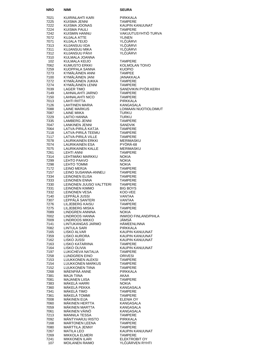| <b>NRO</b>   | NIMI                                             | <b>SEURA</b>                            |
|--------------|--------------------------------------------------|-----------------------------------------|
| 7021         | KUIRINLAHTI KARI                                 | <b>PIRKKALA</b>                         |
| 7225         | KUISMA JENNI                                     | <b>TAMPERE</b>                          |
| 7222         | KUISMA JOONAS                                    | KAUPIN KANUUNAT                         |
| 7224<br>7242 | KUISMA PAULI<br>KUISMIN HANNU                    | <b>TAMPERE</b><br>VAKUUTUSYHTIÖ TURVA   |
| 7072         | KUJALA ATTE                                      | <b>YLINEN</b>                           |
| 7071         | KUJALA TEIJO                                     | YLOJARVI                                |
| 7313         | KUJANSUU IIDA                                    | YLÖJÄRVI                                |
| 7311<br>7312 | KUJANSUU MIKA<br>KUJANSUU PÄIVI                  | YLÖJÄRVI<br>YLÖJÄRVI                    |
| 7310         | KULMALA JOANNA                                   |                                         |
| 102          | KULMALA KEIJO                                    | TAMPERE                                 |
| 7062         | <b>KUMUSTO ERKKI</b>                             | <b>KOLMOLAN TOIVO</b>                   |
| 7259<br>7273 | KUOPPALA SANNA<br>KYMÄLÄINEN ANNI                | <b>KUOPIO</b><br><b>TAMPEE</b>          |
| 7100         | KYMÄLÄINEN JANI                                  | JANAKKALA                               |
| 7272         | KYMÄLÄINEN JUKKA                                 | <b>TAMPERE</b>                          |
| 7274         | KYMÄLÄINEN LENNI                                 | <b>TAMPERE</b>                          |
| 7039<br>7149 | <b>LAGER TIMO</b><br>LAHNALAHTI JARNO            | SANDVIKIN PYÖR.KERH<br><b>TAMPERE</b>   |
| 7150         | <b>LAHNALAHTI NICO</b>                           | TAMPERE                                 |
| 7013         | <b>LAHTI RIITTA</b>                              | PIRKKALA                                |
| 7126         | LAHTINEN MARIA                                   | KANGASALA                               |
| 7088<br>7087 | <b>LAINE MARKUS</b><br>LAINE MIIKA               | LOIMAAN NUOTIOLOIMUT<br><b>TURKU</b>    |
| 7229         | LAITIO HANNA                                     | <b>TURKU</b>                            |
| 7335         | LAMBERG JENNI                                    | <b>TAMPERE</b>                          |
| 7047         | <b>LANKINEN JENNI</b>                            | <b>SANDVIK</b>                          |
| 7064<br>7118 | LATVA-PIRILÄ KATJA<br>LATVA-PIRILÄ TEEMU         | <b>TAMPERE</b><br><b>TAMPERE</b>        |
| 7117         | LATVA-PIRILÄ VILLE                               | <b>TAMPERE</b>                          |
| 7078         | <b>LAURIKAINEN ERKKI</b>                         | MERIMASKU                               |
| 7074         | <b>LAURIKAINEN ESA</b>                           | PYORA-68                                |
| 7075<br>7261 | LAURIKAINEN KALLE<br><b>LEHTI ANNI</b>           | MERIMASKU<br>TAMPERE                    |
| 7314         | LEHTIMÄKI MARKKU                                 | <b>NOKIA</b>                            |
| 7299         | LEHTO PAAVO                                      | <b>NOKIA</b>                            |
| 7298         | LEHTO TOMMI                                      | <b>NOKIA</b>                            |
| 7172<br>7157 | <b>LEINO MERJA</b><br>LEINO SUSANNA-ANNELI       | TAMPERE<br><b>TAMPERE</b>               |
| 7334         | <b>LEINONEN ELISA</b>                            | <b>TAMPERE</b>                          |
| 7333         | <b>LEINONEN ENNA</b>                             | <b>TAMPERE</b>                          |
| 7330<br>7331 | LEINONEN JUUSO VALTTERI<br><b>LEINONEN KIMMO</b> | <b>TAMPERE</b><br><b>BIG BOYS</b>       |
| 7332         | <b>LEINONEN VESA</b>                             | KOO-VEE                                 |
| 7140         | LEPPÄLÄ JUSSI                                    | VANTAA                                  |
| 7307<br>7276 | LEPPALA SANTERI<br>LILJEBERG KAISU               | VANTAA<br>TAMPERE                       |
| 7275         | LILJEBERG MISKA                                  | TAMPERE                                 |
| 7089         | LINDGREN ANNINA                                  | NOKIA                                   |
| 7002<br>7009 | LINDROOS HANNA<br>LINDROOS MIKKO                 | INWIDO FINLAND/PIHLA<br>JÄMSÄ           |
| 7141         | LINTUKANGAS JARMO                                | HÄMEENLINNA                             |
| 7082         | LINTULA SARI                                     | <b>PIRKKALA</b>                         |
| 7165         | LISKO ALVAR                                      | KAUPIN KANUUNAT                         |
| 7359<br>7162 | LISKO AURORA<br>LISKO JUSSI                      | KAUPIN KANUUNAT<br>KAUPIN KANUUNAT      |
| 7163         | LISKO KATARIINA                                  | <b>TAMPERE</b>                          |
| 7164         | LISKO OLIVIA                                     | KAUPIN KANUUNAT                         |
| 7197<br>7258 | LUKICHEVA NATALIA<br>LUNDGREN EINO               | TAMPERE<br><b>ORIVESI</b>               |
| 7153         | LUUKKONEN ALEKSI                                 | TAMPERE                                 |
| 7154         | LUUKKONEN MARKUS                                 | TAMPERE                                 |
| 7152         | LUUKKONEN TIINA                                  | TAMPERE                                 |
| 7268<br>7381 | MÄENPÄÄ ANNE<br><b>MAJA TIINA</b>                | PIRKKALA<br>AKAA                        |
| 7081         | MAJANEN LIISA                                    | TAMPERE                                 |
| 7383         | MÄKELÄ HARRI                                     | <b>NOKIA</b>                            |
| 7360<br>7341 | MÄKELÄ PEKKA<br>MÄKELÄ TIMO                      | KANGASALA<br><b>TAMPERE</b>             |
| 7361         | MÄKELÄ TOMMI                                     | TAMPERE                                 |
| 7008         | MÄKINEN EIJA                                     | ELENIA OY                               |
| 7060         | MÄKINEN HERTTA                                   | KANGASALA                               |
| 7059<br>7061 | MÄKINEN MARTTA<br>MÄKINEN VÄINÖ                  | KANGASALA<br>KANGASALA                  |
| 7213         | <b>MANNILA TESSA</b>                             | <b>TAMPERE</b>                          |
| 7092         | MANTYHARJU RISTO                                 | PIRKKALA                                |
| 7168<br>7080 | MARTONEN LEENA<br>MARTTILA JENNY                 | TAMPERE<br>TAMPERE                      |
| 7267         | <b>MATILA LEO</b>                                | KAUPIN KANUUNAT                         |
| 7269         | MIKKOLA ELMERI                                   | <b>TAMPERE</b>                          |
| 7241<br>107  | MIKKONEN ILARI<br><b>MOILANEN RAIMO</b>          | <b>ELEKTROBIT OY</b><br>YLÖJÄRVEN RYHTI |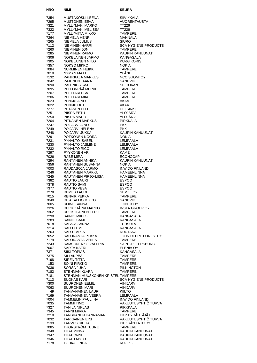| NRO          | NIMI                                           | <b>SEURA</b>                       |
|--------------|------------------------------------------------|------------------------------------|
| 7354         | MUSTAKOSKI LEENA                               | <b>SIIVIKKALA</b>                  |
| 7295         | <b>MUSTONEN EEVA</b>                           | <b>VUORENTAUSTA</b>                |
| 7321         | MYLLYMÄKI MARKO                                | <b>TT226</b>                       |
| 7322         | MYLLYMÄKI MELISSA                              | TT226                              |
| 7177         | <b>MYLLYVIITA MIKKO</b>                        | <b>TAMPERE</b>                     |
| 7264         | NIEMELÄ HENRI                                  | MAHNALA                            |
| 7265         | NIEMELÄ JULIUS                                 | <b>SIURO</b>                       |
| 7112         | <b>NIEMINEN HARRI</b>                          | <b>SCA HYGIENE PRODUCTS</b>        |
| 7260<br>7285 | NIEMINEN JONI<br><b>NIEMINEN RAIMO</b>         | <b>TAMPERE</b><br>KAUPIN KANUUNAT  |
| 7306         | NOKELAINEN JARMO                               | <b>KANGASALA</b>                   |
| 7305         | <b>NOKELAINEN NIILO</b>                        | KU-68 KORIS                        |
| 7357         | NOKSO MIKKO                                    | <b>NOKIA</b>                       |
| 7084         | <b>NURMINEN HEIKKI</b>                         | <b>TAMPERE</b>                     |
| 7010         | <b>NYMAN MATTI</b>                             | YLÂNE                              |
| 7132         | PAHIKKALA MARKUS                               | <b>NCC SUOMI OY</b>                |
| 7042         | PAJUNEN JAANA                                  | <b>SANDVIK</b>                     |
| 7090<br>7095 | <b>PALENIUS KAJ</b><br>PELLONPÄÄ MERVI         | <b>SEIGOKAN</b><br><b>TAMPERE</b>  |
| 7207         | PELTTARI ESA                                   | <b>TAMPERE</b>                     |
| 7206         | PELTTARI MIIA                                  | <b>TAMPERE</b>                     |
| 7023         | PENKKI AINO                                    | AKAA                               |
| 7022         | PENKKI OUTI                                    | AKAA                               |
| 7277         | PETÄNEN ELLI                                   | <b>HELSINKI</b>                    |
| 7251         | PIISPA EETU                                    | YLÖJÄRVI                           |
| 7250<br>7204 | PIISPA MAIJU<br>PITKÄNEN MARKUS                | YLÖJÄRVI<br><b>PIRKKALA</b>        |
| 7247         | POIJÄRVI AINO                                  | <b>PKK</b>                         |
| 7249         | POIJÄRVI HELENA                                | <b>PKK</b>                         |
| 7248         | POIJÄRVI JUKKA                                 | <b>KAUPIN KANUUNAT</b>             |
| 7291         | POTKONEN NOORA                                 | <b>NOKIA</b>                       |
| 7231         | PYHÄLTÖ ISABEL                                 | LEMPÄÄLÄ                           |
| 7230         | PYHÄLTÖ JASMINE                                | LEMPÄÄLÄ                           |
| 7232         | PYHÄLTÖ RICO                                   | LEMPÄÄLÄ                           |
| 7297         | PYYKÖNEN ARI<br>RABE MIRA                      | KAME                               |
| 7026<br>7294 | RANTANEN ANNIKA                                | <b>ECONOCAP</b><br>KAUPIN KANUUNAT |
| 7356         | RANTANEN SUSANNA                               | <b>NOKIA</b>                       |
| 7003         | RAUDASOJA JARMO                                | <b>INWIDO FINLAND</b>              |
| 7246         | RAUTANEN MARKKU                                | HÄMEENLINNA                        |
| 7245         | RAUTANEN PIRJO-LIISA                           | HÄMEENLINNA                        |
| 7382         | RAUTIO LAURI                                   | <b>ESPOO</b>                       |
| 7378         | RAUTIO SAMI                                    | <b>ESPOO</b>                       |
| 7377         | RAUTIO VESA                                    | <b>ESPOO</b><br><b>SEMEL OY</b>    |
| 7278<br>7015 | REMES LAURI<br>RENVIK PEKKA                    | <b>TAMPERE</b>                     |
| 7040         | RITAKALLIO MIKKO                               | SANDVIK                            |
| 7005         | ROINE SANNA                                    | <b>JOINEX OY</b>                   |
| 7326         | RUOKOJARVI MARKO                               | <b>INSTA GROUP OY</b>              |
| 7362         | RUOKOLAINEN TERO                               | TAMPERE                            |
| 7290         | SAINIO MIKKO                                   | KANGASALA                          |
| 7289         | SAINIO SAMI                                    | KANGASALA                          |
| 7018<br>7214 | SALAJA SANNA<br>SALO EEMELI                    | TUUSULA<br>KANGASALA               |
| 7263         | <b>SALO TARJA</b>                              | <b>RUUTANA</b>                     |
| 7052         | SALORANTA PEKKA                                | JOHN DEERE FORESTRY                |
| 7179         | SALORANTA VENLA                                | TAMPERE                            |
| 7243         | SAMSONENKO VALERIA                             | SAINT-PETERSBURG                   |
| 7007         | SARTA KATRI                                    | <b>ELENIA OY</b>                   |
| 7371         | <b>SIIKI TOPIAS</b>                            | <b>KANGASALA</b>                   |
| 7375<br>7198 | SILLANPÄÄ<br><b>SIREN TITTA</b>                | <b>TAMPERE</b><br>TAMPERE          |
| 153          | SOINI PIRKKO                                   | TAMPERE                            |
| 7036         | SORSA JUHA                                     | <b>PILKINGTON</b>                  |
| 7182         | STENMAN KLARA                                  | <b>TAMPERE</b>                     |
| 7181         | STENMAN-HUUSKONEN KRISTEL TAMPERE              |                                    |
| 7113         | SUOKAS KARI                                    | <b>SCA HYGIENE PRODUCTS</b>        |
| 7300         | <b>SUURONEN EEMIL</b>                          | VIHIJÄRVI                          |
| 7063         | <b>SUURONEN MARI</b>                           | VIHIJÄRVI                          |
| 49<br>7169   | TAHVANAINEN LAURI<br>TAHVANAINEN VEERA         | <b>KIILTO</b><br>LEMPÄÄLÄ          |
| 7004         | TAMMELIN PAULIINA                              | <b>INWIDO FINLAND</b>              |
| 7035         | TAMMI TIMO                                     | VAKUUTUSYHTIÖ TURVA                |
| 7327         | <b>TANILA NIKLAS</b>                           | <b>PIRKKALA</b>                    |
| 7345         | TANNI MIRKA                                    | <b>TAMPERE</b>                     |
| 7210         | TANSKANEN HANNAMARI                            | HKP PYRÄHTÄJÄT                     |
| 7032         | <b>TARKIAINEN EINI</b>                         | VAKUUTUSYHTIÖ TURVA                |
| 7139         | <b>TARVUS RIITTA</b><br><b>THORSTROM TUURE</b> | PIEKSÄN LATU RY<br>TAMPERE         |
| 7085<br>7348 | TIIRA MINNA                                    | KAUPIN KANUUNAT                    |
| 7347         | <b>TIIRA ONNI</b>                              | KAUPIN KANUUNAT                    |
| 7346         | TIIRA TAISTO                                   | KAUPIN KANUUNAT                    |
| 7178         | TOHKA LINDA                                    | <b>KUOPIO</b>                      |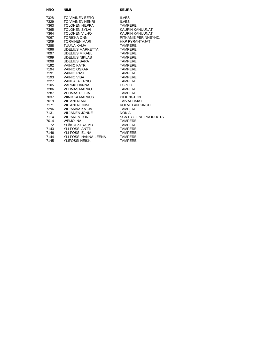| <b>NRO</b> | <b>NIMI</b>             | <b>SEURA</b>                |
|------------|-------------------------|-----------------------------|
| 7328       | <b>TOIVIAINEN EERO</b>  | <b>ILVES</b>                |
| 7329       | <b>TOIVIAINEN HENRI</b> | <b>ILVES</b>                |
| 7363       | <b>TOLONEN HILPPA</b>   | <b>TAMPERE</b>              |
| 7365       | <b>TOLONEN SYLVI</b>    | KAUPIN KANUUNAT             |
| 7364       | <b>TOLONEN VILHO</b>    | KAUPIN KANUUNAT             |
| 7067       | <b>TORIKKA ONNI</b>     | PITKÄNIE.PERINNEYHD.        |
| 7209       | <b>TORVINEN MARI</b>    | HKP PYRÄHTÄJÄT              |
| 7288       | TUUNA KAIJA             | <b>TAMPERE</b>              |
| 7096       | UDELIUS MARKETTA        | <b>TAMPERE</b>              |
| 7097       | <b>UDELIUS MIKAEL</b>   | <b>TAMPERE</b>              |
| 7099       | <b>UDELIUS NIKLAS</b>   | <b>TAMPFRF</b>              |
| 7098       | <b>UDELIUS SARA</b>     | <b>TAMPERE</b>              |
| 7192       | <b>VAINIO KATRI</b>     | <b>TAMPERE</b>              |
| 7194       | <b>VAINIO OSKARI</b>    | <b>TAMPERE</b>              |
| 7191       | <b>VAINIO PASI</b>      | <b>TAMPERE</b>              |
| 7193       | VAINIO VISA             | <b>TAMPERE</b>              |
| 7227       | <b>VANHALA ERNO</b>     | <b>TAMPERE</b>              |
| 7105       | <b>VARKKI HANNA</b>     | <b>ESPOO</b>                |
| 7286       | <b>VEHMAS MARKO</b>     | <b>TAMPERE</b>              |
| 7287       | <b>VEHMAS PETJA</b>     | <b>TAMPERE</b>              |
| 7037       | VIINIKKA MARKUS         | <b>PILKINGTON</b>           |
| 7019       | <b>VIITANEN ARI</b>     | <b>TAIVALTAJAT</b>          |
| 7171       | <b>VIITANEN ONNI</b>    | KOLMELAN KINGIT             |
| 7296       | VILJAMAA KATJA          | <b>TAMPFRF</b>              |
| 7131       | <b>VILJANEN JONNE</b>   | <b>NOKIA</b>                |
| 7114       | <b>VILJANEN TONI</b>    | <b>SCA HYGIENE PRODUCTS</b> |
| 7014       | <b>WEIJO INA</b>        | <b>TAMPERE</b>              |
| 72         | YLÄKOSKI RAIMO          | <b>TAMPERE</b>              |
| 7143       | <b>YLI-FOSSI ANTTI</b>  | <b>TAMPERE</b>              |
| 7146       | <b>YLI-FOSSI ELINA</b>  | <b>TAMPERE</b>              |
| 7144       | YLI-FOSSI HANNA-LEENA   | <b>TAMPERE</b>              |
| 7145       | YLIFOSSI HEIKKI         | <b>TAMPERE</b>              |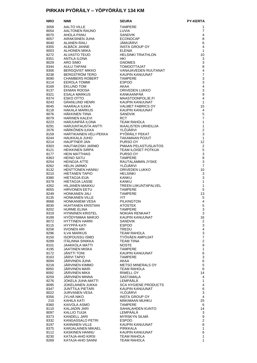### **PIRKAN PYÖRÄILY – YÖPYÖRÄILY 134 KM**

| <b>NRO</b>   | NIMI                                    | SEURA                                         | <b>PY-KERTA</b>           |
|--------------|-----------------------------------------|-----------------------------------------------|---------------------------|
| 3058         | AALTO VILLE                             | <b>TAMPERE</b>                                | 1                         |
| 8054         | AALTONEN RAUNO                          | LUVIA                                         | 7                         |
| 8070         | AHOLA PANU                              | <b>SANDVIK</b>                                | 4                         |
| 8057         | AIRAKSINEN JUHA                         | <b>ECONOCAP</b>                               | 8                         |
| 8040         | <b>ALANEN RAILI</b>                     | JÄMIJÄRVI                                     | 6                         |
| 8355         | ALBÄCK JANNE                            | <b>INSTA GROUP OY</b>                         | 4                         |
| 8003<br>8272 | ALHONEN MIIKA                           | <b>ELENIA</b>                                 | $\mathbf{1}$<br>10        |
| 8351         | ALVASTO TEIJO<br>ANTILA ILONA           | <b>HELSINKI TRIATHLON</b><br>HKI              | 3                         |
| 8029         | ARO SIMO                                | <b>GNOMES</b>                                 | 3                         |
| 8344         | AULU TAPANI                             | <b>TOMOOTTAJAT</b>                            | 8                         |
| 8306         | <b>BERGQVIST MIKKO</b>                  | VANAJAVEDEN RUUTANAT                          | 4                         |
| 8238         | BERGSTRÖM TERO                          | KAUPIN KANUUNAT                               | $\overline{7}$            |
| 8090         | <b>CHAMBERS ROBERT</b>                  | <b>TAMPERE</b>                                | 3                         |
| 8114         | <b>EEROLA TOMMI</b>                     | <b>ESPOO</b>                                  | 3                         |
| 8169         | EKLUND TOM                              | AKAA                                          | $\overline{\mathbf{4}}$   |
| 8137         | EKMAN ROOSA                             | ORIVEDEN LUKKO                                | 3                         |
| 8321         | ESALA MARKUS                            | KANKAANPÄÄ                                    | 9<br>4                    |
| 8374<br>8243 | ESKO OTTO<br><b>GRANLUND HENRI</b>      | MAASTOONPOLJE.FI<br>KAUPIN KANUUNAT           | $\mathbf{1}$              |
| 8045         | HAARALA ILKKA                           | <b>VALMET FABRICS OY</b>                      | 15                        |
| 8118         | HAKALA MARKUS                           | KAUPIN KANUUNAT                               | 4                         |
| 8076         | HÄKKINEN TIINA                          | <b>SANDVIK</b>                                | 5                         |
| 8079         | <b>HARINEN KALEVI</b>                   | <b>RCT</b>                                    | $\overline{7}$            |
| 8223         | HARJUNPÄÄ ILONA                         | <b>TEAM RAHOLA</b>                            | 1                         |
| 8291         | HARJUNTAUSTA ANTTI                      | IKAALISTEN URHEILIJA                          | $\mathbf{1}$              |
| 2076         | HÄRKÖNEN ILKKA                          | YLÖJÄRVI                                      | $\overline{2}$            |
| 8159         | HARTIKAINEN VELI-PEKKA                  | PYÖRÄILY PEKAT                                | 3                         |
| 8244         | HAUKKALA JUHO                           | <b>TAKAMAAN POJUT</b>                         | $\mathbf{1}$              |
| 8214<br>8303 | <b>HAUPTNER JAN</b><br>HAUTAKOSKI JARMO | PURSO OY<br>PMAAN PELASTUSLAITOS              | 12<br>$\overline{2}$      |
| 8121         | <b>HEIKKINEN SIRPA</b>                  | <b>TEAM ILOISET POTKIJA</b>                   | 5                         |
| 8177         | HEIN MATTHIAS                           | PURSO OY                                      | 3                         |
| 8363         | <b>HEINO SATU</b>                       | <b>TAMPERE</b>                                | 8                         |
| 8254         | HEINOJA ATTE                            | RAUTALAMMIN JYSKE                             | 3                         |
| 8262         | HELIN JARMO                             | YLÖJÄRVI                                      | $\overline{7}$            |
| 8132         | <b>HENTTONEN HANNU</b>                  | ORIVEDEN LUKKO                                | 10                        |
| 8210         | <b>HIETANEN TAPIO</b>                   | <b>HELSINKI</b>                               | 3                         |
| 8380         | <b>HIETAOJA EIJA</b>                    | KANKU                                         | 3                         |
| 8379         | HIETAOJA LASSE                          | KANKU                                         | 1<br>$\mathbf{1}$         |
| 4262<br>8055 | HILJANEN MAIKKU<br><b>HIRVONEN EETU</b> | <b>TREEN LIIKUNTAPALVEL</b><br><b>TAMPERE</b> | 5                         |
| 8249         | <b>HONKANEN JALI</b>                    | <b>TAMPERE</b>                                | 13                        |
| 8135         | <b>HONKANEN VILLE</b>                   | <b>YIT</b>                                    | 5                         |
| 8068         | HONKANIEMI VESA                         | <b>PILKINGTON</b>                             | $\overline{\mathbf{4}}$   |
| 8030         | <b>HUHTANEN KRISTIAN</b>                | <b>ATOSTEK</b>                                | 5                         |
| 8202         | <b>HURME ELINA</b>                      | <b>TAMPERE</b>                                | 3                         |
| 8319         | <b>HYNNINEN KRISTEL</b>                 | NOKIAN RENKAAT                                | $\ensuremath{\mathsf{3}}$ |
| 8189         | HYÖDYNMAA MARJO                         | KAUPIN KANUUNAT                               | 16                        |
| 8072<br>8115 | <b>HYTTINEN HARRI</b><br>HYYPPÄ KATI    | <b>SANDVIK</b><br><b>ESPOO</b>                | $\overline{a}$<br>3       |
| 8258         | <b>IIVONEN ARI</b>                      | TREDU                                         | $\overline{\mathbf{4}}$   |
| 8296         | <b>ILVA MARKUS</b>                      | <b>TEAM RAHOLA</b>                            | 3                         |
| 8150         | <b>ISOPOUSSU ISMO</b>                   | TYÖVÄEN AMPUJAT                               | $\overline{7}$            |
| 8289         | ITALINNA SINIKKA                        | <b>TEAM TIINA</b>                             | $\overline{2}$            |
| 8101         | <b>JAAKKOLA MATTI</b>                   | <b>NOSTE</b>                                  | 9                         |
| 4195         | JAATINEN MISKA                          | <b>TAMPERE</b>                                | $\mathbf{1}$              |
| 8172         | <b>JÄNTTI TONI</b>                      | KAUPIN KANUUNAT                               | $\,6$                     |
| 8163         | JARVI TAPIO                             | <b>TAMPERE</b>                                | 3                         |
| 8094         | JARVINEN JUHA<br>JARVINEN KIMMO         | AKAA<br><b>METSO MINERALS OY</b>              | 6<br>5                    |
| 8218<br>8050 | <b>JARVINEN MARI</b>                    | <b>TEAM RAHOLA</b>                            | 6                         |
| 8092         | JÄRVINEN MIKA                           | <b>RIWELL OY</b>                              | 14                        |
| 8259         | JARVINEN MINNA                          | SASTAMALA                                     | 4                         |
| 8276         | <b>JOKELA JUHA-MATTI</b>                | LEMPÄÄLÄ                                      | $\mathbf{1}$              |
| 8095         | JOKELAINEN JUKKA                        | <b>SCA HYGIENE PRODUCTS</b>                   | $\overline{4}$            |
| 8347         | <b>JUNTTILA PIETARI</b>                 | KAUPIN KANUUNAT                               | 6                         |
| 8022         | JURVANEN VESA                           | YLÖJÄRVI                                      | 3                         |
| 8356         | JYLHÄ NIKO                              | <b>INSTA GROUP OY</b>                         | $\overline{4}$            |
| 210<br>8360  | KAHILA KATI<br>KAIVOLA ASMO             | MAKIMAAN MUHKU<br><b>TAMPERE</b>              | 25<br>6                   |
| 8110         | KALJADIN JARI                           | SAHALAHDEN KUNTO                              | 14                        |
| 8097         | KALLIO TUIJA                            | LEMPÄÄLÄ                                      | 3                         |
| 8373         | KANDELL JARI                            | MYRSKYN SILMÄ                                 | 9                         |
| 8332         | KANGASSALO PETRI                        | <b>ESPOO</b>                                  | $\overline{c}$            |
| 8197         | <b>KANNINEN VILLE</b>                   | KAUPIN KANUUNAT                               | 8                         |
| 8375         | KARJALAINEN MIKAEL                      | PIRKKALA                                      | $\mathbf{1}$              |
| 8112         | KASKINEN HANNU                          | KAUPIN KANUUNAT                               | 6                         |
| 8230         | KATAJA-AHO KIRSI                        | <b>TEAM RAHOLA</b>                            | 1                         |
| 8269         | KATAJA-AHO SANNI                        | <b>TEAM RAHOLA</b>                            | 1                         |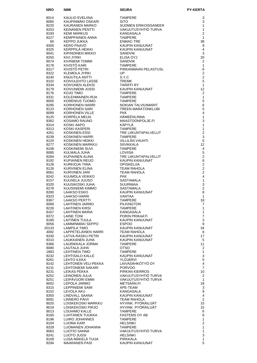| <b>NRO</b>    | NIMI                                           | <b>SEURA</b>                               | PY-KERTA                                  |
|---------------|------------------------------------------------|--------------------------------------------|-------------------------------------------|
| 8014          | KAULIO EVELIINA                                | <b>TAMPERE</b>                             | 3                                         |
| 8060          | KAUPINMÄKI OSKARI                              | <b>SITO</b>                                | 3                                         |
| 8220          | KAURANEN MARKO                                 | <b>SUOMEN ERIKOISSANEER</b>                | 1                                         |
| 8253          | KEINÄNEN PENTTI                                | VAKUUTUSYHTIO TURVA                        | $\mathbf{1}$                              |
| 8193<br>8227  | <b>KEMI MARKUS</b><br><b>KEMPPAINEN ANNA</b>   | KANGASALA<br><b>TAMPERE</b>                | $\overline{2}$<br>$\mathbf{1}$            |
| 60            | KEPPO JUKKA                                    | <b>ENMAC-TRE</b>                           | 38                                        |
| 8300          | <b>KERO PAAVO</b>                              | KAUPIN KANUUNAT                            | 9                                         |
| 8325          | KERPPILÄ HEIKKI                                | KAUPIN KANUUNAT                            | 4                                         |
| 8041          | KIPINOINEN MIKKO                               | <b>SANDVIK</b>                             | 3                                         |
| 8250<br>8074  | KIVI JYRKI<br><b>KIVINIEMI TOMMI</b>           | ELISA OYJ<br><b>SANDVIK</b>                | 20<br>$\overline{2}$                      |
| 8178          | KIVISTÖ KARI                                   | <b>TAMPERE</b>                             | $\mathbf{1}$                              |
| 8317          | KIVISTÖ PETRI                                  | PIRKANMAAN PELASTUSL                       | 6                                         |
| 8322          | <b>KLEMOLA JYRKI</b>                           | UP                                         | $\overline{2}$                            |
| 8240<br>8102  | KNUUTILA ANTTI<br>KOIVULEHTO LASSE             | S.Y.C<br><b>TREMK</b>                      | $\overline{2}$<br>$\overline{5}$          |
| 8334          | KOIVUNEN ALEKSI                                | TARIFFI RY                                 | $\mathbf{1}$                              |
| 8179          | KOIVUNIEMI JUSSI                               | KAUPIN KANUUNAT                            | 12                                        |
| 8176          | KOJO TIMO                                      | <b>TAMPERE</b>                             | $\overline{2}$                            |
| 8331          | KOLEHMAINEN IRJA                               | <b>TAMPERE</b><br><b>TAMPERE</b>           | $\mathbf{1}$<br>5                         |
| 8005<br>8295  | KORENIUS TUOMO<br>KORHONEN HARRI               | NOKIAN TALVIUIMARIT                        | 6                                         |
| 8123          | KORHONEN SARI                                  | TREEN MARATONKLUBI                         | 5                                         |
| 8099          | <b>KORHONEN VILLE</b>                          | <b>PKK</b>                                 | 4                                         |
| 8125          | KORPELA MEIJA                                  | HÄMEENLINNA                                | $\mathbf{1}$                              |
| 8362<br>8314  | KOSAMO RAUNO<br>KOSKI AAPO                     | MAASTOONPOLJE.FI<br>KÄPYLÄ                 | 3<br>$\mathbf{1}$                         |
| 8313          | KOSKI KASPERI                                  | <b>TAMPERE</b>                             | $\mathbf{1}$                              |
| 4261          | <b>KOSKINEN ESSI</b>                           | TRE LIIKUNTAPALVELUT                       | $\overline{2}$                            |
| 8239          | KOSKINEN HARRI                                 | <b>TAMPERE</b>                             | 3                                         |
| 8120<br>8277  | KOSKINEN HEIKKI<br>KOSKINEN MARKKU             | VILLILÄN VAUHTI<br><b>SIIVIKKALA</b>       | 5<br>12                                   |
| 8108          | KOSKINIEMI SUVI                                | <b>TAMPERE</b>                             | $\overline{4}$                            |
| 8085          | KULMALA JUHA                                   | LOVIISA                                    | 5                                         |
| 8284          | KUPIAINEN ALINA                                | TRE LIIKUNTAPALVELUT                       | $\overline{2}$                            |
| 8192          | KUPIAINEN REIJO                                | KAUPIN KANUUNAT                            | 6<br>$\overline{2}$                       |
| 8128<br>8126  | KURKIOJA TIINA<br>KURVINEN ELINA               | <b>OPISKELIJA</b><br><b>TEAM RAHOLA</b>    | $\overline{2}$                            |
| 8061          | <b>KURVINEN JARI</b>                           | <b>TEAM RAHOLA</b>                         | $\overline{2}$                            |
| 8242          | KUUMOLA VEIKKO                                 | <b>PKK</b>                                 | $\overline{4}$                            |
| 8157          | KUUSELA JUUSO                                  | SASTAMALA                                  | 1                                         |
| 8320<br>8278  | KUUSIKOSKI JUHA<br>KUUSINIEMI KIMMO            | <b>SUURIMAA</b><br>SASTAMALA               | 3<br>$\overline{c}$                       |
| 8280          | <b>LAAKSO ESKO</b>                             | KAUPIN KANUUNAT                            | 8                                         |
| 8323          | LAAKSO HARRI                                   | VANTAA                                     | 1                                         |
| 8367          | LAAKSO PERTTI                                  | <b>TAMPERE</b>                             | 18                                        |
| 8069<br>8226  | <b>LAHTINEN JARMO</b><br><b>LAHTINEN KIRSI</b> | <b>PILKINGTON</b><br><b>TAMPERE</b>        | 7<br>$\mathbf{1}$                         |
| 8167          | LAHTINEN MARIA                                 | KANGASALA                                  | $\mathbf{1}$                              |
| 8372          | <b>LAINE TONI</b>                              | PORIN PRIKAATI                             | $\overline{7}$                            |
| 8180          | <b>LAITINEN TUULA</b>                          | KAUPIN KANUUNAT                            | 3                                         |
| 8056<br>20133 | LAMMINMÄKI SEPPO<br><b>LAMPILA TIMO</b>        | <b>ESPOO</b><br>KAUPIN KANUUNAT            | $\boldsymbol{9}$<br>34                    |
| 4082          | LAPPETELÄINEN HARRI                            | <b>TEAM RAHOLA</b>                         | 6                                         |
| 8330          | <b>LATVA-RASKU PETRI</b>                       | KAUPIN KANUUNAT                            | 17                                        |
| 8310          | LAUKKANEN JUHA                                 | KAUPIN KANUUNAT                            | 5                                         |
| 8366<br>8080  | LAURIKKALA JORMA<br>LAUTALA JUHA               | <b>TAMPERE</b><br><b>OTSO</b>              | 11<br>2                                   |
| 1883          | <b>LEHTINEN TIMO</b>                           | <b>TAMPERE</b>                             | $\mathbf{1}$                              |
| 8232          | LEHTISALO KALLE                                | KAUPIN KANUUNAT                            | $\ensuremath{\mathsf{3}}$                 |
| 8261          | LEHTO ILKKA                                    | YLOJARVI                                   | 5                                         |
| 8142<br>8131  | LEHTONEN VELI-PEKKA<br>LEHTONIEMI SAKARI       | LAIVASÄHKÖTYÖ OY<br><b>PORVOO</b>          | $\overline{\mathbf{4}}$<br>$\overline{7}$ |
| 8231          | LEIKAS PEKKA                                   | PIRKAN KIERROS                             | 10                                        |
| 8252          | LEINONEN JULIA                                 | VAKUUTUSYHTIO TURVA                        | 2                                         |
| 8251          | LEIPÄVUORI EMMI                                | VAKUUTUSYHTIO TURVA                        | $\mathbf{1}$                              |
| 8002<br>8315  | LEPOLA JARMO<br>LEPPINIEMI SAMI                | METSÄÄN.FI<br>APE-TEAM                     | 18<br>3                                   |
| 8152          | LEVOLA AKU                                     | KANGASALA                                  | 9                                         |
| 8350          | LINDVALL SAANA                                 | KAUPIN KANUUNAT                            | $\overline{\mathbf{4}}$                   |
| 8081          | LINNERO PÂIVI                                  | <b>TEAM RAHOLA</b>                         | $\mathbf{2}$                              |
| 8020<br>8019  | LOISKEKOSKI MARKKU<br>LOISKEKOSKI PIRJO        | HYVINK. PYÖRÄILIJÄT<br>HYVINK. PYÖRÄILIJÄT | 15<br>15                                  |
| 8013          | LOUHIMO KALLE                                  | <b>TAMPERE</b>                             | 6                                         |
| 8160          | LUHTANEN TUUKKA                                | <b>FASTEMS OY AB</b>                       | 6                                         |
| 8196          | LUIRO JOHANNES                                 | <b>TAMPERE</b>                             | $\mathbf{1}$                              |
| 8104          | LUOMA KARI                                     | <b>HELSINKI</b>                            | $\overline{c}$<br>$\mathbf{1}$            |
| 8329<br>8063  | LUOMANEN JOHANNA<br>LUOTIO SANNA               | TAMPERE<br>VAKUUTUSYHTIÖ TURVA             | $\mathbf{1}$                              |
| 8241          | LUOTO JUSSI                                    | <b>HELSINKI</b>                            | 3                                         |
| 8109          | LUSA-MÄKELÄ TUIJA                              | PIRKKALA                                   | $\mathbf{1}$                              |
| 8294          | <b>MAARANEN PASI</b>                           | KAUPIN KANUUNAT                            | 5                                         |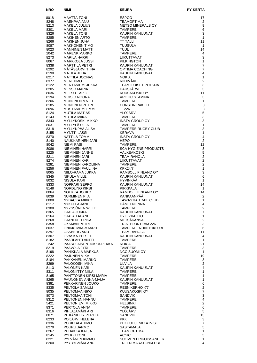| <b>NRO</b>   | NIMI                                          | <b>SEURA</b>                               | <b>PY-KERTA</b>                  |
|--------------|-----------------------------------------------|--------------------------------------------|----------------------------------|
| 8018         | MÄÄTTÄ TONI                                   | <b>ESPOO</b>                               | 17                               |
| 8248         | MÄENPÄÄ ANU                                   | <b>TEAMOPTIMA</b>                          | 2                                |
| 8213         | MÄKELÄ JULIUS<br>MÄKELÄ MARI                  | <b>METSO MINERALS OY</b>                   | 9                                |
| 8301<br>8326 | MÄKELÄ TONI                                   | <b>TAMPERE</b><br>KAUPIN KANUUNAT          | 6<br>3                           |
| 8285         | MÄKINEN ARTO                                  | <b>TAMPERE</b>                             | $\mathbf{1}$                     |
| 8266         | MÄKINEN JUHA                                  | <b>TT TALLI</b>                            | 11                               |
| 8087<br>8023 | <b>MAKKONEN TIMO</b><br><b>MANNINEN MATTI</b> | <b>TUUSULA</b>                             | $\mathbf{1}$<br>14               |
| 2042         | <b>MARENK MARKO</b>                           | TUUL<br><b>TAMPERE</b>                     | $\overline{4}$                   |
| 8273         | <b>MARILA HARRI</b>                           | LIIKUTTAVAT                                | 3                                |
| 8067         | MARKKOLA JUSSI                                | <b>PILKINGTON</b>                          | 1                                |
| 8338<br>8292 | <b>MARTTILA PETRI</b><br>MÄTÄSJÄRVI TIINA     | KAUPIN KANUUNAT<br>OPTIMA COACHING         | $\overline{7}$<br>$\overline{7}$ |
| 8190         | <b>MATILA JUHA</b>                            | KAUPIN KANUUNAT                            | $\overline{4}$                   |
| 8217         | MATTILA JOONAS                                | <b>NOKIA</b>                               | $\mathbf{1}$                     |
| 8377         | <b>MERI TIMO</b><br>MERTANIEMI JUKKA          | RIIHIMÄKI<br><b>TEAM ILOISET POTKIJA</b>   | $\overline{2}$<br>3              |
| 8122<br>8205 | MESSO MARIA                                   | HAUSJÄRVI                                  | 3                                |
| 8036         | <b>METSO TAPIO</b>                            | KUUSAKOSKI OY                              | 11                               |
| 8194         | MOISIO NOORA                                  | <b>ARCTIC STAMINA</b>                      | 3                                |
| 8206<br>8185 | MONONEN MATTI<br><b>MONONEN PETRI</b>         | <b>TAMPERE</b><br><b>CONSTIN RAKETIT</b>   | 1<br>$\mathsf 3$                 |
| 8096         | MUSTANIEMI EMMI                               | <b>TT226</b>                               | 3                                |
| 8124         | <b>MUTILA MATIAS</b>                          | YLÖJÄRVI                                   | 5                                |
| 8143         | MUTILA MIIKA                                  | <b>TAMPERE</b>                             | 3<br>3                           |
| 8343<br>8031 | <b>MYLLYKOSKI MIKKO</b><br>MYLLYLÄ ULLA       | <b>INSTA GROUP OY</b><br><b>TAMPERE</b>    | $\mathbf{1}$                     |
| 8318         | MYLLYNPÄÄ ALISA                               | <b>TAMPERE RUGBY CLUB</b>                  | 3                                |
| 8155         | <b>MYNTTI LASSI</b>                           | <b>KERAVA</b>                              | $\mathbf{1}$                     |
| 8370<br>8140 | NÄTTILÄ TOMMI<br>NAUKKARINEN JARI             | <b>INSTA GROUP OY</b><br><b>HEPO</b>       | $\overline{4}$<br>2              |
| 8042         | NIEMI PASI                                    | <b>TAMPERE</b>                             | 12                               |
| 8086         | NIEMINEN HARRI                                | <b>SCA HYGIENE PRODUCTS</b>                | 8                                |
| 8225         | NIEMINEN JANNE                                | VALKEAKOSKI                                | 5                                |
| 8211<br>8274 | <b>NIEMINEN JARI</b><br>NIEMINEN KARI         | <b>TEAM RAHOLA</b><br><b>LIIKUTTAVAT</b>   | 2<br>$\overline{2}$              |
| 8281         | NIEMINEN KAROLIINA                            | <b>TAMPERE</b>                             | $\overline{2}$                   |
| 8256         | NIEMINEN PAULIINA                             | <b>KPK24/7</b>                             | 1                                |
| 8065<br>8345 | NIILO-RÂMÂ JUKKA<br><b>NIKULA VILLE</b>       | RAMBOLL FINLAND OY<br>KAUPIN KANUUNAT      | 3<br>6                           |
| 8032         | NISULA KARI                                   | <b>HYVINKÄÄ</b>                            | 1                                |
| 8333         | NOPPARI SEPPO                                 | KAUPIN KANUUNAT                            | 14                               |
| 8148         | NORDLING KIRSI                                | <b>PIRKKALA</b>                            | 1                                |
| 8064<br>8039 | NOUKKA JOUKO<br><b>NURMINEN PIIA</b>          | RAMBOLL FINLAND OY<br>KANKAANPÄÄ           | 14<br>2                          |
| 8008         | NYBACKA MIKKO                                 | <b>TAWASTIA TRAIL CLUB</b>                 | 1                                |
| 8117         | NYKULLA JANI                                  | <b>HÄMEENLINNA</b>                         | 4                                |
| 8308<br>8365 | NYYSSÖNEN WILLE<br>OJALA JUKKA                | <b>TAMPERE</b><br>KAUPIN KANUUNAT          | $\mathbf{2}$<br>$\overline{7}$   |
| 8164         | OJALA TAPANI                                  | <b>HYLLYKALLIO</b>                         | $\mathbf{1}$                     |
| 8268         | OJANEN EERIKA                                 | METSÄKANSA                                 | $\mathbf{2}$                     |
| 8358         | OKSMAN PETRI<br><b>ONIKKI MIIA-MAARIT</b>     | TRIATHLONTEAM 226                          | 3<br>6                           |
| 8037<br>8297 | OSSBERG ANU                                   | TAMPEREENHIIHTOKLUBI<br><b>TEAM RAHOLA</b> | 11                               |
| 8307         | OVASKA PERTTI                                 | KAUPIN KANUUNAT                            | $\overline{4}$                   |
| 8182         | PAARLAHTI ANTTI                               | <b>TAMPERE</b>                             | 1                                |
| 242<br>8219  | PAASOLAINEN JUKKA-PEKKA<br>PAAVOLA JYRI       | <b>NOKIA</b><br><b>TAMPERE</b>             | 21<br>3                          |
| 8198         | PAHIKKALA MARKUS                              | <b>NCC SUOMI OY</b>                        | 1                                |
| 8222         | <b>PAJUNEN MIKA</b>                           | <b>TAMPERE</b>                             | 19                               |
| 8184<br>8299 | PAKKANEN MARKO<br>PALOKOSKI MIKA              | <b>TAMPERE</b><br>ULVILA                   | 3<br>$\overline{2}$              |
| 8113         | PALONEN KARI                                  | KAUPIN KANUUNAT                            | 4                                |
| 8311         | <b>PALONIITTY NIILA</b>                       | <b>TAMPERE</b>                             | 1                                |
| 8165         | PÄNTTÖNEN KIRSI-MARIA                         | <b>TAMPERE</b>                             | 1                                |
| 8265<br>8381 | PAUNONEN ANNA-MAIJA<br>PEKKARINEN JOUKO       | KAUPIN KANUUNAT<br>TAMPERE                 | 1<br>6                           |
| 8335         | PELTOLA SAMULI                                | REENIKERHO-77                              | $\overline{\mathbf{c}}$          |
| 8035         | PELTOMAA NIKO                                 | KUUSAKOSKI OY                              | $\overline{7}$                   |
| 8073<br>8312 | PELTOMAA TONI<br>PELTONEN HANNU               | <b>SANDVIK</b><br><b>TAMPERE</b>           | $\mathsf 3$<br>$\overline{4}$    |
| 5421         | PELTONIEMI MIKKO                              | <b>HELSINKI</b>                            | $\overline{c}$                   |
| 8371         | PERTOLA ANNA                                  | <b>TAMPERE</b>                             | 6                                |
| 8316         | PIHLAJAMÄKI ARI                               | YLOJARVI                                   | 5                                |
| 8071<br>8233 | PITKÄNIITTY PERTTU<br>POIJÄRVI HELENA         | <b>SANDVIK</b><br><b>PKK</b>               | 13<br>3                          |
| 8336         | PORKKALA TIMO                                 | PEKUULIJENKKATVIST                         | $\overline{7}$                   |
| 8270         | POURU JARMO                                   | <b>SASTAMALA</b>                           | 5                                |
| 8267<br>8145 | PUHAKKA KATJA<br><b>PYLKKI TONI</b>           | TEAM OPTIMA<br>AC/HC                       | $\mathbf{1}$<br>5                |
| 8221         | PYLVÄNEN KIMMO                                | <b>SUOMEN ERIKOISSANEER</b>                | 1                                |
| 8200         | PYYDYSMÄKI ANU                                | TREEN MARATONKLUBI                         | 4                                |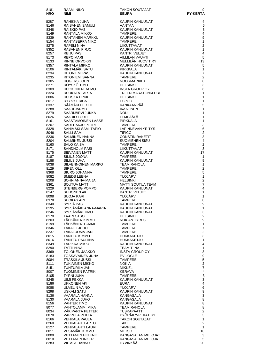| 8181<br><b>NRO</b> | RAAMI NIKO<br><b>NIMI</b>                         | <b>TAKON SOUTAJAT</b><br><b>SEURA</b>       | 9<br><b>PY-KERTA</b>           |
|--------------------|---------------------------------------------------|---------------------------------------------|--------------------------------|
| 8287               | RAHIKKA JUHA                                      | <b>KAUPIN KANUUNAT</b>                      | 4                              |
| 8146               | RÄISÄNEN SAMULI                                   | VANTAA                                      | 6                              |
| 8348<br>8149       | RAISKIO PASI<br>RANTALA MIKKO                     | <b>KAUPIN KANUUNAT</b><br><b>TAMPERE</b>    | 8<br>4                         |
| 8339               | RANTANEN MARKKU                                   | <b>KAUPIN KANUUNAT</b>                      | 9                              |
| 8154               | RANTASEPPÄ NIKO<br><b>RAPELI NINA</b>             | <b>TAMPERE</b>                              | $\mathbf{1}$<br>$\overline{2}$ |
| 8275<br>8352       | RÄSÄNEN PIRJO                                     | LIIKUTTAVAT<br>KAUPIN KANUUNAT              | 1                              |
| 8257               | <b>REIJU PASI</b>                                 | <b>KANTRI VELJET</b>                        | 4                              |
| 8173<br>8133       | <b>REPO MARI</b><br>RINNE ORVOKKI                 | VILLILÄN VAUHTI<br>MELLILÄN HUOVIT RY       | 5<br>13                        |
| 8357               | RINTALA MIKKO                                     | KAUPIN KANUUNAT                             | 5                              |
| 8106               | RINTAMÄKI SATU                                    | <b>PIRKKALA</b>                             | 1                              |
| 8234<br>8235       | <b>RITONIEMI PASI</b><br>RITONIEMI SANNA          | KAUPIN KANUUNAT<br><b>TAMPERE</b>           | $\overline{7}$<br>2            |
| 8305               | ROGERS JOHN                                       | <b>NOORMARKKU</b>                           | 8                              |
| 8271               | ROYSKO TIMO                                       | <b>HELSINKI</b>                             | 3                              |
| 8309<br>8324       | RUOKONEN RAIMO<br>RUUKALA TARJA                   | <b>INSTA GROUP OY</b><br>TREEN MARATONKLUBI | 6<br>1                         |
| 8006               | <b>RUUSKA ERKKI</b>                               | <b>HELSINKI</b>                             | 1                              |
| 8017               | RYYSY ERICA<br>SÄÄMÄKI PERTTI                     | <b>ESPOO</b><br>KANKAANPÄÄ                  | 1<br>5                         |
| 8337<br>8288       | SAARI JARMO                                       | <b>IKAALINEN</b>                            | 1                              |
| 8279               | SAARIJÄRVI JUKKA                                  | <b>NOU</b>                                  | 1                              |
| 8026<br>8161       | <b>SAARIO TUULI</b><br>SAASTAMOINEN LASSE         | LEMPÄÄLÄ<br>PIRKKALA                        | 1<br>$\mathbf{1}$              |
| 8207               | <b>SADEHARJU PETRI</b>                            | <b>TAMPERE</b>                              | 3                              |
| 8328               | SAHIMÄKI SAMI TAPIO                               | <b>LAPINNEVAN YRITYS</b>                    | 6                              |
| 8046<br>8236       | <b>SALLI SAMI</b><br>SALMINEN HANNA               | <b>TIPICO</b><br><b>CONSTIN RAKETIT</b>     | $\overline{\mathbf{c}}$<br>3   |
| 8204               | <b>SALMINEN JUSSI</b>                             | SUOMIEHEN SISU                              | 4                              |
| 5160               | <b>SALO KAISA</b>                                 | <b>TAMPERE</b>                              | $\boldsymbol{2}$               |
| 8171<br>8175       | SANDHOLM PASI<br>SIEVÄNEN MATTI                   | LIIKUTTAVAT<br>KAUPIN KANUUNAT              | 3<br>17                        |
| 8187               | SILIUS JOONA                                      | <b>TAMPERE</b>                              | 1                              |
| 8188               | SILIUS JUHA                                       | KAUPIN KANUUNAT                             | 9                              |
| 8038<br>8129       | <b>SILVENNOINEN MARKO</b><br>SIREN OLLI           | TEAM RAHOLA<br><b>TAMPERE</b>               | 1<br>2                         |
| 8368               | SIURO JOHANNA                                     | <b>TAMPERE</b>                              | 5                              |
| 8082<br>8208       | <b>SMEDS LEENA</b><br>SOHN ANNA-MAIJA             | YLÖJÄRVI<br><b>HELSINKI</b>                 | 1<br>$\overline{2}$            |
| 8361               | SOUTUA MATTI                                      | <b>MATTI SOUTUA TEAM</b>                    | $\overline{7}$                 |
| 8229               | <b>STENBERG POMPO</b>                             | KAUPIN KANUUNAT                             | 4                              |
| 8147<br>8098       | <b>SUHONEN AKI</b><br><b>SUOJA KARI</b>           | <b>KANTRI VELJET</b><br>YLÖJÄRVI            | 1<br>1                         |
| 8378               | <b>SUOKAS ARI</b>                                 | <b>TAMPERE</b>                              | 8                              |
| 8340               | SYRJÄ PASI                                        | KAUPIN KANUUNAT                             | 9                              |
| 8195<br>8246       | SYRJÄMÄKI ANNA-MARIA<br>SYRJÄMÄKI TIMO            | KAUPIN KANUUNAT<br>KAUPIN KANUUNAT          | $\mathbf{1}$<br>3              |
| 8170               | <b>TAARI OTSO</b>                                 | <b>HELSINKI</b>                             | $\overline{\mathbf{c}}$        |
| 8203<br>8199       | TÄHKÄNEN KIMMO<br>TÄHKÄNEN TOMMI                  | <b>NOKIAN TYRES</b><br>TAMPERE              | 9<br>$\mathbf{1}$              |
| 8346               | TAKALO JUHO                                       | TAMPERE                                     | $\boldsymbol{7}$               |
| 8237               | TAKALUOMA JARI                                    | TAMPERE                                     | $\overline{\mathbf{c}}$        |
| 8015<br>8016       | <b>TANTTU KIMMO</b><br>TANTTU PAULIINA            | HUKKAKETJU<br>HUKKAKETJU                    | 3<br>$\mathbf{1}$              |
| 8349               | <b>TARIKKA MIKKO</b>                              | KAUPIN KANUUNAT                             | 4                              |
| 8290               | <b>TATTI NINA</b>                                 | TEAM TIINA                                  | $\mathbf{1}$                   |
| 8369<br>8183       | <b>TOLONEN JAAKKO</b><br><b>TOSSAVAINEN JUHA</b>  | <b>INSTA GROUP OY</b><br><b>PV LOGLE</b>    | 3<br>9                         |
| 8084               | TRASKILA JUSSI                                    | TAMPERE                                     | 5                              |
| 8111               | <b>TUKIAINEN MIKKO</b>                            | <b>NOKIA</b>                                | $\overline{\mathbf{c}}$        |
| 8151<br>8007       | TUNTURILA JANI<br><b>TUOMINEN PATRIK</b>          | MIKKELI<br>KERAVA                           | 7<br>$\overline{\mathbf{4}}$   |
| 8105               | <b>TYRNI JUHA</b>                                 | TAMPERE                                     | 3                              |
| 8245<br>8186       | UIMI PEKKA<br>UKKONEN AKI                         | KAUPIN KANUUNAT<br>EURA                     | 3<br>4                         |
| 8088               | ULVELIN VÄINÖ                                     | YLÖJÄRVI                                    | 6                              |
| 8298               | <b>USKALI SATU</b>                                | KAUPIN KANUUNAT                             | 9                              |
| 8136<br>8130       | VÄÄRÄLÄ HANNA<br>VÄÄRÄLÄ JUHO                     | KANGASALA<br>KANGASALA                      | 3<br>8                         |
| 8156               | <b>VAHTER TIMO</b>                                | KAUPIN KANUUNAT                             | 8                              |
| 8077               | VAHTOLAMMI MIKA                                   | TEAM RAHOLA                                 | 8                              |
| 8034<br>8078       | <b>VAKIPARTA PETTERI</b><br>VAPPULA PEKKA         | TUSKAPAATTI<br>PYORAILY-PEKAT RY            | $\boldsymbol{2}$<br>3          |
| 8166               | <b>VEHKALA PAULA</b>                              | <b>TAKON SOUTAJAT</b>                       | $\mathbf{1}$                   |
| 8260<br>8127       | <b>VEHKALAHTI ARTO</b><br><b>VEHKALAHTI LAURI</b> | <b>TAKL</b><br><b>TAMPERE</b>               | 2<br>1                         |
| 8011               | VESAMÄKI KIMMO                                    | <b>METSO</b>                                | 10                             |
| 8009               | <b>VETTANEN HELENE</b>                            | KANGASALAN MELOJAT                          | 3                              |
| 8010<br>8283       | <b>VETTANEN INKERI</b><br><b>VIITALA HANNU</b>    | KANGASALAN MELOJAT<br>HYVINKÄÄ              | 5<br>20                        |
|                    |                                                   |                                             |                                |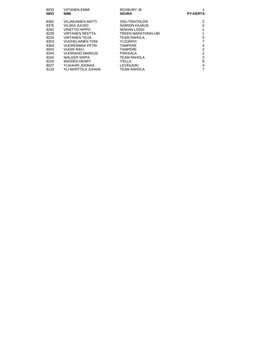| 8033<br><b>NRO</b> | <b>VIITANEN EMMI</b><br><b>NIMI</b> | ROXBURY JK<br><b>SEURA</b> | <b>PY-KERTA</b> |
|--------------------|-------------------------------------|----------------------------|-----------------|
|                    |                                     |                            |                 |
| 8382               | VILJAKAINEN MATTI                   | <b>SSU-TRIATHLON</b>       | 2               |
| 8376               | VILSKA JUUSO                        | <b>SAIRION KAJAUS</b>      | 5               |
| 8282               | <b>VINETTO HIPPO</b>                | <b>NOKIAN LOSSI</b>        |                 |
| 8228               | VIRTANEN REETTA                     | TREEN MARATONKLUBI         |                 |
| 8224               | <b>VIRTANEN TEIJA</b>               | <b>TEAM RAHOLA</b>         | 5               |
| 8353               | <b>VUOHELAINEN TONI</b>             | YLÖJÄRVI                   |                 |
| 8364               | <b>VUORENMAA PETRI</b>              | <b>TAMPERE</b>             | 4               |
| 8053               | VUORI RIKU                          | <b>TAMPERE</b>             | $\overline{2}$  |
| 8354               | <b>VUORIAHO MARKUS</b>              | <b>PIRKKALA</b>            | $\overline{2}$  |
| 8162               | <b>WALKER SIRPA</b>                 | <b>TEAM RAHOLA</b>         | $\overline{2}$  |
| 8216               | WIGREN HENRY                        | <b>ITELLA</b>              | 8               |
| 8027               | YLIKAHRI JOONAS                     | LEVÄSJOKI                  | 4               |
| 8119               | YLI-MARTTILA JUHANI                 | TEAM RAHOLA                |                 |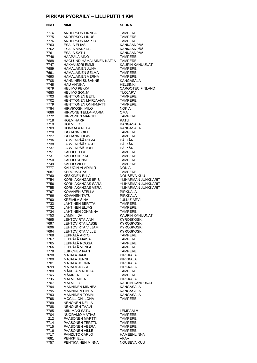#### **PIRKAN PYÖRÄILY – LILLIPUTTI 4 KM**

| NRO          | NIMI                                          | SEURA                                      |
|--------------|-----------------------------------------------|--------------------------------------------|
| 7774         | ANDERSON LINNEA                               | <b>TAMPERE</b>                             |
| 7775         | <b>ANDERSON LINUS</b>                         | <b>TAMPERE</b>                             |
| 7776         | ANDERSON MARJUT                               | <b>TAMPERE</b>                             |
| 7763         | ESALA ELIAS                                   | KANKAANPÄÄ                                 |
| 7762         | <b>ESALA MARKUS</b>                           | KANKAANPÄÄ<br>KANKAANPÄÄ                   |
| 7761<br>7746 | ESALA SATU<br><b>HAAPALA AINO</b>             | <b>TAMPERE</b>                             |
| 7688         | HAGLUND-HÄMÄLÄINEN KATJA                      | <b>TAMPERE</b>                             |
| 7747         | <b>HAKAVUORI EMMI</b>                         | KAUPIN KANUUNAT                            |
| 7689         | HÄMÄLÄINEN JUHA                               | <b>TAMPERE</b>                             |
| 7691         | HÄMÄLÄINEN SELMA                              | <b>TAMPERE</b>                             |
| 7690         | HÄMÄLÄINEN VERNA                              | <b>TAMPERE</b>                             |
| 7708         | HÄNNINEN SUSANNE<br><b>HAU ANNIKA</b>         | <b>KANGASALA</b>                           |
| 7748<br>7679 | <b>HELIMO PEKKA</b>                           | <b>HELSINKI</b><br><b>CARGOTEC FINLAND</b> |
| 7680         | <b>HELIMO SONJA</b>                           | YLÖJÄRVI                                   |
| 7703         | HENTTONEN EETU                                | <b>TAMPERE</b>                             |
| 7702         | HENTTONEN MARJAANA                            | <b>TAMPERE</b>                             |
| 7779         | HENTTONEN ONNI-MATTI                          | <b>TAMPERE</b>                             |
| 7784         | <b>HIRVIKOSKI MILO</b>                        | <b>NOKIA</b>                               |
| 7686<br>7772 | HIRVONEN ELLA-MARIA<br><b>HIRVONEN MARGIT</b> | OMA<br><b>TAMPERE</b>                      |
| 7718         | <b>HOLM HARRI</b>                             | PATU                                       |
| 7719         | <b>HOLM LEO</b>                               | KANGASALA                                  |
| 7709         | <b>HONKALA NEEA</b>                           | KANGASALA                                  |
| 7728         | <b>ISOHANNI OILI</b>                          | <b>TAMPERE</b>                             |
| 7727         | <b>ISOHANNI OLAVI</b>                         | <b>TAMPERE</b>                             |
| 7736<br>7738 | JÄRVENPÄÄ RITVA<br>JÄRVENPÄÄ SAKU             | PÄLKÄNE<br>PÄLKÄNE                         |
| 7737         | JÄRVENPÄÄ TOPI                                | PÄLKÄNE                                    |
| 7751         | <b>KALLIO ELLA</b>                            | <b>TAMPERE</b>                             |
| 7731         | KALLIO HEIKKI                                 | <b>TAMPERE</b>                             |
| 7750         | KALLIO SENNI                                  | <b>TAMPERE</b>                             |
| 7749         | KALLIO VILLE                                  | <b>TAMPERE</b>                             |
| 7777         | KALUGIN VLADIMIR                              | <b>NOKIA</b>                               |
| 7687<br>7760 | <b>KERO MATIAS</b><br><b>KESKINEN ELLA</b>    | <b>TAMPERE</b><br>NOUSEVA KUU              |
| 7754         | KORKIAKANGAS IIRIS                            | YLIHÄRMÄN JUNKKARIT                        |
| 7756         | KORKIAKANGAS SARA                             | YLIHÄRMÄN JUNKKARIT                        |
| 7755         | KORKIAKANGAS VERA                             | YLIHÄRMÄN JUNKKARIT                        |
| 7797         | KOVANEN STELLA                                | <b>PIRKKALA</b>                            |
| 7796         | <b>KOVANEN TATU</b><br>KREIVILÄ SINA          | <b>PIRKKALA</b>                            |
| 7790<br>7733 | LAHTINEN BERTTA                               | JULKUJARVI<br><b>TAMPERE</b>               |
| 7732         | <b>LAHTINEN ELJAS</b>                         | <b>TAMPERE</b>                             |
| 7734         | <b>LAHTINEN JOHANNA</b>                       | <b>TAMPERE</b>                             |
| 7753         | LAMMI IIDA                                    | KAUPIN KANUUNAT                            |
| 7695         | <b>LEHTOVIRTA ANNI</b>                        | KYRÖSKOSKI                                 |
| 7697         | <b>LEHTOVIRTA LASSE</b>                       | KYRÖSKOSKI                                 |
| 7696<br>7694 | LEHTOVIRTA VILJAMI<br><b>LEHTOVIRTA VILLE</b> | KYRÖSKOSKI<br>KYRÖSKOSKI                   |
| 7768         | LEPPÄLÄ ARTO                                  | <b>TAMPERE</b>                             |
| 7767         | LEPPÄLÄ MAISA                                 | <b>TAMPERE</b>                             |
| 7765         | LEPPÄLÄ ROOSA                                 | <b>TAMPERE</b>                             |
| 7766         | LEPPÄLÄ VENLA                                 | <b>TAMPERE</b>                             |
| 7778         | LUKICHEV IVAN                                 | <b>TAMPERE</b>                             |
| 7698<br>7700 | MAJALA JAMI<br><b>MAJALA JENNI</b>            | <b>PIRKKALA</b><br><b>PIRKKALA</b>         |
| 7701         | MAJALA JOONA                                  | PIRKKALA                                   |
| 7699         | MAJALA JUSSI                                  | <b>PIRKKALA</b>                            |
| 7780         | MÄKELÄ MATILDA                                | <b>TAMPERE</b>                             |
| 7745         | <b>MÄKINEN ELISE</b>                          | <b>TAMPERE</b>                             |
| 7706         | <b>MALM EMILIA</b>                            | <b>PIRKKALA</b>                            |
| 7707<br>7794 | <b>MALM LEO</b><br><b>MANNINEN MINNEA</b>     | KAUPIN KANUUNAT<br>KANGASALA               |
| 7795         | <b>MANNINEN PINJA</b>                         | KANGASALA                                  |
| 7793         | <b>MANNINEN TOMMI</b>                         | KANGASALA                                  |
| 7798         | <b>MCGILLION ILONA</b>                        | <b>TAMPERE</b>                             |
| 7789         | <b>NENONEN NELLA</b>                          |                                            |
| 7788         | <b>NENONEN TAAVI</b>                          | LEMPÄÄLÄ                                   |
| 7785<br>7704 | NIINIMÄKI SATU<br>NUORAMO MATIAS              | <b>TAMPERE</b>                             |
| 212          | PAASONEN MARTTI                               | <b>TAMPERE</b>                             |
| 7714         | PAASONEN TERTTU                               | <b>TAMPERE</b>                             |
| 7715         | PAASONEN VEERA                                | <b>TAMPERE</b>                             |
| 7716         | <b>PAASONEN VILLE</b>                         | <b>TAMPERE</b>                             |
| 7717         | PANZUTO CARLO                                 | HÄMEENLINNA                                |
| 7681         | PENKKI ELLI<br>PENTIKÄINEN MINNA              | AKAA<br>NOUSEVA KUU                        |
| 7757         |                                               |                                            |